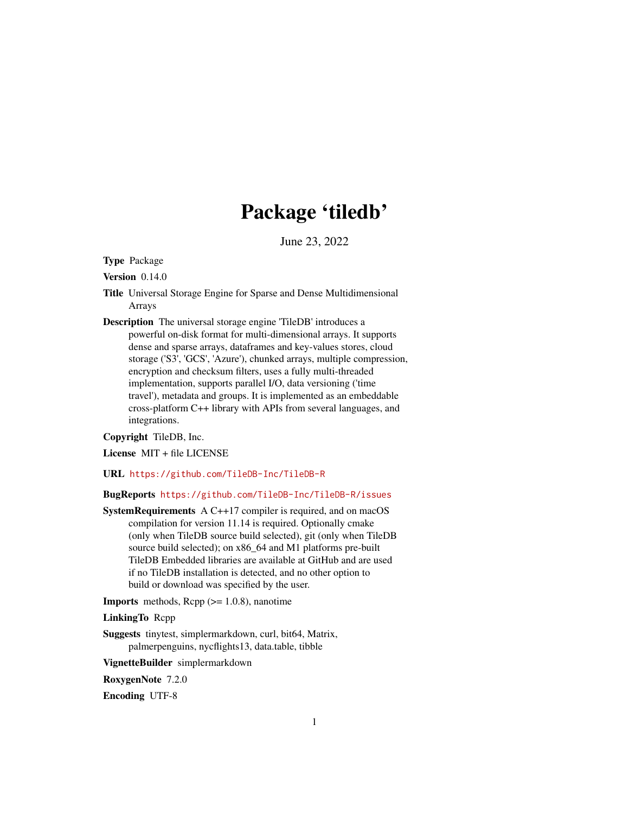# Package 'tiledb'

June 23, 2022

Type Package

Version 0.14.0

- Title Universal Storage Engine for Sparse and Dense Multidimensional Arrays
- Description The universal storage engine 'TileDB' introduces a powerful on-disk format for multi-dimensional arrays. It supports dense and sparse arrays, dataframes and key-values stores, cloud storage ('S3', 'GCS', 'Azure'), chunked arrays, multiple compression, encryption and checksum filters, uses a fully multi-threaded implementation, supports parallel I/O, data versioning ('time travel'), metadata and groups. It is implemented as an embeddable cross-platform C++ library with APIs from several languages, and integrations.

#### Copyright TileDB, Inc.

License MIT + file LICENSE

URL <https://github.com/TileDB-Inc/TileDB-R>

### BugReports <https://github.com/TileDB-Inc/TileDB-R/issues>

SystemRequirements A C++17 compiler is required, and on macOS compilation for version 11.14 is required. Optionally cmake (only when TileDB source build selected), git (only when TileDB source build selected); on x86\_64 and M1 platforms pre-built TileDB Embedded libraries are available at GitHub and are used if no TileDB installation is detected, and no other option to build or download was specified by the user.

**Imports** methods,  $\text{Rcpp} (> = 1.0.8)$ , nanotime

LinkingTo Rcpp

Suggests tinytest, simplermarkdown, curl, bit64, Matrix, palmerpenguins, nycflights13, data.table, tibble

VignetteBuilder simplermarkdown

RoxygenNote 7.2.0

Encoding UTF-8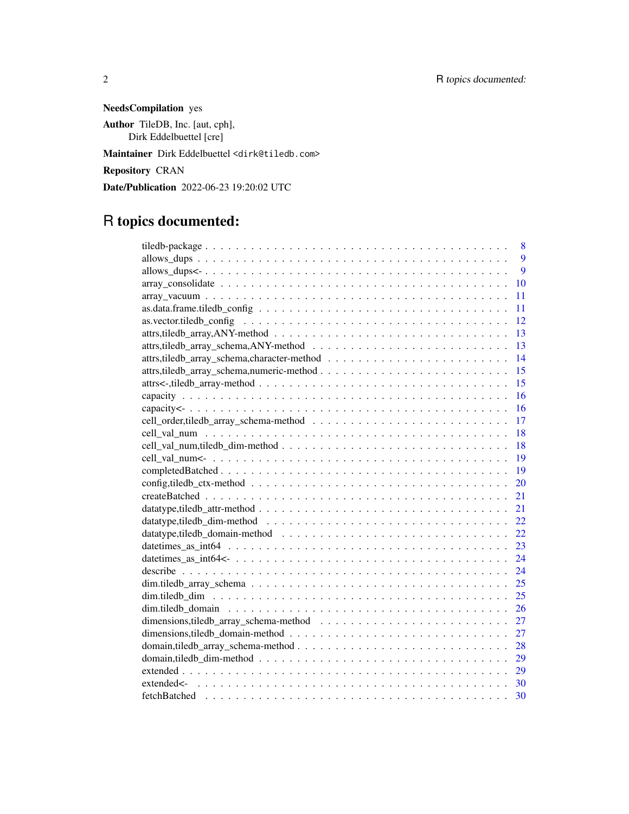NeedsCompilation yes Author TileDB, Inc. [aut, cph], Dirk Eddelbuettel [cre] Maintainer Dirk Eddelbuettel <dirk@tiledb.com> Repository CRAN

Date/Publication 2022-06-23 19:20:02 UTC

## R topics documented:

| 8                                                                                                                        |
|--------------------------------------------------------------------------------------------------------------------------|
| 9                                                                                                                        |
| 9                                                                                                                        |
| 10                                                                                                                       |
| 11                                                                                                                       |
| 11                                                                                                                       |
| 12<br>$as. vector. tiled b_{\text{config}} \ldots \ldots \ldots \ldots \ldots \ldots \ldots \ldots \ldots \ldots \ldots$ |
| 13                                                                                                                       |
| 13                                                                                                                       |
| 14                                                                                                                       |
| 15                                                                                                                       |
| 15                                                                                                                       |
| 16                                                                                                                       |
| 16                                                                                                                       |
| 17                                                                                                                       |
| 18                                                                                                                       |
| 18                                                                                                                       |
| 19                                                                                                                       |
| 19                                                                                                                       |
| 20                                                                                                                       |
| 21                                                                                                                       |
| 21                                                                                                                       |
| 22.                                                                                                                      |
| 22                                                                                                                       |
| 23                                                                                                                       |
| 24                                                                                                                       |
| 24                                                                                                                       |
| 25                                                                                                                       |
| 25                                                                                                                       |
| 26                                                                                                                       |
| 27                                                                                                                       |
| 27                                                                                                                       |
| domain, tiledb_array_schema-method<br>28                                                                                 |
| 29                                                                                                                       |
| 29                                                                                                                       |
| 30                                                                                                                       |
| 30                                                                                                                       |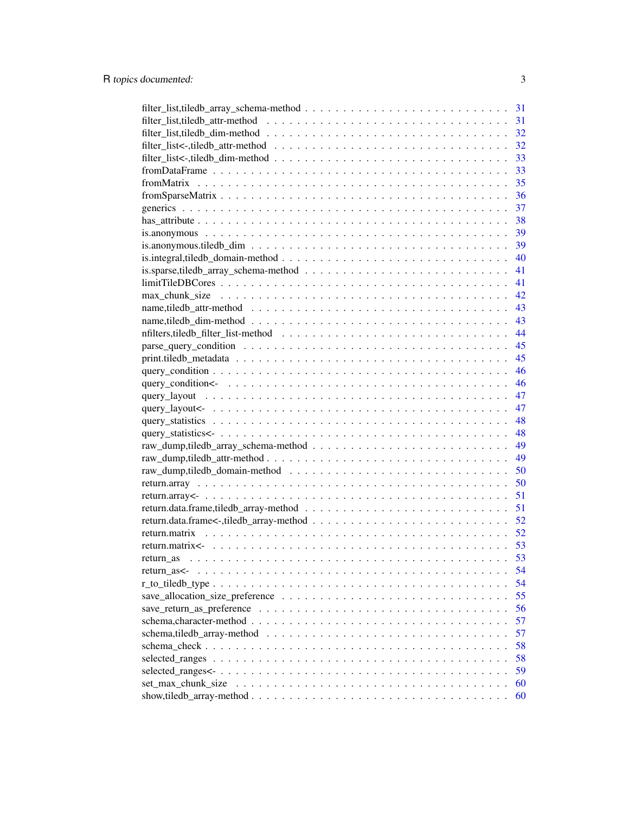| 31 |
|----|
| 31 |
| 32 |
| 32 |
| 33 |
| 33 |
| 35 |
| 36 |
| 37 |
| 38 |
| 39 |
| 39 |
| 40 |
| 41 |
| 41 |
| 42 |
|    |
| 43 |
| 43 |
| 44 |
| 45 |
| 45 |
| 46 |
| 46 |
| 47 |
| 47 |
| 48 |
| 48 |
| 49 |
| 49 |
| 50 |
| 50 |
| 51 |
| 51 |
| 52 |
| 52 |
| 53 |
| 53 |
| 54 |
| 54 |
| 55 |
| 56 |
| 57 |
|    |
| 57 |
| 58 |
| 58 |
| 59 |
| 60 |
| 60 |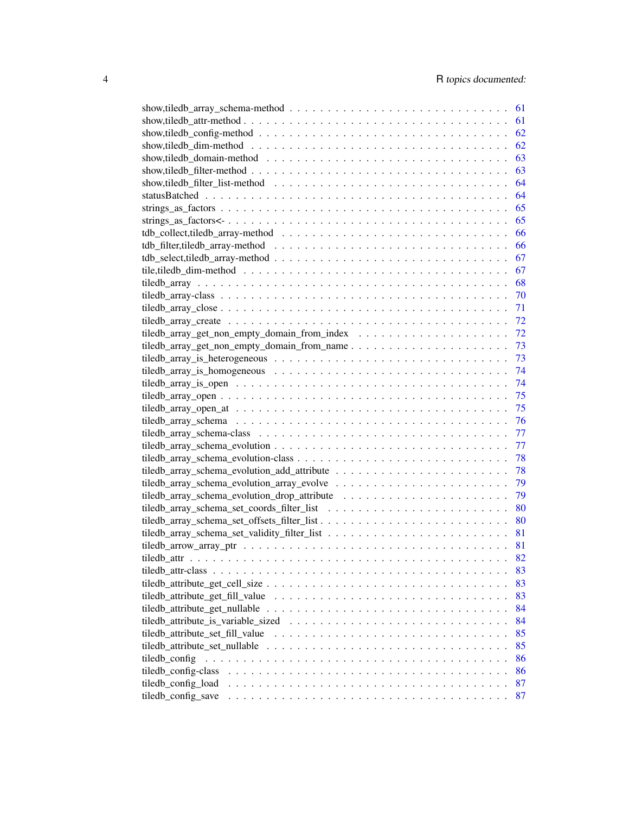|                                                                                                                     | 61 |
|---------------------------------------------------------------------------------------------------------------------|----|
|                                                                                                                     | 61 |
|                                                                                                                     | 62 |
|                                                                                                                     | 62 |
|                                                                                                                     | 63 |
|                                                                                                                     | 63 |
|                                                                                                                     | 64 |
|                                                                                                                     | 64 |
|                                                                                                                     | 65 |
|                                                                                                                     | 65 |
|                                                                                                                     | 66 |
|                                                                                                                     | 66 |
|                                                                                                                     | 67 |
|                                                                                                                     | 67 |
|                                                                                                                     | 68 |
|                                                                                                                     |    |
|                                                                                                                     | 70 |
|                                                                                                                     | 71 |
|                                                                                                                     | 72 |
|                                                                                                                     | 72 |
| tiledb_array_get_non_empty_domain_from_name                                                                         | 73 |
|                                                                                                                     | 73 |
|                                                                                                                     | 74 |
|                                                                                                                     | 74 |
|                                                                                                                     | 75 |
|                                                                                                                     | 75 |
|                                                                                                                     | 76 |
|                                                                                                                     | 77 |
|                                                                                                                     | 77 |
|                                                                                                                     | 78 |
|                                                                                                                     | 78 |
|                                                                                                                     | 79 |
|                                                                                                                     | 79 |
|                                                                                                                     | 80 |
|                                                                                                                     | 80 |
|                                                                                                                     | 81 |
|                                                                                                                     |    |
|                                                                                                                     | 81 |
|                                                                                                                     | 82 |
|                                                                                                                     | 83 |
|                                                                                                                     | 83 |
| tiledb_attribute_get_fill_value                                                                                     | 83 |
| tiledb_attribute_get_nullable $\ldots \ldots \ldots \ldots \ldots \ldots \ldots \ldots \ldots \ldots \ldots \ldots$ | 84 |
|                                                                                                                     | 84 |
| tiledb attribute set fill value                                                                                     | 85 |
| tiledb_attribute_set_nullable                                                                                       | 85 |
| tiledb_config                                                                                                       | 86 |
| tiledb_config-class                                                                                                 | 86 |
| tiledb_config_load                                                                                                  | 87 |
| tiledb_config_save                                                                                                  | 87 |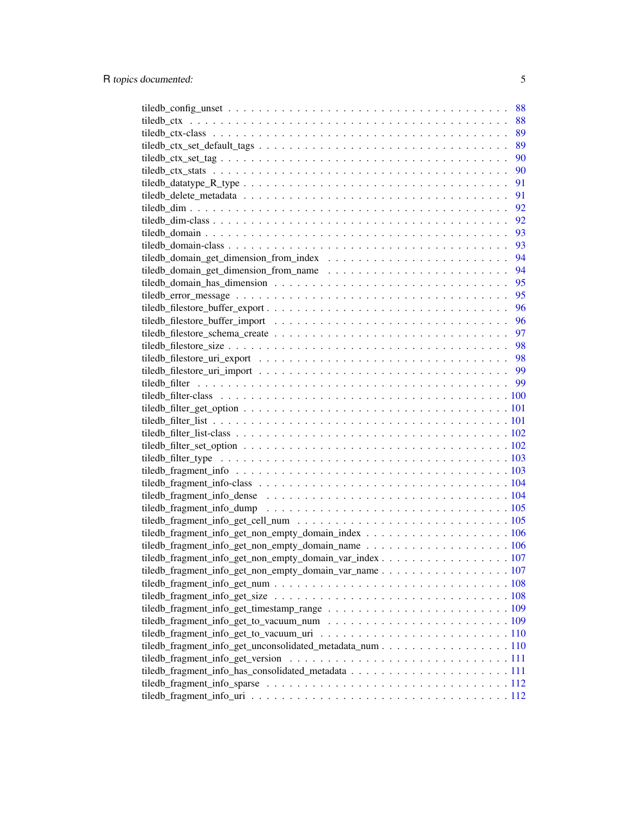|                                                                                                             | 88 |
|-------------------------------------------------------------------------------------------------------------|----|
|                                                                                                             | 88 |
|                                                                                                             | 89 |
| $tiledb_ctx_set_default_tags \dots \dots \dots \dots \dots \dots \dots \dots \dots \dots \dots \dots \dots$ | 89 |
|                                                                                                             | 90 |
|                                                                                                             | 90 |
|                                                                                                             | 91 |
|                                                                                                             | 91 |
|                                                                                                             | 92 |
|                                                                                                             | 92 |
|                                                                                                             | 93 |
|                                                                                                             | 93 |
|                                                                                                             | 94 |
| tiledb_domain_get_dimension_from_name $\ldots \ldots \ldots \ldots \ldots \ldots \ldots \ldots$             | 94 |
|                                                                                                             | 95 |
|                                                                                                             | 95 |
|                                                                                                             | 96 |
|                                                                                                             |    |
|                                                                                                             |    |
|                                                                                                             |    |
|                                                                                                             |    |
|                                                                                                             |    |
|                                                                                                             |    |
|                                                                                                             |    |
|                                                                                                             |    |
|                                                                                                             |    |
|                                                                                                             |    |
|                                                                                                             |    |
|                                                                                                             |    |
|                                                                                                             |    |
|                                                                                                             |    |
|                                                                                                             |    |
|                                                                                                             |    |
|                                                                                                             |    |
|                                                                                                             |    |
|                                                                                                             |    |
|                                                                                                             |    |
|                                                                                                             |    |
| tiledb_fragment_info_get_non_empty_domain_var_name 107                                                      |    |
|                                                                                                             |    |
|                                                                                                             |    |
|                                                                                                             |    |
|                                                                                                             |    |
|                                                                                                             |    |
| tiledb_fragment_info_get_unconsolidated_metadata_num 110                                                    |    |
|                                                                                                             |    |
|                                                                                                             |    |
|                                                                                                             |    |
|                                                                                                             |    |
|                                                                                                             |    |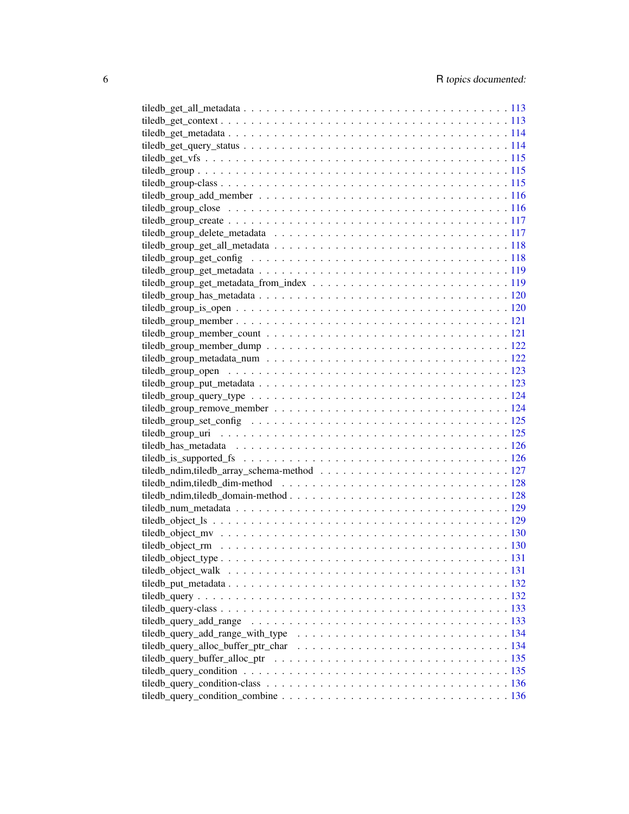| tiledb_query_add_range_with_type $\dots \dots \dots \dots \dots \dots \dots \dots \dots \dots \dots \dots \dots \dots 134$ |  |
|----------------------------------------------------------------------------------------------------------------------------|--|
|                                                                                                                            |  |
|                                                                                                                            |  |
|                                                                                                                            |  |
|                                                                                                                            |  |
|                                                                                                                            |  |
|                                                                                                                            |  |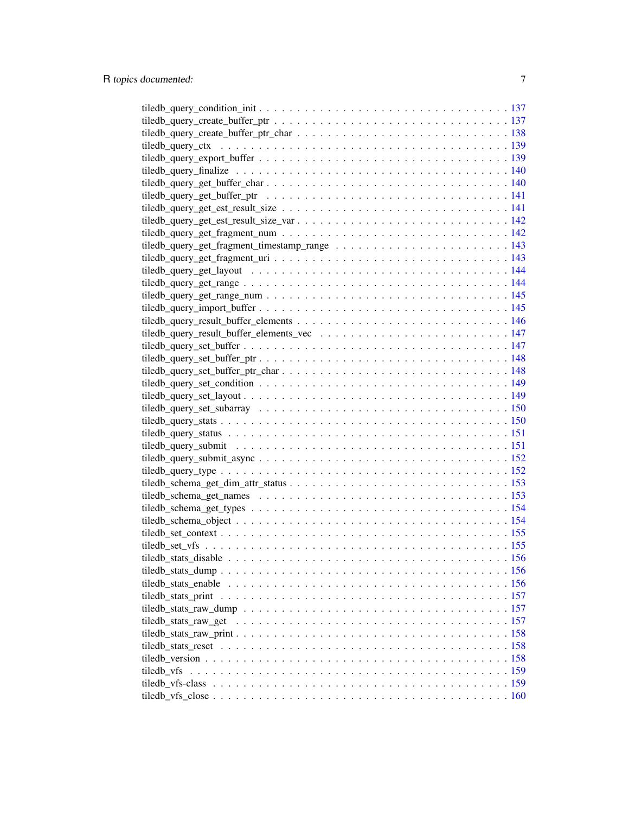| tiledb vfs |  |
|------------|--|
|            |  |
|            |  |
|            |  |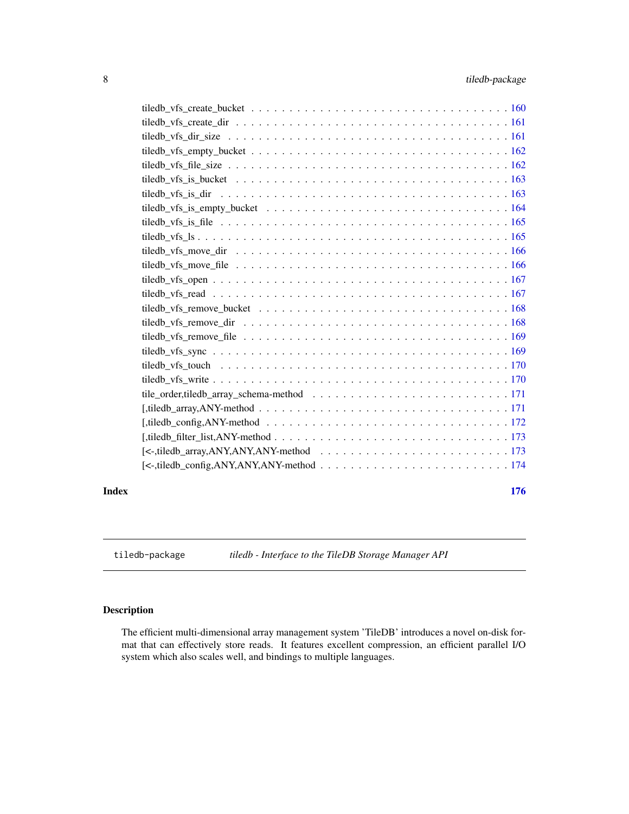<span id="page-7-0"></span>

| tiledb_vfs_is_file \etchchines \text{ integration integration integration integration integration integration integration integration integration integration integration integration integration integration integration int |
|-------------------------------------------------------------------------------------------------------------------------------------------------------------------------------------------------------------------------------|
|                                                                                                                                                                                                                               |
|                                                                                                                                                                                                                               |
|                                                                                                                                                                                                                               |
|                                                                                                                                                                                                                               |
|                                                                                                                                                                                                                               |
| tiledb vfs remove bucket $\ldots \ldots \ldots \ldots \ldots \ldots \ldots \ldots \ldots \ldots \ldots \ldots 168$                                                                                                            |
|                                                                                                                                                                                                                               |
|                                                                                                                                                                                                                               |
|                                                                                                                                                                                                                               |
|                                                                                                                                                                                                                               |
|                                                                                                                                                                                                                               |
|                                                                                                                                                                                                                               |
|                                                                                                                                                                                                                               |
| [, tiledb_config, ANY-method $\ldots \ldots \ldots \ldots \ldots \ldots \ldots \ldots \ldots \ldots \ldots \ldots \ldots 172$                                                                                                 |
|                                                                                                                                                                                                                               |
|                                                                                                                                                                                                                               |
|                                                                                                                                                                                                                               |
|                                                                                                                                                                                                                               |

#### **Index** the contract of the contract of the contract of the contract of the contract of the contract of the contract of the contract of the contract of the contract of the contract of the contract of the contract of the co

tiledb-package *tiledb - Interface to the TileDB Storage Manager API*

### Description

The efficient multi-dimensional array management system 'TileDB' introduces a novel on-disk format that can effectively store reads. It features excellent compression, an efficient parallel I/O system which also scales well, and bindings to multiple languages.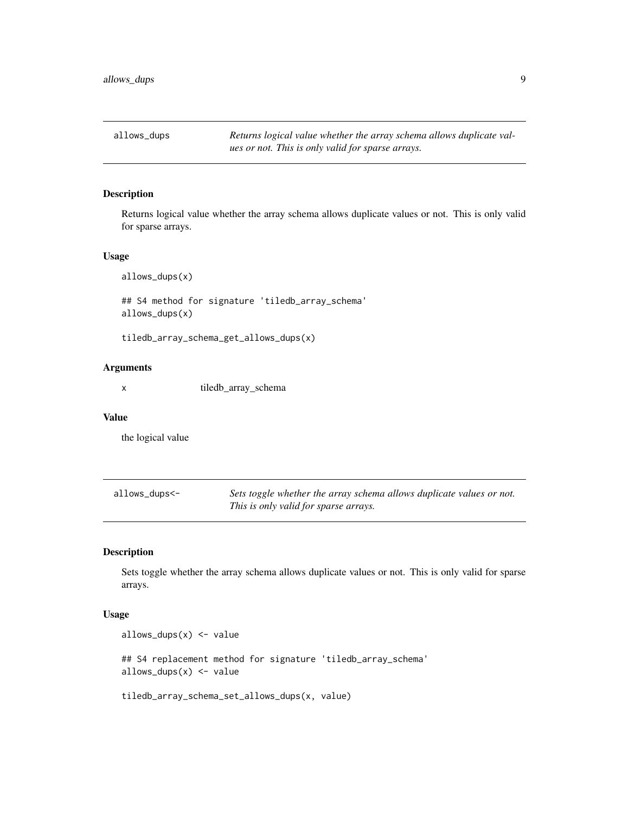<span id="page-8-0"></span>allows\_dups *Returns logical value whether the array schema allows duplicate values or not. This is only valid for sparse arrays.*

### Description

Returns logical value whether the array schema allows duplicate values or not. This is only valid for sparse arrays.

#### Usage

allows\_dups(x)

## S4 method for signature 'tiledb\_array\_schema' allows\_dups(x)

tiledb\_array\_schema\_get\_allows\_dups(x)

### Arguments

x tiledb\_array\_schema

#### Value

the logical value

| allows_dups<- | Sets toggle whether the array schema allows duplicate values or not. |
|---------------|----------------------------------------------------------------------|
|               | This is only valid for sparse arrays.                                |

#### Description

Sets toggle whether the array schema allows duplicate values or not. This is only valid for sparse arrays.

#### Usage

```
allows_dups(x) <- value
## S4 replacement method for signature 'tiledb_array_schema'
allows_dups(x) <- value
tiledb_array_schema_set_allows_dups(x, value)
```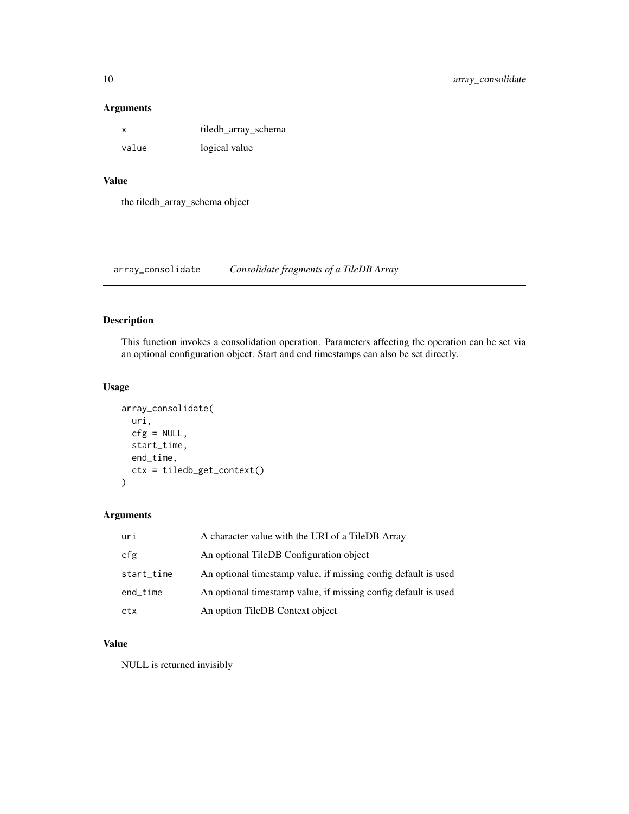#### <span id="page-9-0"></span>Arguments

| x     | tiledb_array_schema |
|-------|---------------------|
| value | logical value       |

### Value

the tiledb\_array\_schema object

array\_consolidate *Consolidate fragments of a TileDB Array*

### Description

This function invokes a consolidation operation. Parameters affecting the operation can be set via an optional configuration object. Start and end timestamps can also be set directly.

### Usage

```
array_consolidate(
  uri,
  cfg = NULL,start_time,
  end_time,
  ctx = tiledb_get_context()
\mathcal{E}
```
#### Arguments

| uri        | A character value with the URI of a TileDB Array               |
|------------|----------------------------------------------------------------|
| cfg        | An optional TileDB Configuration object                        |
| start_time | An optional timestamp value, if missing config default is used |
| end_time   | An optional timestamp value, if missing config default is used |
| ctx        | An option TileDB Context object                                |

### Value

NULL is returned invisibly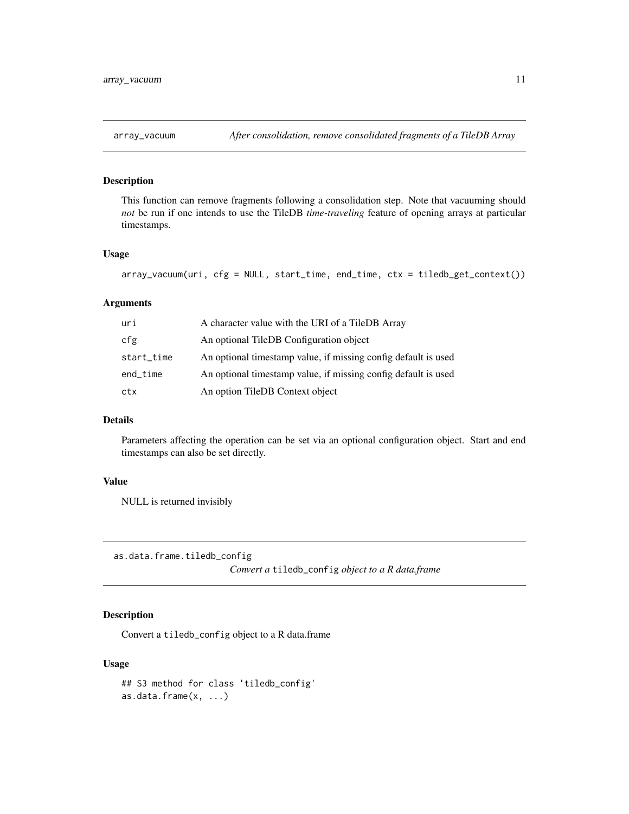### <span id="page-10-0"></span>Description

This function can remove fragments following a consolidation step. Note that vacuuming should *not* be run if one intends to use the TileDB *time-traveling* feature of opening arrays at particular timestamps.

### Usage

```
array_vacuum(uri, cfg = NULL, start_time, end_time, ctx = tiledb_get_context())
```
#### Arguments

| uri        | A character value with the URI of a TileDB Array               |
|------------|----------------------------------------------------------------|
| cfg        | An optional TileDB Configuration object                        |
| start_time | An optional timestamp value, if missing config default is used |
| end_time   | An optional timestamp value, if missing config default is used |
| ctx        | An option TileDB Context object                                |

#### Details

Parameters affecting the operation can be set via an optional configuration object. Start and end timestamps can also be set directly.

### Value

NULL is returned invisibly

as.data.frame.tiledb\_config

*Convert a* tiledb\_config *object to a R data.frame*

### Description

Convert a tiledb\_config object to a R data.frame

#### Usage

```
## S3 method for class 'tiledb_config'
as.data.frame(x, ...)
```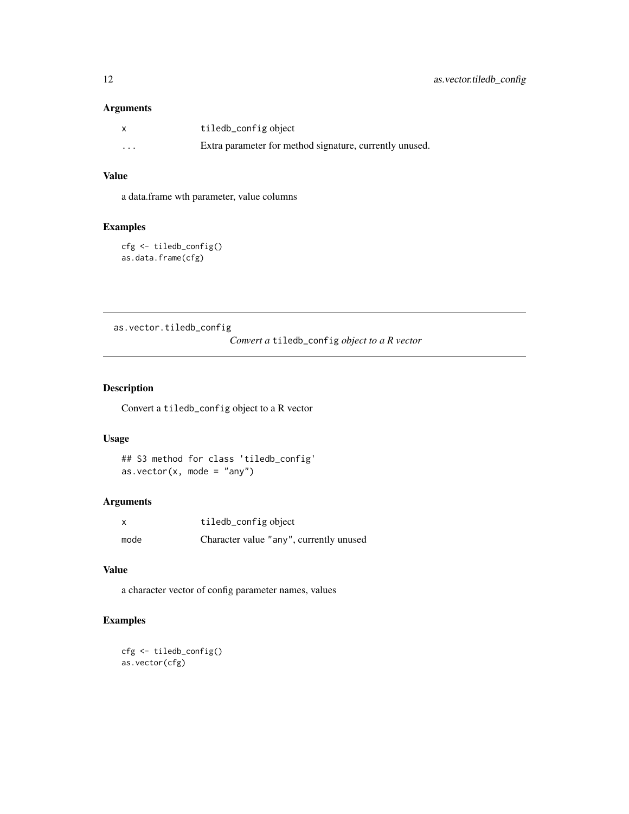### <span id="page-11-0"></span>Arguments

| x        | tiledb_config object                                    |
|----------|---------------------------------------------------------|
| $\cdots$ | Extra parameter for method signature, currently unused. |

### Value

a data.frame wth parameter, value columns

#### Examples

```
cfg <- tiledb_config()
as.data.frame(cfg)
```
as.vector.tiledb\_config

*Convert a* tiledb\_config *object to a R vector*

### Description

Convert a tiledb\_config object to a R vector

### Usage

```
## S3 method for class 'tiledb_config'
as.vector(x, \text{ mode} = "any")
```
#### Arguments

| x    | tiledb_config object                    |
|------|-----------------------------------------|
| mode | Character value "any", currently unused |

### Value

a character vector of config parameter names, values

### Examples

```
cfg <- tiledb_config()
as.vector(cfg)
```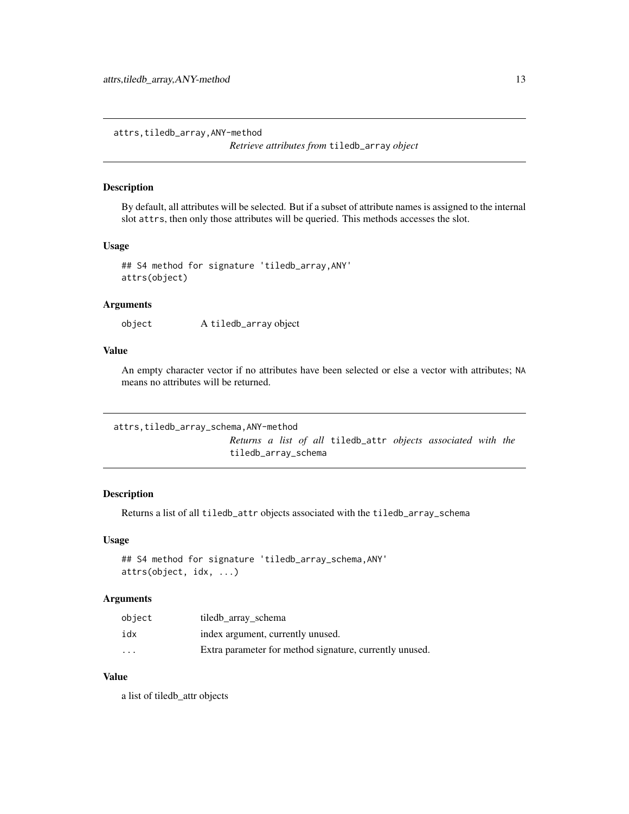<span id="page-12-0"></span>attrs,tiledb\_array,ANY-method

*Retrieve attributes from* tiledb\_array *object*

### Description

By default, all attributes will be selected. But if a subset of attribute names is assigned to the internal slot attrs, then only those attributes will be queried. This methods accesses the slot.

#### Usage

```
## S4 method for signature 'tiledb_array,ANY'
attrs(object)
```
### Arguments

```
object A tiledb_array object
```
### Value

An empty character vector if no attributes have been selected or else a vector with attributes; NA means no attributes will be returned.

```
attrs,tiledb_array_schema,ANY-method
```
*Returns a list of all* tiledb\_attr *objects associated with the* tiledb\_array\_schema

#### Description

Returns a list of all tiledb\_attr objects associated with the tiledb\_array\_schema

#### Usage

```
## S4 method for signature 'tiledb_array_schema,ANY'
attrs(object, idx, ...)
```
### Arguments

| object                  | tiledb array schema                                     |
|-------------------------|---------------------------------------------------------|
| idx                     | index argument, currently unused.                       |
| $\cdot$ $\cdot$ $\cdot$ | Extra parameter for method signature, currently unused. |

### Value

a list of tiledb\_attr objects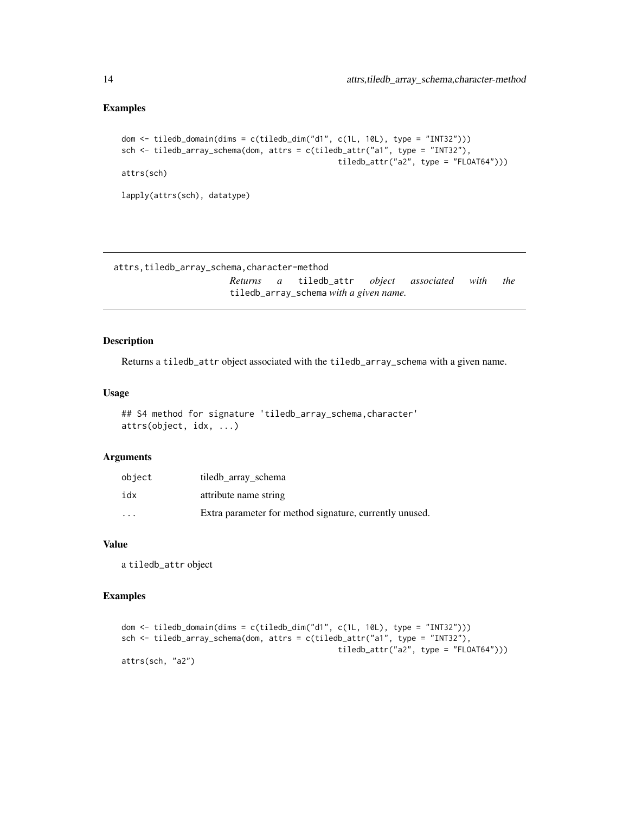#### <span id="page-13-0"></span>Examples

```
dom <- tiledb_domain(dims = c(tiledb_dim("d1", c(1L, 10L), type = "INT32")))
sch <- tiledb_array_schema(dom, attrs = c(tiledb_attr("a1", type = "INT32"),
                                               tiledb_attr("a2", type = "FLOAT64")))
attrs(sch)
lapply(attrs(sch), datatype)
```

```
attrs,tiledb_array_schema,character-method
                      Returns a tiledb_attr object associated with the
                      tiledb_array_schema with a given name.
```
### Description

Returns a tiledb\_attr object associated with the tiledb\_array\_schema with a given name.

#### Usage

```
## S4 method for signature 'tiledb_array_schema, character'
attrs(object, idx, ...)
```
### Arguments

| object  | tiledb array schema                                     |
|---------|---------------------------------------------------------|
| idx     | attribute name string                                   |
| $\cdot$ | Extra parameter for method signature, currently unused. |

#### Value

a tiledb\_attr object

#### Examples

```
dom \le tiledb_domain(dims = c(tiledb_dim("d1", c(1L, 10L), type = "INT32")))
sch <- tiledb_array_schema(dom, attrs = c(tiledb_attr("a1", type = "INT32"),
                                               tiledb_attr("a2", type = "FLOAT64")))
attrs(sch, "a2")
```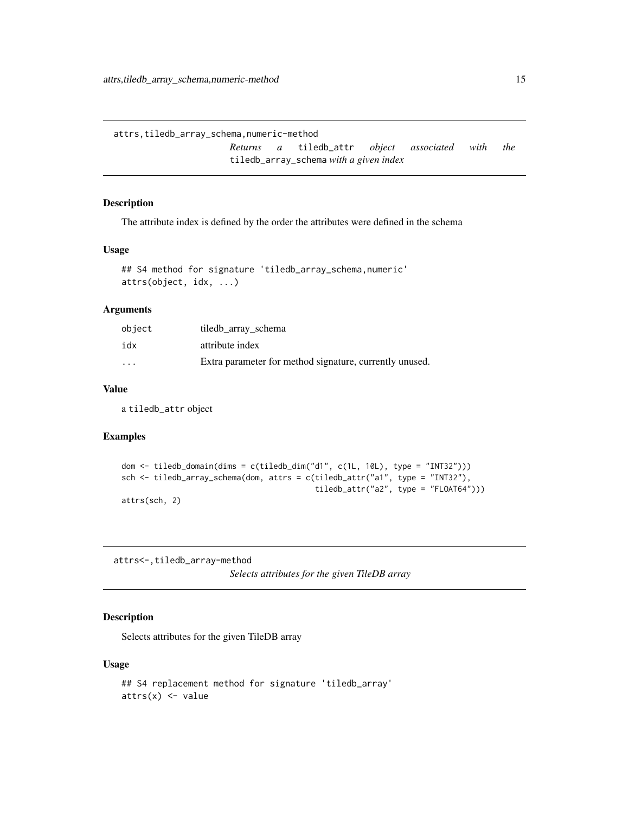```
attrs,tiledb_array_schema,numeric-method
                      Returns a tiledb_attr object associated with the
                      tiledb_array_schema with a given index
```
### Description

The attribute index is defined by the order the attributes were defined in the schema

### Usage

```
## S4 method for signature 'tiledb_array_schema,numeric'
attrs(object, idx, ...)
```
#### Arguments

| object            | tiledb array schema                                     |
|-------------------|---------------------------------------------------------|
| idx               | attribute index                                         |
| $\cdot\cdot\cdot$ | Extra parameter for method signature, currently unused. |

### Value

a tiledb\_attr object

#### Examples

```
dom <- tiledb_domain(dims = c(tiledb_dim("d1", c(1L, 10L), type = "INT32")))
sch <- tiledb_array_schema(dom, attrs = c(tiledb_attr("a1", type = "INT32"),
                                          tiledb_attr("a2", type = "FLOAT64")))
attrs(sch, 2)
```
attrs<-,tiledb\_array-method

*Selects attributes for the given TileDB array*

### Description

Selects attributes for the given TileDB array

#### Usage

```
## S4 replacement method for signature 'tiledb_array'
attrs(x) < - value
```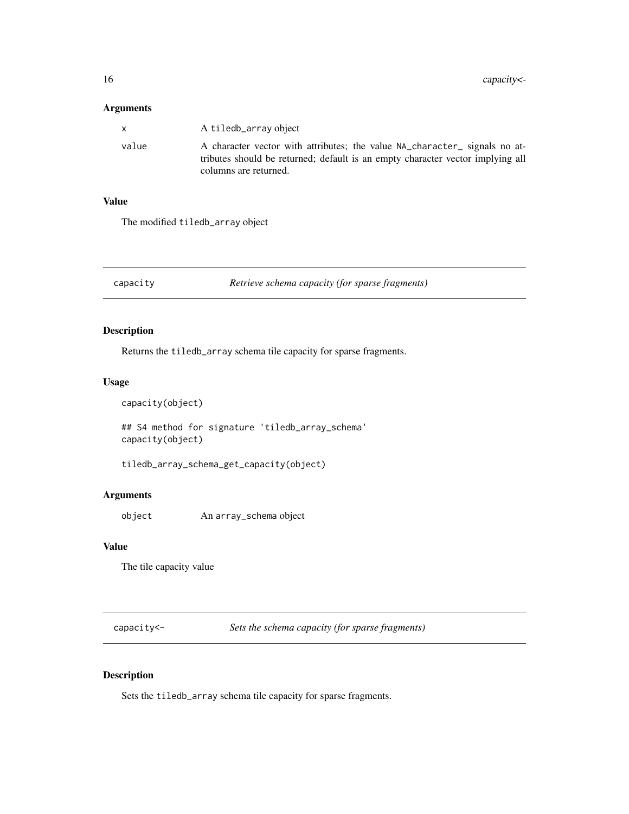#### <span id="page-15-0"></span>Arguments

|       | A tiledb_array object                                                                                                                                                                 |
|-------|---------------------------------------------------------------------------------------------------------------------------------------------------------------------------------------|
| value | A character vector with attributes; the value NA_character_ signals no at-<br>tributes should be returned; default is an empty character vector implying all<br>columns are returned. |

#### Value

The modified tiledb\_array object

capacity *Retrieve schema capacity (for sparse fragments)*

### Description

Returns the tiledb\_array schema tile capacity for sparse fragments.

#### Usage

```
capacity(object)
```
## S4 method for signature 'tiledb\_array\_schema' capacity(object)

tiledb\_array\_schema\_get\_capacity(object)

### Arguments

object An array\_schema object

#### Value

The tile capacity value

capacity<- *Sets the schema capacity (for sparse fragments)*

### Description

Sets the tiledb\_array schema tile capacity for sparse fragments.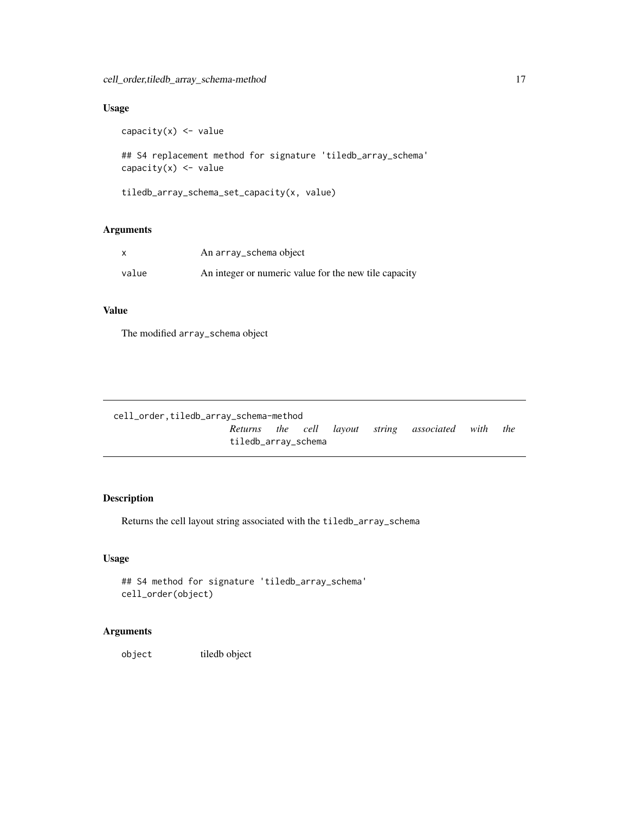### <span id="page-16-0"></span>Usage

```
capacity(x) \leq value
## S4 replacement method for signature 'tiledb_array_schema'
capacity(x) \leq value
```
tiledb\_array\_schema\_set\_capacity(x, value)

### Arguments

| x     | An array_schema object                                |
|-------|-------------------------------------------------------|
| value | An integer or numeric value for the new tile capacity |

### Value

The modified array\_schema object

| cell_order.tiledb_array_schema-method |                     |  |  |  |                                                |     |
|---------------------------------------|---------------------|--|--|--|------------------------------------------------|-----|
|                                       |                     |  |  |  | Returns the cell layout string associated with | the |
|                                       | tiledb_array_schema |  |  |  |                                                |     |

### Description

Returns the cell layout string associated with the tiledb\_array\_schema

#### Usage

```
## S4 method for signature 'tiledb_array_schema'
cell_order(object)
```
### Arguments

object tiledb object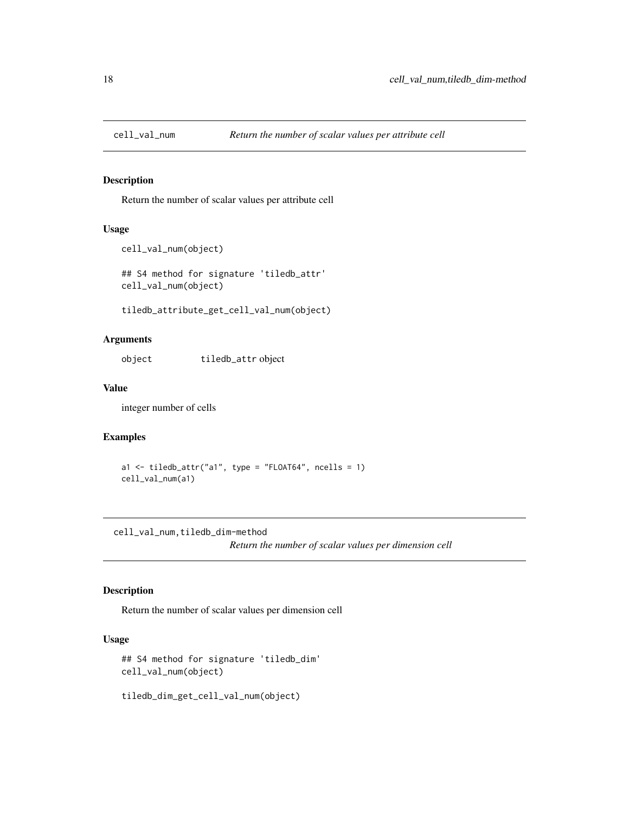<span id="page-17-0"></span>

### Description

Return the number of scalar values per attribute cell

#### Usage

```
cell_val_num(object)
```
## S4 method for signature 'tiledb\_attr' cell\_val\_num(object)

tiledb\_attribute\_get\_cell\_val\_num(object)

### Arguments

object tiledb\_attr object

### Value

integer number of cells

### Examples

a1  $\le$  tiledb\_attr("a1", type = "FLOAT64", ncells = 1) cell\_val\_num(a1)

cell\_val\_num,tiledb\_dim-method

*Return the number of scalar values per dimension cell*

### Description

Return the number of scalar values per dimension cell

### Usage

```
## S4 method for signature 'tiledb_dim'
cell_val_num(object)
```
tiledb\_dim\_get\_cell\_val\_num(object)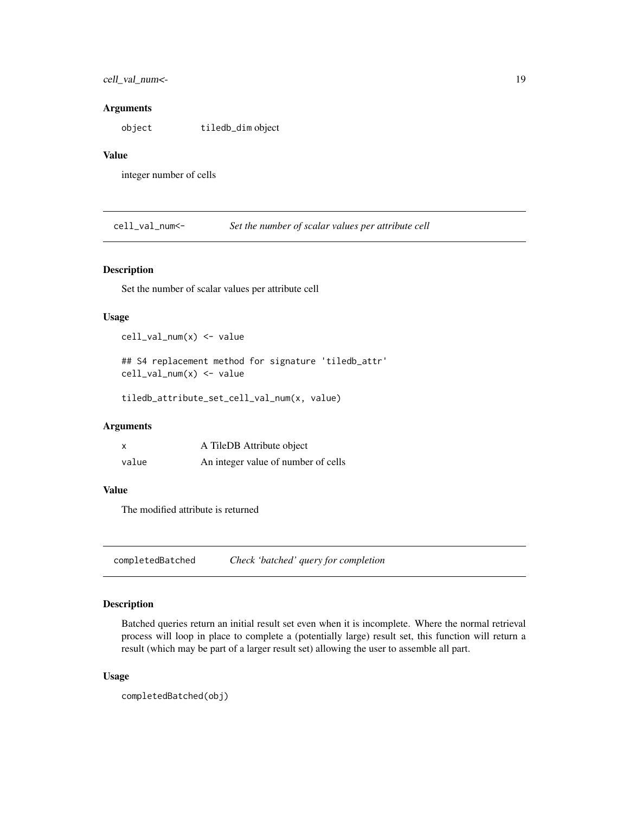### <span id="page-18-0"></span>cell\_val\_num<- 19

#### **Arguments**

object tiledb\_dim object

### Value

integer number of cells

cell\_val\_num<- *Set the number of scalar values per attribute cell*

### Description

Set the number of scalar values per attribute cell

#### Usage

cell\_val\_num(x) <- value

## S4 replacement method for signature 'tiledb\_attr' cell\_val\_num(x) <- value

tiledb\_attribute\_set\_cell\_val\_num(x, value)

#### Arguments

| x     | A TileDB Attribute object           |
|-------|-------------------------------------|
| value | An integer value of number of cells |

#### Value

The modified attribute is returned

completedBatched *Check 'batched' query for completion*

### Description

Batched queries return an initial result set even when it is incomplete. Where the normal retrieval process will loop in place to complete a (potentially large) result set, this function will return a result (which may be part of a larger result set) allowing the user to assemble all part.

#### Usage

```
completedBatched(obj)
```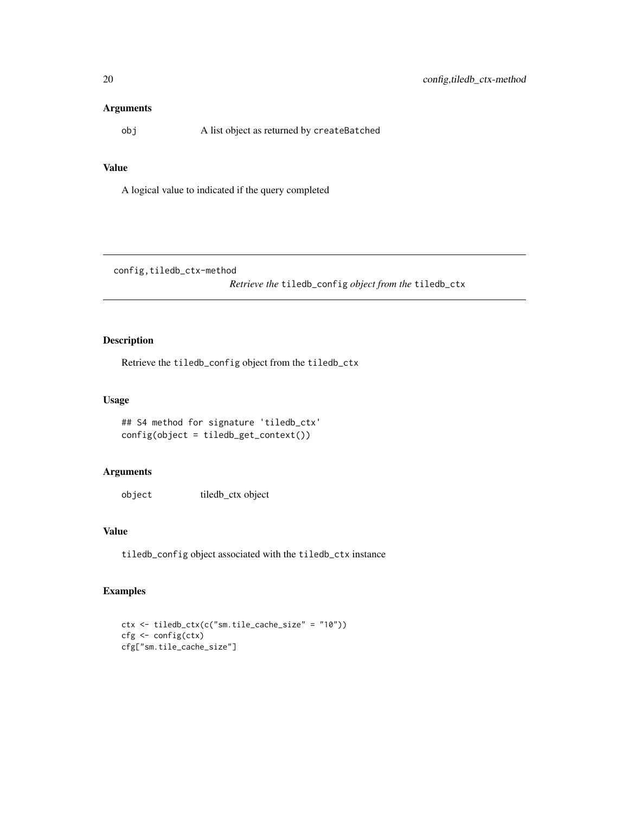### <span id="page-19-0"></span>Arguments

obj A list object as returned by createBatched

#### Value

A logical value to indicated if the query completed

config,tiledb\_ctx-method

*Retrieve the* tiledb\_config *object from the* tiledb\_ctx

### Description

Retrieve the tiledb\_config object from the tiledb\_ctx

### Usage

```
## S4 method for signature 'tiledb_ctx'
config(object = tiledb_get_context())
```
### Arguments

object tiledb\_ctx object

### Value

tiledb\_config object associated with the tiledb\_ctx instance

### Examples

```
ctx <- tiledb_ctx(c("sm.tile_cache_size" = "10"))
cfg <- config(ctx)
cfg["sm.tile_cache_size"]
```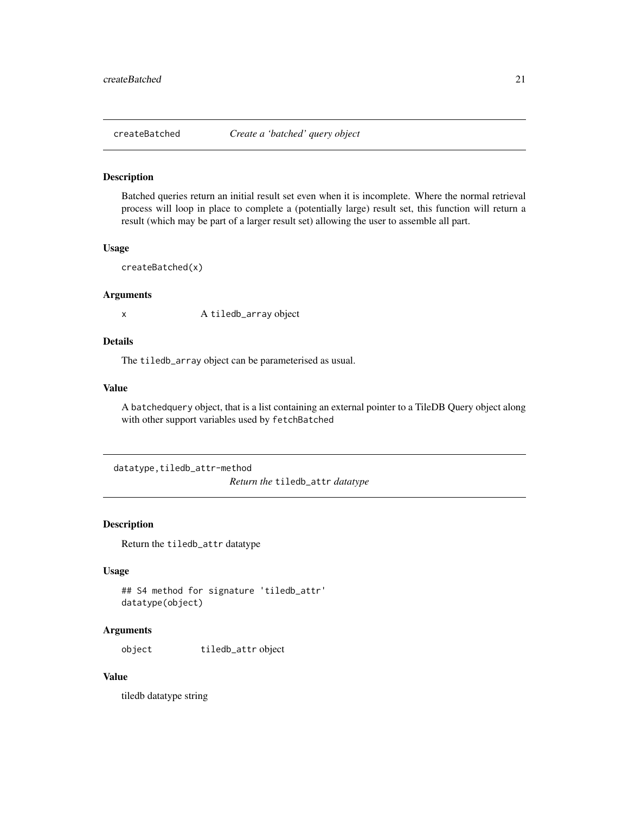<span id="page-20-0"></span>

### Description

Batched queries return an initial result set even when it is incomplete. Where the normal retrieval process will loop in place to complete a (potentially large) result set, this function will return a result (which may be part of a larger result set) allowing the user to assemble all part.

#### Usage

```
createBatched(x)
```
#### Arguments

x A tiledb\_array object

#### Details

The tiledb\_array object can be parameterised as usual.

#### Value

A batchedquery object, that is a list containing an external pointer to a TileDB Query object along with other support variables used by fetchBatched

datatype,tiledb\_attr-method

*Return the* tiledb\_attr *datatype*

### Description

Return the tiledb\_attr datatype

### Usage

```
## S4 method for signature 'tiledb_attr'
datatype(object)
```
### Arguments

object tiledb\_attr object

### Value

tiledb datatype string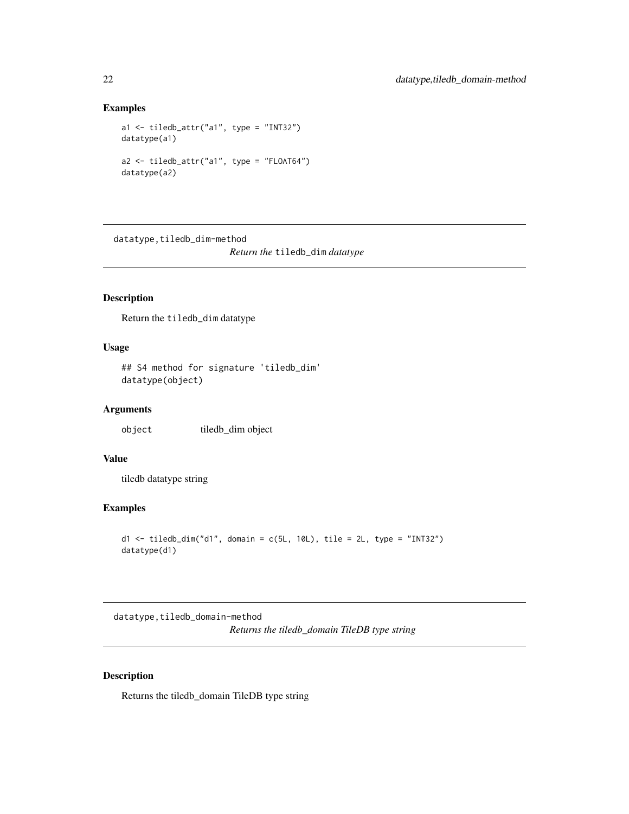### <span id="page-21-0"></span>Examples

```
a1 <- tiledb_attr("a1", type = "INT32")
datatype(a1)
a2 <- tiledb_attr("a1", type = "FLOAT64")
datatype(a2)
```
datatype,tiledb\_dim-method *Return the* tiledb\_dim *datatype*

### Description

Return the tiledb\_dim datatype

#### Usage

```
## S4 method for signature 'tiledb_dim'
datatype(object)
```
### Arguments

object tiledb\_dim object

### Value

tiledb datatype string

### Examples

```
d1 <- tiledb_dim("d1", domain = c(5L, 10L), tile = 2L, type = "INT32")
datatype(d1)
```
datatype,tiledb\_domain-method *Returns the tiledb\_domain TileDB type string*

### Description

Returns the tiledb\_domain TileDB type string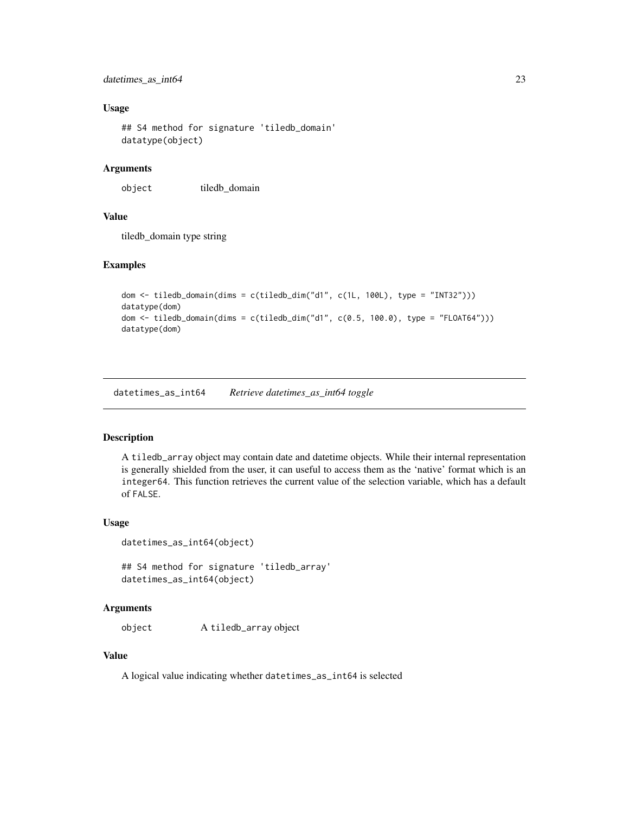### <span id="page-22-0"></span>datetimes\_as\_int64 23

#### Usage

```
## S4 method for signature 'tiledb_domain'
datatype(object)
```
### Arguments

object tiledb\_domain

#### Value

tiledb\_domain type string

#### Examples

```
dom <- tiledb_domain(dims = c(tiledb_dim("d1", c(1L, 100L), type = "INT32")))
datatype(dom)
dom <- tiledb_domain(dims = c(tiledb_dim("d1", c(0.5, 100.0), type = "FLOAT64")))
datatype(dom)
```
datetimes\_as\_int64 *Retrieve datetimes\_as\_int64 toggle*

### Description

A tiledb\_array object may contain date and datetime objects. While their internal representation is generally shielded from the user, it can useful to access them as the 'native' format which is an integer64. This function retrieves the current value of the selection variable, which has a default of FALSE.

#### Usage

```
datetimes_as_int64(object)
```

```
## S4 method for signature 'tiledb_array'
datetimes_as_int64(object)
```
#### Arguments

object A tiledb\_array object

### Value

A logical value indicating whether datetimes\_as\_int64 is selected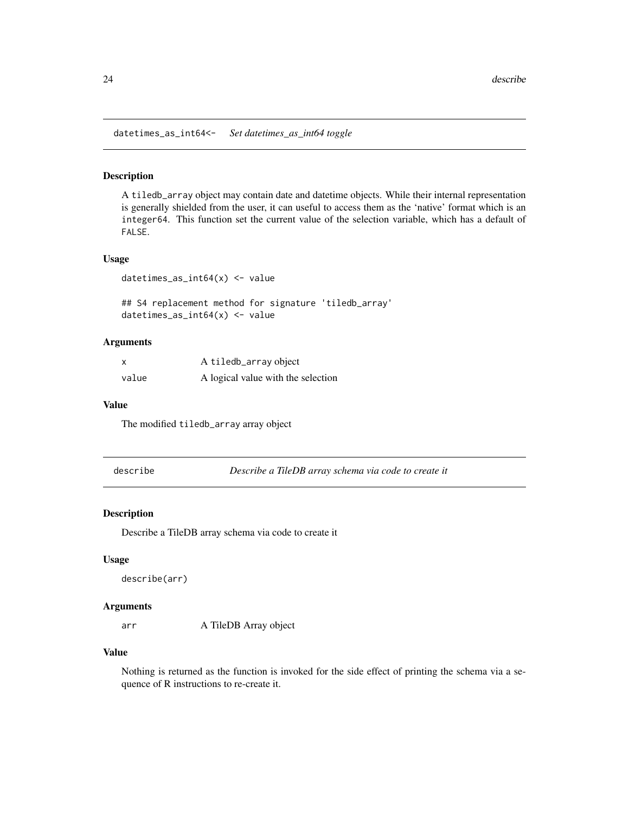<span id="page-23-0"></span>datetimes\_as\_int64<- *Set datetimes\_as\_int64 toggle*

#### Description

A tiledb\_array object may contain date and datetime objects. While their internal representation is generally shielded from the user, it can useful to access them as the 'native' format which is an integer64. This function set the current value of the selection variable, which has a default of FALSE.

#### Usage

datetimes\_as\_int64(x) <- value

## S4 replacement method for signature 'tiledb\_array' datetimes\_as\_int64(x) <- value

#### **Arguments**

| x     | A tiledb_array object              |
|-------|------------------------------------|
| value | A logical value with the selection |

#### Value

The modified tiledb\_array array object

describe *Describe a TileDB array schema via code to create it*

#### Description

Describe a TileDB array schema via code to create it

#### Usage

```
describe(arr)
```
#### Arguments

arr A TileDB Array object

### Value

Nothing is returned as the function is invoked for the side effect of printing the schema via a sequence of R instructions to re-create it.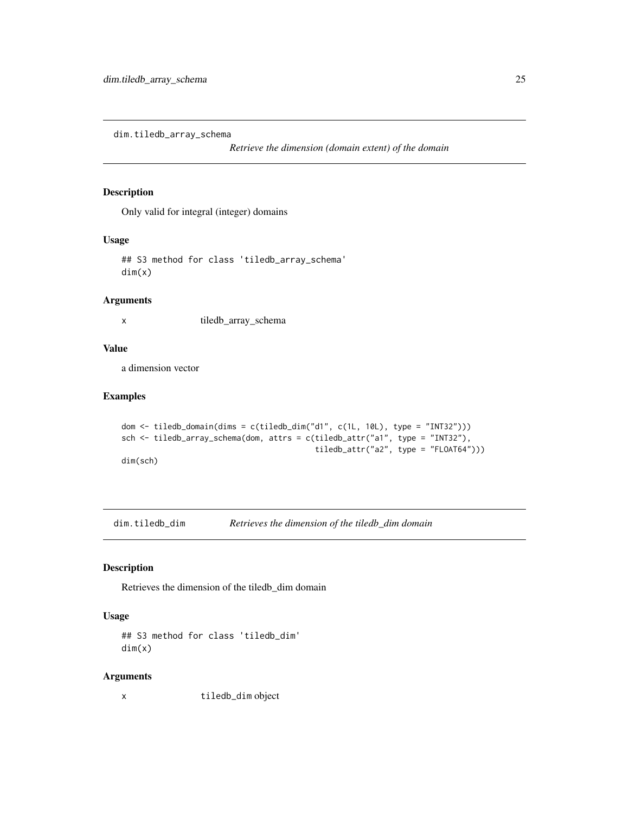<span id="page-24-0"></span>dim.tiledb\_array\_schema

*Retrieve the dimension (domain extent) of the domain*

### Description

Only valid for integral (integer) domains

#### Usage

## S3 method for class 'tiledb\_array\_schema' dim(x)

### Arguments

x tiledb\_array\_schema

### Value

a dimension vector

### Examples

```
dom <- tiledb_domain(dims = c(tiledb_dim("d1", c(1L, 10L), type = "INT32")))
sch <- tiledb_array_schema(dom, attrs = c(tiledb_attr("a1", type = "INT32"),
                                          tiledb_attr("a2", type = "FLOAT64")))
dim(sch)
```
dim.tiledb\_dim *Retrieves the dimension of the tiledb\_dim domain*

### Description

Retrieves the dimension of the tiledb\_dim domain

### Usage

```
## S3 method for class 'tiledb_dim'
dim(x)
```
#### Arguments

x tiledb\_dim object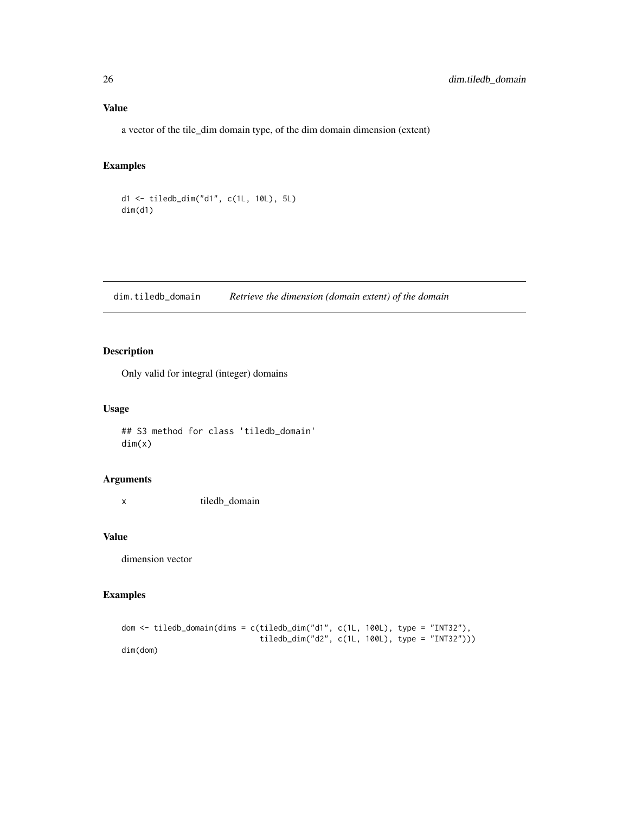### <span id="page-25-0"></span>Value

a vector of the tile\_dim domain type, of the dim domain dimension (extent)

### Examples

d1 <- tiledb\_dim("d1", c(1L, 10L), 5L) dim(d1)

dim.tiledb\_domain *Retrieve the dimension (domain extent) of the domain*

### Description

Only valid for integral (integer) domains

### Usage

## S3 method for class 'tiledb\_domain' dim(x)

#### Arguments

x tiledb\_domain

### Value

dimension vector

### Examples

```
dom <- tiledb_domain(dims = c(tiledb_dim("d1", c(1L, 100L), type = "INT32"),
                              tiledb_dim("d2", c(1L, 100L), type = "INT32")))
dim(dom)
```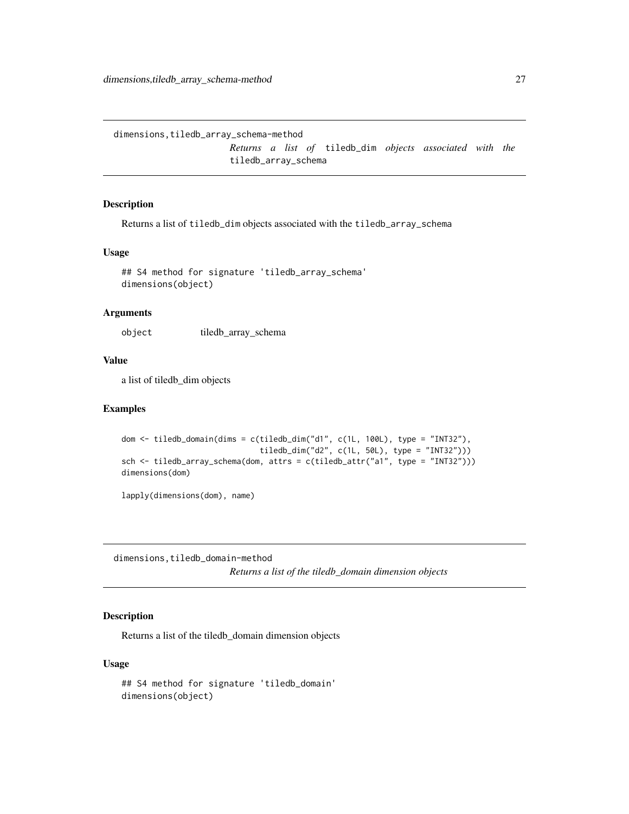<span id="page-26-0"></span>dimensions,tiledb\_array\_schema-method

*Returns a list of* tiledb\_dim *objects associated with the* tiledb\_array\_schema

### Description

Returns a list of tiledb\_dim objects associated with the tiledb\_array\_schema

#### Usage

```
## S4 method for signature 'tiledb_array_schema'
dimensions(object)
```
### Arguments

object tiledb\_array\_schema

#### Value

a list of tiledb\_dim objects

#### Examples

```
dom <- tiledb_domain(dims = c(tiledb_dim("d1", c(1L, 100L), type = "INT32"),
                              tiledb_dim("d2", c(1L, 50L), type = "INT32")))
sch <- tiledb_array_schema(dom, attrs = c(tiledb_attr("a1", type = "INT32")))
dimensions(dom)
```
lapply(dimensions(dom), name)

dimensions,tiledb\_domain-method

*Returns a list of the tiledb\_domain dimension objects*

### Description

Returns a list of the tiledb\_domain dimension objects

#### Usage

```
## S4 method for signature 'tiledb_domain'
dimensions(object)
```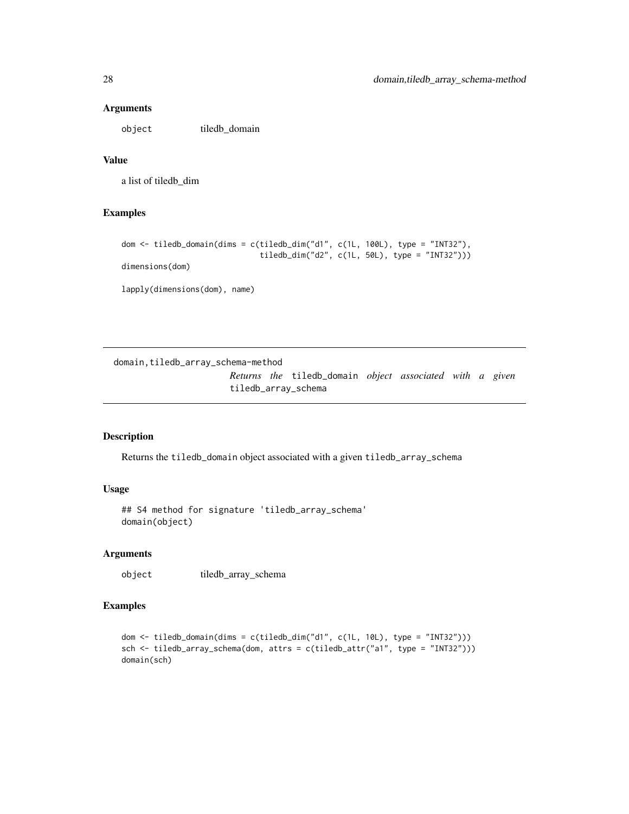#### Arguments

object tiledb\_domain

### Value

a list of tiledb\_dim

### Examples

```
dom <- tiledb_domain(dims = c(tiledb_dim("d1", c(1L, 100L), type = "INT32"),
                              tiledb_dim("d2", c(1L, 50L), type = "INT32")))
dimensions(dom)
```
lapply(dimensions(dom), name)

domain,tiledb\_array\_schema-method

*Returns the* tiledb\_domain *object associated with a given* tiledb\_array\_schema

#### Description

Returns the tiledb\_domain object associated with a given tiledb\_array\_schema

### Usage

## S4 method for signature 'tiledb\_array\_schema' domain(object)

### Arguments

object tiledb\_array\_schema

### Examples

```
dom <- tiledb_domain(dims = c(tiledb_dim("d1", c(1L, 10L), type = "INT32")))
sch <- tiledb_array_schema(dom, attrs = c(tiledb_attr("a1", type = "INT32")))
domain(sch)
```
<span id="page-27-0"></span>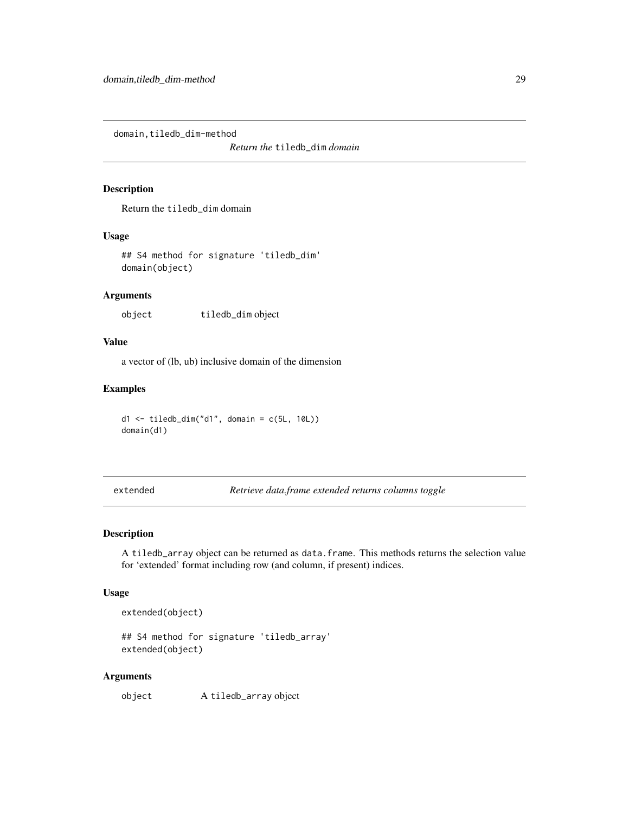<span id="page-28-0"></span>domain,tiledb\_dim-method

*Return the* tiledb\_dim *domain*

### Description

Return the tiledb\_dim domain

### Usage

```
## S4 method for signature 'tiledb_dim'
domain(object)
```
### Arguments

object tiledb\_dim object

#### Value

a vector of (lb, ub) inclusive domain of the dimension

### Examples

d1 <- tiledb\_dim("d1", domain = c(5L, 10L)) domain(d1)

extended *Retrieve data.frame extended returns columns toggle*

#### Description

A tiledb\_array object can be returned as data.frame. This methods returns the selection value for 'extended' format including row (and column, if present) indices.

### Usage

```
extended(object)
```
## S4 method for signature 'tiledb\_array' extended(object)

#### Arguments

object A tiledb\_array object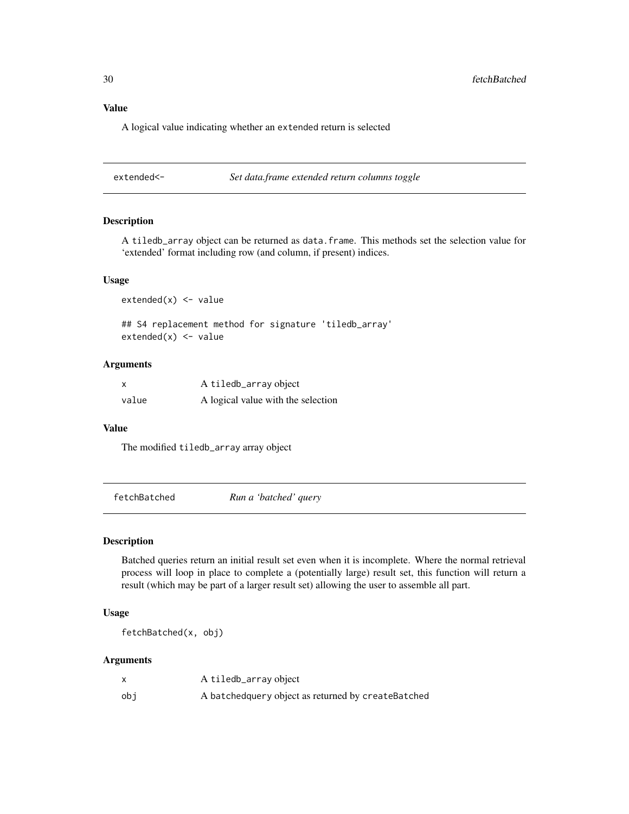### <span id="page-29-0"></span>Value

A logical value indicating whether an extended return is selected

extended<- *Set data.frame extended return columns toggle*

### Description

A tiledb\_array object can be returned as data.frame. This methods set the selection value for 'extended' format including row (and column, if present) indices.

#### Usage

 $extended(x) < - value$ 

## S4 replacement method for signature 'tiledb\_array'  $extended(x) < -$  value

### Arguments

| x     | A tiledb_array object              |
|-------|------------------------------------|
| value | A logical value with the selection |

#### Value

The modified tiledb\_array array object

fetchBatched *Run a 'batched' query*

#### Description

Batched queries return an initial result set even when it is incomplete. Where the normal retrieval process will loop in place to complete a (potentially large) result set, this function will return a result (which may be part of a larger result set) allowing the user to assemble all part.

### Usage

fetchBatched(x, obj)

#### Arguments

|     | A tiledb_array object                              |
|-----|----------------------------------------------------|
| obi | A batchedquery object as returned by createBatched |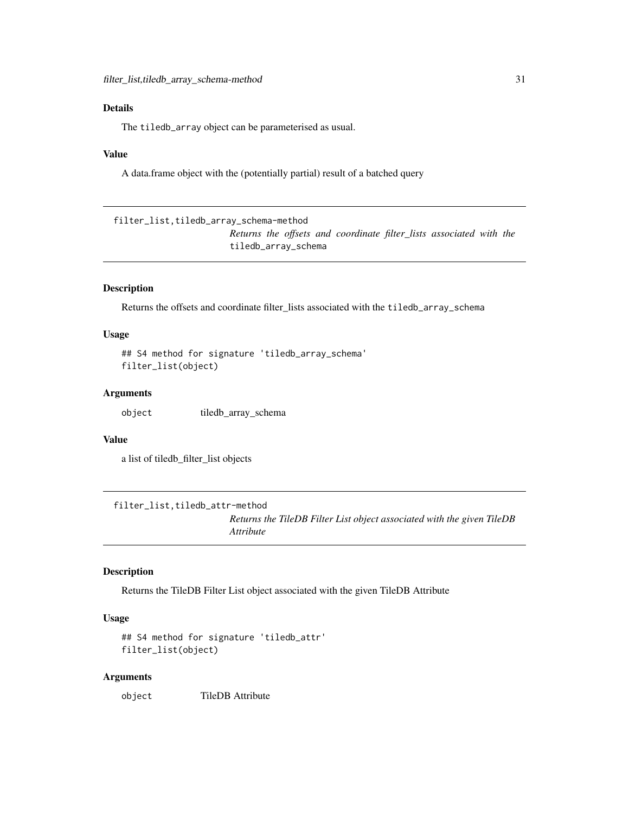### <span id="page-30-0"></span>Details

The tiledb\_array object can be parameterised as usual.

#### Value

A data.frame object with the (potentially partial) result of a batched query

filter\_list,tiledb\_array\_schema-method *Returns the offsets and coordinate filter\_lists associated with the* tiledb\_array\_schema

### Description

Returns the offsets and coordinate filter\_lists associated with the tiledb\_array\_schema

### Usage

```
## S4 method for signature 'tiledb_array_schema'
filter_list(object)
```
#### Arguments

object tiledb\_array\_schema

#### Value

a list of tiledb\_filter\_list objects

filter\_list,tiledb\_attr-method

*Returns the TileDB Filter List object associated with the given TileDB Attribute*

### Description

Returns the TileDB Filter List object associated with the given TileDB Attribute

#### Usage

```
## S4 method for signature 'tiledb_attr'
filter_list(object)
```
#### Arguments

object TileDB Attribute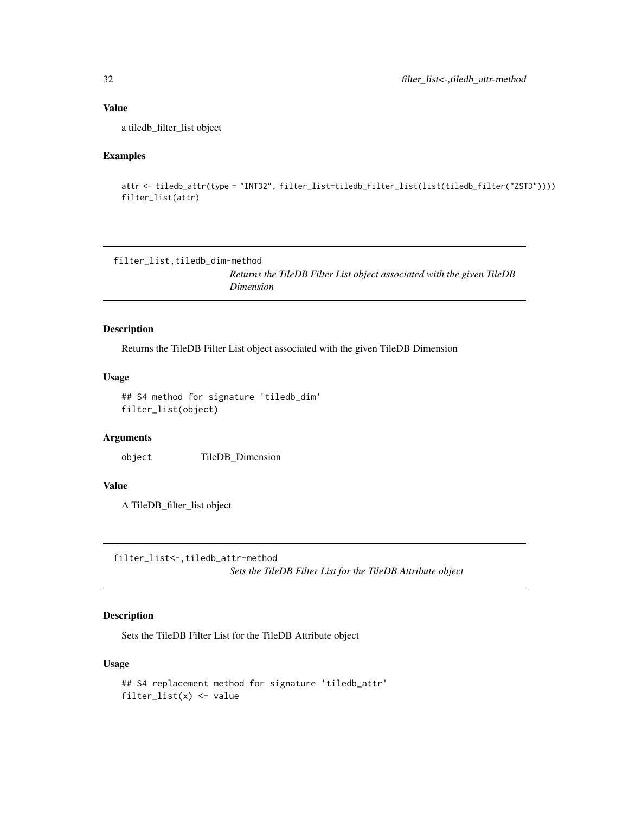### Value

a tiledb\_filter\_list object

### Examples

```
attr <- tiledb_attr(type = "INT32", filter_list=tiledb_filter_list(list(tiledb_filter("ZSTD"))))
filter_list(attr)
```
filter\_list,tiledb\_dim-method

*Returns the TileDB Filter List object associated with the given TileDB Dimension*

### Description

Returns the TileDB Filter List object associated with the given TileDB Dimension

#### Usage

```
## S4 method for signature 'tiledb_dim'
filter_list(object)
```
### Arguments

object TileDB\_Dimension

### Value

A TileDB\_filter\_list object

filter\_list<-,tiledb\_attr-method *Sets the TileDB Filter List for the TileDB Attribute object*

### Description

Sets the TileDB Filter List for the TileDB Attribute object

#### Usage

```
## S4 replacement method for signature 'tiledb_attr'
filter_list(x) <- value
```
<span id="page-31-0"></span>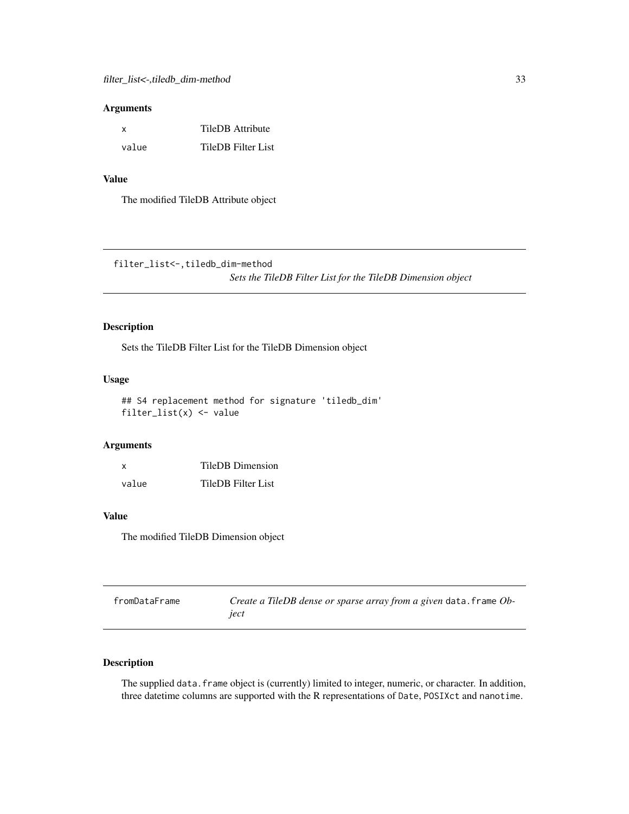#### <span id="page-32-0"></span>Arguments

| x     | TileDB Attribute          |
|-------|---------------------------|
| value | <b>TileDB</b> Filter List |

#### Value

The modified TileDB Attribute object

filter\_list<-,tiledb\_dim-method

*Sets the TileDB Filter List for the TileDB Dimension object*

### Description

Sets the TileDB Filter List for the TileDB Dimension object

### Usage

```
## S4 replacement method for signature 'tiledb_dim'
filter\_list(x) \leftarrow value
```
### Arguments

| X     | <b>TileDB</b> Dimension |
|-------|-------------------------|
| value | TileDB Filter List      |

#### Value

The modified TileDB Dimension object

| fromDataFrame | Create a TileDB dense or sparse array from a given data. frame Ob- |
|---------------|--------------------------------------------------------------------|
|               | iect                                                               |

### Description

The supplied data. frame object is (currently) limited to integer, numeric, or character. In addition, three datetime columns are supported with the R representations of Date, POSIXct and nanotime.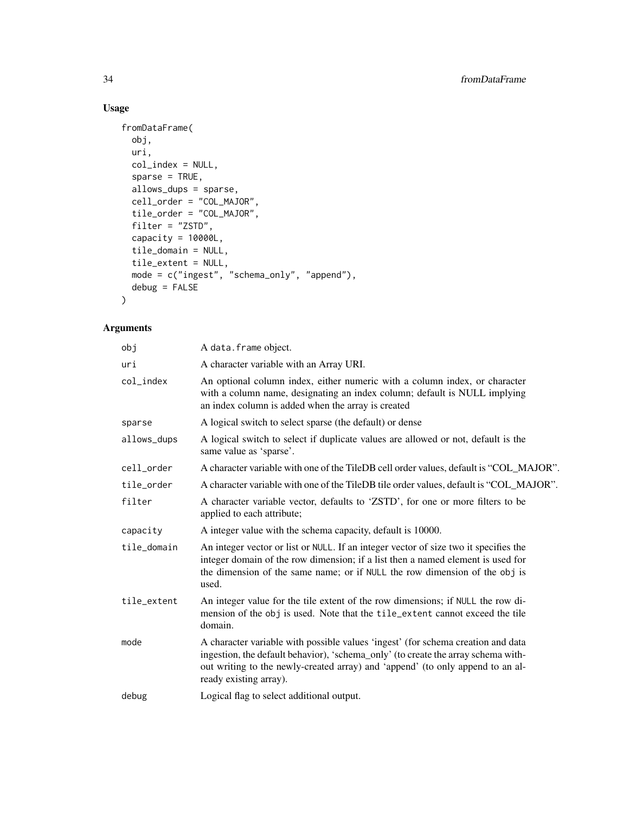### Usage

```
fromDataFrame(
 obj,
 uri,
 col_index = NULL,
 sparse = TRUE,allows_dups = sparse,
 cell_order = "COL_MAJOR",
  tile_order = "COL_MAJOR",
 filter = "ZSTD",
 capacity = 10000L,
 tile_domain = NULL,
  tile_extent = NULL,
  mode = c("ingest", "schema_only", "append"),
 debug = FALSE
\mathcal{L}
```
## Arguments

| obj         | A data.frame object.                                                                                                                                                                                                                                                              |
|-------------|-----------------------------------------------------------------------------------------------------------------------------------------------------------------------------------------------------------------------------------------------------------------------------------|
| uri         | A character variable with an Array URI.                                                                                                                                                                                                                                           |
| col_index   | An optional column index, either numeric with a column index, or character<br>with a column name, designating an index column; default is NULL implying<br>an index column is added when the array is created                                                                     |
| sparse      | A logical switch to select sparse (the default) or dense                                                                                                                                                                                                                          |
| allows_dups | A logical switch to select if duplicate values are allowed or not, default is the<br>same value as 'sparse'.                                                                                                                                                                      |
| cell_order  | A character variable with one of the TileDB cell order values, default is "COL MAJOR".                                                                                                                                                                                            |
| tile_order  | A character variable with one of the TileDB tile order values, default is "COL_MAJOR".                                                                                                                                                                                            |
| filter      | A character variable vector, defaults to 'ZSTD', for one or more filters to be<br>applied to each attribute;                                                                                                                                                                      |
| capacity    | A integer value with the schema capacity, default is 10000.                                                                                                                                                                                                                       |
| tile_domain | An integer vector or list or NULL. If an integer vector of size two it specifies the<br>integer domain of the row dimension; if a list then a named element is used for<br>the dimension of the same name; or if NULL the row dimension of the obj is<br>used.                    |
| tile_extent | An integer value for the tile extent of the row dimensions; if NULL the row di-<br>mension of the obj is used. Note that the tile_extent cannot exceed the tile<br>domain.                                                                                                        |
| mode        | A character variable with possible values 'ingest' (for schema creation and data<br>ingestion, the default behavior), 'schema_only' (to create the array schema with-<br>out writing to the newly-created array) and 'append' (to only append to an al-<br>ready existing array). |
| debug       | Logical flag to select additional output.                                                                                                                                                                                                                                         |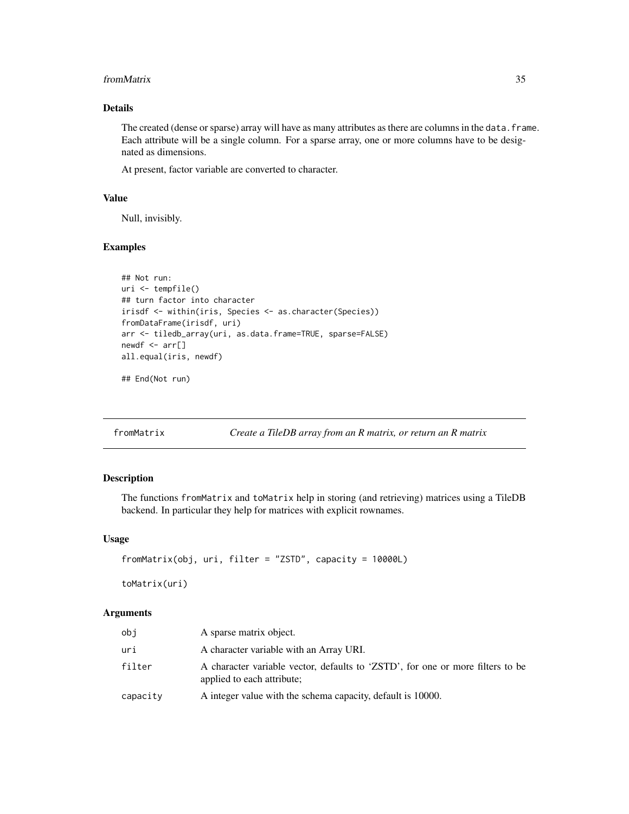#### <span id="page-34-0"></span>from Matrix 35

### Details

The created (dense or sparse) array will have as many attributes as there are columns in the data. frame. Each attribute will be a single column. For a sparse array, one or more columns have to be designated as dimensions.

At present, factor variable are converted to character.

### Value

Null, invisibly.

#### Examples

```
## Not run:
uri <- tempfile()
## turn factor into character
irisdf <- within(iris, Species <- as.character(Species))
fromDataFrame(irisdf, uri)
arr <- tiledb_array(uri, as.data.frame=TRUE, sparse=FALSE)
newdf \leftarrow arr[]all.equal(iris, newdf)
```
## End(Not run)

fromMatrix *Create a TileDB array from an R matrix, or return an R matrix*

#### Description

The functions fromMatrix and toMatrix help in storing (and retrieving) matrices using a TileDB backend. In particular they help for matrices with explicit rownames.

### Usage

```
fromMatrix(obj, uri, filter = "ZSTD", capacity = 10000L)
toMatrix(uri)
```
#### Arguments

| obj      | A sparse matrix object.                                                                                      |
|----------|--------------------------------------------------------------------------------------------------------------|
| uri      | A character variable with an Array URI.                                                                      |
| filter   | A character variable vector, defaults to 'ZSTD', for one or more filters to be<br>applied to each attribute; |
| capacity | A integer value with the schema capacity, default is 10000.                                                  |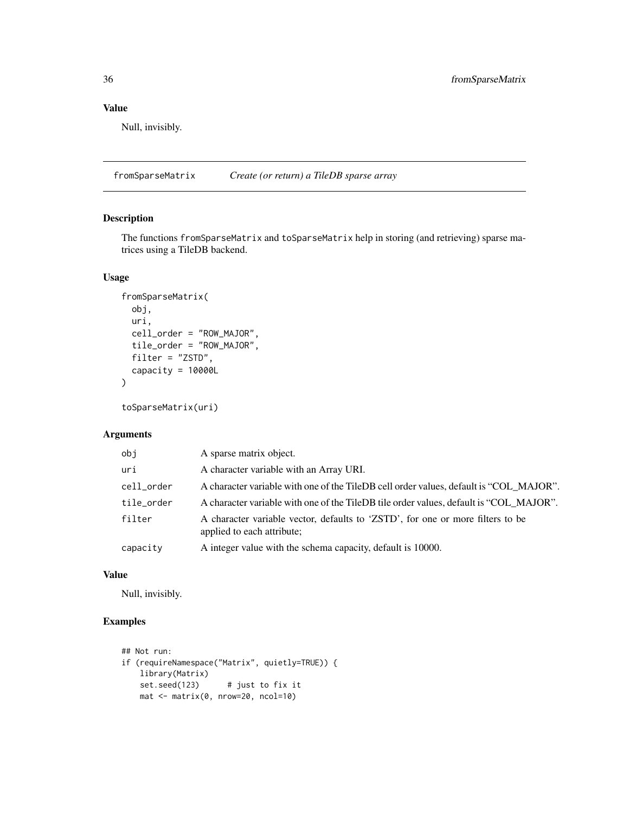### <span id="page-35-0"></span>Value

Null, invisibly.

fromSparseMatrix *Create (or return) a TileDB sparse array*

### Description

The functions fromSparseMatrix and toSparseMatrix help in storing (and retrieving) sparse matrices using a TileDB backend.

### Usage

```
fromSparseMatrix(
 obj,
 uri,
  cell_order = "ROW_MAJOR",
  tile_order = "ROW_MAJOR",
  filter = "ZSTD",
  capacity = 10000L
\lambda
```

```
toSparseMatrix(uri)
```
### Arguments

| obj        | A sparse matrix object.                                                                                      |
|------------|--------------------------------------------------------------------------------------------------------------|
| uri        | A character variable with an Array URI.                                                                      |
| cell_order | A character variable with one of the TileDB cell order values, default is "COL MAJOR".                       |
| tile_order | A character variable with one of the TileDB tile order values, default is "COL_MAJOR".                       |
| filter     | A character variable vector, defaults to 'ZSTD', for one or more filters to be<br>applied to each attribute; |
| capacity   | A integer value with the schema capacity, default is 10000.                                                  |

#### Value

Null, invisibly.

### Examples

```
## Not run:
if (requireNamespace("Matrix", quietly=TRUE)) {
   library(Matrix)
   set.seed(123) # just to fix it
   mat <- matrix(0, nrow=20, ncol=10)
```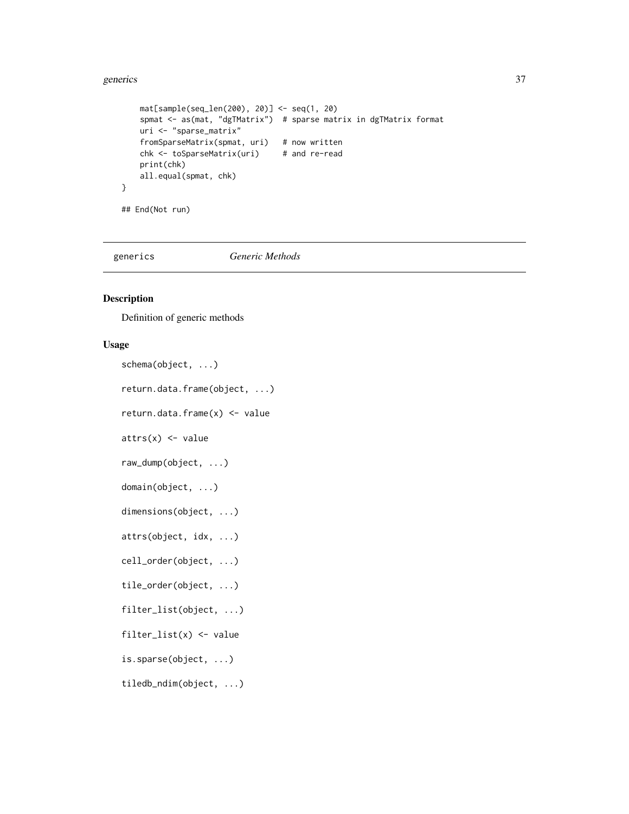#### generics 37

```
mat[sample(seq_len(200), 20)] <- seq(1, 20)
   spmat <- as(mat, "dgTMatrix") # sparse matrix in dgTMatrix format
   uri <- "sparse_matrix"
   fromSparseMatrix(spmat, uri) # now written
   chk <- toSparseMatrix(uri) # and re-read
   print(chk)
   all.equal(spmat, chk)
}
## End(Not run)
```
generics *Generic Methods*

## Description

Definition of generic methods

## Usage

schema(object, ...)

return.data.frame(object, ...)

return.data.frame(x) <- value

 $attrs(x) < -$  value

raw\_dump(object, ...)

domain(object, ...)

```
dimensions(object, ...)
```
attrs(object, idx, ...)

cell\_order(object, ...)

tile\_order(object, ...)

filter\_list(object, ...)

filter\_list(x)  $\leftarrow$  value

is.sparse(object, ...)

tiledb\_ndim(object, ...)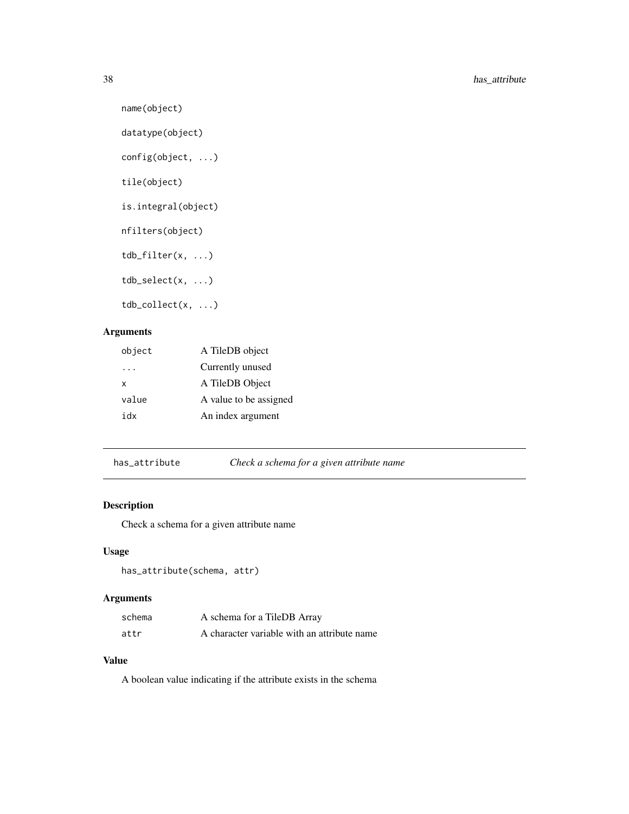```
name(object)
```

```
datatype(object)
```

```
config(object, ...)
```
tile(object)

```
is.integral(object)
```
nfilters(object)

tdb\_filter(x, ...)

tdb\_select(x, ...)

tdb\_collect(x, ...)

# Arguments

| object | A TileDB object        |
|--------|------------------------|
| .      | Currently unused       |
| x      | A TileDB Object        |
| value  | A value to be assigned |
| xhi    | An index argument      |

has\_attribute *Check a schema for a given attribute name*

## Description

Check a schema for a given attribute name

## Usage

```
has_attribute(schema, attr)
```
## Arguments

| schema | A schema for a TileDB Array                 |
|--------|---------------------------------------------|
| attr   | A character variable with an attribute name |

## Value

A boolean value indicating if the attribute exists in the schema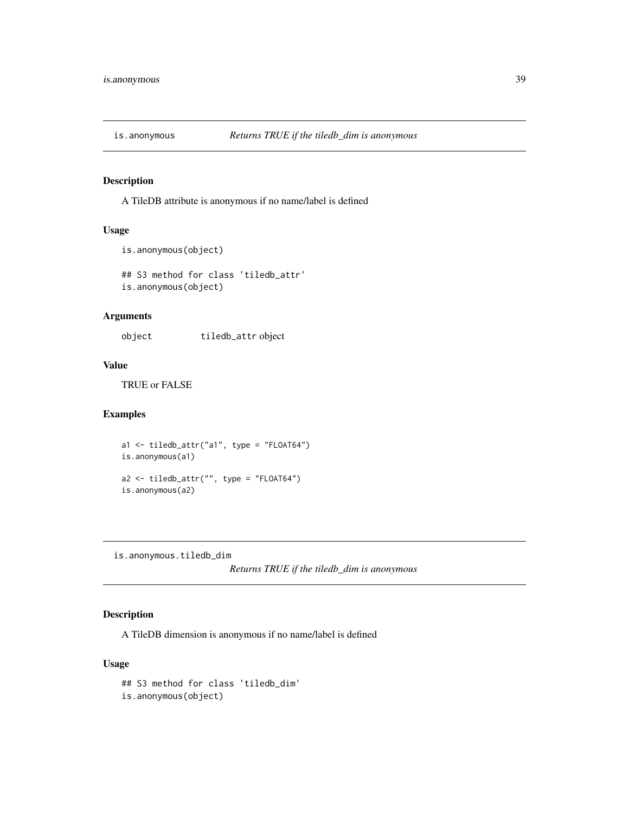# Description

A TileDB attribute is anonymous if no name/label is defined

### Usage

```
is.anonymous(object)
```
## S3 method for class 'tiledb\_attr' is.anonymous(object)

## Arguments

object tiledb\_attr object

### Value

TRUE or FALSE

## Examples

a1 <- tiledb\_attr("a1", type = "FLOAT64") is.anonymous(a1) a2 <- tiledb\_attr("", type = "FLOAT64") is.anonymous(a2)

is.anonymous.tiledb\_dim

*Returns TRUE if the tiledb\_dim is anonymous*

## Description

A TileDB dimension is anonymous if no name/label is defined

### Usage

```
## S3 method for class 'tiledb_dim'
is.anonymous(object)
```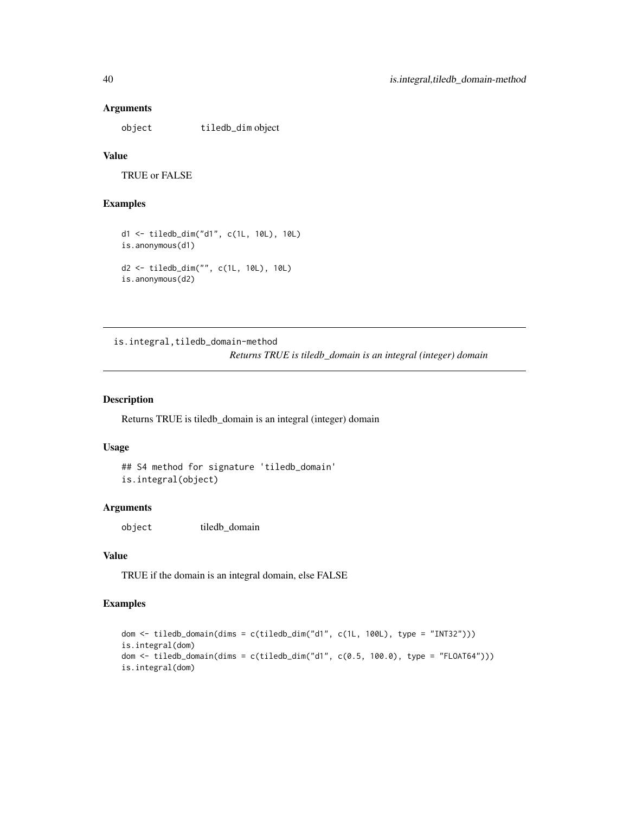### Arguments

object tiledb\_dim object

# Value

TRUE or FALSE

# Examples

```
d1 <- tiledb_dim("d1", c(1L, 10L), 10L)
is.anonymous(d1)
d2 <- tiledb_dim("", c(1L, 10L), 10L)
is.anonymous(d2)
```
is.integral,tiledb\_domain-method *Returns TRUE is tiledb\_domain is an integral (integer) domain*

### Description

Returns TRUE is tiledb\_domain is an integral (integer) domain

### Usage

```
## S4 method for signature 'tiledb_domain'
is.integral(object)
```
### Arguments

object tiledb\_domain

### Value

TRUE if the domain is an integral domain, else FALSE

### Examples

```
dom <- tiledb_domain(dims = c(tiledb_dim("d1", c(1L, 100L), type = "INT32")))
is.integral(dom)
dom <- tiledb_domain(dims = c(tiledb_dim("d1", c(0.5, 100.0), type = "FLOAT64")))
is.integral(dom)
```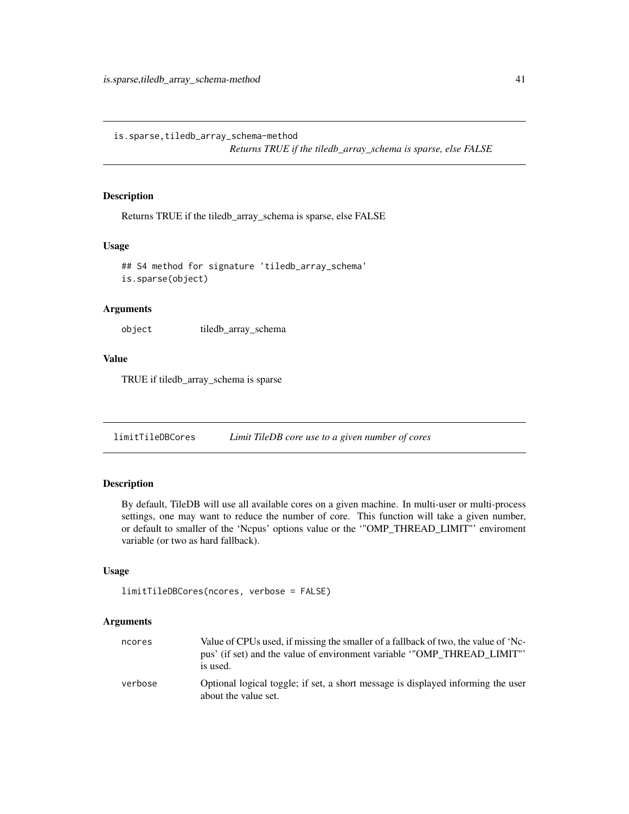is.sparse,tiledb\_array\_schema-method

*Returns TRUE if the tiledb\_array\_schema is sparse, else FALSE*

### Description

Returns TRUE if the tiledb\_array\_schema is sparse, else FALSE

#### Usage

```
## S4 method for signature 'tiledb_array_schema'
is.sparse(object)
```
### Arguments

object tiledb\_array\_schema

## Value

TRUE if tiledb\_array\_schema is sparse

limitTileDBCores *Limit TileDB core use to a given number of cores*

# Description

By default, TileDB will use all available cores on a given machine. In multi-user or multi-process settings, one may want to reduce the number of core. This function will take a given number, or default to smaller of the 'Ncpus' options value or the '"OMP\_THREAD\_LIMIT"' enviroment variable (or two as hard fallback).

## Usage

```
limitTileDBCores(ncores, verbose = FALSE)
```
### Arguments

| ncores  | Value of CPUs used, if missing the smaller of a fallback of two, the value of 'Nc-<br>pus' (if set) and the value of environment variable "OMP_THREAD_LIMIT"'<br>is used. |
|---------|---------------------------------------------------------------------------------------------------------------------------------------------------------------------------|
| verbose | Optional logical toggle; if set, a short message is displayed informing the user<br>about the value set.                                                                  |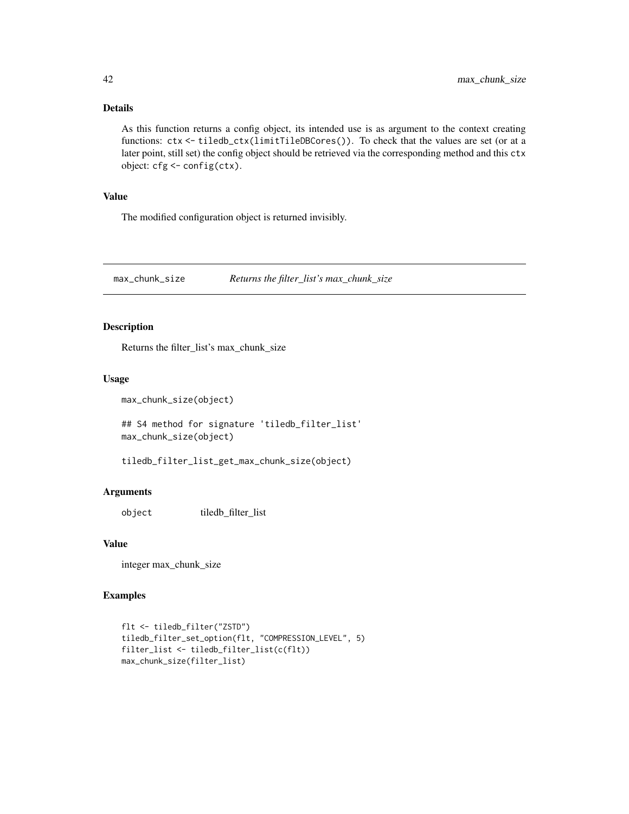### Details

As this function returns a config object, its intended use is as argument to the context creating functions: ctx <- tiledb\_ctx(limitTileDBCores()). To check that the values are set (or at a later point, still set) the config object should be retrieved via the corresponding method and this ctx object: cfg <- config(ctx).

## Value

The modified configuration object is returned invisibly.

max\_chunk\_size *Returns the filter\_list's max\_chunk\_size*

## Description

Returns the filter\_list's max\_chunk\_size

### Usage

```
max_chunk_size(object)
```
## S4 method for signature 'tiledb\_filter\_list' max\_chunk\_size(object)

tiledb\_filter\_list\_get\_max\_chunk\_size(object)

# Arguments

object tiledb\_filter\_list

### Value

integer max\_chunk\_size

#### Examples

```
flt <- tiledb_filter("ZSTD")
tiledb_filter_set_option(flt, "COMPRESSION_LEVEL", 5)
filter_list <- tiledb_filter_list(c(flt))
max_chunk_size(filter_list)
```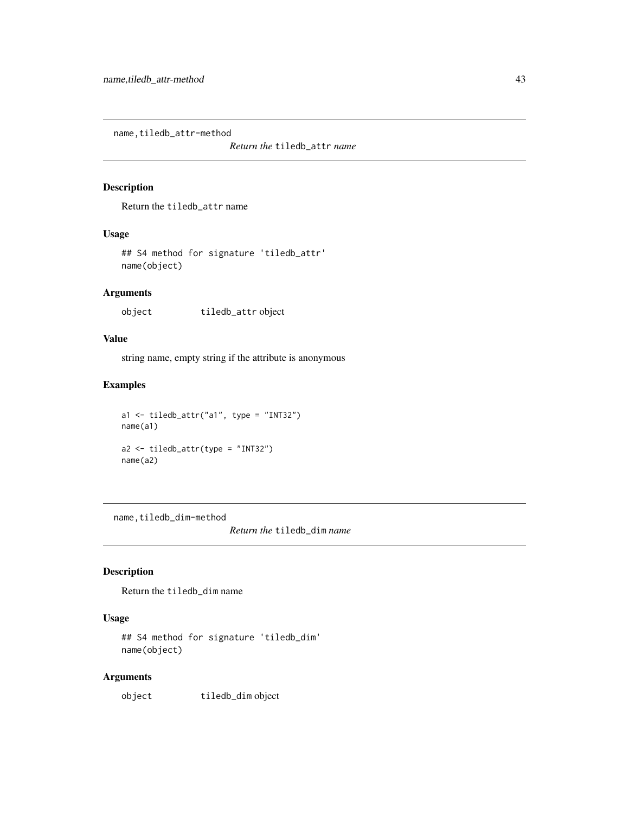name, tiledb\_attr-method

*Return the* tiledb\_attr *name*

### Description

Return the tiledb\_attr name

## Usage

## S4 method for signature 'tiledb\_attr' name(object)

### Arguments

object tiledb\_attr object

### Value

string name, empty string if the attribute is anonymous

## Examples

```
a1 \leftarrow \text{tiledb\_attr("a1", type = "INT32")}name(a1)
a2 <- tiledb_attr(type = "INT32")
name(a2)
```
name,tiledb\_dim-method

*Return the* tiledb\_dim *name*

# Description

Return the tiledb\_dim name

### Usage

```
## S4 method for signature 'tiledb_dim'
name(object)
```
## Arguments

object tiledb\_dim object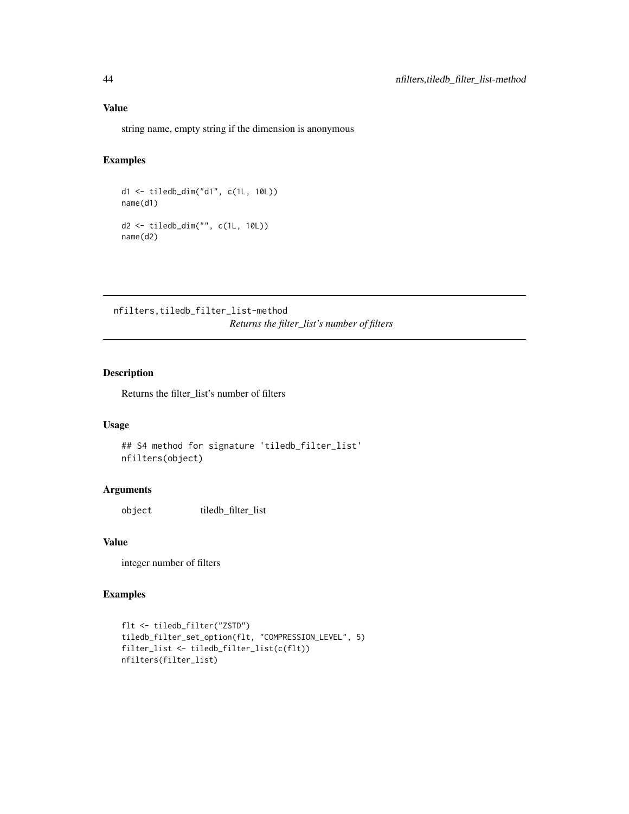## Value

string name, empty string if the dimension is anonymous

## Examples

```
d1 <- tiledb_dim("d1", c(1L, 10L))
name(d1)
d2 <- tiledb_dim("", c(1L, 10L))
name(d2)
```
nfilters,tiledb\_filter\_list-method *Returns the filter\_list's number of filters*

# Description

Returns the filter\_list's number of filters

### Usage

```
## S4 method for signature 'tiledb_filter_list'
nfilters(object)
```
### Arguments

object tiledb\_filter\_list

### Value

integer number of filters

## Examples

```
flt <- tiledb_filter("ZSTD")
tiledb_filter_set_option(flt, "COMPRESSION_LEVEL", 5)
filter_list <- tiledb_filter_list(c(flt))
nfilters(filter_list)
```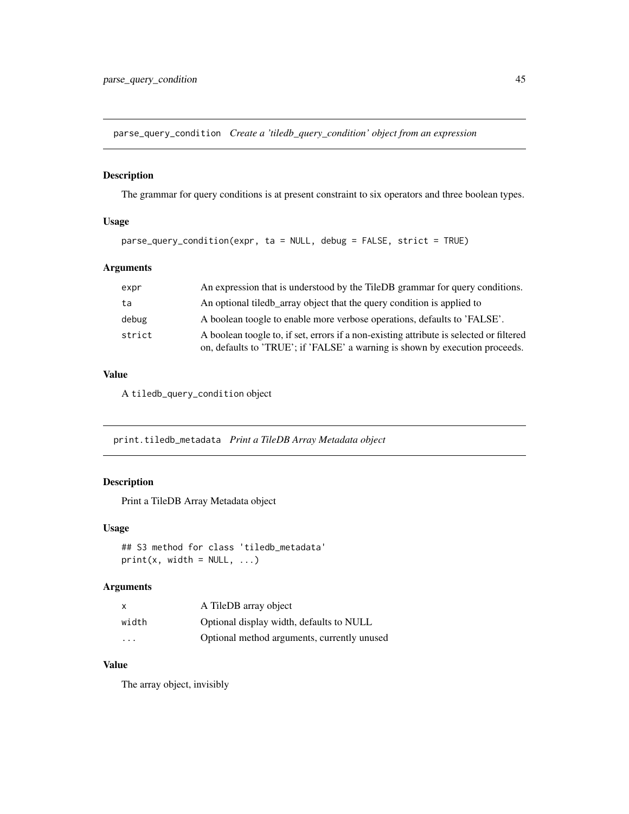parse\_query\_condition *Create a 'tiledb\_query\_condition' object from an expression*

## Description

The grammar for query conditions is at present constraint to six operators and three boolean types.

## Usage

parse\_query\_condition(expr, ta = NULL, debug = FALSE, strict = TRUE)

## Arguments

| expr   | An expression that is understood by the TileDB grammar for query conditions.                                                                                            |
|--------|-------------------------------------------------------------------------------------------------------------------------------------------------------------------------|
| ta     | An optional tiled array object that the query condition is applied to                                                                                                   |
| debug  | A boolean toogle to enable more verbose operations, defaults to 'FALSE'.                                                                                                |
| strict | A boolean toogle to, if set, errors if a non-existing attribute is selected or filtered<br>on, defaults to 'TRUE'; if 'FALSE' a warning is shown by execution proceeds. |

## Value

A tiledb\_query\_condition object

print.tiledb\_metadata *Print a TileDB Array Metadata object*

# Description

Print a TileDB Array Metadata object

### Usage

```
## S3 method for class 'tiledb_metadata'
print(x, width = NULL, ...)
```
## Arguments

| $\mathsf{x}$            | A TileDB array object                       |
|-------------------------|---------------------------------------------|
| width                   | Optional display width, defaults to NULL    |
| $\cdot$ $\cdot$ $\cdot$ | Optional method arguments, currently unused |

### Value

The array object, invisibly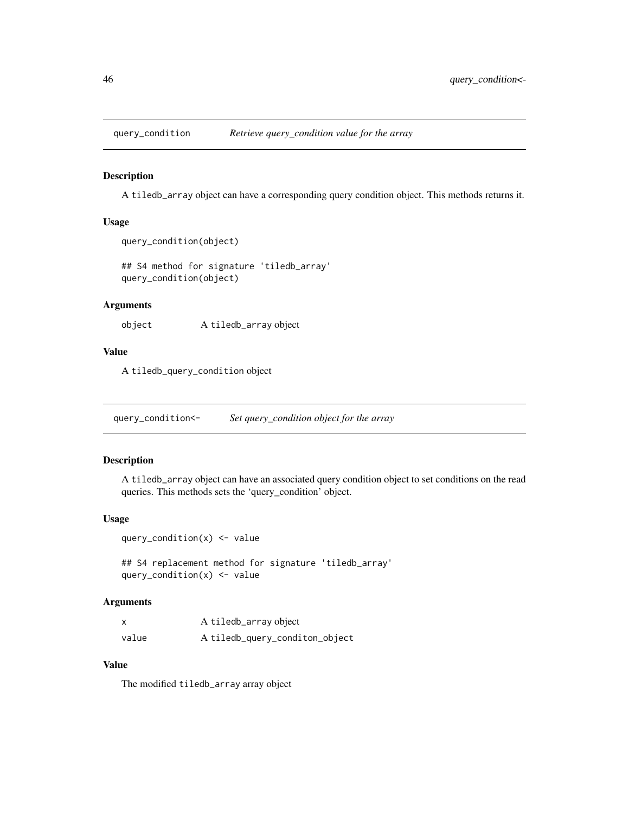### Description

A tiledb\_array object can have a corresponding query condition object. This methods returns it.

#### Usage

```
query_condition(object)
```

```
## S4 method for signature 'tiledb_array'
query_condition(object)
```
### Arguments

object A tiledb\_array object

### Value

A tiledb\_query\_condition object

query\_condition<- *Set query\_condition object for the array*

### Description

A tiledb\_array object can have an associated query condition object to set conditions on the read queries. This methods sets the 'query\_condition' object.

### Usage

```
query_condition(x) <- value
```
## S4 replacement method for signature 'tiledb\_array' query\_condition $(x)$  <- value

## Arguments

| X     | A tiledb_array object          |
|-------|--------------------------------|
| value | A tiledb_query_conditon_object |

### Value

The modified tiledb\_array array object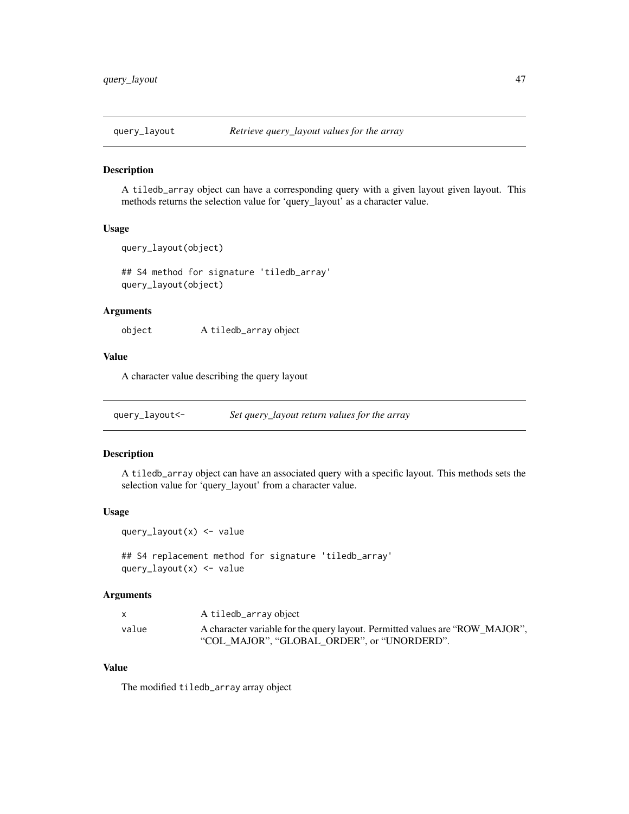### Description

A tiledb\_array object can have a corresponding query with a given layout given layout. This methods returns the selection value for 'query\_layout' as a character value.

#### Usage

```
query_layout(object)
```
## S4 method for signature 'tiledb\_array' query\_layout(object)

# Arguments

object A tiledb\_array object

# Value

A character value describing the query layout

query\_layout<- *Set query\_layout return values for the array*

### Description

A tiledb\_array object can have an associated query with a specific layout. This methods sets the selection value for 'query\_layout' from a character value.

#### Usage

query\_layout(x) <- value

## S4 replacement method for signature 'tiledb\_array' query\_layout(x) <- value

### Arguments

|       | A tiledb_array object                                                        |
|-------|------------------------------------------------------------------------------|
| value | A character variable for the query layout. Permitted values are "ROW MAJOR". |
|       | "COL MAJOR". "GLOBAL ORDER". or "UNORDERD".                                  |

# Value

The modified tiledb\_array array object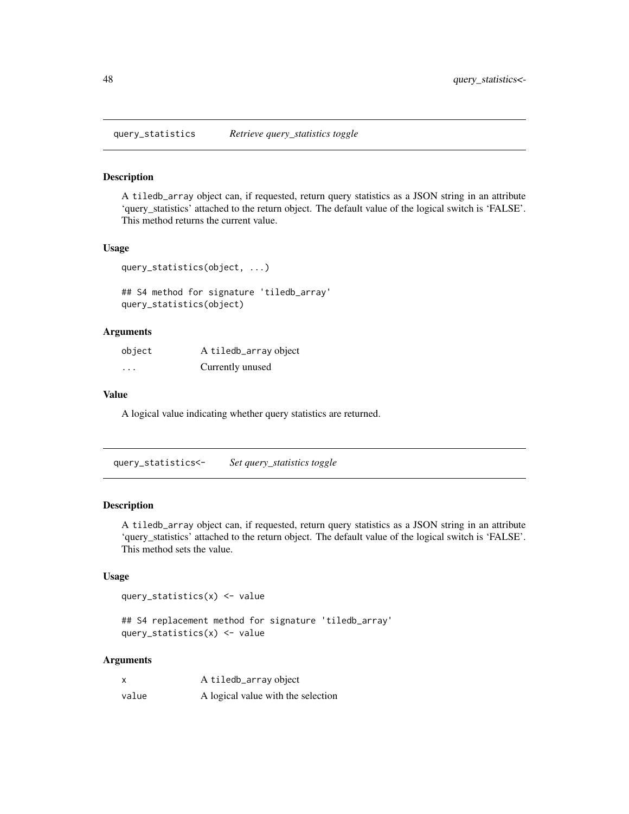query\_statistics *Retrieve query\_statistics toggle*

### Description

A tiledb\_array object can, if requested, return query statistics as a JSON string in an attribute 'query\_statistics' attached to the return object. The default value of the logical switch is 'FALSE'. This method returns the current value.

### Usage

```
query_statistics(object, ...)
```
## S4 method for signature 'tiledb\_array' query\_statistics(object)

### Arguments

| object   | A tiledb_array object |
|----------|-----------------------|
| $\cdots$ | Currently unused      |

## Value

A logical value indicating whether query statistics are returned.

query\_statistics<- *Set query\_statistics toggle*

### Description

A tiledb\_array object can, if requested, return query statistics as a JSON string in an attribute 'query\_statistics' attached to the return object. The default value of the logical switch is 'FALSE'. This method sets the value.

#### Usage

query\_statistics(x) <- value

## S4 replacement method for signature 'tiledb\_array' query\_statistics(x) <- value

### Arguments

| X     | A tiledb_array object              |
|-------|------------------------------------|
| value | A logical value with the selection |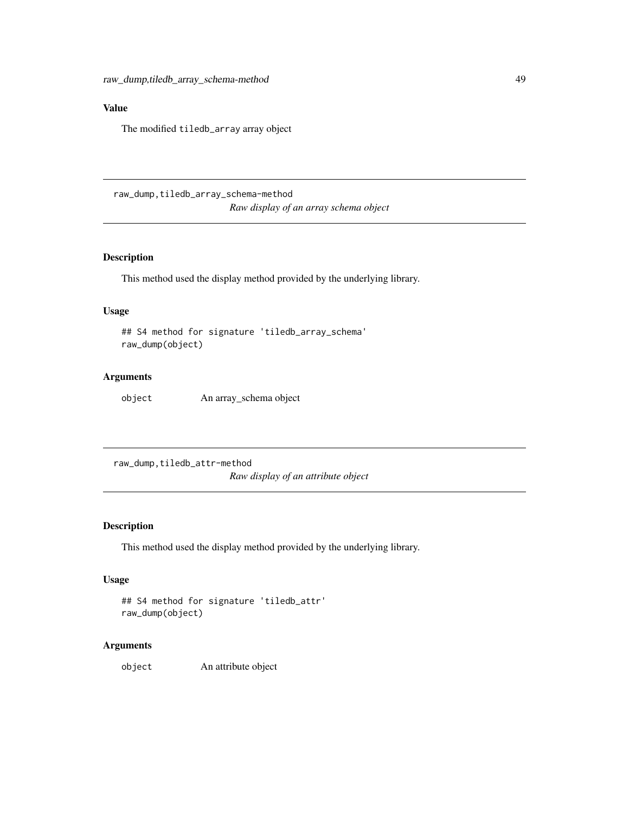# Value

The modified tiledb\_array array object

raw\_dump,tiledb\_array\_schema-method *Raw display of an array schema object*

## Description

This method used the display method provided by the underlying library.

## Usage

```
## S4 method for signature 'tiledb_array_schema'
raw_dump(object)
```
### Arguments

object An array\_schema object

raw\_dump,tiledb\_attr-method *Raw display of an attribute object*

## Description

This method used the display method provided by the underlying library.

### Usage

```
## S4 method for signature 'tiledb_attr'
raw_dump(object)
```
### Arguments

object An attribute object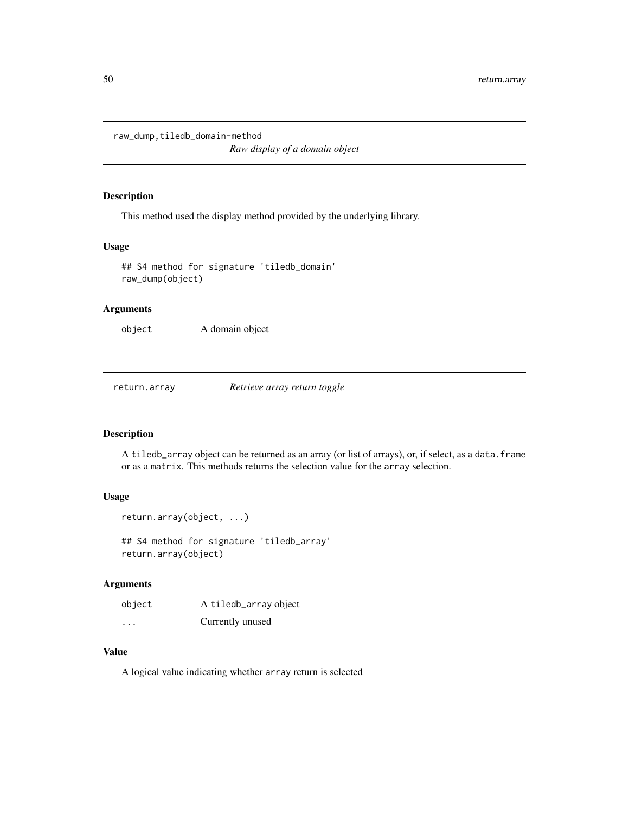raw\_dump,tiledb\_domain-method

*Raw display of a domain object*

## Description

This method used the display method provided by the underlying library.

#### Usage

```
## S4 method for signature 'tiledb_domain'
raw_dump(object)
```
### Arguments

object A domain object

return.array *Retrieve array return toggle*

### Description

A tiledb\_array object can be returned as an array (or list of arrays), or, if select, as a data.frame or as a matrix. This methods returns the selection value for the array selection.

# Usage

```
return.array(object, ...)
```
## S4 method for signature 'tiledb\_array' return.array(object)

### Arguments

| object   | A tiledb_array object |
|----------|-----------------------|
| $\cdots$ | Currently unused      |

## Value

A logical value indicating whether array return is selected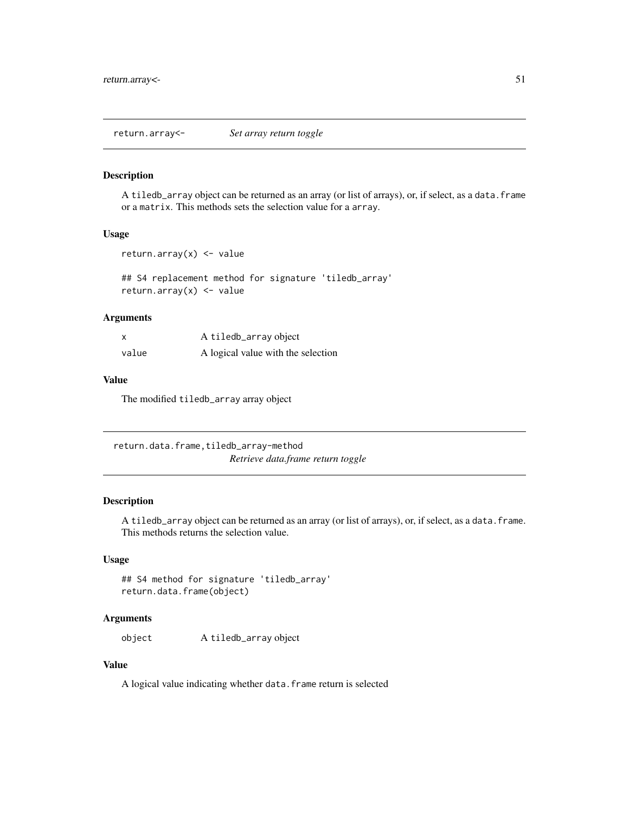return.array<- *Set array return toggle*

## Description

A tiledb\_array object can be returned as an array (or list of arrays), or, if select, as a data.frame or a matrix. This methods sets the selection value for a array.

#### Usage

```
return.array(x) <- value
```
## S4 replacement method for signature 'tiledb\_array' return.array $(x)$  <- value

## Arguments

| X     | A tiledb_array object              |
|-------|------------------------------------|
| value | A logical value with the selection |

### Value

The modified tiledb\_array array object

return.data.frame,tiledb\_array-method *Retrieve data.frame return toggle*

### Description

A tiledb\_array object can be returned as an array (or list of arrays), or, if select, as a data.frame. This methods returns the selection value.

## Usage

```
## S4 method for signature 'tiledb_array'
return.data.frame(object)
```
### Arguments

object A tiledb\_array object

### Value

A logical value indicating whether data.frame return is selected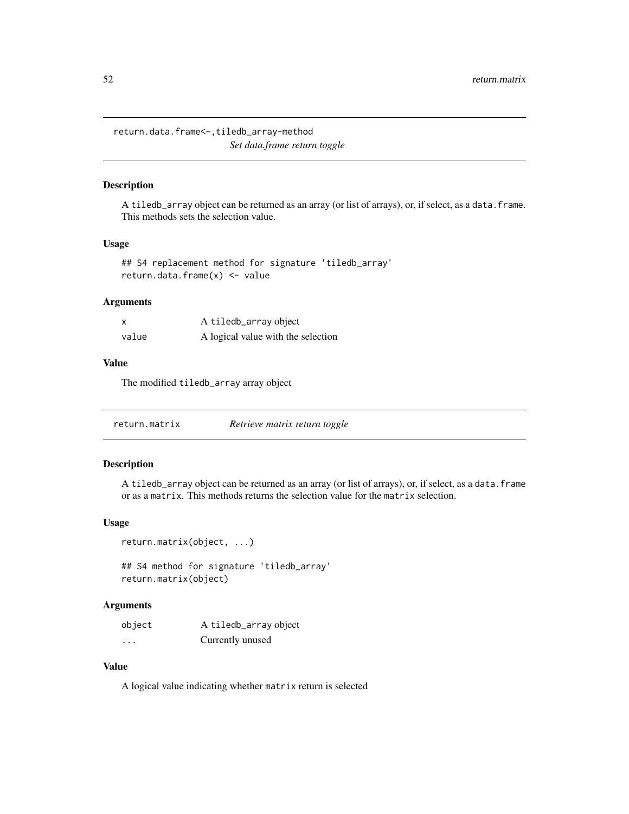return.data.frame<-,tiledb\_array-method *Set data.frame return toggle*

## Description

A tiledb\_array object can be returned as an array (or list of arrays), or, if select, as a data.frame. This methods sets the selection value.

## Usage

```
## S4 replacement method for signature 'tiledb_array'
return.data.frame(x) <- value
```
## Arguments

| x     | A tiledb_array object              |
|-------|------------------------------------|
| value | A logical value with the selection |

### Value

The modified tiledb\_array array object

| return.matrix | Retrieve matrix return toggle |
|---------------|-------------------------------|
|---------------|-------------------------------|

## Description

A tiledb\_array object can be returned as an array (or list of arrays), or, if select, as a data.frame or as a matrix. This methods returns the selection value for the matrix selection.

### Usage

```
return.matrix(object, ...)
```
## S4 method for signature 'tiledb\_array' return.matrix(object)

### Arguments

| object | A tiledb_array object |
|--------|-----------------------|
| .      | Currently unused      |

## Value

A logical value indicating whether matrix return is selected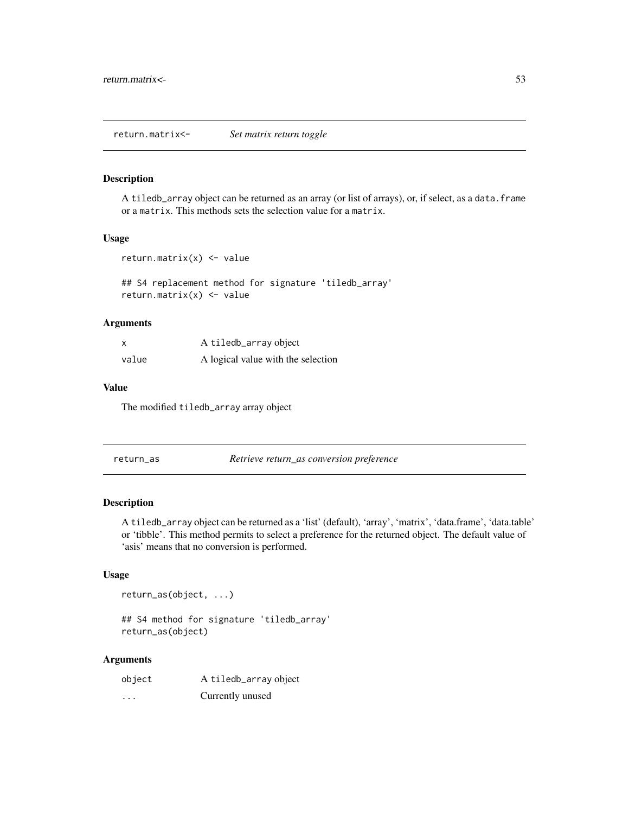return.matrix<- *Set matrix return toggle*

#### Description

A tiledb\_array object can be returned as an array (or list of arrays), or, if select, as a data.frame or a matrix. This methods sets the selection value for a matrix.

#### Usage

```
return.matrix(x) <- value
```
## S4 replacement method for signature 'tiledb\_array' return.matrix(x) <- value

### Arguments

|       | A tiledb_array object              |
|-------|------------------------------------|
| value | A logical value with the selection |

### Value

The modified tiledb\_array array object

return\_as *Retrieve return\_as conversion preference*

## Description

A tiledb\_array object can be returned as a 'list' (default), 'array', 'matrix', 'data.frame', 'data.table' or 'tibble'. This method permits to select a preference for the returned object. The default value of 'asis' means that no conversion is performed.

### Usage

return\_as(object, ...)

## S4 method for signature 'tiledb\_array' return\_as(object)

#### Arguments

| object   | A tiledb_array object |
|----------|-----------------------|
| $\cdots$ | Currently unused      |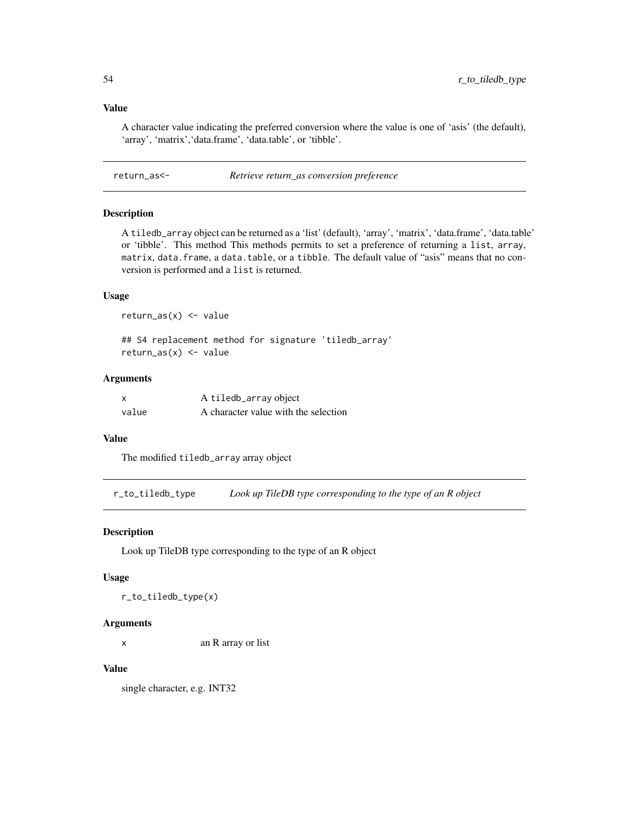### Value

A character value indicating the preferred conversion where the value is one of 'asis' (the default), 'array', 'matrix', 'data.frame', 'data.table', or 'tibble'.

return\_as<- *Retrieve return\_as conversion preference*

### Description

A tiledb\_array object can be returned as a 'list' (default), 'array', 'matrix', 'data.frame', 'data.table' or 'tibble'. This method This methods permits to set a preference of returning a list, array, matrix, data.frame, a data.table, or a tibble. The default value of "asis" means that no conversion is performed and a list is returned.

### Usage

 $return_as(x) < - value$ 

## S4 replacement method for signature 'tiledb\_array'  $return_as(x) < - value$ 

### Arguments

| X     | A tiledb_array object                |
|-------|--------------------------------------|
| value | A character value with the selection |

### Value

The modified tiledb\_array array object

r\_to\_tiledb\_type *Look up TileDB type corresponding to the type of an R object*

### Description

Look up TileDB type corresponding to the type of an R object

#### Usage

r\_to\_tiledb\_type(x)

#### Arguments

x an R array or list

### Value

single character, e.g. INT32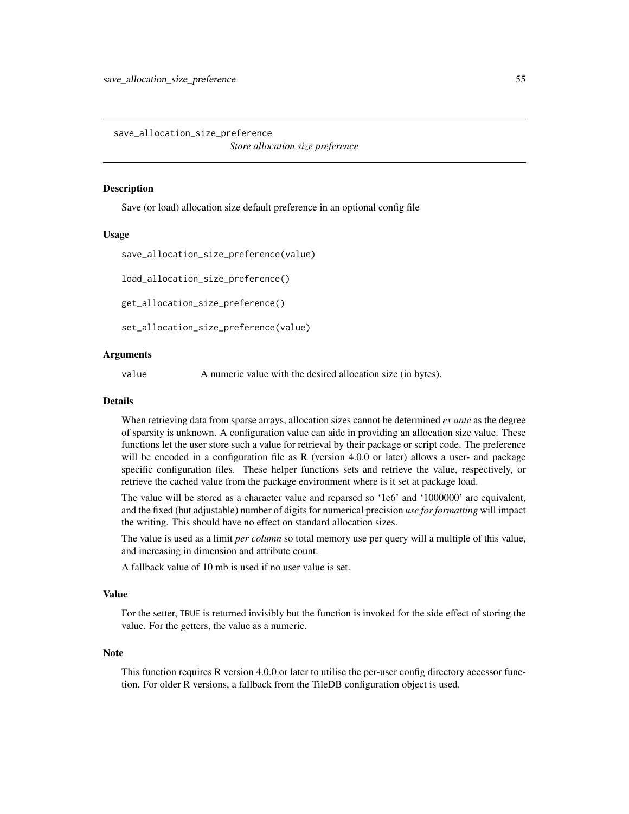save\_allocation\_size\_preference *Store allocation size preference*

#### **Description**

Save (or load) allocation size default preference in an optional config file

#### Usage

```
save_allocation_size_preference(value)
```
load\_allocation\_size\_preference()

get\_allocation\_size\_preference()

set\_allocation\_size\_preference(value)

### Arguments

value A numeric value with the desired allocation size (in bytes).

#### Details

When retrieving data from sparse arrays, allocation sizes cannot be determined *ex ante* as the degree of sparsity is unknown. A configuration value can aide in providing an allocation size value. These functions let the user store such a value for retrieval by their package or script code. The preference will be encoded in a configuration file as R (version 4.0.0 or later) allows a user- and package specific configuration files. These helper functions sets and retrieve the value, respectively, or retrieve the cached value from the package environment where is it set at package load.

The value will be stored as a character value and reparsed so '1e6' and '1000000' are equivalent, and the fixed (but adjustable) number of digits for numerical precision *use for formatting* will impact the writing. This should have no effect on standard allocation sizes.

The value is used as a limit *per column* so total memory use per query will a multiple of this value, and increasing in dimension and attribute count.

A fallback value of 10 mb is used if no user value is set.

#### Value

For the setter, TRUE is returned invisibly but the function is invoked for the side effect of storing the value. For the getters, the value as a numeric.

### **Note**

This function requires R version 4.0.0 or later to utilise the per-user config directory accessor function. For older R versions, a fallback from the TileDB configuration object is used.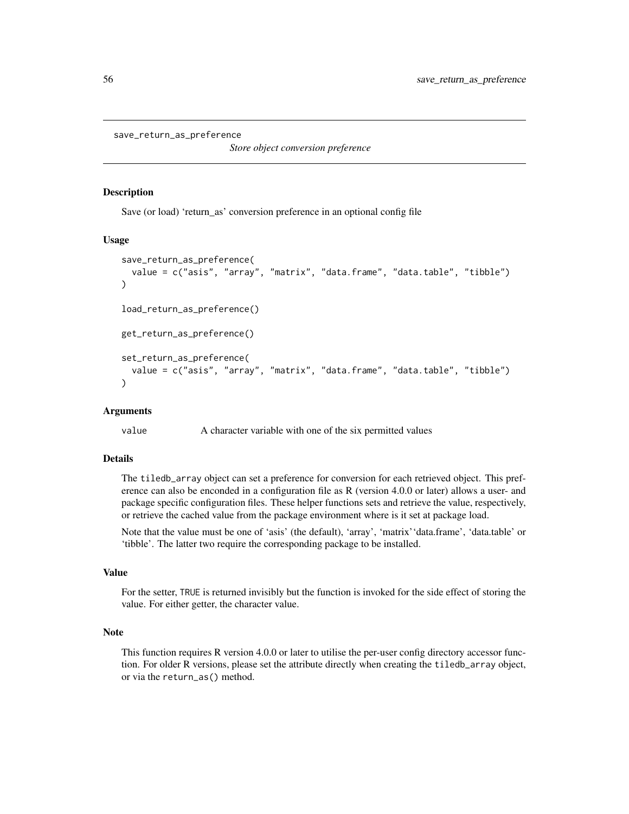```
save_return_as_preference
```
*Store object conversion preference*

#### Description

Save (or load) 'return\_as' conversion preference in an optional config file

#### Usage

```
save_return_as_preference(
 value = c("asis", "array", "matrix", "data.frame", "data.table", "tibble")
)
load_return_as_preference()
get_return_as_preference()
set_return_as_preference(
 value = c("asis", "array", "matrix", "data.frame", "data.table", "tibble")
)
```
### Arguments

value A character variable with one of the six permitted values

### Details

The tiledb\_array object can set a preference for conversion for each retrieved object. This preference can also be enconded in a configuration file as R (version 4.0.0 or later) allows a user- and package specific configuration files. These helper functions sets and retrieve the value, respectively, or retrieve the cached value from the package environment where is it set at package load.

Note that the value must be one of 'asis' (the default), 'array', 'matrix''data.frame', 'data.table' or 'tibble'. The latter two require the corresponding package to be installed.

### Value

For the setter, TRUE is returned invisibly but the function is invoked for the side effect of storing the value. For either getter, the character value.

### Note

This function requires R version 4.0.0 or later to utilise the per-user config directory accessor function. For older R versions, please set the attribute directly when creating the tiledb\_array object, or via the return\_as() method.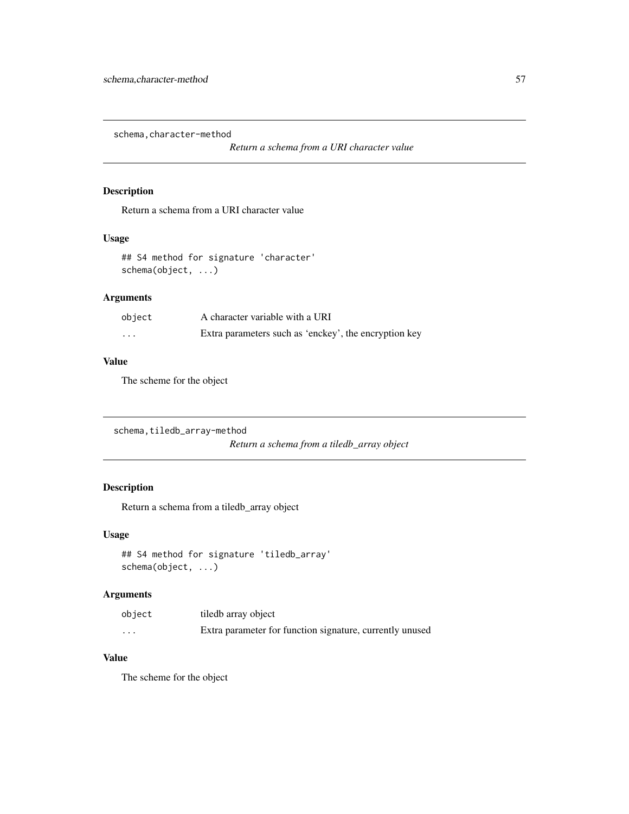schema, character-method

*Return a schema from a URI character value*

## Description

Return a schema from a URI character value

# Usage

## S4 method for signature 'character' schema(object, ...)

# Arguments

| object | A character variable with a URI                       |
|--------|-------------------------------------------------------|
| .      | Extra parameters such as 'enckey', the encryption key |

### Value

The scheme for the object

```
schema, tiledb_array-method
```
*Return a schema from a tiledb\_array object*

# Description

Return a schema from a tiledb\_array object

### Usage

```
## S4 method for signature 'tiledb_array'
schema(object, ...)
```
# Arguments

| object   | tiledb array object                                      |
|----------|----------------------------------------------------------|
| $\cdots$ | Extra parameter for function signature, currently unused |

# Value

The scheme for the object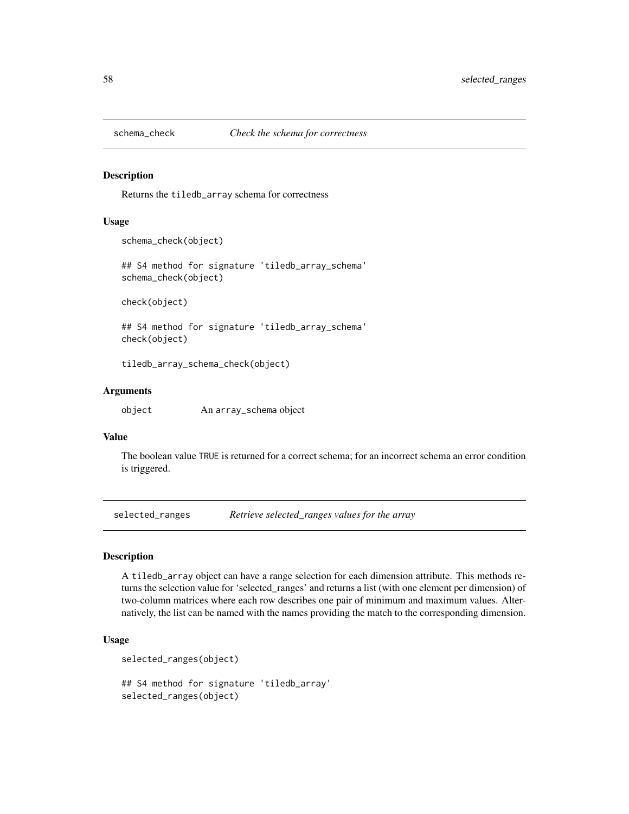#### Description

Returns the tiledb\_array schema for correctness

#### Usage

schema\_check(object)

## S4 method for signature 'tiledb\_array\_schema' schema\_check(object)

check(object)

## S4 method for signature 'tiledb\_array\_schema' check(object)

tiledb\_array\_schema\_check(object)

### Arguments

object An array\_schema object

#### Value

The boolean value TRUE is returned for a correct schema; for an incorrect schema an error condition is triggered.

selected\_ranges *Retrieve selected\_ranges values for the array*

#### Description

A tiledb\_array object can have a range selection for each dimension attribute. This methods returns the selection value for 'selected\_ranges' and returns a list (with one element per dimension) of two-column matrices where each row describes one pair of minimum and maximum values. Alternatively, the list can be named with the names providing the match to the corresponding dimension.

#### Usage

```
selected_ranges(object)
```
## S4 method for signature 'tiledb\_array' selected\_ranges(object)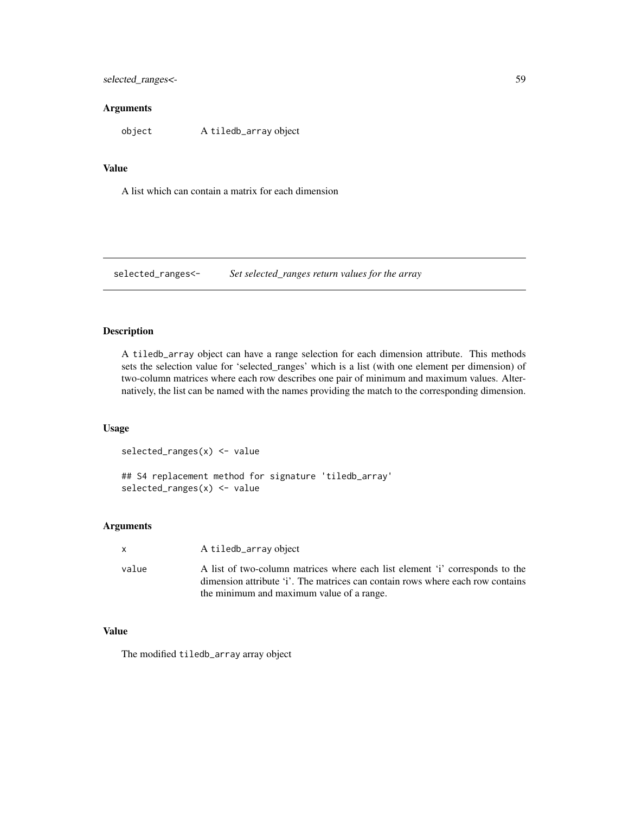selected\_ranges<- 59

#### **Arguments**

object A tiledb\_array object

### Value

A list which can contain a matrix for each dimension

selected\_ranges<- *Set selected\_ranges return values for the array*

### Description

A tiledb\_array object can have a range selection for each dimension attribute. This methods sets the selection value for 'selected\_ranges' which is a list (with one element per dimension) of two-column matrices where each row describes one pair of minimum and maximum values. Alternatively, the list can be named with the names providing the match to the corresponding dimension.

### Usage

selected\_ranges(x) <- value

## S4 replacement method for signature 'tiledb\_array' selected\_ranges(x) <- value

### Arguments

| x | A tiledb_array object |  |
|---|-----------------------|--|
|---|-----------------------|--|

value A list of two-column matrices where each list element 'i' corresponds to the dimension attribute 'i'. The matrices can contain rows where each row contains the minimum and maximum value of a range.

# Value

The modified tiledb\_array array object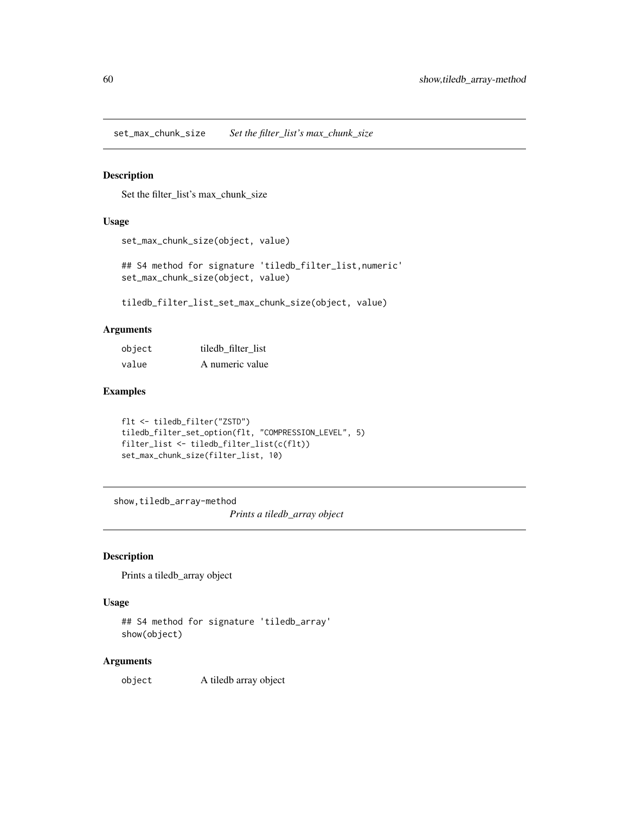set\_max\_chunk\_size *Set the filter\_list's max\_chunk\_size*

## Description

Set the filter\_list's max\_chunk\_size

### Usage

```
set_max_chunk_size(object, value)
```
## S4 method for signature 'tiledb\_filter\_list,numeric' set\_max\_chunk\_size(object, value)

tiledb\_filter\_list\_set\_max\_chunk\_size(object, value)

### Arguments

| object | tiledb filter list |
|--------|--------------------|
| value  | A numeric value    |

## Examples

```
flt <- tiledb_filter("ZSTD")
tiledb_filter_set_option(flt, "COMPRESSION_LEVEL", 5)
filter_list <- tiledb_filter_list(c(flt))
set_max_chunk_size(filter_list, 10)
```
show,tiledb\_array-method

*Prints a tiledb\_array object*

#### Description

Prints a tiledb\_array object

### Usage

```
## S4 method for signature 'tiledb_array'
show(object)
```
## Arguments

object A tiledb array object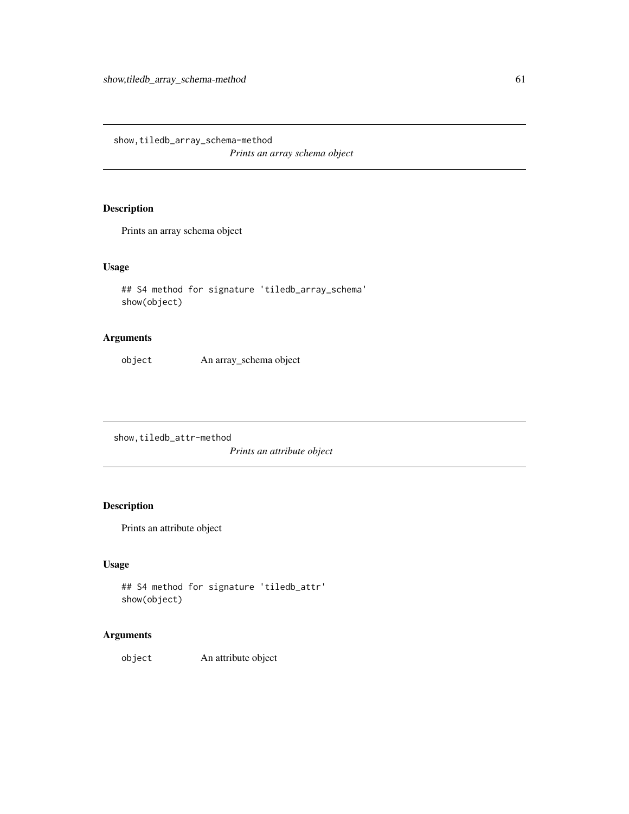show,tiledb\_array\_schema-method *Prints an array schema object*

## Description

Prints an array schema object

# Usage

```
## S4 method for signature 'tiledb_array_schema'
show(object)
```
## Arguments

object An array\_schema object

show,tiledb\_attr-method

*Prints an attribute object*

# Description

Prints an attribute object

## Usage

```
## S4 method for signature 'tiledb_attr'
show(object)
```
## Arguments

object An attribute object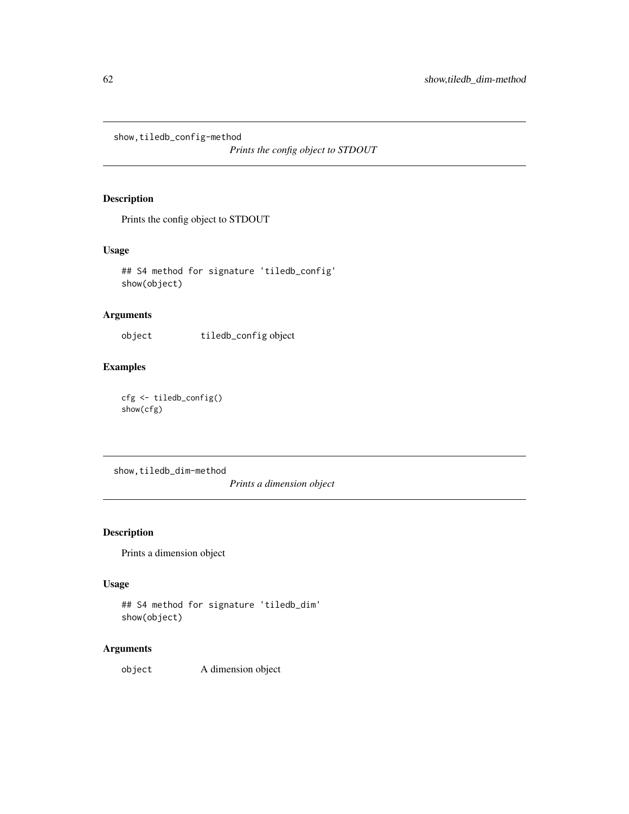show,tiledb\_config-method

*Prints the config object to STDOUT*

# Description

Prints the config object to STDOUT

## Usage

## S4 method for signature 'tiledb\_config' show(object)

## Arguments

object tiledb\_config object

## Examples

cfg <- tiledb\_config() show(cfg)

show,tiledb\_dim-method

*Prints a dimension object*

## Description

Prints a dimension object

### Usage

```
## S4 method for signature 'tiledb_dim'
show(object)
```
## Arguments

object A dimension object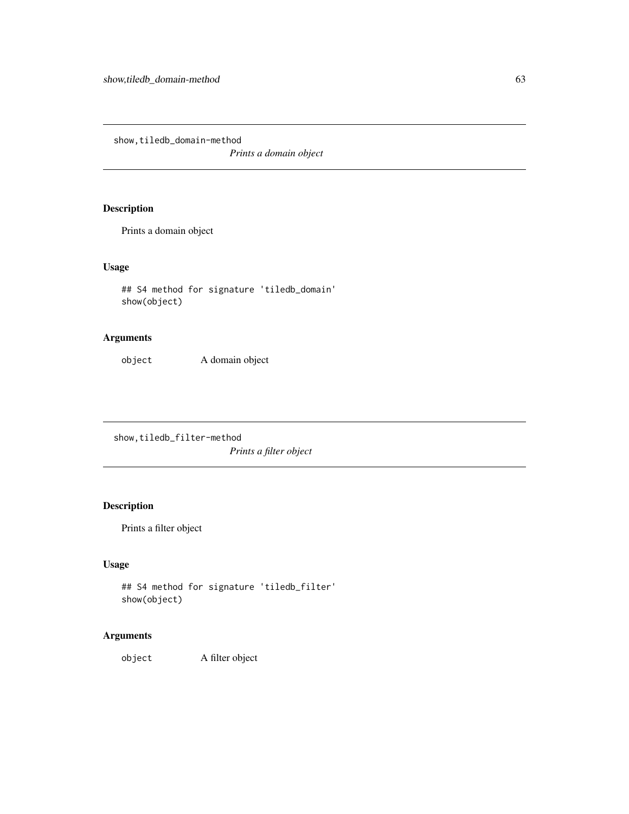show,tiledb\_domain-method

*Prints a domain object*

## Description

Prints a domain object

# Usage

```
## S4 method for signature 'tiledb_domain'
show(object)
```
## Arguments

object A domain object

show,tiledb\_filter-method *Prints a filter object*

# Description

Prints a filter object

# Usage

```
## S4 method for signature 'tiledb_filter'
show(object)
```
## Arguments

object A filter object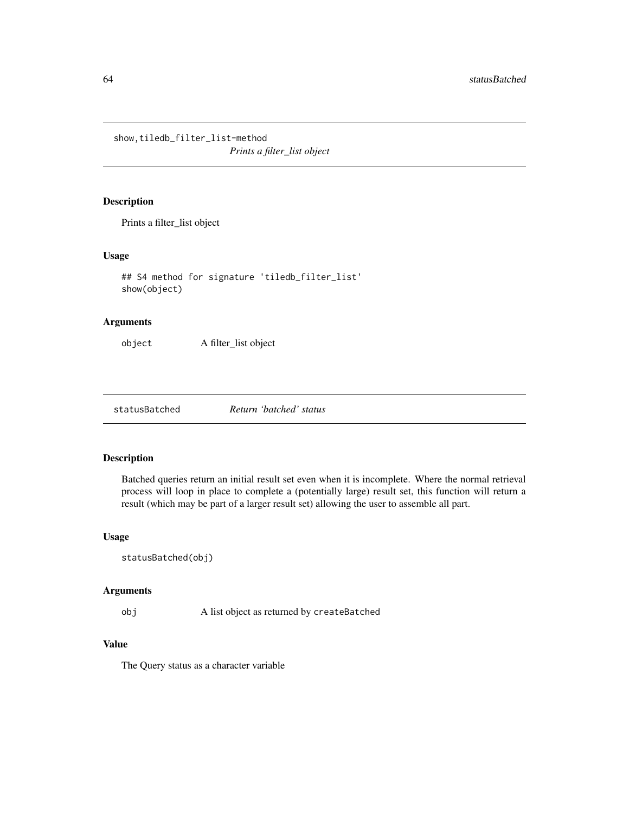show,tiledb\_filter\_list-method

*Prints a filter\_list object*

# Description

Prints a filter\_list object

## Usage

```
## S4 method for signature 'tiledb_filter_list'
show(object)
```
## Arguments

object A filter\_list object

statusBatched *Return 'batched' status*

## Description

Batched queries return an initial result set even when it is incomplete. Where the normal retrieval process will loop in place to complete a (potentially large) result set, this function will return a result (which may be part of a larger result set) allowing the user to assemble all part.

## Usage

```
statusBatched(obj)
```
#### Arguments

obj A list object as returned by createBatched

# Value

The Query status as a character variable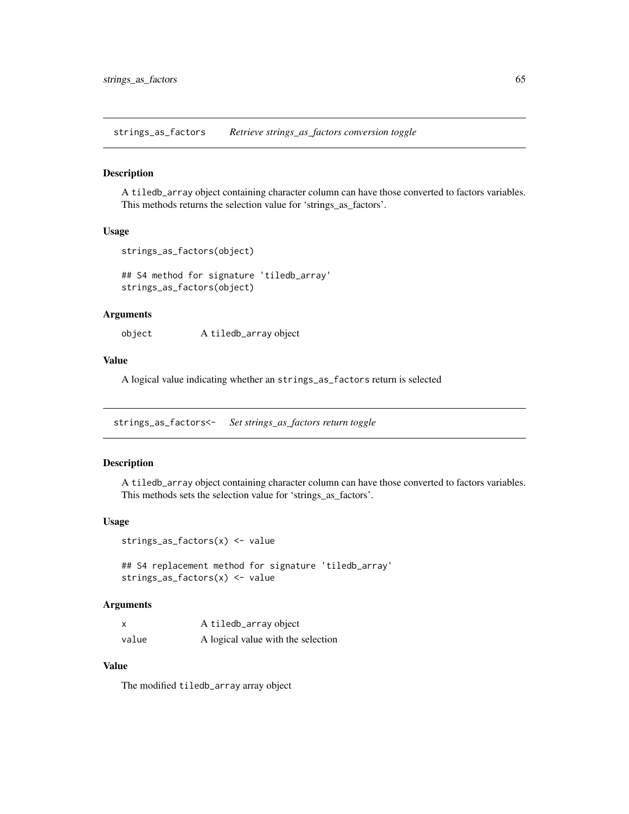strings\_as\_factors *Retrieve strings\_as\_factors conversion toggle*

#### Description

A tiledb\_array object containing character column can have those converted to factors variables. This methods returns the selection value for 'strings\_as\_factors'.

## Usage

```
strings_as_factors(object)
```
## S4 method for signature 'tiledb\_array' strings\_as\_factors(object)

### Arguments

object A tiledb\_array object

### Value

A logical value indicating whether an strings\_as\_factors return is selected

strings\_as\_factors<- *Set strings\_as\_factors return toggle*

## Description

A tiledb\_array object containing character column can have those converted to factors variables. This methods sets the selection value for 'strings\_as\_factors'.

### Usage

```
strings_as_factors(x) <- value
```
## S4 replacement method for signature 'tiledb\_array' strings\_as\_factors(x) <- value

# Arguments

| $\boldsymbol{\mathsf{x}}$ | A tiledb_array object              |
|---------------------------|------------------------------------|
| value                     | A logical value with the selection |

## Value

The modified tiledb\_array array object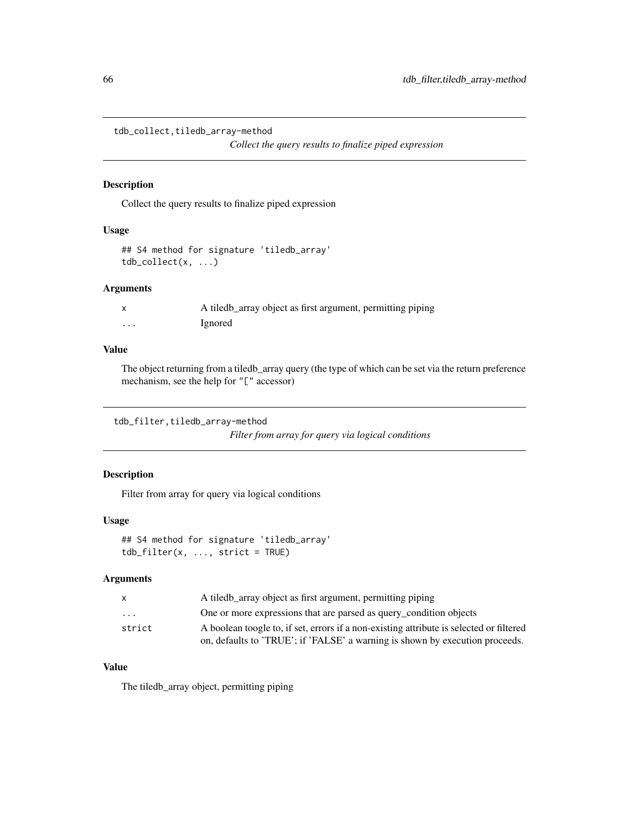```
tdb_collect,tiledb_array-method
```
*Collect the query results to finalize piped expression*

## Description

Collect the query results to finalize piped expression

### Usage

```
## S4 method for signature 'tiledb_array'
tdb\_collect(x, \ldots)
```
## Arguments

|         | A tiledb_array object as first argument, permitting piping |
|---------|------------------------------------------------------------|
| $\cdot$ | Ignored                                                    |

## Value

The object returning from a tiledb\_array query (the type of which can be set via the return preference mechanism, see the help for "[" accessor)

```
tdb_filter,tiledb_array-method
```
*Filter from array for query via logical conditions*

# Description

Filter from array for query via logical conditions

### Usage

```
## S4 method for signature 'tiledb_array'
tdb_filter(x, ..., strict = TRUE)
```
## Arguments

| X.                      | A tiledb array object as first argument, permitting piping                              |
|-------------------------|-----------------------------------------------------------------------------------------|
| $\cdot$ $\cdot$ $\cdot$ | One or more expressions that are parsed as query_condition objects                      |
| strict                  | A boolean toogle to, if set, errors if a non-existing attribute is selected or filtered |
|                         | on, defaults to 'TRUE'; if 'FALSE' a warning is shown by execution proceeds.            |

# Value

The tiledb\_array object, permitting piping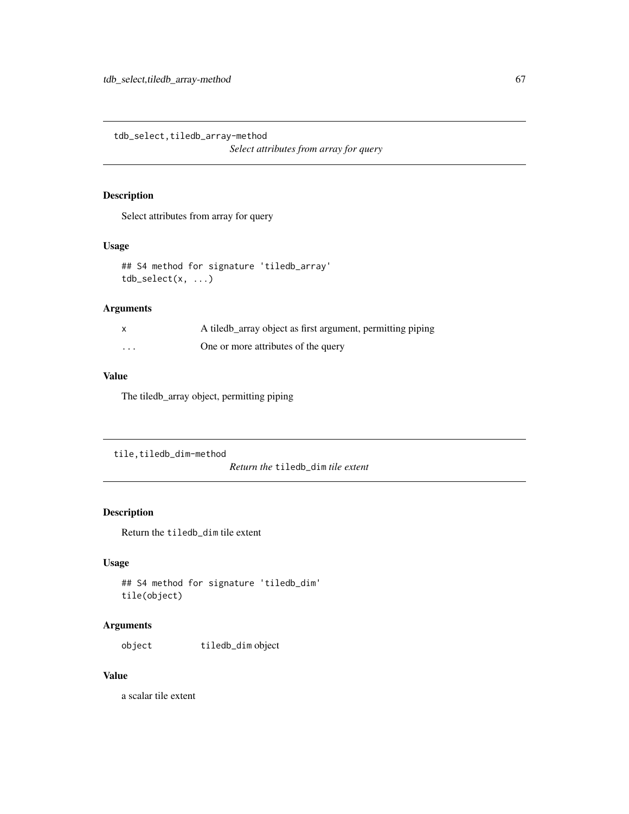tdb\_select,tiledb\_array-method

*Select attributes from array for query*

## Description

Select attributes from array for query

### Usage

```
## S4 method for signature 'tiledb_array'
tdb\_select(x, ...)
```
### Arguments

| $\mathsf{x}$ | A tiledb_array object as first argument, permitting piping |
|--------------|------------------------------------------------------------|
| .            | One or more attributes of the query                        |

# Value

The tiledb\_array object, permitting piping

```
tile,tiledb_dim-method
```
*Return the* tiledb\_dim *tile extent*

### Description

Return the tiledb\_dim tile extent

## Usage

```
## S4 method for signature 'tiledb_dim'
tile(object)
```
### Arguments

object tiledb\_dim object

## Value

a scalar tile extent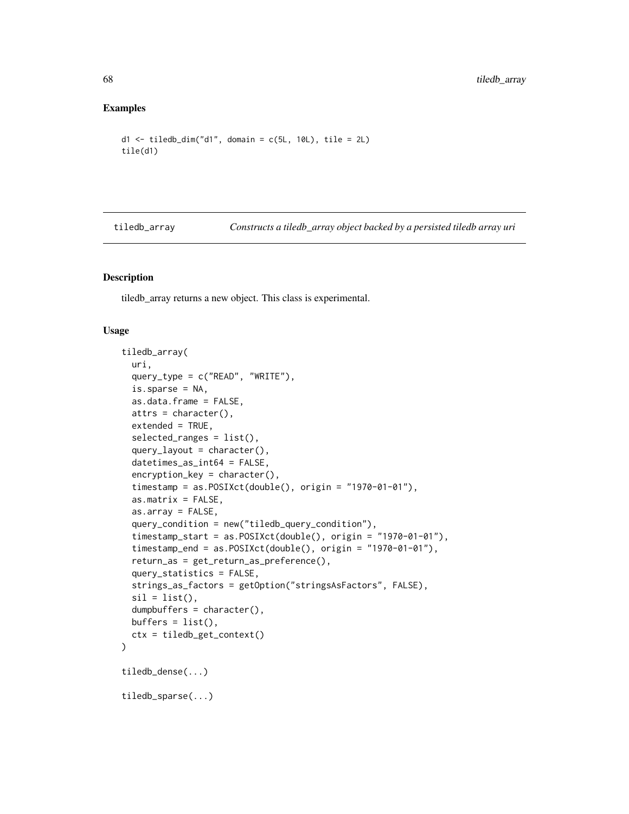#### Examples

```
d1 \le - tiledb_dim("d1", domain = c(5L, 10L), tile = 2L)
tile(d1)
```
tiledb\_array *Constructs a tiledb\_array object backed by a persisted tiledb array uri*

## Description

tiledb\_array returns a new object. This class is experimental.

#### Usage

```
tiledb_array(
 uri,
  query_type = c("READ", "WRITE"),
  is.sparse = NA,
  as.data.frame = FALSE,
 atts = character(),
 extended = TRUE,selected_ranges = list(),
  query \_ layout = character(),datetimes_as_int64 = FALSE,
  encryption_key = character(),
  timestamp = as.POSIXct(double(), origin = "1970-01-01"),
  as.matrix = FALSE,
  as.array = FALSE,
  query_condition = new("tiledb_query_condition"),
  timestamp_start = as.POSIXct(double(), origin = "1970-01-01"),
  timestamp_end = as.POSIXct(double(), origin = "1970-01-01"),
  return_as = get_return_as_preference(),
  query_statistics = FALSE,
  strings_as_factors = getOption("stringsAsFactors", FALSE),
  sil = list(),dumpbuffers = character(),
 buffers = list(),ctx = tiledb_get_context()
\lambdatiledb_dense(...)
tiledb_sparse(...)
```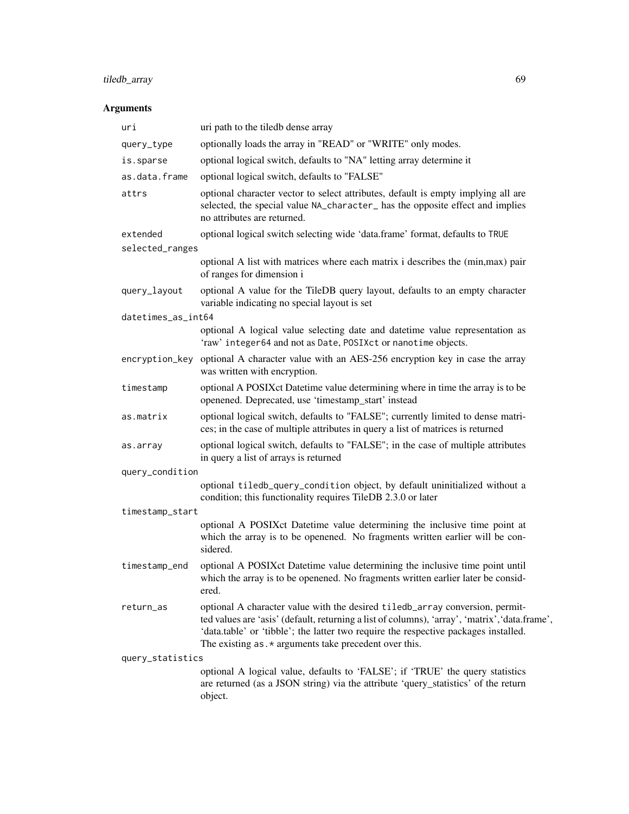# tiledb\_array 69

# Arguments

| uri                | uri path to the tiledb dense array                                                                                                                                                                                                                                                                                               |  |
|--------------------|----------------------------------------------------------------------------------------------------------------------------------------------------------------------------------------------------------------------------------------------------------------------------------------------------------------------------------|--|
| query_type         | optionally loads the array in "READ" or "WRITE" only modes.                                                                                                                                                                                                                                                                      |  |
| is.sparse          | optional logical switch, defaults to "NA" letting array determine it                                                                                                                                                                                                                                                             |  |
| as.data.frame      | optional logical switch, defaults to "FALSE"                                                                                                                                                                                                                                                                                     |  |
| attrs              | optional character vector to select attributes, default is empty implying all are<br>selected, the special value NA_character_ has the opposite effect and implies<br>no attributes are returned.                                                                                                                                |  |
| extended           | optional logical switch selecting wide 'data.frame' format, defaults to TRUE                                                                                                                                                                                                                                                     |  |
| selected_ranges    |                                                                                                                                                                                                                                                                                                                                  |  |
|                    | optional A list with matrices where each matrix i describes the (min, max) pair<br>of ranges for dimension i                                                                                                                                                                                                                     |  |
| query_layout       | optional A value for the TileDB query layout, defaults to an empty character<br>variable indicating no special layout is set                                                                                                                                                                                                     |  |
| datetimes_as_int64 |                                                                                                                                                                                                                                                                                                                                  |  |
|                    | optional A logical value selecting date and datetime value representation as<br>'raw' integer64 and not as Date, POSIXct or nanotime objects.                                                                                                                                                                                    |  |
| encryption_key     | optional A character value with an AES-256 encryption key in case the array<br>was written with encryption.                                                                                                                                                                                                                      |  |
| timestamp          | optional A POSIXct Datetime value determining where in time the array is to be<br>openened. Deprecated, use 'timestamp_start' instead                                                                                                                                                                                            |  |
| as.matrix          | optional logical switch, defaults to "FALSE"; currently limited to dense matri-<br>ces; in the case of multiple attributes in query a list of matrices is returned                                                                                                                                                               |  |
| as.array           | optional logical switch, defaults to "FALSE"; in the case of multiple attributes<br>in query a list of arrays is returned                                                                                                                                                                                                        |  |
| query_condition    |                                                                                                                                                                                                                                                                                                                                  |  |
|                    | optional tiledb_query_condition object, by default uninitialized without a<br>condition; this functionality requires TileDB 2.3.0 or later                                                                                                                                                                                       |  |
| timestamp_start    |                                                                                                                                                                                                                                                                                                                                  |  |
|                    | optional A POSIXct Datetime value determining the inclusive time point at<br>which the array is to be openened. No fragments written earlier will be con-<br>sidered.                                                                                                                                                            |  |
| timestamp_end      | optional A POSIXct Datetime value determining the inclusive time point until<br>which the array is to be openened. No fragments written earlier later be consid-<br>ered.                                                                                                                                                        |  |
| return_as          | optional A character value with the desired tiledb_array conversion, permit-<br>ted values are 'asis' (default, returning a list of columns), 'array', 'matrix', 'data.frame',<br>'data.table' or 'tibble'; the latter two require the respective packages installed.<br>The existing $as.*$ arguments take precedent over this. |  |
| query_statistics   |                                                                                                                                                                                                                                                                                                                                  |  |
|                    | optional A logical value, defaults to 'FALSE'; if 'TRUE' the query statistics<br>are returned (as a JSON string) via the attribute 'query_statistics' of the return<br>object.                                                                                                                                                   |  |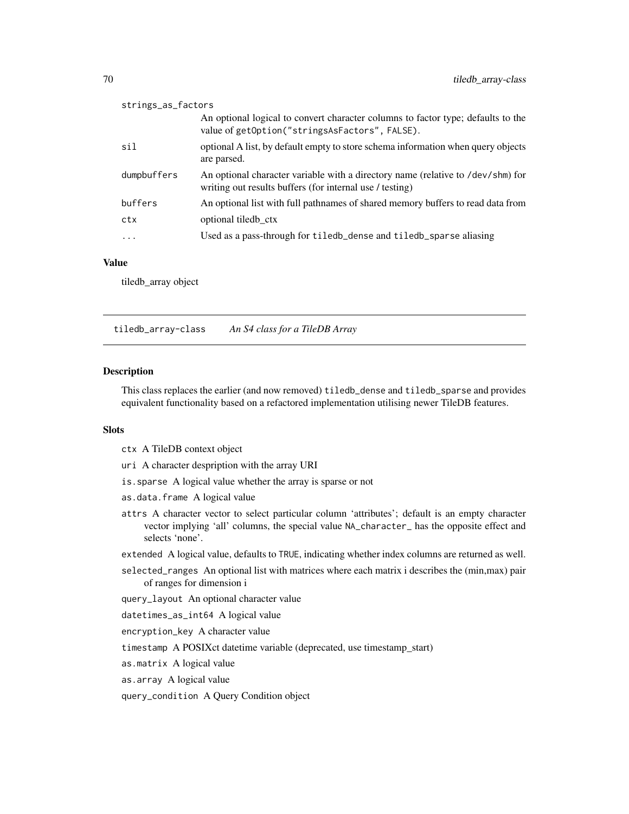| strings_as_factors |                                                                                                                                             |  |
|--------------------|---------------------------------------------------------------------------------------------------------------------------------------------|--|
|                    | An optional logical to convert character columns to factor type; defaults to the<br>value of getOption("stringsAsFactors", FALSE).          |  |
| sil                | optional A list, by default empty to store schema information when query objects<br>are parsed.                                             |  |
| dumpbuffers        | An optional character variable with a directory name (relative to /dev/shm) for<br>writing out results buffers (for internal use / testing) |  |
| buffers            | An optional list with full pathnames of shared memory buffers to read data from                                                             |  |
| ctx                | optional tiledb ctx                                                                                                                         |  |
| $\cdots$           | Used as a pass-through for tiledb_dense and tiledb_sparse aliasing                                                                          |  |

#### Value

tiledb\_array object

tiledb\_array-class *An S4 class for a TileDB Array*

#### Description

This class replaces the earlier (and now removed) tiledb\_dense and tiledb\_sparse and provides equivalent functionality based on a refactored implementation utilising newer TileDB features.

### Slots

- ctx A TileDB context object
- uri A character despription with the array URI
- is.sparse A logical value whether the array is sparse or not
- as.data.frame A logical value
- attrs A character vector to select particular column 'attributes'; default is an empty character vector implying 'all' columns, the special value NA\_character\_ has the opposite effect and selects 'none'.

extended A logical value, defaults to TRUE, indicating whether index columns are returned as well.

- selected\_ranges An optional list with matrices where each matrix i describes the (min,max) pair of ranges for dimension i
- query\_layout An optional character value

datetimes\_as\_int64 A logical value

encryption\_key A character value

timestamp A POSIXct datetime variable (deprecated, use timestamp\_start)

- as.matrix A logical value
- as.array A logical value

query\_condition A Query Condition object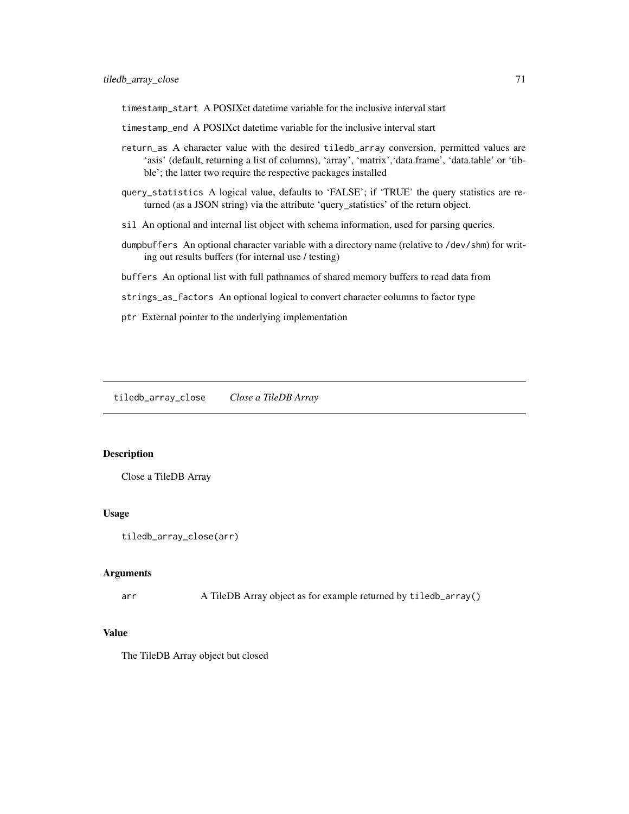timestamp\_start A POSIXct datetime variable for the inclusive interval start

- timestamp\_end A POSIXct datetime variable for the inclusive interval start
- return\_as A character value with the desired tiledb\_array conversion, permitted values are 'asis' (default, returning a list of columns), 'array', 'matrix','data.frame', 'data.table' or 'tibble'; the latter two require the respective packages installed
- query\_statistics A logical value, defaults to 'FALSE'; if 'TRUE' the query statistics are returned (as a JSON string) via the attribute 'query\_statistics' of the return object.
- sil An optional and internal list object with schema information, used for parsing queries.
- dumpbuffers An optional character variable with a directory name (relative to /dev/shm) for writing out results buffers (for internal use / testing)
- buffers An optional list with full pathnames of shared memory buffers to read data from
- strings\_as\_factors An optional logical to convert character columns to factor type
- ptr External pointer to the underlying implementation

tiledb\_array\_close *Close a TileDB Array*

#### **Description**

Close a TileDB Array

#### Usage

```
tiledb_array_close(arr)
```
### Arguments

arr A TileDB Array object as for example returned by tiledb\_array()

### Value

The TileDB Array object but closed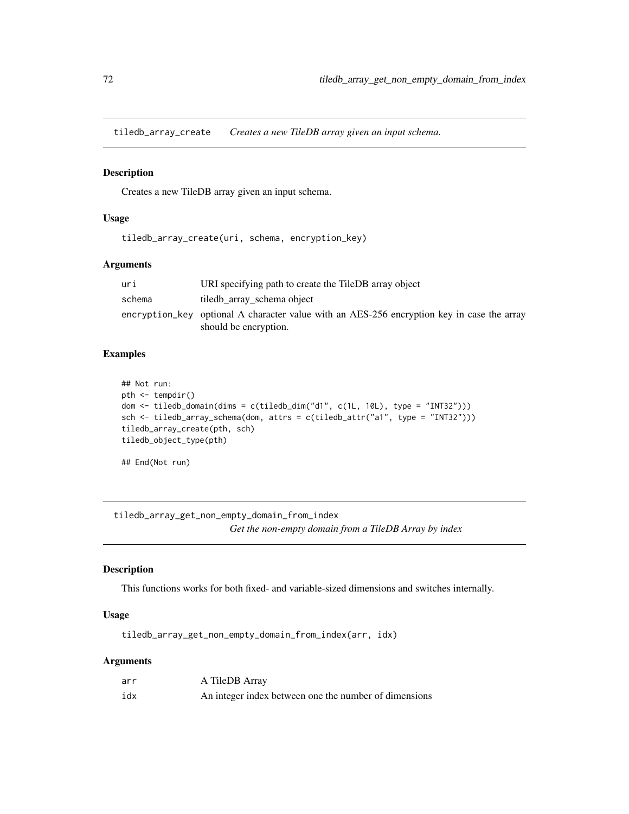tiledb\_array\_create *Creates a new TileDB array given an input schema.*

#### Description

Creates a new TileDB array given an input schema.

#### Usage

tiledb\_array\_create(uri, schema, encryption\_key)

#### Arguments

| uri    | URI specifying path to create the TileDB array object                                      |
|--------|--------------------------------------------------------------------------------------------|
| schema | tiledb_array_schema object                                                                 |
|        | encryption_key optional A character value with an AES-256 encryption key in case the array |
|        | should be encryption.                                                                      |

## Examples

```
## Not run:
pth <- tempdir()
dom <- tiledb_domain(dims = c(tiledb_dim("d1", c(1L, 10L), type = "INT32")))
sch <- tiledb_array_schema(dom, attrs = c(tiledb_attr("a1", type = "INT32")))
tiledb_array_create(pth, sch)
tiledb_object_type(pth)
```
## End(Not run)

tiledb\_array\_get\_non\_empty\_domain\_from\_index *Get the non-empty domain from a TileDB Array by index*

#### Description

This functions works for both fixed- and variable-sized dimensions and switches internally.

### Usage

tiledb\_array\_get\_non\_empty\_domain\_from\_index(arr, idx)

## Arguments

| arr | A TileDB Array                                        |
|-----|-------------------------------------------------------|
| idx | An integer index between one the number of dimensions |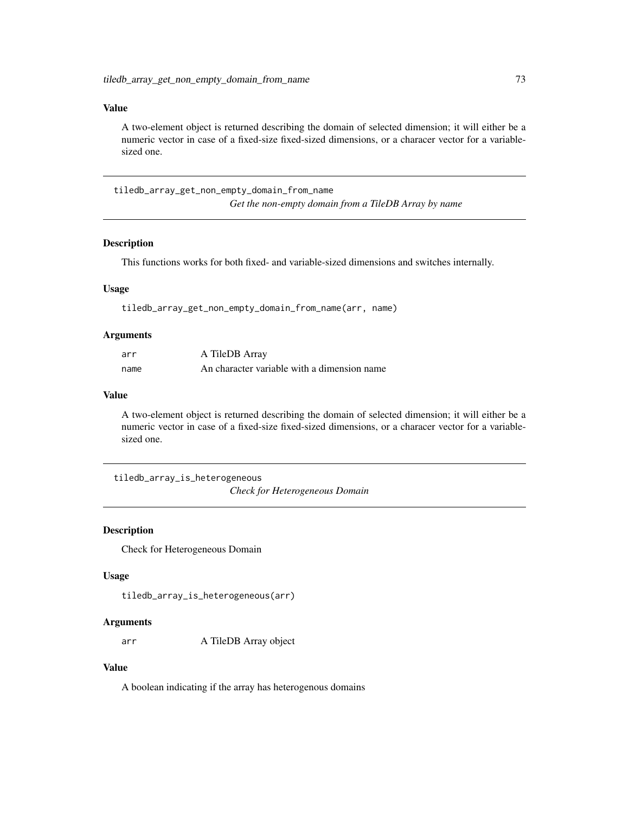### Value

A two-element object is returned describing the domain of selected dimension; it will either be a numeric vector in case of a fixed-size fixed-sized dimensions, or a characer vector for a variablesized one.

tiledb\_array\_get\_non\_empty\_domain\_from\_name *Get the non-empty domain from a TileDB Array by name*

### Description

This functions works for both fixed- and variable-sized dimensions and switches internally.

### Usage

tiledb\_array\_get\_non\_empty\_domain\_from\_name(arr, name)

#### Arguments

| arr  | A TileDB Array                              |
|------|---------------------------------------------|
| name | An character variable with a dimension name |

### Value

A two-element object is returned describing the domain of selected dimension; it will either be a numeric vector in case of a fixed-size fixed-sized dimensions, or a characer vector for a variablesized one.

tiledb\_array\_is\_heterogeneous *Check for Heterogeneous Domain*

#### Description

Check for Heterogeneous Domain

### Usage

tiledb\_array\_is\_heterogeneous(arr)

#### Arguments

arr A TileDB Array object

## Value

A boolean indicating if the array has heterogenous domains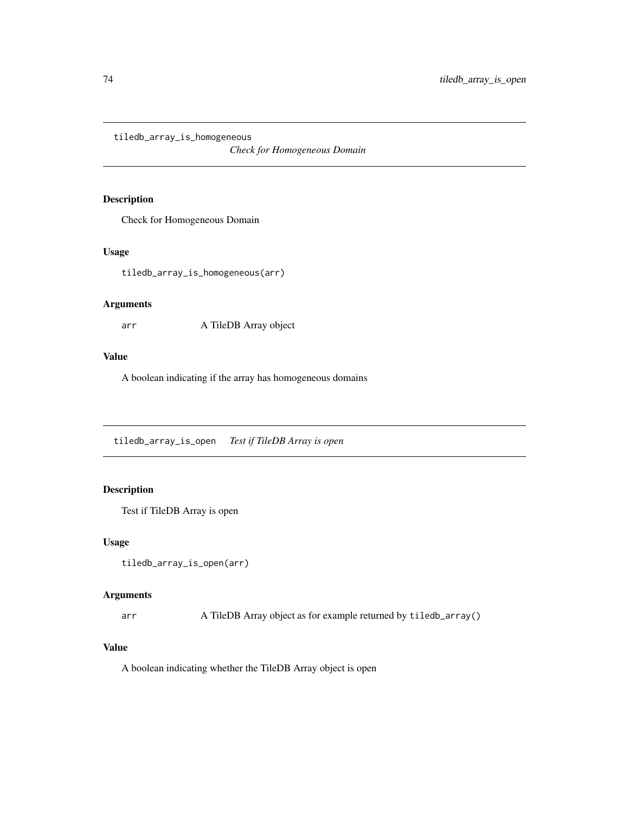tiledb\_array\_is\_homogeneous

*Check for Homogeneous Domain*

# Description

Check for Homogeneous Domain

#### Usage

tiledb\_array\_is\_homogeneous(arr)

## Arguments

arr A TileDB Array object

### Value

A boolean indicating if the array has homogeneous domains

tiledb\_array\_is\_open *Test if TileDB Array is open*

# Description

Test if TileDB Array is open

#### Usage

```
tiledb_array_is_open(arr)
```
### Arguments

arr A TileDB Array object as for example returned by tiledb\_array()

## Value

A boolean indicating whether the TileDB Array object is open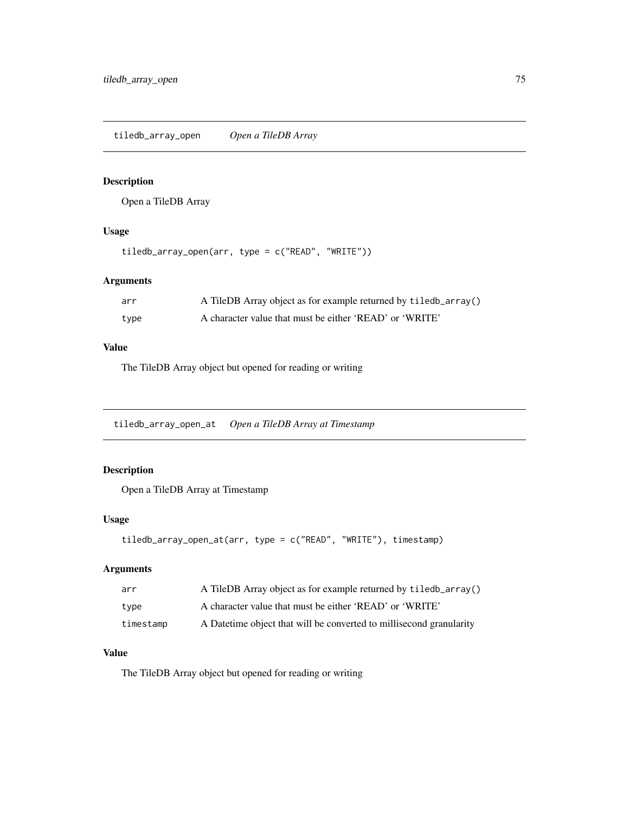tiledb\_array\_open *Open a TileDB Array*

### Description

Open a TileDB Array

## Usage

tiledb\_array\_open(arr, type = c("READ", "WRITE"))

## Arguments

| arr  | A TileDB Array object as for example returned by tiledb_array() |
|------|-----------------------------------------------------------------|
| type | A character value that must be either 'READ' or 'WRITE'         |

## Value

The TileDB Array object but opened for reading or writing

tiledb\_array\_open\_at *Open a TileDB Array at Timestamp*

## Description

Open a TileDB Array at Timestamp

## Usage

```
tiledb_array_open_at(arr, type = c("READ", "WRITE"), timestamp)
```
# Arguments

| arr       | A TileDB Array object as for example returned by tiledb_array()      |
|-----------|----------------------------------------------------------------------|
| type      | A character value that must be either 'READ' or 'WRITE'              |
| timestamp | A Date time object that will be converted to millisecond granularity |

# Value

The TileDB Array object but opened for reading or writing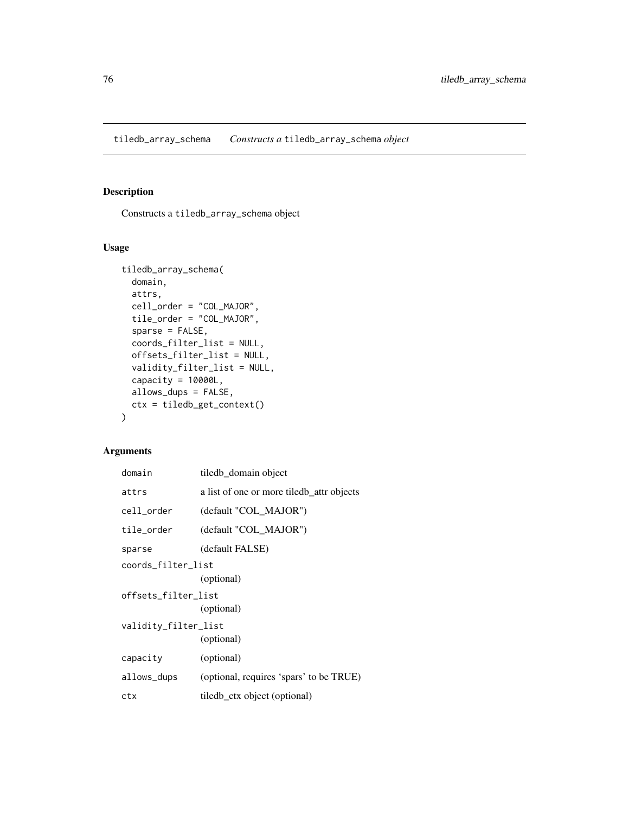tiledb\_array\_schema *Constructs a* tiledb\_array\_schema *object*

## Description

Constructs a tiledb\_array\_schema object

## Usage

```
tiledb_array_schema(
  domain,
  attrs,
  cell_order = "COL_MAJOR",
  tile_order = "COL_MAJOR",
  sparse = FALSE,
  coords_filter_list = NULL,
  offsets_filter_list = NULL,
  validity_filter_list = NULL,
  capacity = 10000L,
 allows_dups = FALSE,
  ctx = tiledb_get_context()
)
```
## Arguments

| domain               | tiledb_domain object                      |  |
|----------------------|-------------------------------------------|--|
| attrs                | a list of one or more tiledb attr objects |  |
| cell_order           | (default "COL_MAJOR")                     |  |
| tile_order           | (default "COL_MAJOR")                     |  |
| sparse               | (default FALSE)                           |  |
| coords_filter_list   |                                           |  |
|                      | (optional)                                |  |
| offsets_filter_list  |                                           |  |
|                      | (optional)                                |  |
| validity_filter_list |                                           |  |
|                      | (optional)                                |  |
| capacity             | (optional)                                |  |
| allows_dups          | (optional, requires 'spars' to be TRUE)   |  |
| ctx                  | tiledb ctx object (optional)              |  |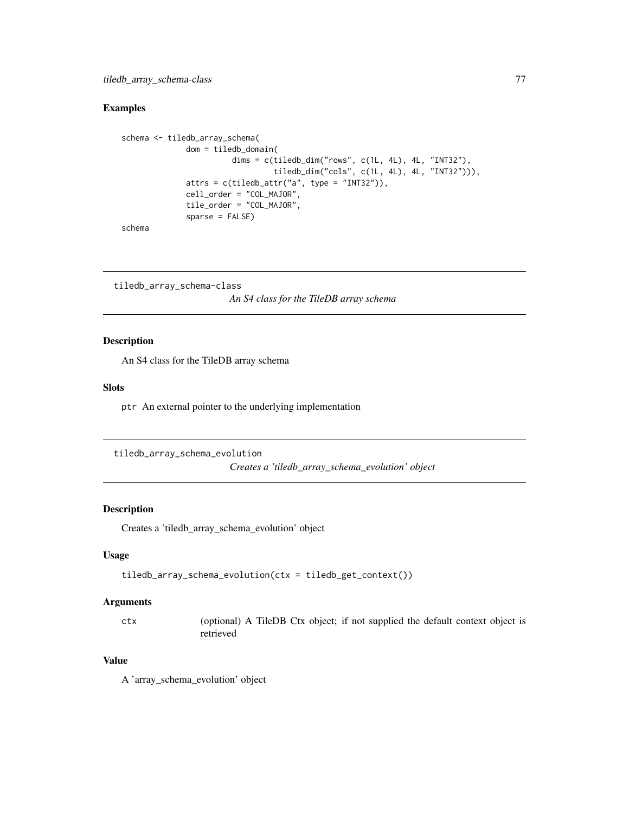### Examples

```
schema <- tiledb_array_schema(
              dom = tiledb_domain(
                        dims = c(tiledb_dim("rows", c(1L, 4L), 4L, "INT32"),
                                 tiledb_dim("cols", c(1L, 4L), 4L, "INT32"))),
              attrs = c(tiledb_attr("a", type = "INT32")),
              cell_order = "COL_MAJOR",
              tile_order = "COL_MAJOR",
              sparse = FALSE)
```
schema

tiledb\_array\_schema-class *An S4 class for the TileDB array schema*

#### Description

An S4 class for the TileDB array schema

#### Slots

ptr An external pointer to the underlying implementation

```
tiledb_array_schema_evolution
```
*Creates a 'tiledb\_array\_schema\_evolution' object*

### Description

Creates a 'tiledb\_array\_schema\_evolution' object

### Usage

```
tiledb_array_schema_evolution(ctx = tiledb_get_context())
```
#### Arguments

ctx (optional) A TileDB Ctx object; if not supplied the default context object is retrieved

## Value

A 'array\_schema\_evolution' object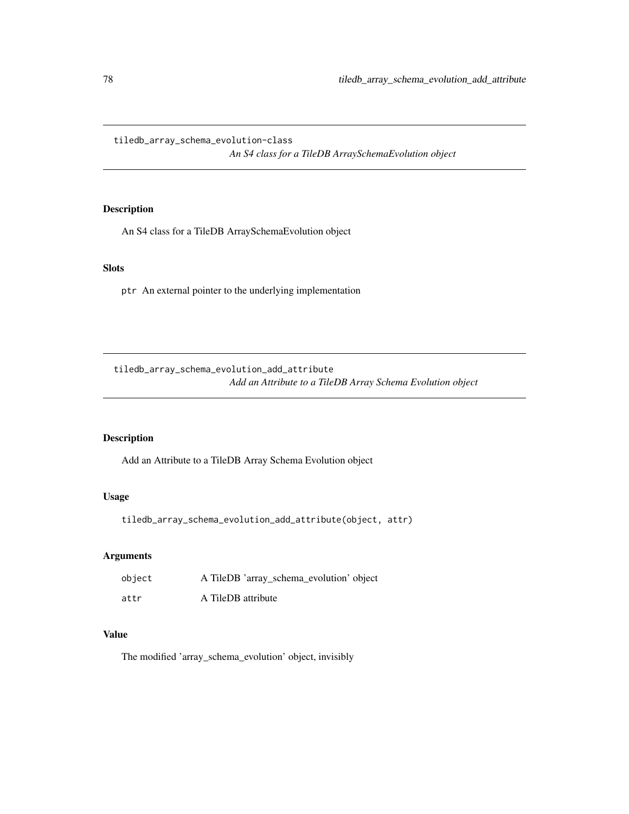tiledb\_array\_schema\_evolution-class

*An S4 class for a TileDB ArraySchemaEvolution object*

### Description

An S4 class for a TileDB ArraySchemaEvolution object

# Slots

ptr An external pointer to the underlying implementation

tiledb\_array\_schema\_evolution\_add\_attribute *Add an Attribute to a TileDB Array Schema Evolution object*

## Description

Add an Attribute to a TileDB Array Schema Evolution object

# Usage

tiledb\_array\_schema\_evolution\_add\_attribute(object, attr)

### Arguments

| object | A TileDB 'array_schema_evolution' object |
|--------|------------------------------------------|
| attr   | A TileDB attribute                       |

# Value

The modified 'array\_schema\_evolution' object, invisibly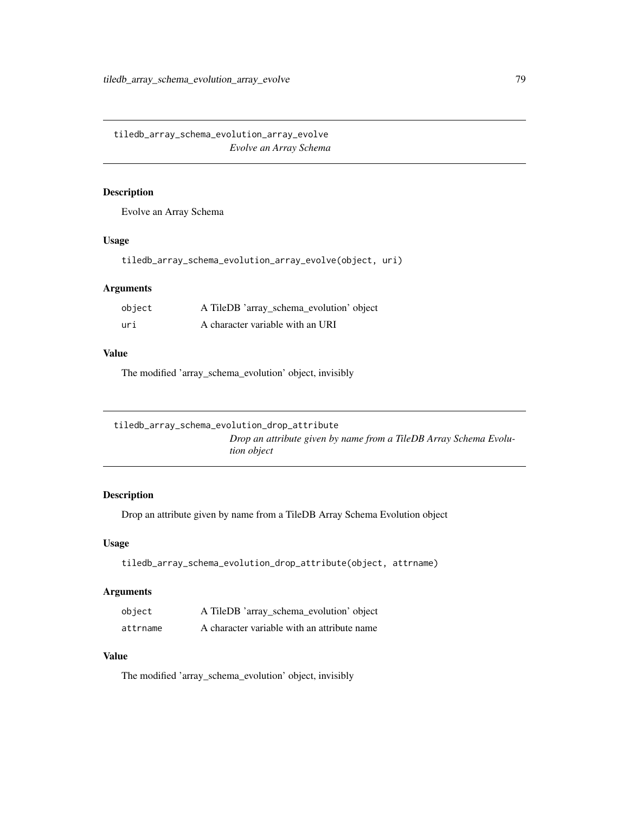tiledb\_array\_schema\_evolution\_array\_evolve *Evolve an Array Schema*

### Description

Evolve an Array Schema

#### Usage

tiledb\_array\_schema\_evolution\_array\_evolve(object, uri)

## Arguments

| object | A TileDB 'array_schema_evolution' object |
|--------|------------------------------------------|
| uri    | A character variable with an URI         |

### Value

The modified 'array\_schema\_evolution' object, invisibly

| tiledb_array_schema_evolution_drop_attribute |                                                                   |
|----------------------------------------------|-------------------------------------------------------------------|
|                                              | Drop an attribute given by name from a TileDB Array Schema Evolu- |
| <i>tion object</i>                           |                                                                   |

## Description

Drop an attribute given by name from a TileDB Array Schema Evolution object

## Usage

```
tiledb_array_schema_evolution_drop_attribute(object, attrname)
```
# Arguments

| object   | A TileDB 'array_schema_evolution' object    |
|----------|---------------------------------------------|
| attrname | A character variable with an attribute name |

# Value

The modified 'array\_schema\_evolution' object, invisibly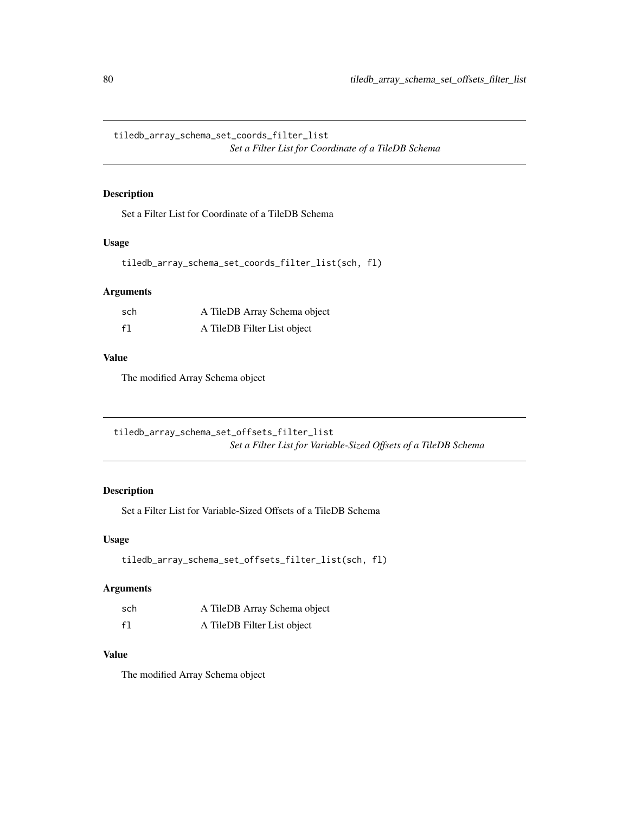tiledb\_array\_schema\_set\_coords\_filter\_list *Set a Filter List for Coordinate of a TileDB Schema*

### Description

Set a Filter List for Coordinate of a TileDB Schema

## Usage

```
tiledb_array_schema_set_coords_filter_list(sch, fl)
```
### Arguments

| sch | A TileDB Array Schema object |
|-----|------------------------------|
| f1  | A TileDB Filter List object  |

# Value

The modified Array Schema object

tiledb\_array\_schema\_set\_offsets\_filter\_list *Set a Filter List for Variable-Sized Offsets of a TileDB Schema*

# Description

Set a Filter List for Variable-Sized Offsets of a TileDB Schema

#### Usage

```
tiledb_array_schema_set_offsets_filter_list(sch, fl)
```
## Arguments

| sch | A TileDB Array Schema object |
|-----|------------------------------|
| f1  | A TileDB Filter List object  |

## Value

The modified Array Schema object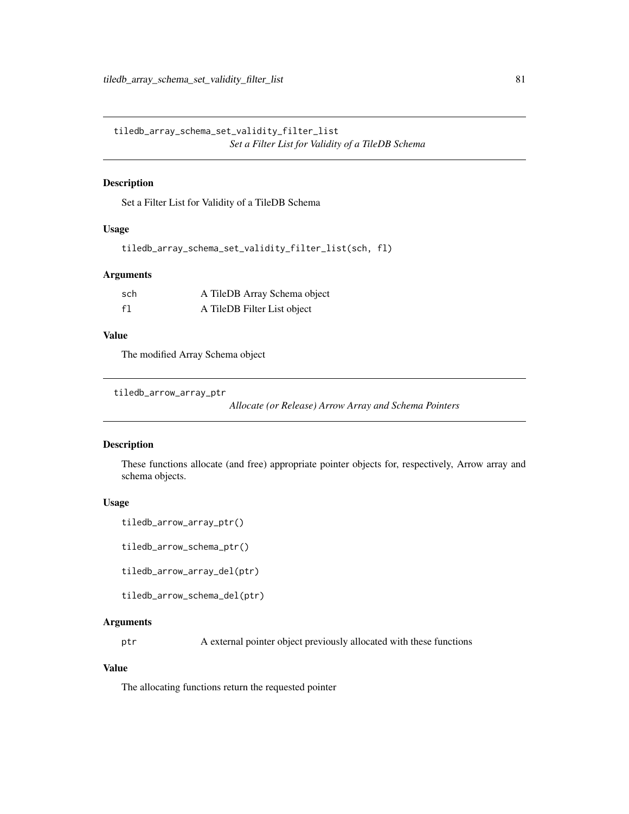tiledb\_array\_schema\_set\_validity\_filter\_list *Set a Filter List for Validity of a TileDB Schema*

### Description

Set a Filter List for Validity of a TileDB Schema

### Usage

```
tiledb_array_schema_set_validity_filter_list(sch, fl)
```
#### Arguments

| sch | A TileDB Array Schema object |
|-----|------------------------------|
| f1  | A TileDB Filter List object  |

# Value

The modified Array Schema object

```
tiledb_arrow_array_ptr
```
*Allocate (or Release) Arrow Array and Schema Pointers*

#### Description

These functions allocate (and free) appropriate pointer objects for, respectively, Arrow array and schema objects.

## Usage

```
tiledb_arrow_array_ptr()
```
tiledb\_arrow\_schema\_ptr()

tiledb\_arrow\_array\_del(ptr)

```
tiledb_arrow_schema_del(ptr)
```
#### Arguments

ptr A external pointer object previously allocated with these functions

## Value

The allocating functions return the requested pointer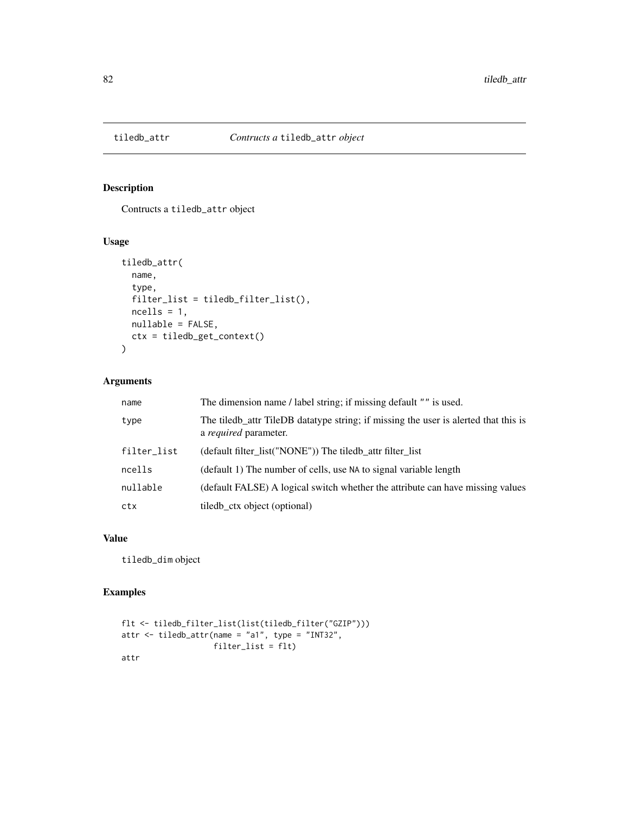# Description

Contructs a tiledb\_attr object

#### Usage

```
tiledb_attr(
  name,
  type,
 filter_list = tiledb_filter_list(),
 ncells = 1,
 nullable = FALSE,
 ctx = tiledb_get_context()
\mathcal{L}
```
## Arguments

| name        | The dimension name / label string; if missing default "" is used.                                              |
|-------------|----------------------------------------------------------------------------------------------------------------|
| type        | The tiled batter TileDB data type string; if missing the user is alerted that this is<br>a required parameter. |
| filter_list | (default filter_list("NONE")) The tiledb_attr filter_list                                                      |
| ncells      | (default 1) The number of cells, use NA to signal variable length                                              |
| nullable    | (default FALSE) A logical switch whether the attribute can have missing values                                 |
| ctx         | tiled b_ctx object (optional)                                                                                  |

# Value

tiledb\_dim object

## Examples

```
flt <- tiledb_filter_list(list(tiledb_filter("GZIP")))
attr <- tiledb_attr(name = "a1", type = "INT32",
                    filter_list = flt)
attr
```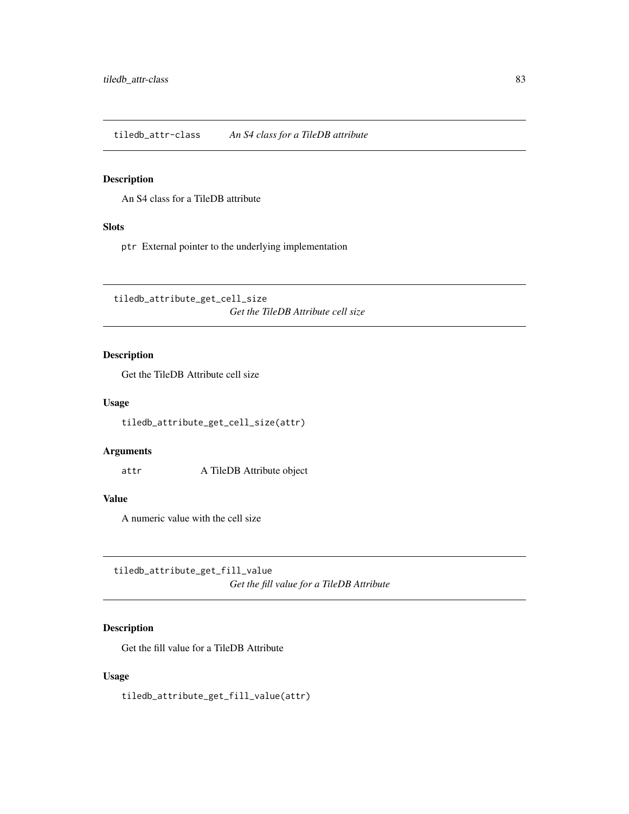tiledb\_attr-class *An S4 class for a TileDB attribute*

## Description

An S4 class for a TileDB attribute

# Slots

ptr External pointer to the underlying implementation

tiledb\_attribute\_get\_cell\_size *Get the TileDB Attribute cell size*

### Description

Get the TileDB Attribute cell size

#### Usage

tiledb\_attribute\_get\_cell\_size(attr)

#### Arguments

attr A TileDB Attribute object

### Value

A numeric value with the cell size

tiledb\_attribute\_get\_fill\_value *Get the fill value for a TileDB Attribute*

# Description

Get the fill value for a TileDB Attribute

## Usage

tiledb\_attribute\_get\_fill\_value(attr)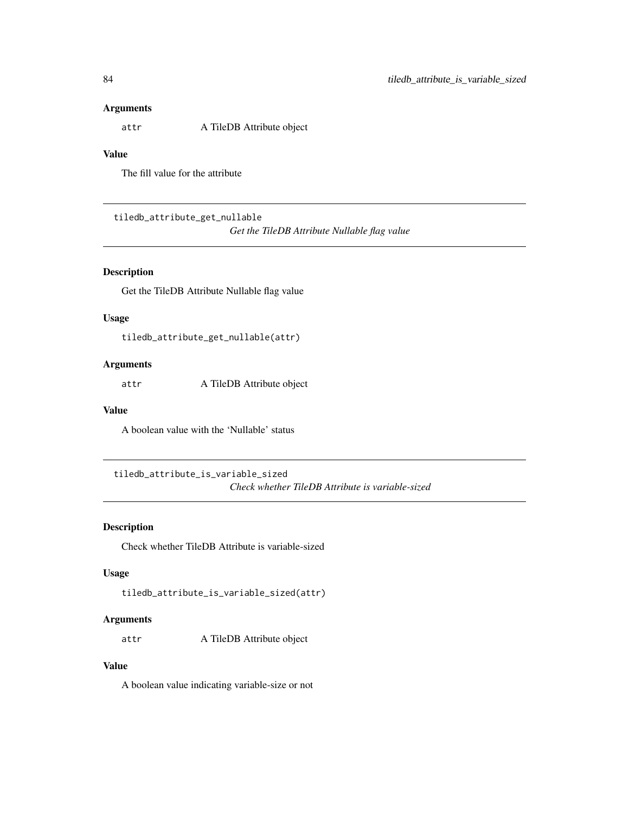#### Arguments

attr A TileDB Attribute object

### Value

The fill value for the attribute

tiledb\_attribute\_get\_nullable

*Get the TileDB Attribute Nullable flag value*

# Description

Get the TileDB Attribute Nullable flag value

## Usage

tiledb\_attribute\_get\_nullable(attr)

## Arguments

attr A TileDB Attribute object

## Value

A boolean value with the 'Nullable' status

tiledb\_attribute\_is\_variable\_sized *Check whether TileDB Attribute is variable-sized*

### Description

Check whether TileDB Attribute is variable-sized

# Usage

tiledb\_attribute\_is\_variable\_sized(attr)

## Arguments

attr A TileDB Attribute object

# Value

A boolean value indicating variable-size or not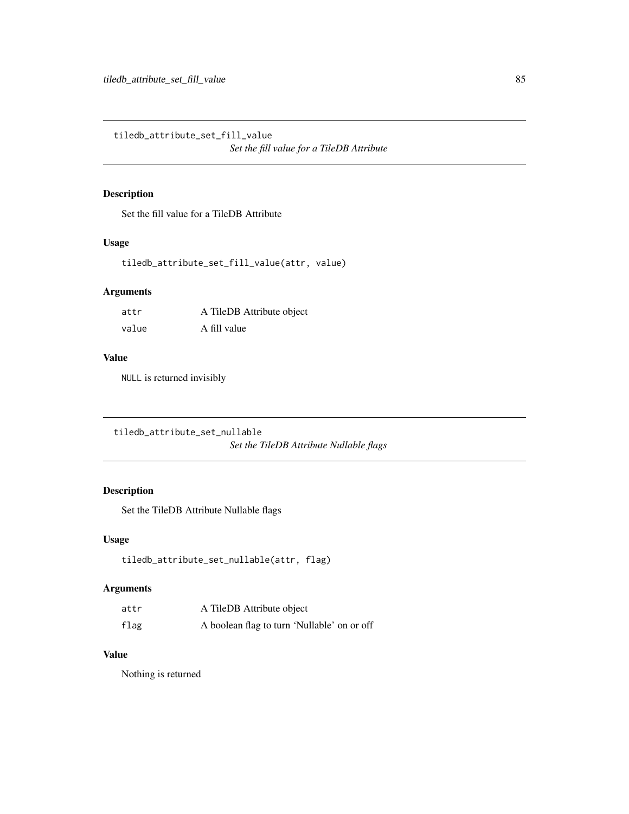tiledb\_attribute\_set\_fill\_value *Set the fill value for a TileDB Attribute*

# Description

Set the fill value for a TileDB Attribute

# Usage

```
tiledb_attribute_set_fill_value(attr, value)
```
## Arguments

| attr  | A TileDB Attribute object |
|-------|---------------------------|
| value | A fill value              |

#### Value

NULL is returned invisibly

tiledb\_attribute\_set\_nullable *Set the TileDB Attribute Nullable flags*

# Description

Set the TileDB Attribute Nullable flags

## Usage

```
tiledb_attribute_set_nullable(attr, flag)
```
## Arguments

| attr | A TileDB Attribute object                   |
|------|---------------------------------------------|
| flag | A boolean flag to turn 'Nullable' on or off |

## Value

Nothing is returned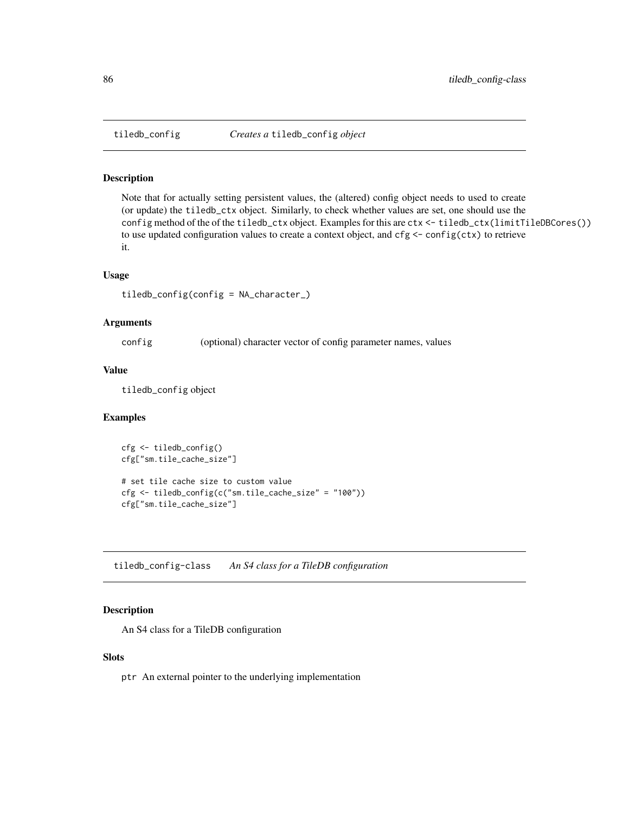#### Description

Note that for actually setting persistent values, the (altered) config object needs to used to create (or update) the tiledb\_ctx object. Similarly, to check whether values are set, one should use the config method of the of the tiledb\_ctx object. Examples for this are ctx <- tiledb\_ctx(limitTileDBCores()) to use updated configuration values to create a context object, and  $cfg \leftarrow config(ctx)$  to retrieve it.

#### Usage

```
tiledb_config(config = NA_character_)
```
### Arguments

config (optional) character vector of config parameter names, values

### Value

tiledb\_config object

#### Examples

```
cfg <- tiledb_config()
cfg["sm.tile_cache_size"]
# set tile cache size to custom value
cfg <- tiledb_config(c("sm.tile_cache_size" = "100"))
cfg["sm.tile_cache_size"]
```
tiledb\_config-class *An S4 class for a TileDB configuration*

#### Description

An S4 class for a TileDB configuration

#### Slots

ptr An external pointer to the underlying implementation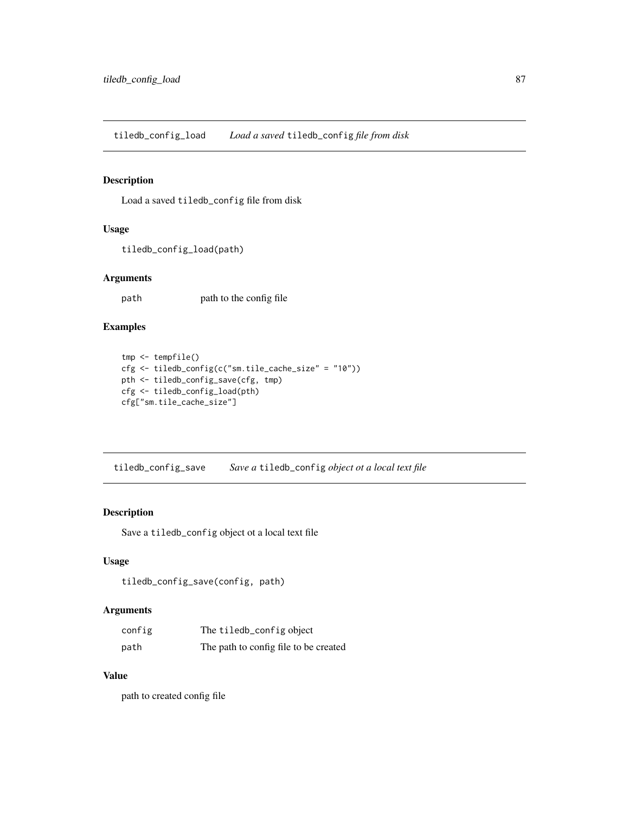tiledb\_config\_load *Load a saved* tiledb\_config *file from disk*

## Description

Load a saved tiledb\_config file from disk

### Usage

```
tiledb_config_load(path)
```
### Arguments

path path to the config file

## Examples

```
tmp <- tempfile()
cfg <- tiledb_config(c("sm.tile_cache_size" = "10"))
pth <- tiledb_config_save(cfg, tmp)
cfg <- tiledb_config_load(pth)
cfg["sm.tile_cache_size"]
```
tiledb\_config\_save *Save a* tiledb\_config *object ot a local text file*

#### Description

Save a tiledb\_config object ot a local text file

#### Usage

```
tiledb_config_save(config, path)
```
## Arguments

| config | The tiledb_config object              |
|--------|---------------------------------------|
| path   | The path to config file to be created |

#### Value

path to created config file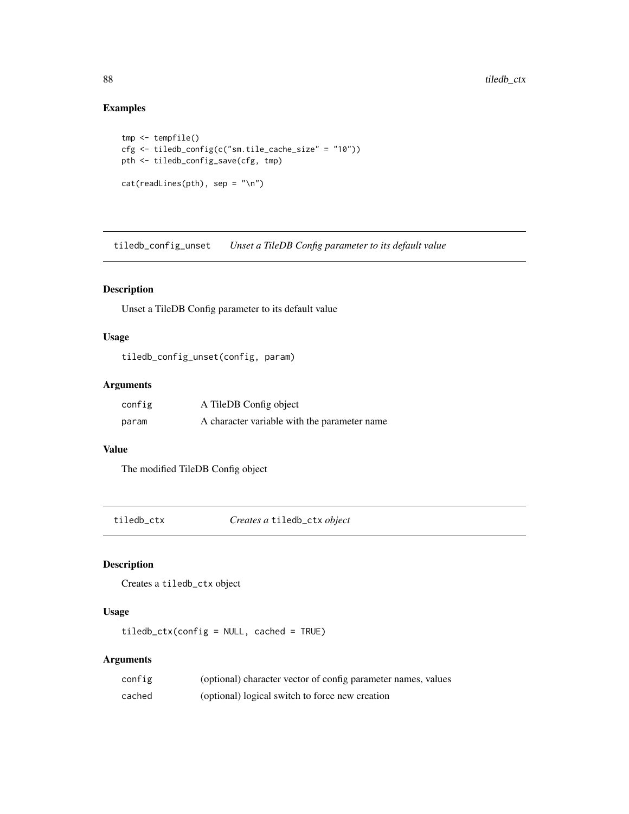# Examples

```
tmp <- tempfile()
cfg <- tiledb_config(c("sm.tile_cache_size" = "10"))
pth <- tiledb_config_save(cfg, tmp)
cat(readLines(pth), sep = "\n")
```
tiledb\_config\_unset *Unset a TileDB Config parameter to its default value*

### Description

Unset a TileDB Config parameter to its default value

### Usage

tiledb\_config\_unset(config, param)

### Arguments

| config | A TileDB Config object                       |
|--------|----------------------------------------------|
| param  | A character variable with the parameter name |

### Value

The modified TileDB Config object

tiledb\_ctx *Creates a* tiledb\_ctx *object*

#### Description

Creates a tiledb\_ctx object

# Usage

tiledb\_ctx(config = NULL, cached = TRUE)

## Arguments

| config | (optional) character vector of config parameter names, values |
|--------|---------------------------------------------------------------|
| cached | (optional) logical switch to force new creation               |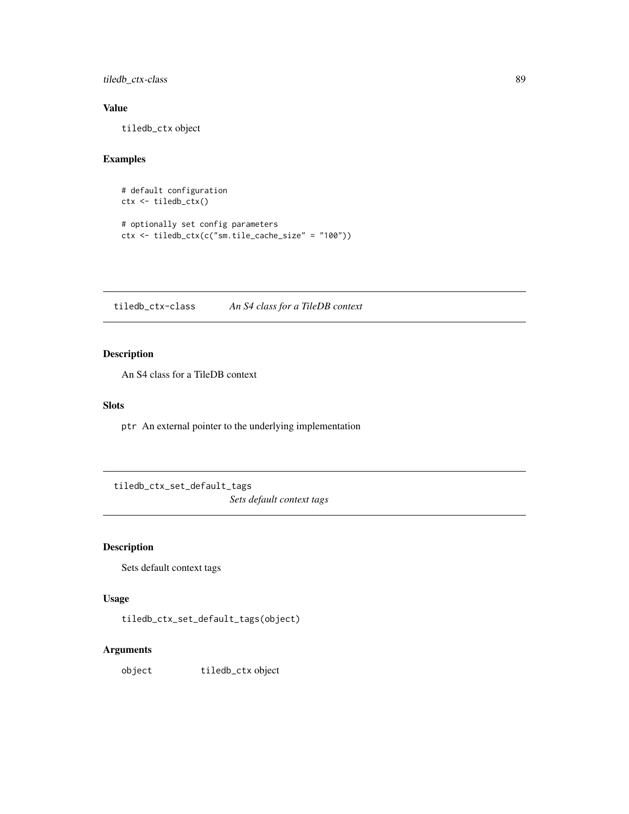tiledb\_ctx-class 89

## Value

tiledb\_ctx object

### Examples

```
# default configuration
ctx <- tiledb_ctx()
# optionally set config parameters
ctx <- tiledb_ctx(c("sm.tile_cache_size" = "100"))
```
tiledb\_ctx-class *An S4 class for a TileDB context*

## Description

An S4 class for a TileDB context

### Slots

ptr An external pointer to the underlying implementation

tiledb\_ctx\_set\_default\_tags

*Sets default context tags*

## Description

Sets default context tags

# Usage

tiledb\_ctx\_set\_default\_tags(object)

## Arguments

object tiledb\_ctx object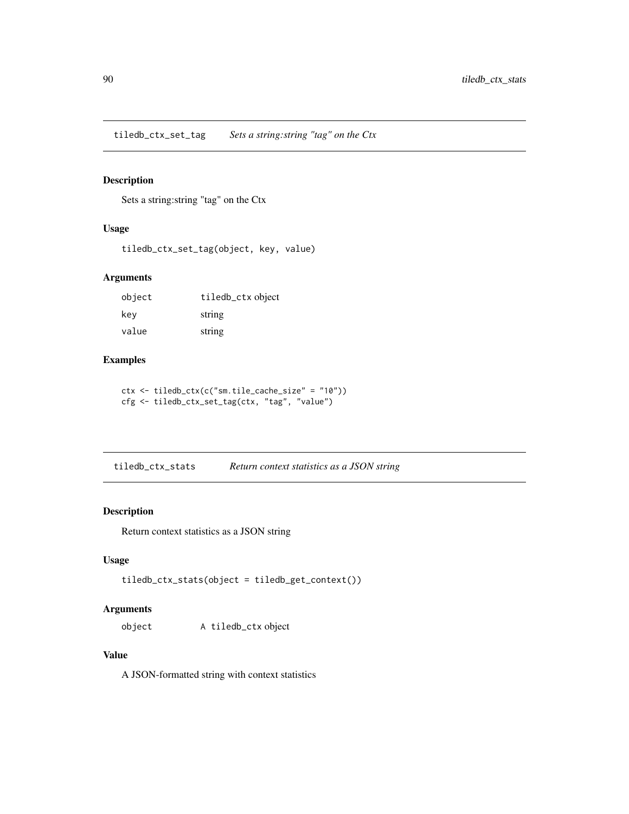tiledb\_ctx\_set\_tag *Sets a string:string "tag" on the Ctx*

## Description

Sets a string:string "tag" on the Ctx

### Usage

tiledb\_ctx\_set\_tag(object, key, value)

## Arguments

| object | tiledb_ctx object |
|--------|-------------------|
| key    | string            |
| value  | string            |

#### Examples

ctx <- tiledb\_ctx(c("sm.tile\_cache\_size" = "10")) cfg <- tiledb\_ctx\_set\_tag(ctx, "tag", "value")

tiledb\_ctx\_stats *Return context statistics as a JSON string*

#### Description

Return context statistics as a JSON string

#### Usage

```
tiledb_ctx_stats(object = tiledb_get_context())
```
## Arguments

object A tiledb\_ctx object

### Value

A JSON-formatted string with context statistics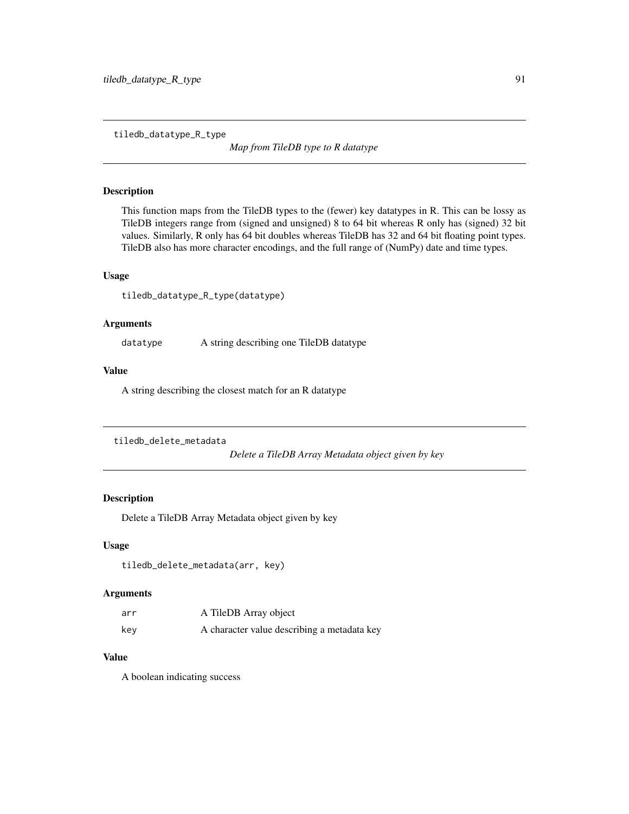tiledb\_datatype\_R\_type

*Map from TileDB type to R datatype*

### Description

This function maps from the TileDB types to the (fewer) key datatypes in R. This can be lossy as TileDB integers range from (signed and unsigned) 8 to 64 bit whereas R only has (signed) 32 bit values. Similarly, R only has 64 bit doubles whereas TileDB has 32 and 64 bit floating point types. TileDB also has more character encodings, and the full range of (NumPy) date and time types.

#### Usage

tiledb\_datatype\_R\_type(datatype)

### Arguments

datatype A string describing one TileDB datatype

#### Value

A string describing the closest match for an R datatype

```
tiledb_delete_metadata
```
*Delete a TileDB Array Metadata object given by key*

### Description

Delete a TileDB Array Metadata object given by key

#### Usage

tiledb\_delete\_metadata(arr, key)

# Arguments

| arr | A TileDB Array object                       |
|-----|---------------------------------------------|
| kev | A character value describing a metadata key |

## Value

A boolean indicating success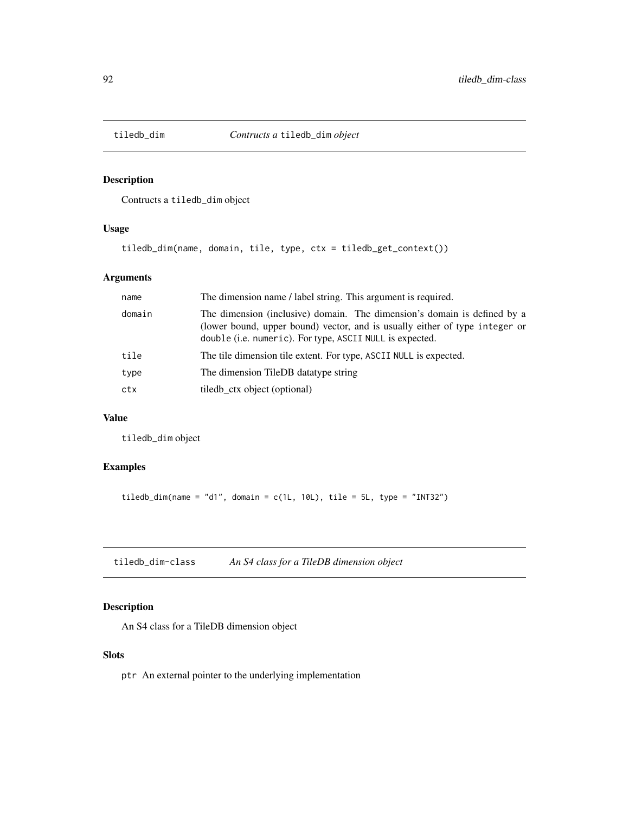## Description

Contructs a tiledb\_dim object

### Usage

```
tiledb_dim(name, domain, tile, type, ctx = tiledb_get_context())
```
# Arguments

| name   | The dimension name / label string. This argument is required.                                                                                                                                                       |
|--------|---------------------------------------------------------------------------------------------------------------------------------------------------------------------------------------------------------------------|
| domain | The dimension (inclusive) domain. The dimension's domain is defined by a<br>(lower bound, upper bound) vector, and is usually either of type integer or<br>double (i.e. numeric). For type, ASCII NULL is expected. |
| tile   | The tile dimension tile extent. For type, ASCII NULL is expected.                                                                                                                                                   |
| type   | The dimension TileDB datatype string                                                                                                                                                                                |
| ctx    | tiled ctx object (optional)                                                                                                                                                                                         |

# Value

tiledb\_dim object

## Examples

tiledb\_dim(name = "d1", domain =  $c(1L, 10L)$ , tile = 5L, type = "INT32")

tiledb\_dim-class *An S4 class for a TileDB dimension object*

### Description

An S4 class for a TileDB dimension object

#### Slots

ptr An external pointer to the underlying implementation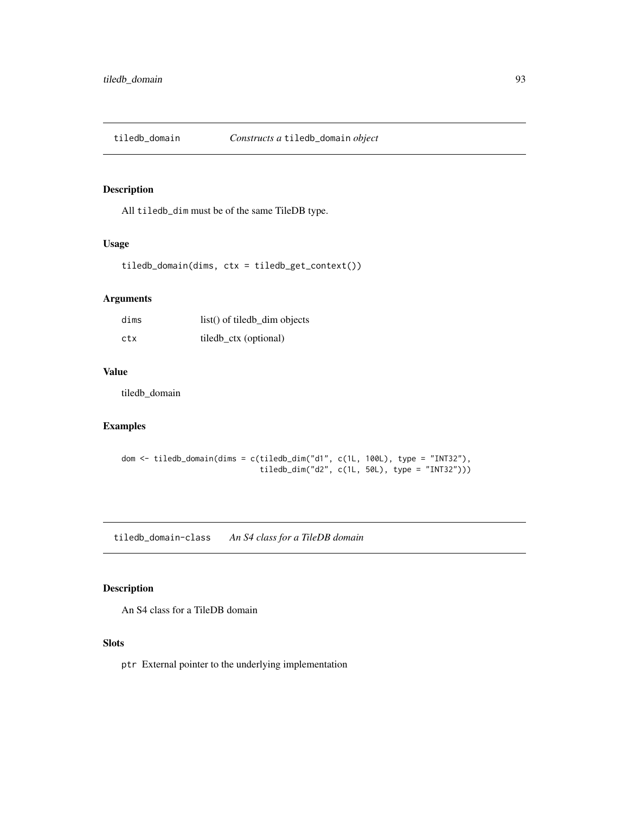## Description

All tiledb\_dim must be of the same TileDB type.

### Usage

tiledb\_domain(dims, ctx = tiledb\_get\_context())

## Arguments

| dims | $list()$ of tiledb dim objects |
|------|--------------------------------|
| ctx  | tiledb_ctx (optional)          |

### Value

tiledb\_domain

## Examples

```
dom <- tiledb_domain(dims = c(tiledb_dim("d1", c(1L, 100L), type = "INT32"),
                              tiledb_dim("d2", c(1L, 50L), type = "INT32")))
```
tiledb\_domain-class *An S4 class for a TileDB domain*

## Description

An S4 class for a TileDB domain

### Slots

ptr External pointer to the underlying implementation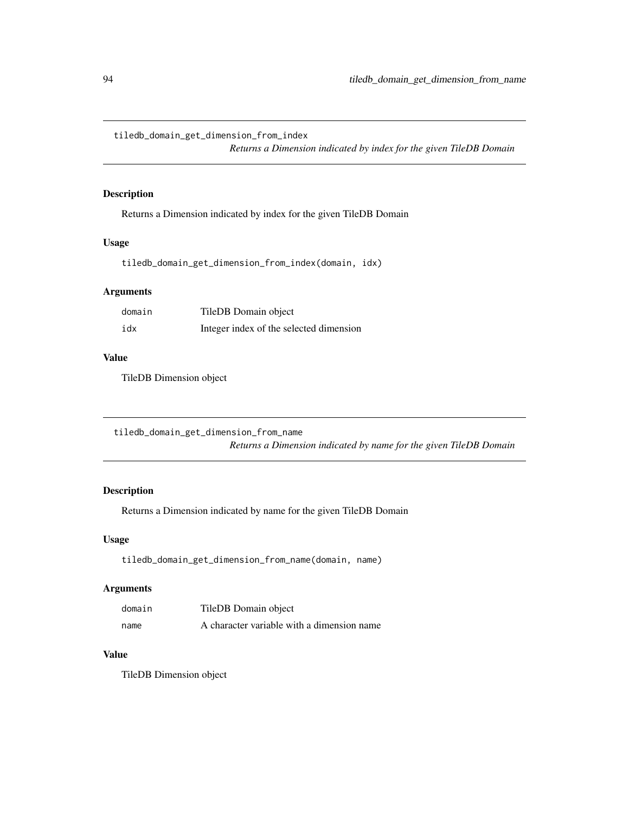tiledb\_domain\_get\_dimension\_from\_index

*Returns a Dimension indicated by index for the given TileDB Domain*

### Description

Returns a Dimension indicated by index for the given TileDB Domain

# Usage

tiledb\_domain\_get\_dimension\_from\_index(domain, idx)

## Arguments

| domain | TileDB Domain object                    |
|--------|-----------------------------------------|
| idx    | Integer index of the selected dimension |

# Value

TileDB Dimension object

tiledb\_domain\_get\_dimension\_from\_name *Returns a Dimension indicated by name for the given TileDB Domain*

# Description

Returns a Dimension indicated by name for the given TileDB Domain

### Usage

tiledb\_domain\_get\_dimension\_from\_name(domain, name)

# Arguments

| domain | TileDB Domain object                       |
|--------|--------------------------------------------|
| name   | A character variable with a dimension name |

### Value

TileDB Dimension object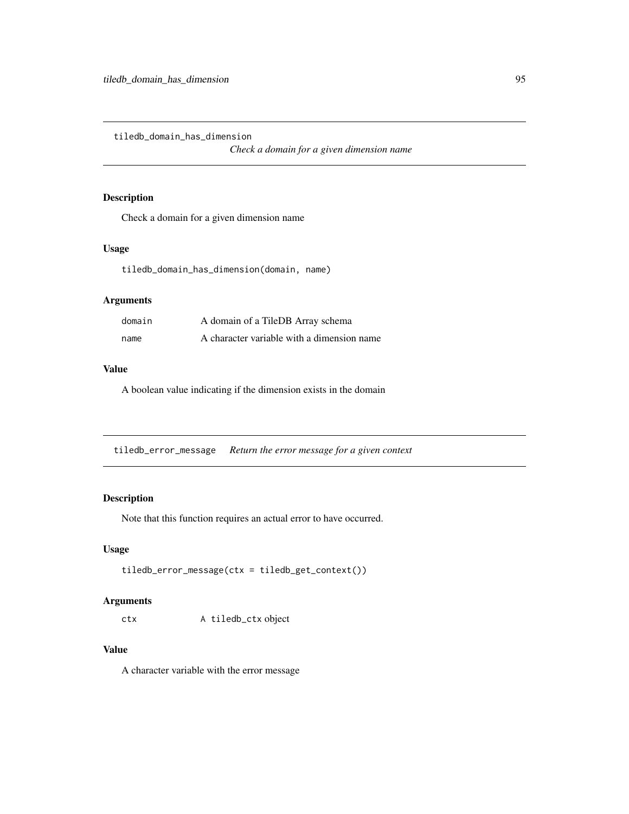tiledb\_domain\_has\_dimension

*Check a domain for a given dimension name*

## Description

Check a domain for a given dimension name

# Usage

tiledb\_domain\_has\_dimension(domain, name)

# Arguments

| domain | A domain of a TileDB Array schema          |
|--------|--------------------------------------------|
| name   | A character variable with a dimension name |

#### Value

A boolean value indicating if the dimension exists in the domain

tiledb\_error\_message *Return the error message for a given context*

# Description

Note that this function requires an actual error to have occurred.

### Usage

```
tiledb_error_message(ctx = tiledb_get_context())
```
#### Arguments

ctx A tiledb\_ctx object

### Value

A character variable with the error message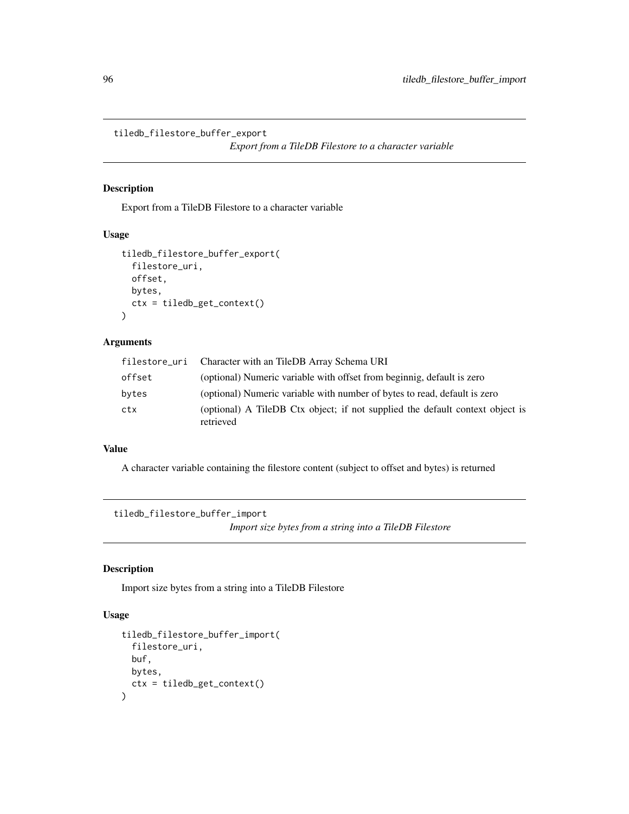tiledb\_filestore\_buffer\_export

*Export from a TileDB Filestore to a character variable*

### Description

Export from a TileDB Filestore to a character variable

#### Usage

```
tiledb_filestore_buffer_export(
  filestore_uri,
 offset,
 bytes,
  ctx = tiledb_get_context()
)
```
#### Arguments

|        | filestore_uri Character with an TileDB Array Schema URI                                    |
|--------|--------------------------------------------------------------------------------------------|
| offset | (optional) Numeric variable with offset from beginnig, default is zero                     |
| bytes  | (optional) Numeric variable with number of bytes to read, default is zero                  |
| ctx    | (optional) A TileDB Ctx object; if not supplied the default context object is<br>retrieved |

## Value

A character variable containing the filestore content (subject to offset and bytes) is returned

tiledb\_filestore\_buffer\_import *Import size bytes from a string into a TileDB Filestore*

# Description

Import size bytes from a string into a TileDB Filestore

# Usage

```
tiledb_filestore_buffer_import(
  filestore_uri,
 buf,
 bytes,
  ctx = tiledb_get_context()
)
```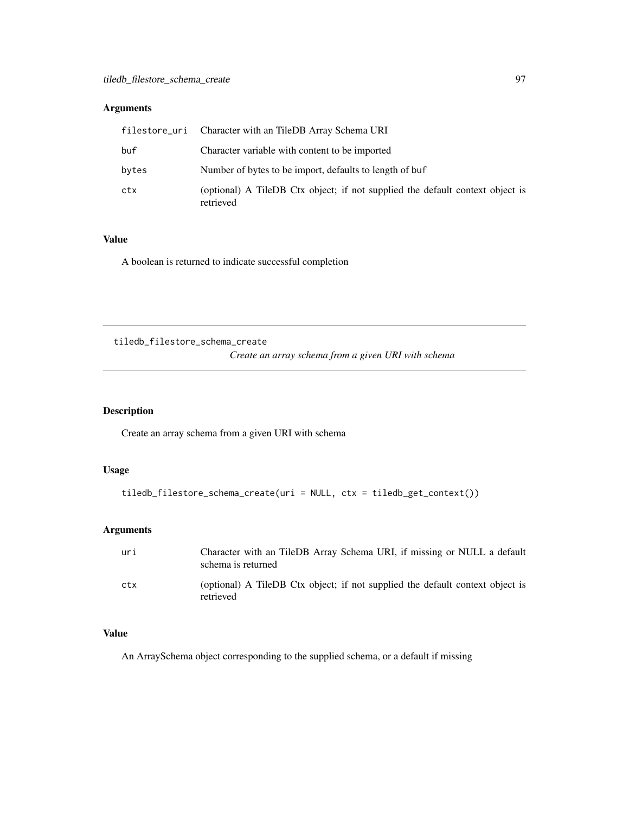# Arguments

|       | filestore_uri Character with an TileDB Array Schema URI                                    |
|-------|--------------------------------------------------------------------------------------------|
| buf   | Character variable with content to be imported                                             |
| bytes | Number of bytes to be import, defaults to length of buf                                    |
| ctx   | (optional) A TileDB Ctx object; if not supplied the default context object is<br>retrieved |

# Value

A boolean is returned to indicate successful completion

tiledb\_filestore\_schema\_create

*Create an array schema from a given URI with schema*

## Description

Create an array schema from a given URI with schema

#### Usage

```
tiledb_filestore_schema_create(uri = NULL, ctx = tiledb_get_context())
```
## Arguments

| uri | Character with an TileDB Array Schema URI, if missing or NULL a default<br>schema is returned |
|-----|-----------------------------------------------------------------------------------------------|
| ctx | (optional) A TileDB Ctx object; if not supplied the default context object is<br>retrieved    |

# Value

An ArraySchema object corresponding to the supplied schema, or a default if missing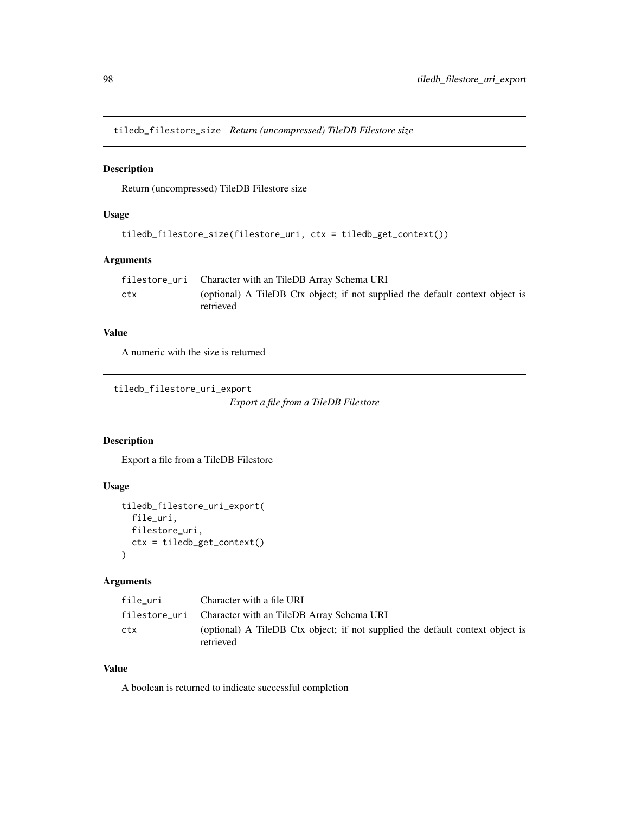tiledb\_filestore\_size *Return (uncompressed) TileDB Filestore size*

# Description

Return (uncompressed) TileDB Filestore size

## Usage

```
tiledb_filestore_size(filestore_uri, ctx = tiledb_get_context())
```
## Arguments

|     | filestore_uri Character with an TileDB Array Schema URI                                    |
|-----|--------------------------------------------------------------------------------------------|
| ctx | (optional) A TileDB Ctx object; if not supplied the default context object is<br>retrieved |

### Value

A numeric with the size is returned

tiledb\_filestore\_uri\_export

*Export a file from a TileDB Filestore*

# Description

Export a file from a TileDB Filestore

# Usage

```
tiledb_filestore_uri_export(
  file_uri,
 filestore_uri,
  ctx = tiledb_get_context()
)
```
#### Arguments

| file uri | Character with a file URI                                                                  |
|----------|--------------------------------------------------------------------------------------------|
|          | filestore_uri Character with an TileDB Array Schema URI                                    |
| ctx      | (optional) A TileDB Ctx object; if not supplied the default context object is<br>retrieved |

# Value

A boolean is returned to indicate successful completion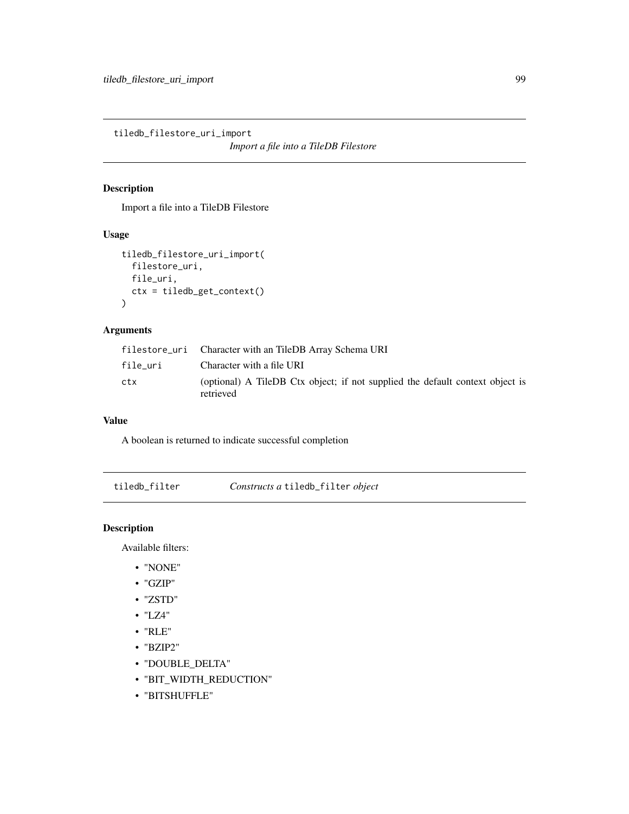tiledb\_filestore\_uri\_import

*Import a file into a TileDB Filestore*

# Description

Import a file into a TileDB Filestore

### Usage

```
tiledb_filestore_uri_import(
  filestore_uri,
  file_uri,
 ctx = tiledb_get_context()
)
```
# Arguments

|          | filestore_uri Character with an TileDB Array Schema URI                                    |
|----------|--------------------------------------------------------------------------------------------|
| file uri | Character with a file URI                                                                  |
| ctx      | (optional) A TileDB Ctx object; if not supplied the default context object is<br>retrieved |

#### Value

A boolean is returned to indicate successful completion

tiledb\_filter *Constructs a* tiledb\_filter *object*

# Description

Available filters:

- "NONE"
- "GZIP"
- "ZSTD"
- "LZ4"
- "RLE"
- "BZIP2"
- "DOUBLE\_DELTA"
- "BIT\_WIDTH\_REDUCTION"
- "BITSHUFFLE"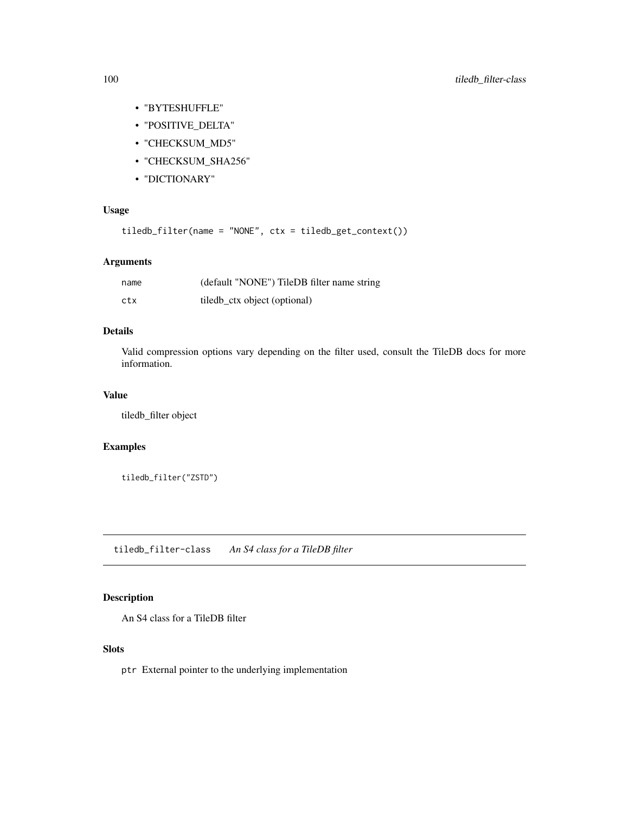- "BYTESHUFFLE"
- "POSITIVE\_DELTA"
- "CHECKSUM\_MD5"
- "CHECKSUM\_SHA256"
- "DICTIONARY"

## Usage

tiledb\_filter(name = "NONE", ctx = tiledb\_get\_context())

### Arguments

| name | (default "NONE") TileDB filter name string |
|------|--------------------------------------------|
| ctx  | tiled ctx object (optional)                |

### Details

Valid compression options vary depending on the filter used, consult the TileDB docs for more information.

#### Value

tiledb\_filter object

# Examples

tiledb\_filter("ZSTD")

tiledb\_filter-class *An S4 class for a TileDB filter*

### Description

An S4 class for a TileDB filter

### Slots

ptr External pointer to the underlying implementation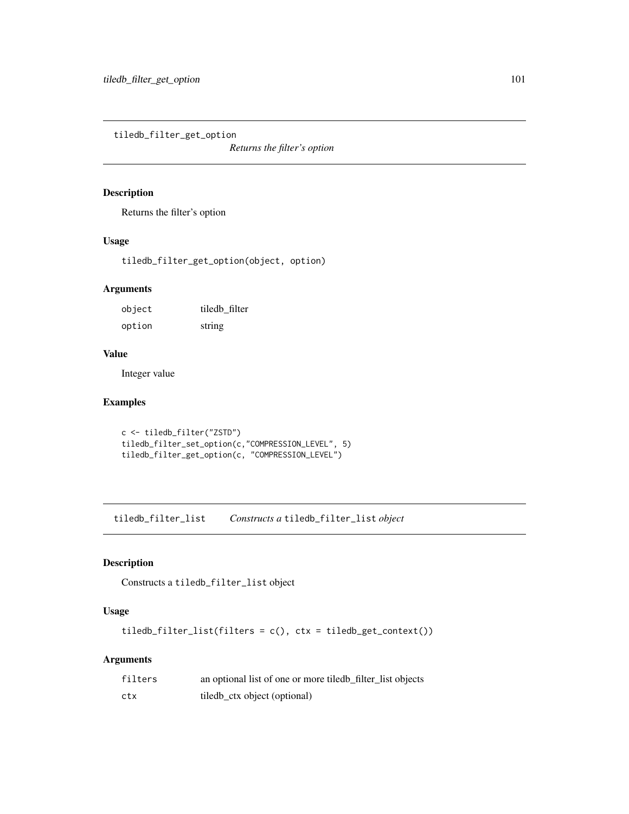tiledb\_filter\_get\_option

*Returns the filter's option*

### Description

Returns the filter's option

#### Usage

tiledb\_filter\_get\_option(object, option)

# Arguments

| object | tiledb filter |
|--------|---------------|
| option | string        |

### Value

Integer value

## Examples

```
c <- tiledb_filter("ZSTD")
tiledb_filter_set_option(c,"COMPRESSION_LEVEL", 5)
tiledb_filter_get_option(c, "COMPRESSION_LEVEL")
```
tiledb\_filter\_list *Constructs a* tiledb\_filter\_list *object*

## Description

Constructs a tiledb\_filter\_list object

# Usage

tiledb\_filter\_list(filters = c(), ctx = tiledb\_get\_context())

## Arguments

| filters | an optional list of one or more tiled b_filter_list objects |
|---------|-------------------------------------------------------------|
| ctx     | tiledb_ctx object (optional)                                |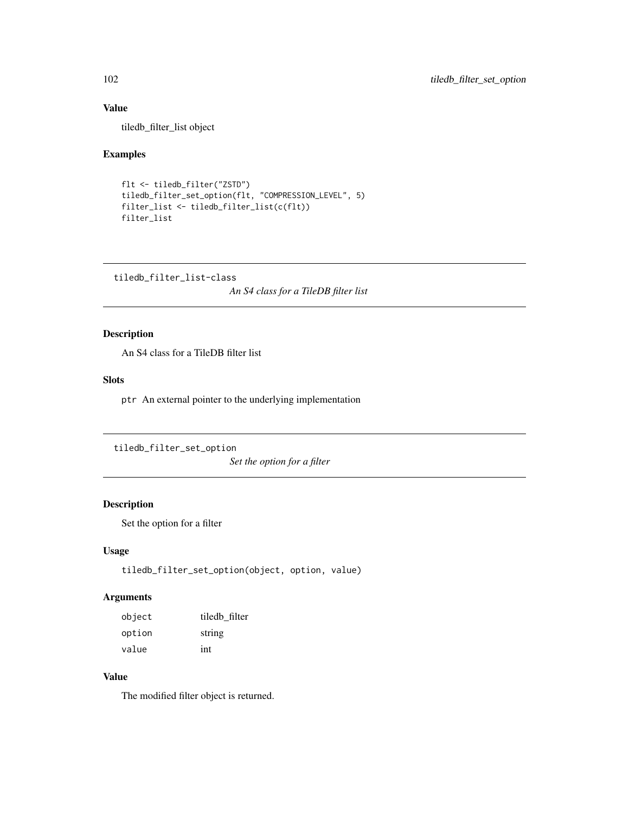# Value

tiledb\_filter\_list object

## Examples

```
flt <- tiledb_filter("ZSTD")
tiledb_filter_set_option(flt, "COMPRESSION_LEVEL", 5)
filter_list <- tiledb_filter_list(c(flt))
filter_list
```
tiledb\_filter\_list-class

*An S4 class for a TileDB filter list*

# Description

An S4 class for a TileDB filter list

#### Slots

ptr An external pointer to the underlying implementation

tiledb\_filter\_set\_option

*Set the option for a filter*

## Description

Set the option for a filter

#### Usage

tiledb\_filter\_set\_option(object, option, value)

## Arguments

| object | tiledb filter |
|--------|---------------|
| option | string        |
| value  | int           |

# Value

The modified filter object is returned.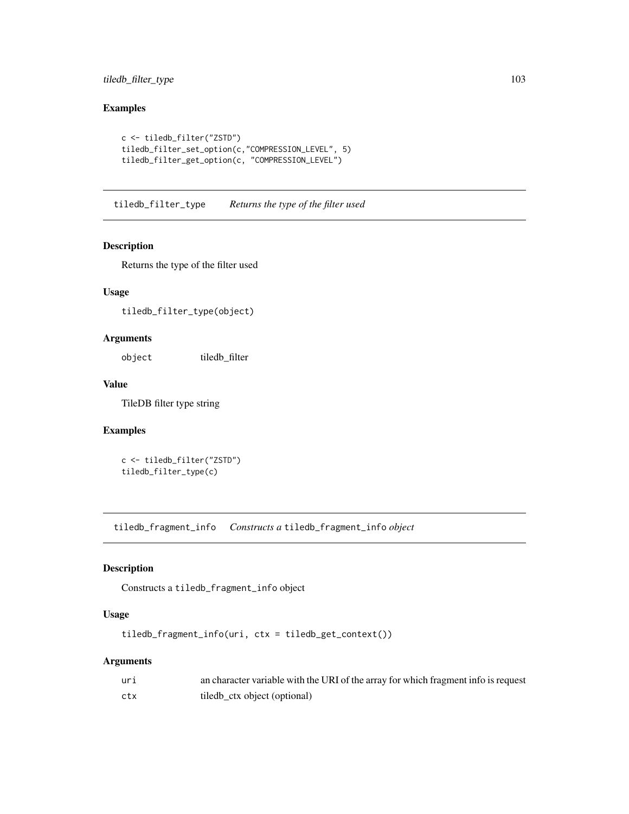## tiledb\_filter\_type 103

# Examples

```
c <- tiledb_filter("ZSTD")
tiledb_filter_set_option(c,"COMPRESSION_LEVEL", 5)
tiledb_filter_get_option(c, "COMPRESSION_LEVEL")
```
tiledb\_filter\_type *Returns the type of the filter used*

### Description

Returns the type of the filter used

## Usage

tiledb\_filter\_type(object)

## Arguments

object tiledb\_filter

# Value

TileDB filter type string

## Examples

c <- tiledb\_filter("ZSTD") tiledb\_filter\_type(c)

tiledb\_fragment\_info *Constructs a* tiledb\_fragment\_info *object*

## Description

Constructs a tiledb\_fragment\_info object

## Usage

tiledb\_fragment\_info(uri, ctx = tiledb\_get\_context())

## Arguments

| uri | an character variable with the URI of the array for which fragment info is request |
|-----|------------------------------------------------------------------------------------|
| ctx | tiledb_ctx object (optional)                                                       |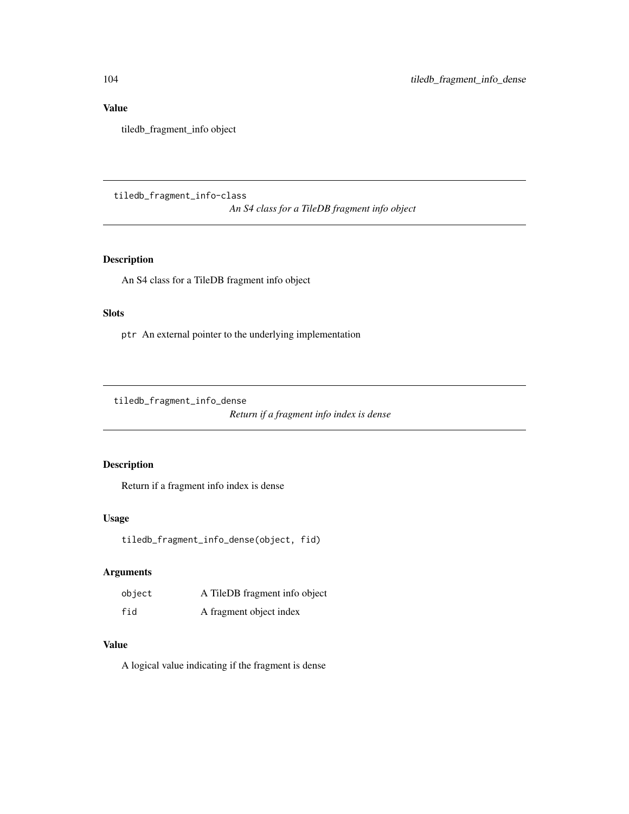# Value

tiledb\_fragment\_info object

tiledb\_fragment\_info-class

*An S4 class for a TileDB fragment info object*

## Description

An S4 class for a TileDB fragment info object

# Slots

ptr An external pointer to the underlying implementation

tiledb\_fragment\_info\_dense

*Return if a fragment info index is dense*

# Description

Return if a fragment info index is dense

#### Usage

tiledb\_fragment\_info\_dense(object, fid)

# Arguments

| object | A TileDB fragment info object |
|--------|-------------------------------|
| fid    | A fragment object index       |

# Value

A logical value indicating if the fragment is dense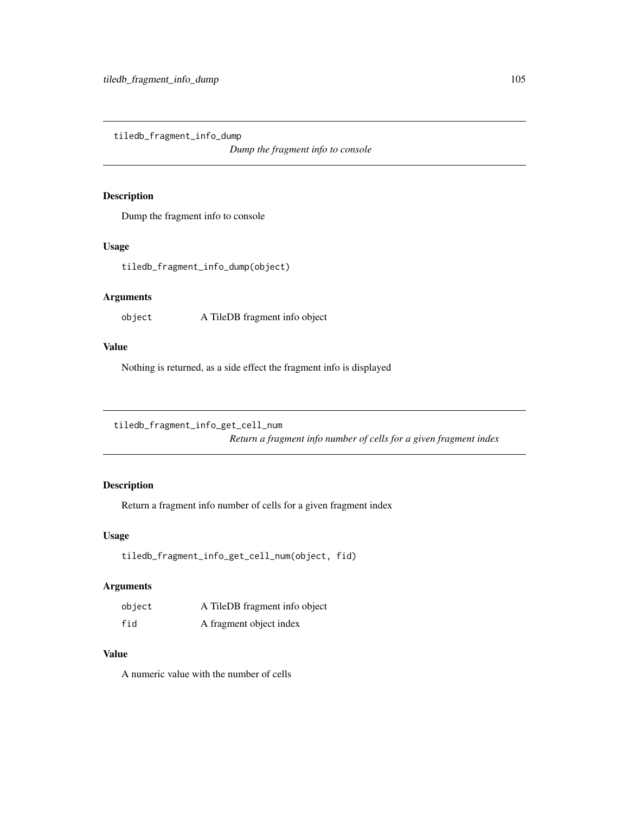tiledb\_fragment\_info\_dump

*Dump the fragment info to console*

## Description

Dump the fragment info to console

#### Usage

tiledb\_fragment\_info\_dump(object)

# Arguments

object A TileDB fragment info object

### Value

Nothing is returned, as a side effect the fragment info is displayed

tiledb\_fragment\_info\_get\_cell\_num

*Return a fragment info number of cells for a given fragment index*

## Description

Return a fragment info number of cells for a given fragment index

#### Usage

```
tiledb_fragment_info_get_cell_num(object, fid)
```
## Arguments

| object | A TileDB fragment info object |
|--------|-------------------------------|
| fid    | A fragment object index       |

#### Value

A numeric value with the number of cells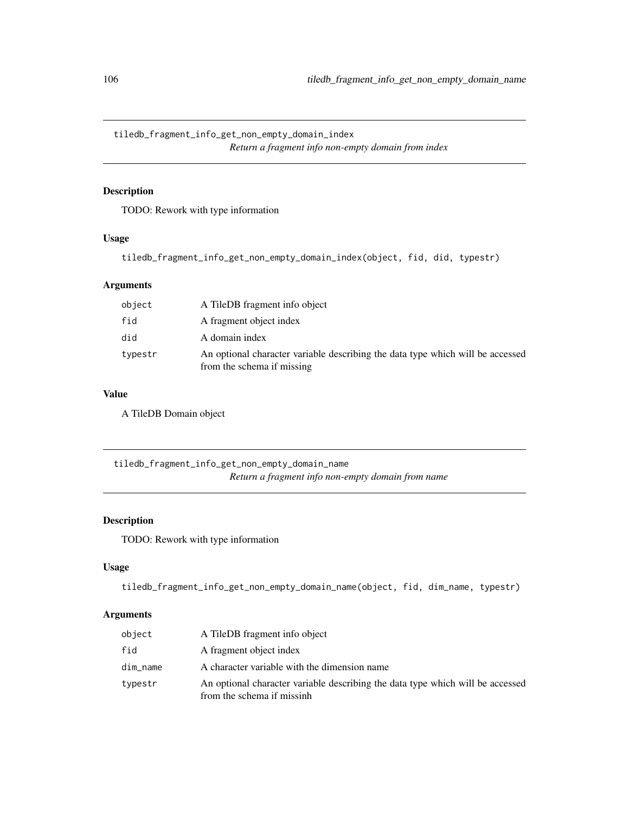tiledb\_fragment\_info\_get\_non\_empty\_domain\_index *Return a fragment info non-empty domain from index*

# Description

TODO: Rework with type information

#### Usage

```
tiledb_fragment_info_get_non_empty_domain_index(object, fid, did, typestr)
```
# Arguments

| object  | A TileDB fragment info object                                                                                |
|---------|--------------------------------------------------------------------------------------------------------------|
| fid     | A fragment object index                                                                                      |
| did     | A domain index                                                                                               |
| typestr | An optional character variable describing the data type which will be accessed<br>from the schema if missing |

# Value

A TileDB Domain object

tiledb\_fragment\_info\_get\_non\_empty\_domain\_name *Return a fragment info non-empty domain from name*

## Description

TODO: Rework with type information

## Usage

```
tiledb_fragment_info_get_non_empty_domain_name(object, fid, dim_name, typestr)
```
## Arguments

| object   | A TileDB fragment info object                                                                                |
|----------|--------------------------------------------------------------------------------------------------------------|
| fid      | A fragment object index                                                                                      |
| dim_name | A character variable with the dimension name                                                                 |
| typestr  | An optional character variable describing the data type which will be accessed<br>from the schema if missinh |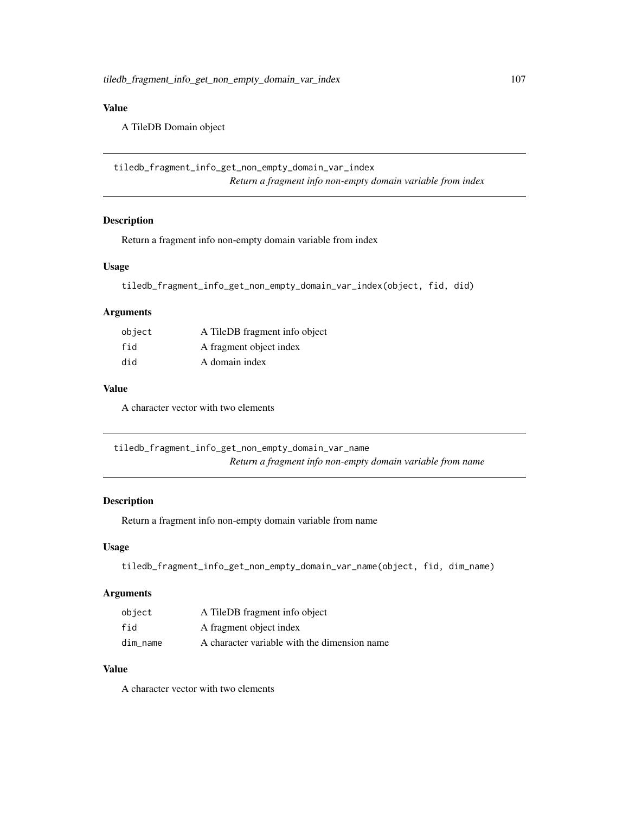# Value

A TileDB Domain object

```
tiledb_fragment_info_get_non_empty_domain_var_index
                        Return a fragment info non-empty domain variable from index
```
## Description

Return a fragment info non-empty domain variable from index

## Usage

tiledb\_fragment\_info\_get\_non\_empty\_domain\_var\_index(object, fid, did)

## Arguments

| object | A TileDB fragment info object |
|--------|-------------------------------|
| fid    | A fragment object index       |
| did    | A domain index                |

### Value

A character vector with two elements

tiledb\_fragment\_info\_get\_non\_empty\_domain\_var\_name *Return a fragment info non-empty domain variable from name*

#### Description

Return a fragment info non-empty domain variable from name

### Usage

```
tiledb_fragment_info_get_non_empty_domain_var_name(object, fid, dim_name)
```
# Arguments

| object   | A TileDB fragment info object                |
|----------|----------------------------------------------|
| fid      | A fragment object index                      |
| dim name | A character variable with the dimension name |

#### Value

A character vector with two elements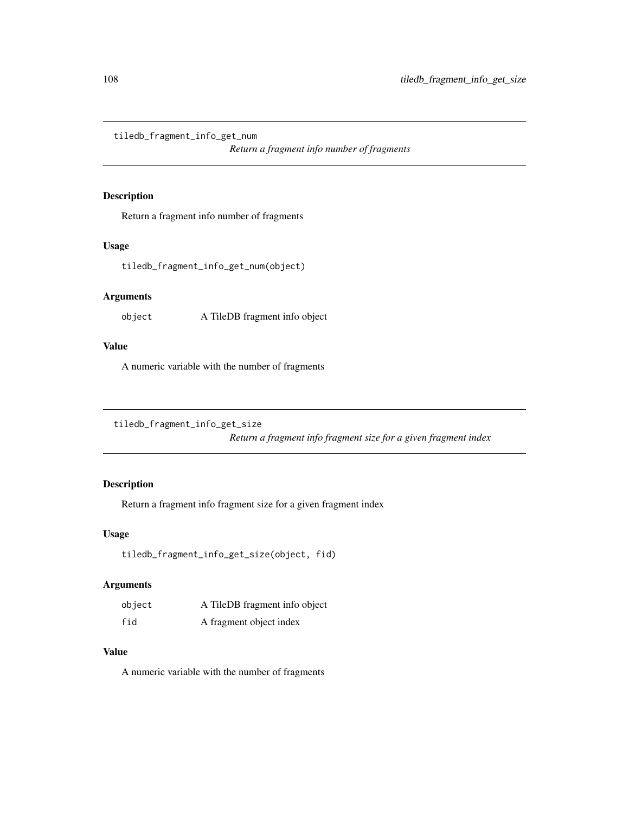tiledb\_fragment\_info\_get\_num

*Return a fragment info number of fragments*

### Description

Return a fragment info number of fragments

#### Usage

tiledb\_fragment\_info\_get\_num(object)

# Arguments

object A TileDB fragment info object

# Value

A numeric variable with the number of fragments

tiledb\_fragment\_info\_get\_size

*Return a fragment info fragment size for a given fragment index*

# Description

Return a fragment info fragment size for a given fragment index

#### Usage

```
tiledb_fragment_info_get_size(object, fid)
```
### Arguments

| object | A TileDB fragment info object |
|--------|-------------------------------|
| fid    | A fragment object index       |

### Value

A numeric variable with the number of fragments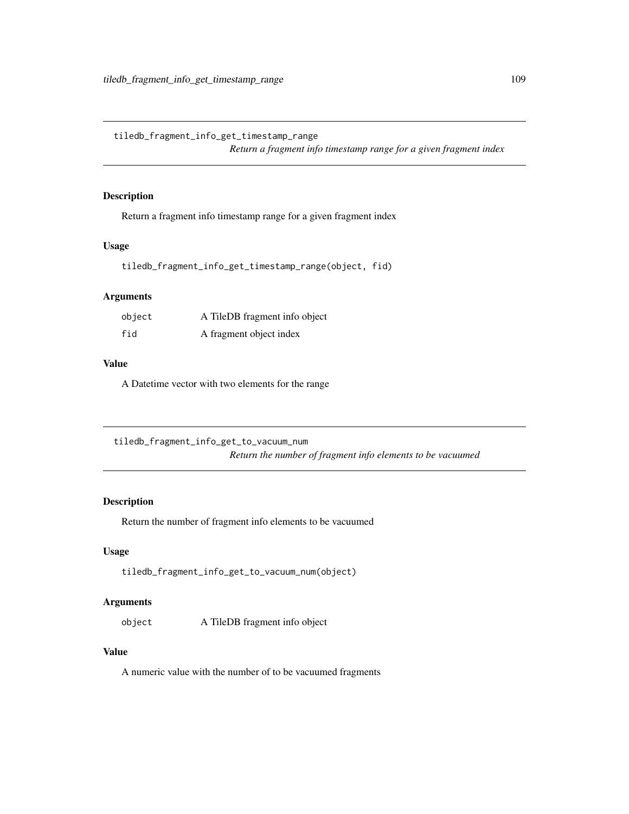tiledb\_fragment\_info\_get\_timestamp\_range *Return a fragment info timestamp range for a given fragment index*

Description

Return a fragment info timestamp range for a given fragment index

#### Usage

tiledb\_fragment\_info\_get\_timestamp\_range(object, fid)

# Arguments

| object | A TileDB fragment info object |
|--------|-------------------------------|
| fid    | A fragment object index       |

#### Value

A Datetime vector with two elements for the range

tiledb\_fragment\_info\_get\_to\_vacuum\_num *Return the number of fragment info elements to be vacuumed*

#### Description

Return the number of fragment info elements to be vacuumed

## Usage

```
tiledb_fragment_info_get_to_vacuum_num(object)
```
# Arguments

object A TileDB fragment info object

#### Value

A numeric value with the number of to be vacuumed fragments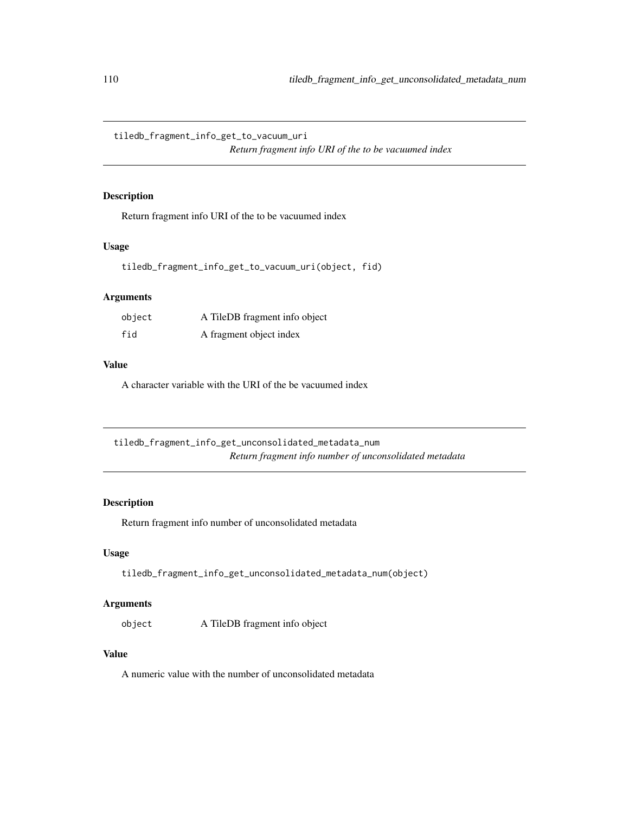tiledb\_fragment\_info\_get\_to\_vacuum\_uri

*Return fragment info URI of the to be vacuumed index*

# Description

Return fragment info URI of the to be vacuumed index

#### Usage

tiledb\_fragment\_info\_get\_to\_vacuum\_uri(object, fid)

# Arguments

| object | A TileDB fragment info object |
|--------|-------------------------------|
| fid    | A fragment object index       |

#### Value

A character variable with the URI of the be vacuumed index

tiledb\_fragment\_info\_get\_unconsolidated\_metadata\_num *Return fragment info number of unconsolidated metadata*

# Description

Return fragment info number of unconsolidated metadata

## Usage

tiledb\_fragment\_info\_get\_unconsolidated\_metadata\_num(object)

#### Arguments

object A TileDB fragment info object

#### Value

A numeric value with the number of unconsolidated metadata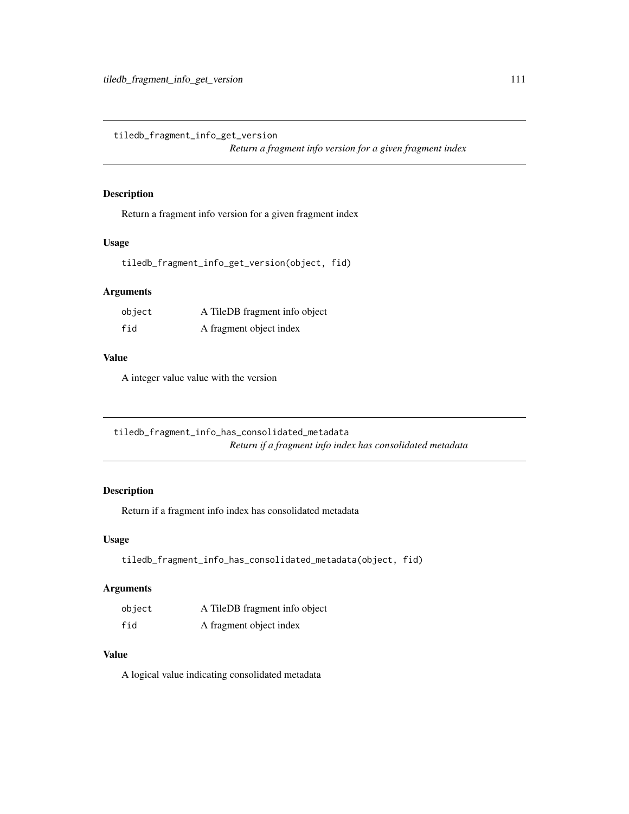tiledb\_fragment\_info\_get\_version

*Return a fragment info version for a given fragment index*

#### Description

Return a fragment info version for a given fragment index

#### Usage

tiledb\_fragment\_info\_get\_version(object, fid)

#### Arguments

| object | A TileDB fragment info object |
|--------|-------------------------------|
| fid    | A fragment object index       |

# Value

A integer value value with the version

tiledb\_fragment\_info\_has\_consolidated\_metadata *Return if a fragment info index has consolidated metadata*

# Description

Return if a fragment info index has consolidated metadata

#### Usage

```
tiledb_fragment_info_has_consolidated_metadata(object, fid)
```
#### Arguments

| object | A TileDB fragment info object |
|--------|-------------------------------|
| fid    | A fragment object index       |

## Value

A logical value indicating consolidated metadata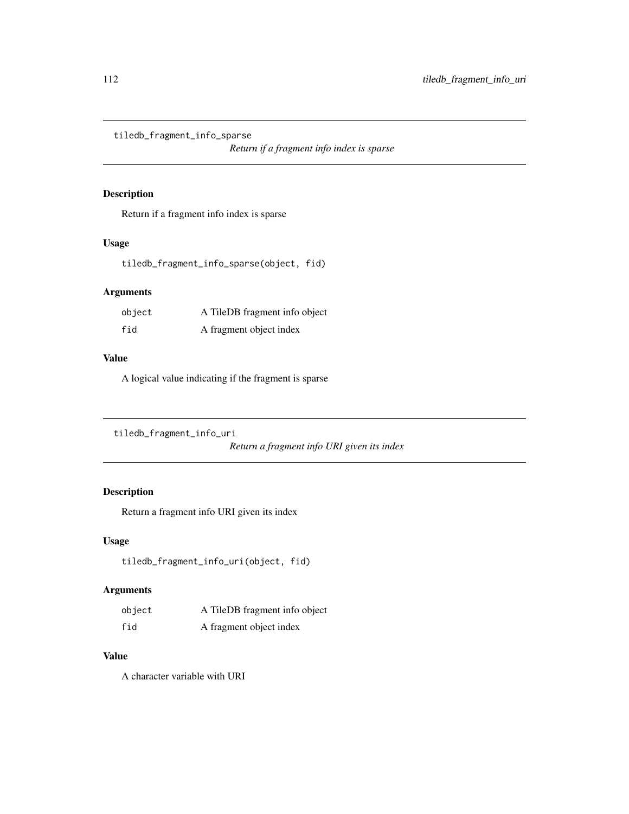tiledb\_fragment\_info\_sparse

*Return if a fragment info index is sparse*

#### Description

Return if a fragment info index is sparse

#### Usage

tiledb\_fragment\_info\_sparse(object, fid)

## Arguments

| object | A TileDB fragment info object |
|--------|-------------------------------|
| fid    | A fragment object index       |

#### Value

A logical value indicating if the fragment is sparse

```
tiledb_fragment_info_uri
```
*Return a fragment info URI given its index*

# Description

Return a fragment info URI given its index

## Usage

tiledb\_fragment\_info\_uri(object, fid)

#### Arguments

| object | A TileDB fragment info object |
|--------|-------------------------------|
| fid    | A fragment object index       |

## Value

A character variable with URI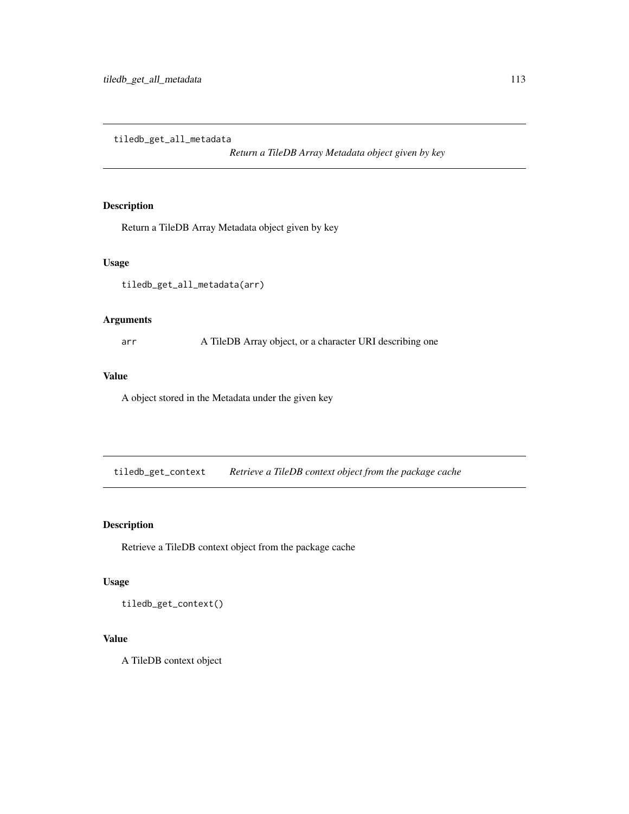tiledb\_get\_all\_metadata

*Return a TileDB Array Metadata object given by key*

# Description

Return a TileDB Array Metadata object given by key

#### Usage

tiledb\_get\_all\_metadata(arr)

#### Arguments

arr A TileDB Array object, or a character URI describing one

## Value

A object stored in the Metadata under the given key

tiledb\_get\_context *Retrieve a TileDB context object from the package cache*

# Description

Retrieve a TileDB context object from the package cache

# Usage

tiledb\_get\_context()

# Value

A TileDB context object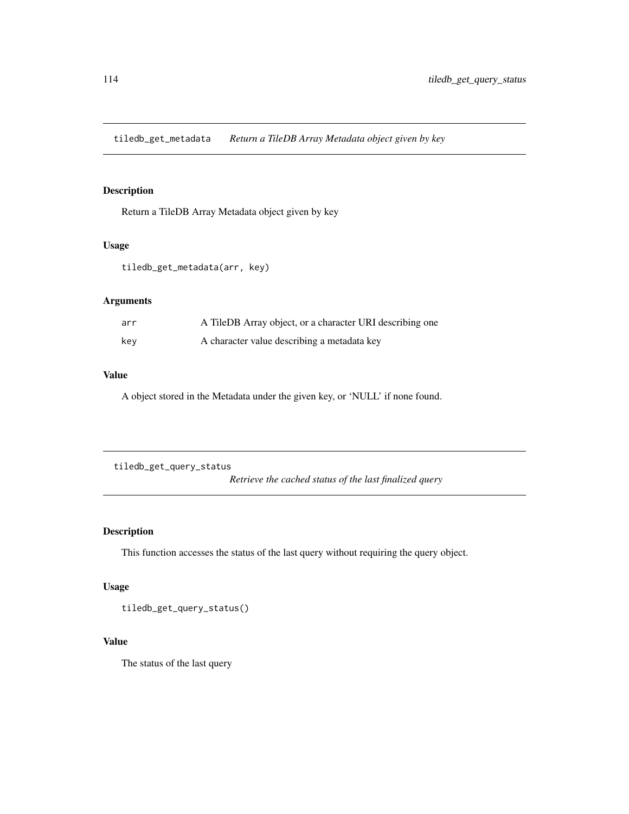tiledb\_get\_metadata *Return a TileDB Array Metadata object given by key*

## Description

Return a TileDB Array Metadata object given by key

#### Usage

```
tiledb_get_metadata(arr, key)
```
## Arguments

| arr | A TileDB Array object, or a character URI describing one |
|-----|----------------------------------------------------------|
| key | A character value describing a metadata key              |

#### Value

A object stored in the Metadata under the given key, or 'NULL' if none found.

tiledb\_get\_query\_status

*Retrieve the cached status of the last finalized query*

# Description

This function accesses the status of the last query without requiring the query object.

#### Usage

tiledb\_get\_query\_status()

#### Value

The status of the last query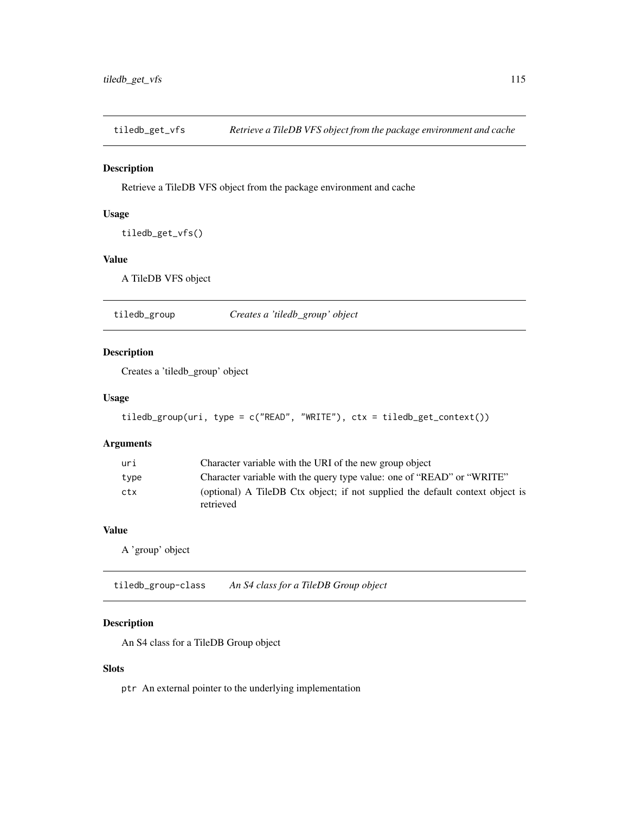tiledb\_get\_vfs *Retrieve a TileDB VFS object from the package environment and cache*

#### Description

Retrieve a TileDB VFS object from the package environment and cache

#### Usage

```
tiledb_get_vfs()
```
#### Value

A TileDB VFS object

tiledb\_group *Creates a 'tiledb\_group' object*

#### Description

Creates a 'tiledb\_group' object

#### Usage

```
tiledb_group(uri, type = c("READ", "WRITE"), ctx = tiledb_get_context())
```
#### Arguments

| uri  | Character variable with the URI of the new group object                       |
|------|-------------------------------------------------------------------------------|
| type | Character variable with the query type value: one of "READ" or "WRITE"        |
| ctx  | (optional) A TileDB Ctx object; if not supplied the default context object is |
|      | retrieved                                                                     |

#### Value

A 'group' object

tiledb\_group-class *An S4 class for a TileDB Group object*

#### Description

An S4 class for a TileDB Group object

# Slots

ptr An external pointer to the underlying implementation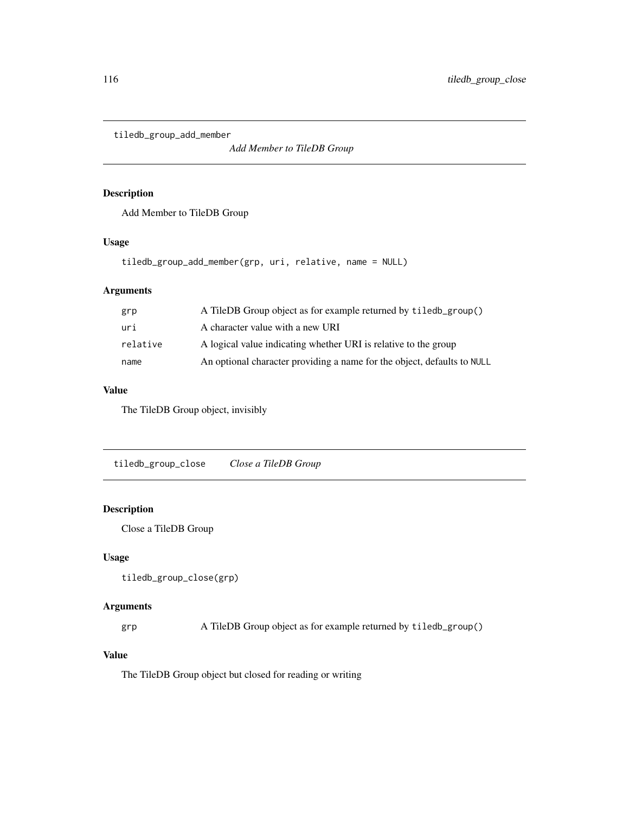tiledb\_group\_add\_member

*Add Member to TileDB Group*

#### Description

Add Member to TileDB Group

#### Usage

```
tiledb_group_add_member(grp, uri, relative, name = NULL)
```
## Arguments

| grp      | A TileDB Group object as for example returned by tiledb_group()         |
|----------|-------------------------------------------------------------------------|
| uri      | A character value with a new URI                                        |
| relative | A logical value indicating whether URI is relative to the group         |
| name     | An optional character providing a name for the object, defaults to NULL |

#### Value

The TileDB Group object, invisibly

tiledb\_group\_close *Close a TileDB Group*

# Description

Close a TileDB Group

## Usage

```
tiledb_group_close(grp)
```
#### Arguments

grp A TileDB Group object as for example returned by tiledb\_group()

#### Value

The TileDB Group object but closed for reading or writing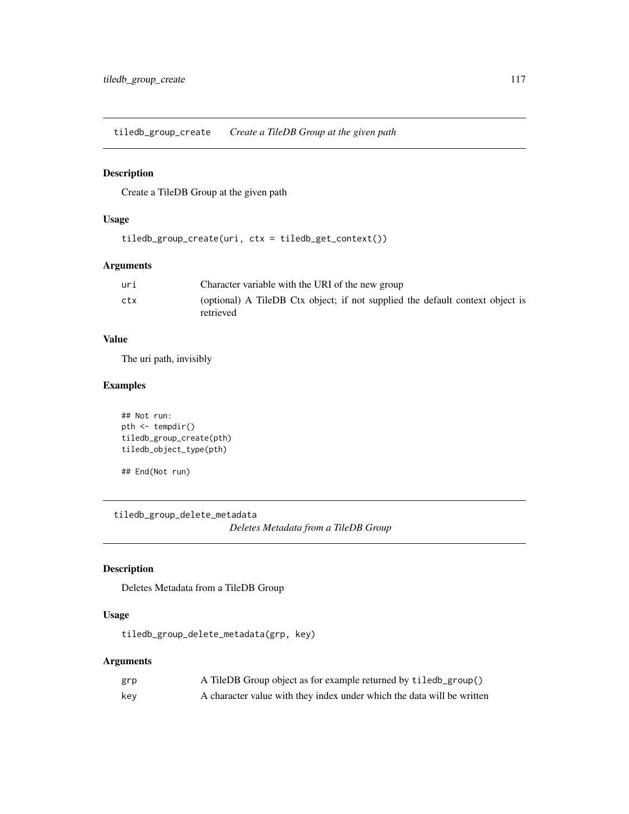tiledb\_group\_create *Create a TileDB Group at the given path*

#### Description

Create a TileDB Group at the given path

#### Usage

tiledb\_group\_create(uri, ctx = tiledb\_get\_context())

## Arguments

| uri | Character variable with the URI of the new group                                           |
|-----|--------------------------------------------------------------------------------------------|
| ctx | (optional) A TileDB Ctx object; if not supplied the default context object is<br>retrieved |

#### Value

The uri path, invisibly

## Examples

```
## Not run:
pth <- tempdir()
tiledb_group_create(pth)
tiledb_object_type(pth)
```
## End(Not run)

tiledb\_group\_delete\_metadata *Deletes Metadata from a TileDB Group*

# Description

Deletes Metadata from a TileDB Group

# Usage

tiledb\_group\_delete\_metadata(grp, key)

# Arguments

| grp | A TileDB Group object as for example returned by tiledb_group()        |
|-----|------------------------------------------------------------------------|
| kev | A character value with they index under which the data will be written |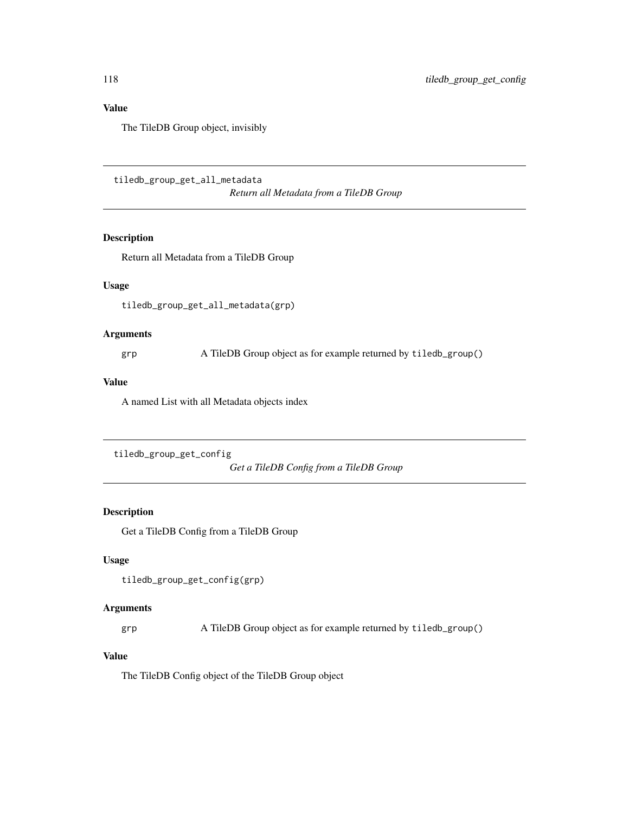# Value

The TileDB Group object, invisibly

tiledb\_group\_get\_all\_metadata

*Return all Metadata from a TileDB Group*

## Description

Return all Metadata from a TileDB Group

# Usage

tiledb\_group\_get\_all\_metadata(grp)

# Arguments

grp A TileDB Group object as for example returned by tiledb\_group()

#### Value

A named List with all Metadata objects index

```
tiledb_group_get_config
```
*Get a TileDB Config from a TileDB Group*

#### Description

Get a TileDB Config from a TileDB Group

# Usage

tiledb\_group\_get\_config(grp)

#### Arguments

grp A TileDB Group object as for example returned by tiledb\_group()

## Value

The TileDB Config object of the TileDB Group object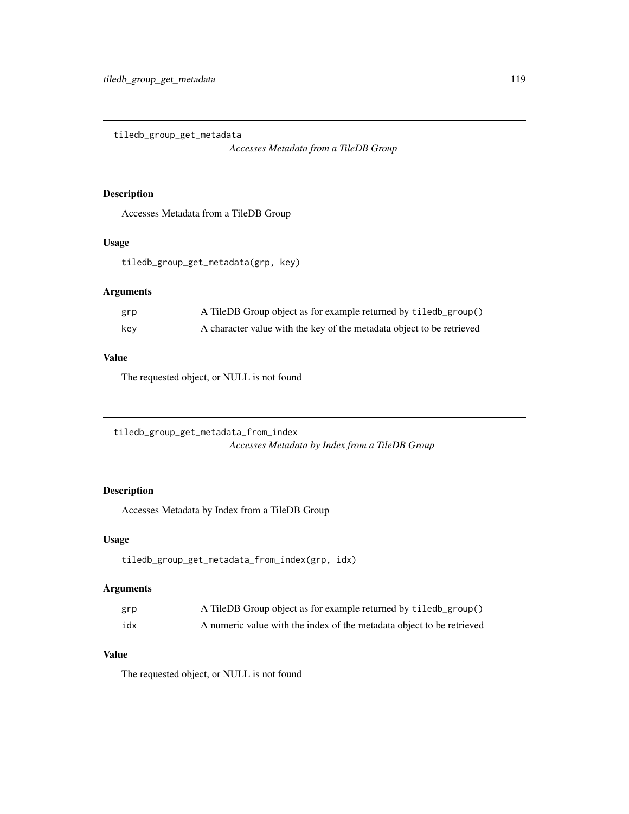tiledb\_group\_get\_metadata

*Accesses Metadata from a TileDB Group*

#### Description

Accesses Metadata from a TileDB Group

## Usage

tiledb\_group\_get\_metadata(grp, key)

## Arguments

| grp | A TileDB Group object as for example returned by tiledb_group()       |
|-----|-----------------------------------------------------------------------|
| key | A character value with the key of the metadata object to be retrieved |

# Value

The requested object, or NULL is not found

tiledb\_group\_get\_metadata\_from\_index *Accesses Metadata by Index from a TileDB Group*

## Description

Accesses Metadata by Index from a TileDB Group

#### Usage

```
tiledb_group_get_metadata_from_index(grp, idx)
```
## Arguments

| grp | A TileDB Group object as for example returned by tiledb_group()       |
|-----|-----------------------------------------------------------------------|
| idx | A numeric value with the index of the metadata object to be retrieved |

## Value

The requested object, or NULL is not found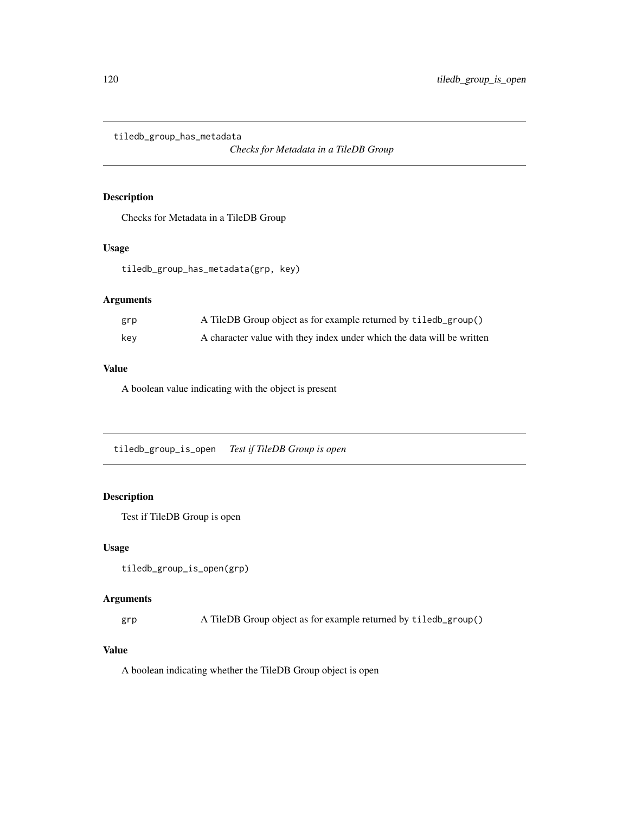tiledb\_group\_has\_metadata

*Checks for Metadata in a TileDB Group*

## Description

Checks for Metadata in a TileDB Group

# Usage

tiledb\_group\_has\_metadata(grp, key)

# Arguments

| grp | A TileDB Group object as for example returned by tiled b_group()       |
|-----|------------------------------------------------------------------------|
| kev | A character value with they index under which the data will be written |

# Value

A boolean value indicating with the object is present

tiledb\_group\_is\_open *Test if TileDB Group is open*

## Description

Test if TileDB Group is open

#### Usage

```
tiledb_group_is_open(grp)
```
#### Arguments

grp A TileDB Group object as for example returned by tiledb\_group()

# Value

A boolean indicating whether the TileDB Group object is open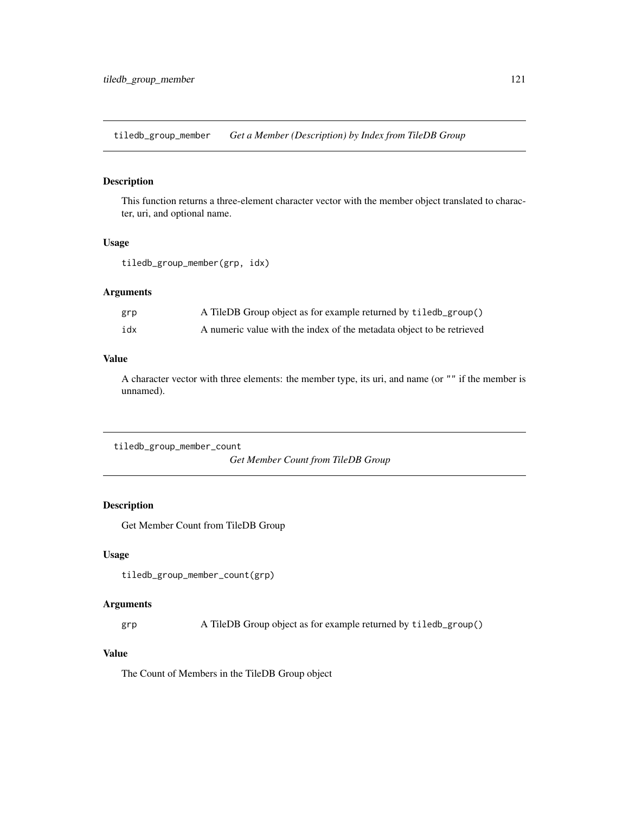tiledb\_group\_member *Get a Member (Description) by Index from TileDB Group*

#### Description

This function returns a three-element character vector with the member object translated to character, uri, and optional name.

#### Usage

```
tiledb_group_member(grp, idx)
```
#### Arguments

| grp | A TileDB Group object as for example returned by tiled b_group()      |
|-----|-----------------------------------------------------------------------|
| idx | A numeric value with the index of the metadata object to be retrieved |

## Value

A character vector with three elements: the member type, its uri, and name (or "" if the member is unnamed).

tiledb\_group\_member\_count *Get Member Count from TileDB Group*

#### Description

Get Member Count from TileDB Group

## Usage

tiledb\_group\_member\_count(grp)

## Arguments

grp A TileDB Group object as for example returned by tiledb\_group()

#### Value

The Count of Members in the TileDB Group object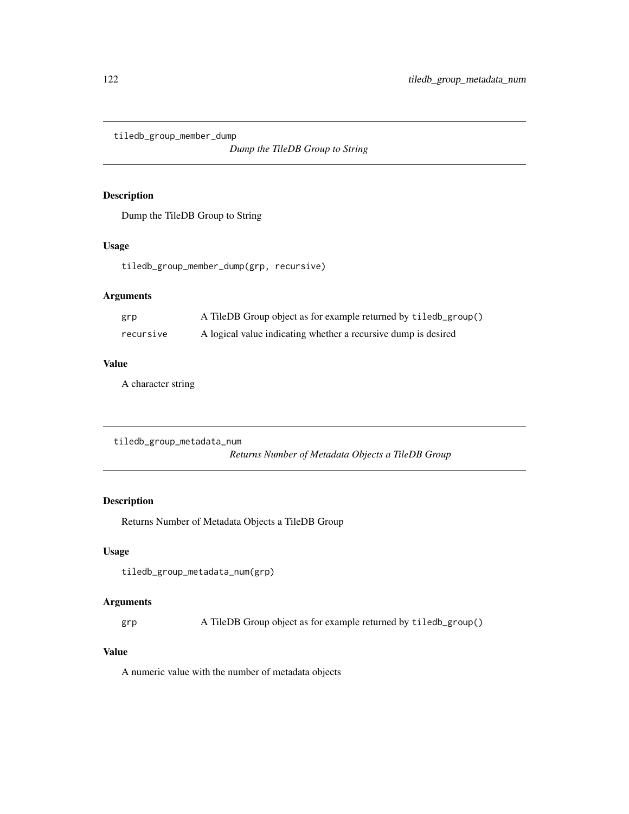tiledb\_group\_member\_dump

*Dump the TileDB Group to String*

## Description

Dump the TileDB Group to String

#### Usage

tiledb\_group\_member\_dump(grp, recursive)

## Arguments

| grp       | A TileDB Group object as for example returned by tiledb_group() |
|-----------|-----------------------------------------------------------------|
| recursive | A logical value indicating whether a recursive dump is desired  |

#### Value

A character string

tiledb\_group\_metadata\_num

*Returns Number of Metadata Objects a TileDB Group*

# Description

Returns Number of Metadata Objects a TileDB Group

## Usage

```
tiledb_group_metadata_num(grp)
```
## Arguments

grp A TileDB Group object as for example returned by tiledb\_group()

#### Value

A numeric value with the number of metadata objects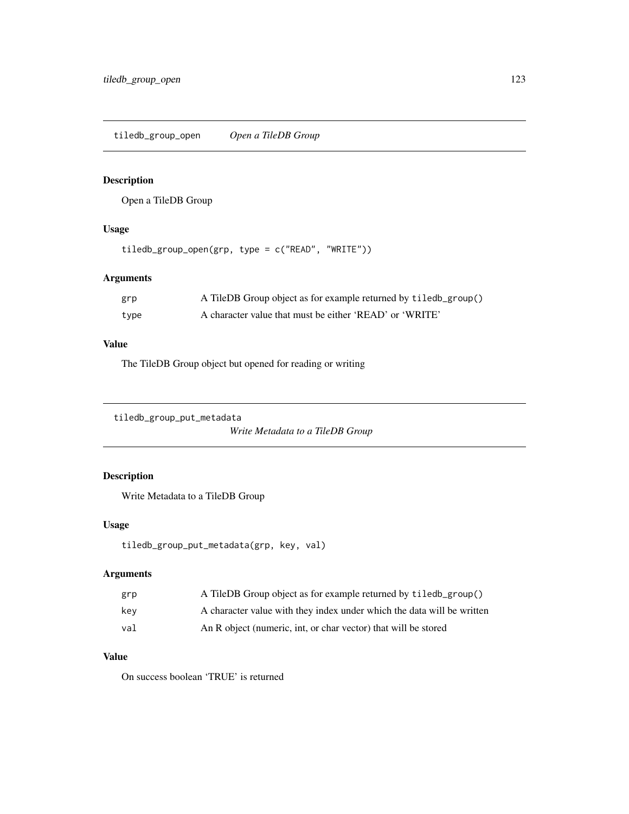tiledb\_group\_open *Open a TileDB Group*

## Description

Open a TileDB Group

#### Usage

tiledb\_group\_open(grp, type = c("READ", "WRITE"))

# Arguments

| grp  | A TileDB Group object as for example returned by tiledb_group() |
|------|-----------------------------------------------------------------|
| type | A character value that must be either 'READ' or 'WRITE'         |

#### Value

The TileDB Group object but opened for reading or writing

tiledb\_group\_put\_metadata

```
Write Metadata to a TileDB Group
```
# Description

Write Metadata to a TileDB Group

# Usage

```
tiledb_group_put_metadata(grp, key, val)
```
# Arguments

| grp | A TileDB Group object as for example returned by tiledb_group()        |
|-----|------------------------------------------------------------------------|
| kev | A character value with they index under which the data will be written |
| val | An R object (numeric, int, or char vector) that will be stored         |

# Value

On success boolean 'TRUE' is returned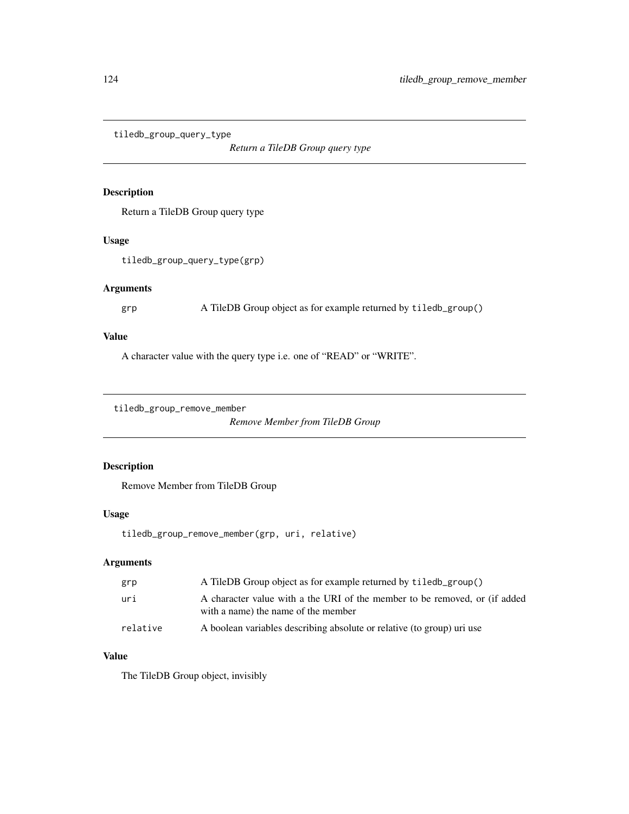tiledb\_group\_query\_type

*Return a TileDB Group query type*

#### Description

Return a TileDB Group query type

#### Usage

tiledb\_group\_query\_type(grp)

#### Arguments

```
grp A TileDB Group object as for example returned by tiledb_group()
```
# Value

A character value with the query type i.e. one of "READ" or "WRITE".

```
tiledb_group_remove_member
```
*Remove Member from TileDB Group*

# Description

Remove Member from TileDB Group

#### Usage

tiledb\_group\_remove\_member(grp, uri, relative)

## Arguments

| grp      | A TileDB Group object as for example returned by tiled b_group()                                                  |
|----------|-------------------------------------------------------------------------------------------------------------------|
| uri      | A character value with a the URI of the member to be removed, or (if added<br>with a name) the name of the member |
| relative | A boolean variables describing absolute or relative (to group) uri use                                            |

# Value

The TileDB Group object, invisibly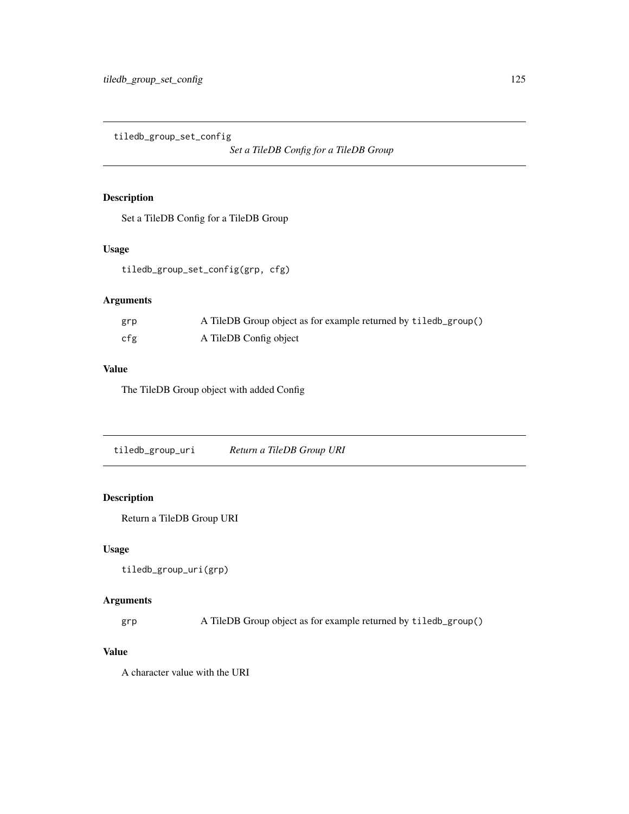tiledb\_group\_set\_config

*Set a TileDB Config for a TileDB Group*

# Description

Set a TileDB Config for a TileDB Group

# Usage

tiledb\_group\_set\_config(grp, cfg)

# Arguments

| grp | A TileDB Group object as for example returned by tiledb_group() |
|-----|-----------------------------------------------------------------|
| cfg | A TileDB Config object                                          |

#### Value

The TileDB Group object with added Config

tiledb\_group\_uri *Return a TileDB Group URI*

# Description

Return a TileDB Group URI

# Usage

```
tiledb_group_uri(grp)
```
## Arguments

grp A TileDB Group object as for example returned by tiledb\_group()

## Value

A character value with the URI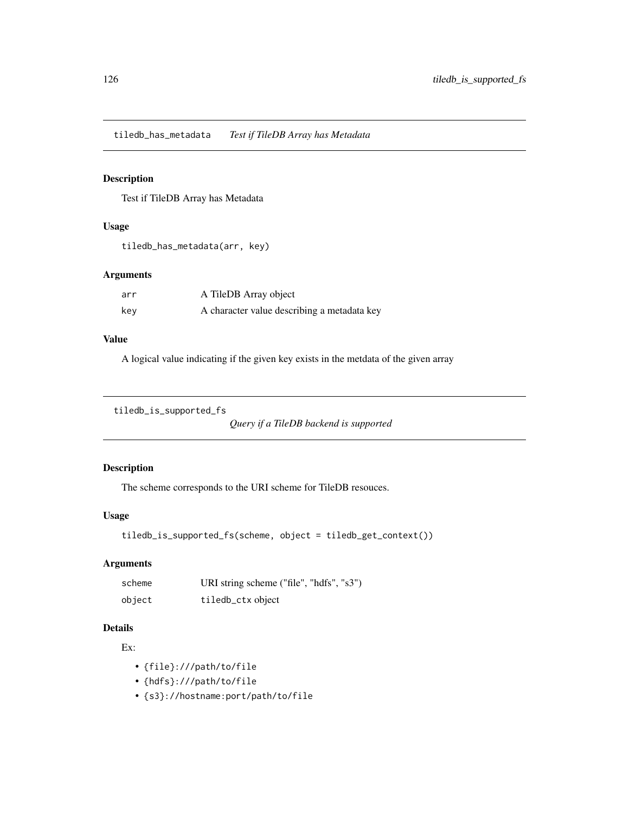tiledb\_has\_metadata *Test if TileDB Array has Metadata*

## Description

Test if TileDB Array has Metadata

# Usage

```
tiledb_has_metadata(arr, key)
```
#### Arguments

| arr | A TileDB Array object                       |
|-----|---------------------------------------------|
| key | A character value describing a metadata key |

#### Value

A logical value indicating if the given key exists in the metdata of the given array

```
tiledb_is_supported_fs
```
*Query if a TileDB backend is supported*

## Description

The scheme corresponds to the URI scheme for TileDB resouces.

#### Usage

```
tiledb_is_supported_fs(scheme, object = tiledb_get_context())
```
#### Arguments

| scheme | URI string scheme ("file", "hdfs", "s3") |
|--------|------------------------------------------|
| object | tiledb_ctx object                        |

# Details

#### Ex:

- {file}:///path/to/file
- {hdfs}:///path/to/file
- {s3}://hostname:port/path/to/file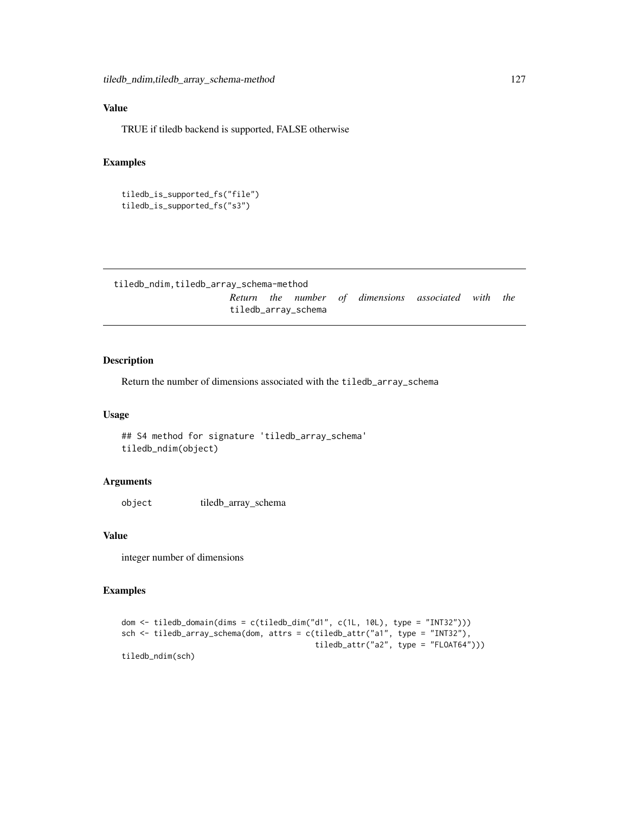# Value

TRUE if tiledb backend is supported, FALSE otherwise

#### Examples

```
tiledb_is_supported_fs("file")
tiledb_is_supported_fs("s3")
```
tiledb\_ndim,tiledb\_array\_schema-method

*Return the number of dimensions associated with the* tiledb\_array\_schema

#### Description

Return the number of dimensions associated with the tiledb\_array\_schema

#### Usage

## S4 method for signature 'tiledb\_array\_schema' tiledb\_ndim(object)

#### Arguments

object tiledb\_array\_schema

#### Value

integer number of dimensions

#### Examples

```
dom <- tiledb_domain(dims = c(tiledb_dim("d1", c(1L, 10L), type = "INT32")))
sch <- tiledb_array_schema(dom, attrs = c(tiledb_attr("a1", type = "INT32"),
                                          tiledb_attr("a2", type = "FLOAT64"))tiledb_ndim(sch)
```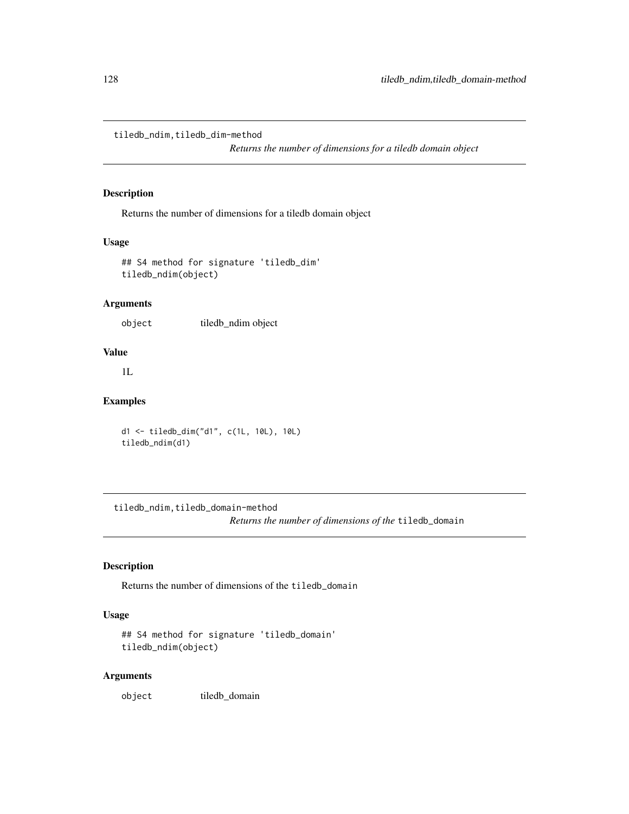tiledb\_ndim,tiledb\_dim-method

*Returns the number of dimensions for a tiledb domain object*

#### Description

Returns the number of dimensions for a tiledb domain object

## Usage

```
## S4 method for signature 'tiledb_dim'
tiledb_ndim(object)
```
#### Arguments

object tiledb\_ndim object

#### Value

1L

## Examples

```
d1 <- tiledb_dim("d1", c(1L, 10L), 10L)
tiledb_ndim(d1)
```
tiledb\_ndim,tiledb\_domain-method *Returns the number of dimensions of the* tiledb\_domain

## Description

Returns the number of dimensions of the tiledb\_domain

## Usage

```
## S4 method for signature 'tiledb_domain'
tiledb_ndim(object)
```
# Arguments

object tiledb\_domain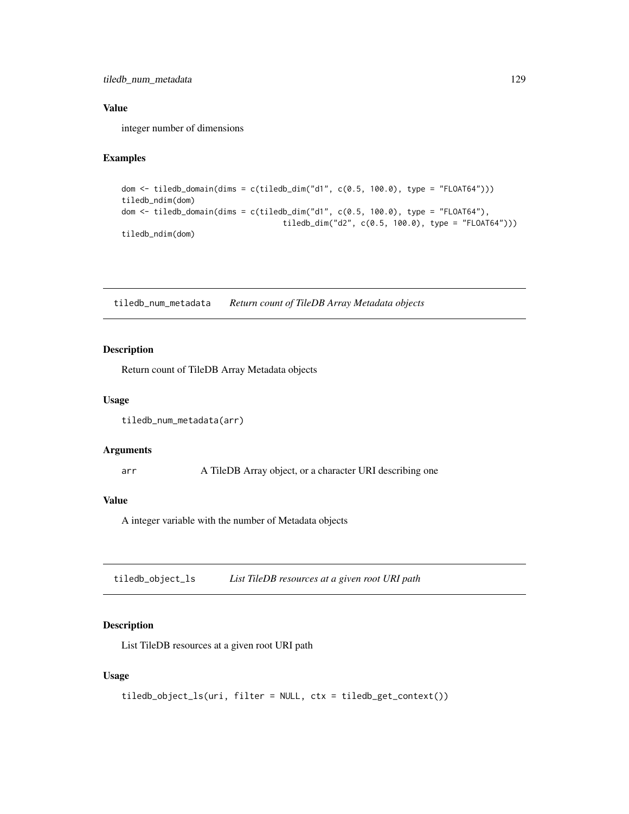tiledb\_num\_metadata 129

#### Value

integer number of dimensions

# Examples

```
dom <- tiledb_domain(dims = c(tiledb_dim("d1", c(0.5, 100.0), type = "FLOAT64")))
tiledb_ndim(dom)
dom \le tiledb_domain(dims = c(tiledb_dim("d1", c(0.5, 100.0), type = "FLOAT64"),
                                   tiledb_dim("d2", c(0.5, 100.0), type = "FLOAT64")))
tiledb_ndim(dom)
```
tiledb\_num\_metadata *Return count of TileDB Array Metadata objects*

#### Description

Return count of TileDB Array Metadata objects

#### Usage

```
tiledb_num_metadata(arr)
```
#### Arguments

arr A TileDB Array object, or a character URI describing one

## Value

A integer variable with the number of Metadata objects

tiledb\_object\_ls *List TileDB resources at a given root URI path*

## Description

List TileDB resources at a given root URI path

#### Usage

```
tiledb_object_ls(uri, filter = NULL, ctx = tiledb_get_context())
```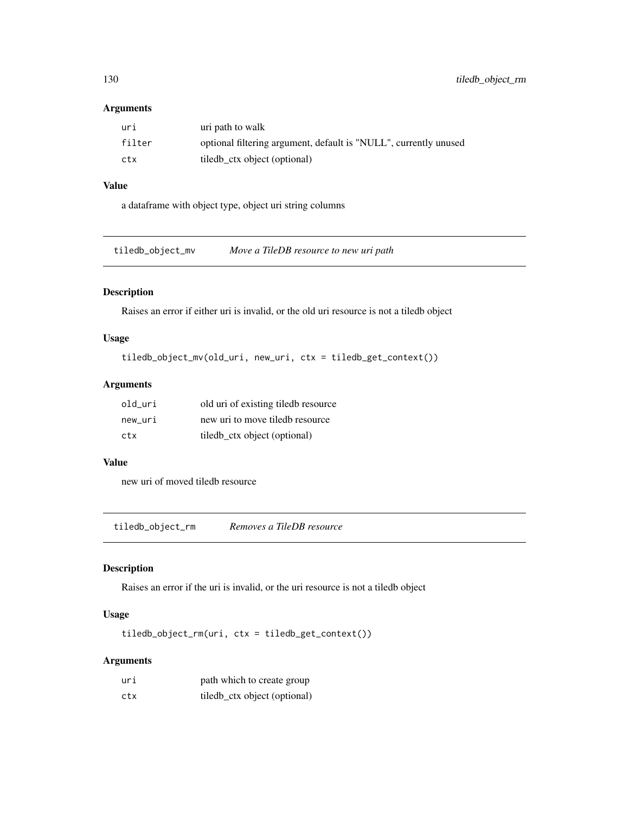#### Arguments

| uri    | uri path to walk                                                 |
|--------|------------------------------------------------------------------|
| filter | optional filtering argument, default is "NULL", currently unused |
| ctx    | tiled ctx object (optional)                                      |

# Value

a dataframe with object type, object uri string columns

tiledb\_object\_mv *Move a TileDB resource to new uri path*

## Description

Raises an error if either uri is invalid, or the old uri resource is not a tiledb object

#### Usage

```
tiledb_object_mv(old_uri, new_uri, ctx = tiledb_get_context())
```
## Arguments

| old uri | old uri of existing tiledb resource |
|---------|-------------------------------------|
| new uri | new uri to move tiledb resource     |
| ctx     | tiledb_ctx object (optional)        |

## Value

new uri of moved tiledb resource

tiledb\_object\_rm *Removes a TileDB resource*

## Description

Raises an error if the uri is invalid, or the uri resource is not a tiledb object

# Usage

tiledb\_object\_rm(uri, ctx = tiledb\_get\_context())

# Arguments

| uri | path which to create group    |
|-----|-------------------------------|
| ctx | tiled b_ctx object (optional) |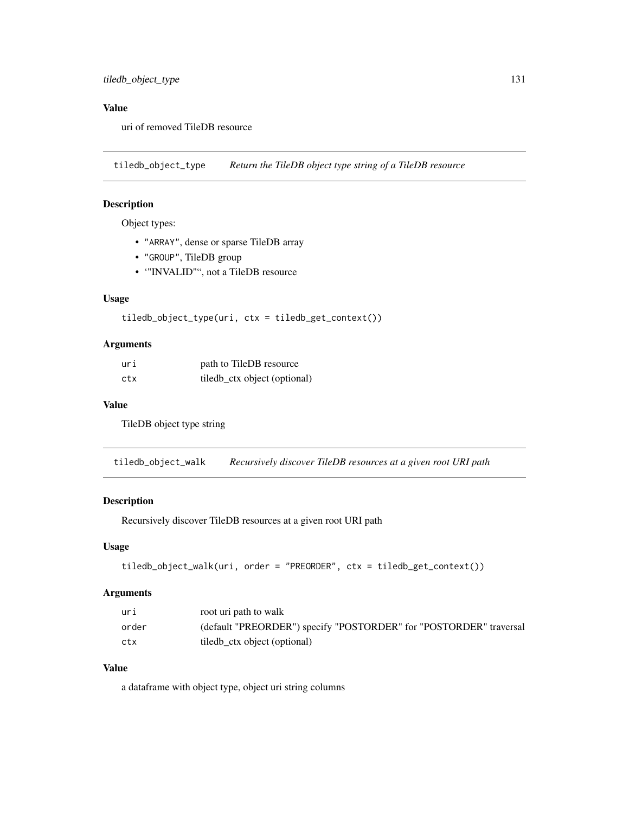# Value

uri of removed TileDB resource

tiledb\_object\_type *Return the TileDB object type string of a TileDB resource*

## Description

Object types:

- "ARRAY", dense or sparse TileDB array
- "GROUP", TileDB group
- '"INVALID"", not a TileDB resource

#### Usage

```
tiledb_object_type(uri, ctx = tiledb_get_context())
```
## Arguments

| uri | path to TileDB resource       |
|-----|-------------------------------|
| ctx | tiled b_ctx object (optional) |

#### Value

TileDB object type string

tiledb\_object\_walk *Recursively discover TileDB resources at a given root URI path*

# Description

Recursively discover TileDB resources at a given root URI path

#### Usage

```
tiledb_object_walk(uri, order = "PREORDER", ctx = tiledb_get_context())
```
## Arguments

| uri   | root uri path to walk                                              |
|-------|--------------------------------------------------------------------|
| order | (default "PREORDER") specify "POSTORDER" for "POSTORDER" traversal |
| ctx   | tiled ctx object (optional)                                        |

## Value

a dataframe with object type, object uri string columns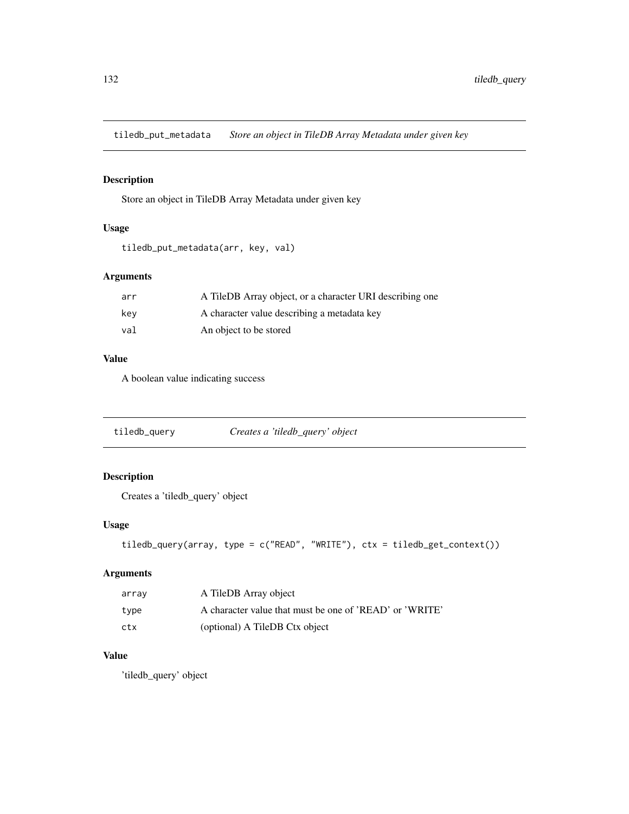tiledb\_put\_metadata *Store an object in TileDB Array Metadata under given key*

## Description

Store an object in TileDB Array Metadata under given key

#### Usage

```
tiledb_put_metadata(arr, key, val)
```
## Arguments

| arr | A TileDB Array object, or a character URI describing one |
|-----|----------------------------------------------------------|
| kev | A character value describing a metadata key              |
| val | An object to be stored                                   |

#### Value

A boolean value indicating success

|  | tiledb_query | Creates a 'tiledb_query' object |
|--|--------------|---------------------------------|
|--|--------------|---------------------------------|

# Description

Creates a 'tiledb\_query' object

# Usage

```
tiledb_query(array, type = c("READ", "WRITE"), ctx = tiledb_get_context())
```
# Arguments

| array | A TileDB Array object                                   |
|-------|---------------------------------------------------------|
| type  | A character value that must be one of 'READ' or 'WRITE' |
| ctx   | (optional) A TileDB Ctx object                          |

# Value

'tiledb\_query' object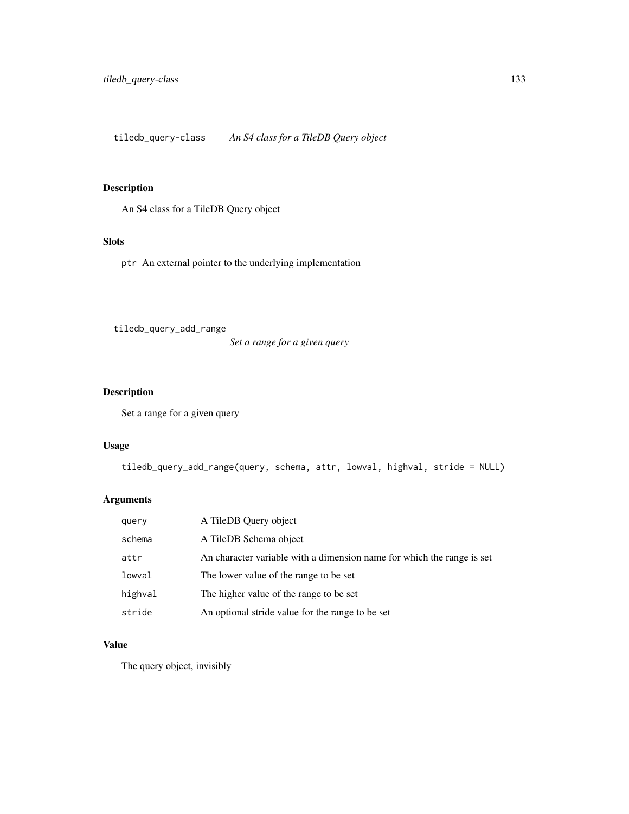tiledb\_query-class *An S4 class for a TileDB Query object*

# Description

An S4 class for a TileDB Query object

#### Slots

ptr An external pointer to the underlying implementation

tiledb\_query\_add\_range

*Set a range for a given query*

# Description

Set a range for a given query

## Usage

```
tiledb_query_add_range(query, schema, attr, lowval, highval, stride = NULL)
```
## Arguments

| query   | A TileDB Query object                                                  |
|---------|------------------------------------------------------------------------|
| schema  | A TileDB Schema object                                                 |
| attr    | An character variable with a dimension name for which the range is set |
| lowval  | The lower value of the range to be set                                 |
| highval | The higher value of the range to be set                                |
| stride  | An optional stride value for the range to be set                       |

# Value

The query object, invisibly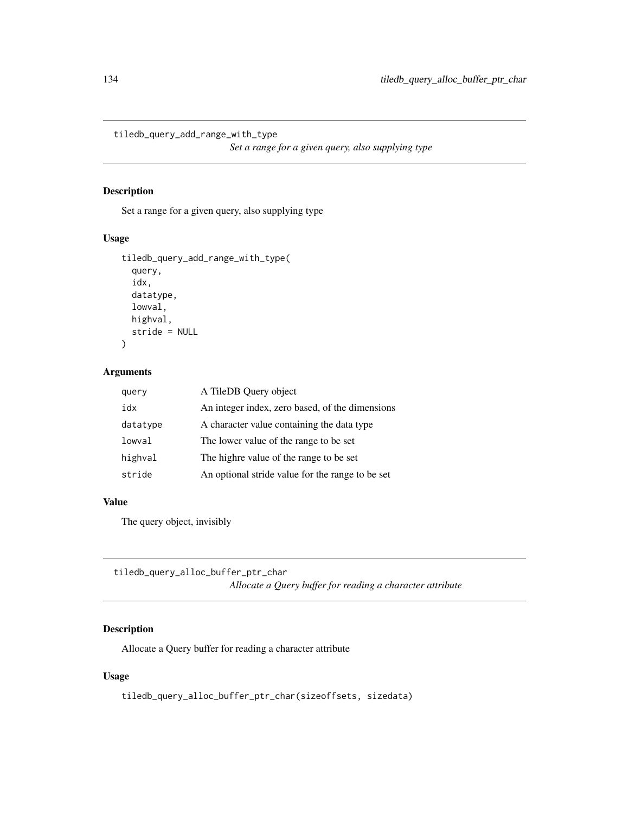tiledb\_query\_add\_range\_with\_type

*Set a range for a given query, also supplying type*

#### Description

Set a range for a given query, also supplying type

#### Usage

```
tiledb_query_add_range_with_type(
  query,
  idx,
  datatype,
 lowval,
 highval,
  stride = NULL
)
```
## Arguments

| query    | A TileDB Query object                            |
|----------|--------------------------------------------------|
| idx      | An integer index, zero based, of the dimensions  |
| datatype | A character value containing the data type       |
| lowval   | The lower value of the range to be set           |
| highval  | The highre value of the range to be set          |
| stride   | An optional stride value for the range to be set |

#### Value

The query object, invisibly

```
tiledb_query_alloc_buffer_ptr_char
                          Allocate a Query buffer for reading a character attribute
```
## Description

Allocate a Query buffer for reading a character attribute

# Usage

tiledb\_query\_alloc\_buffer\_ptr\_char(sizeoffsets, sizedata)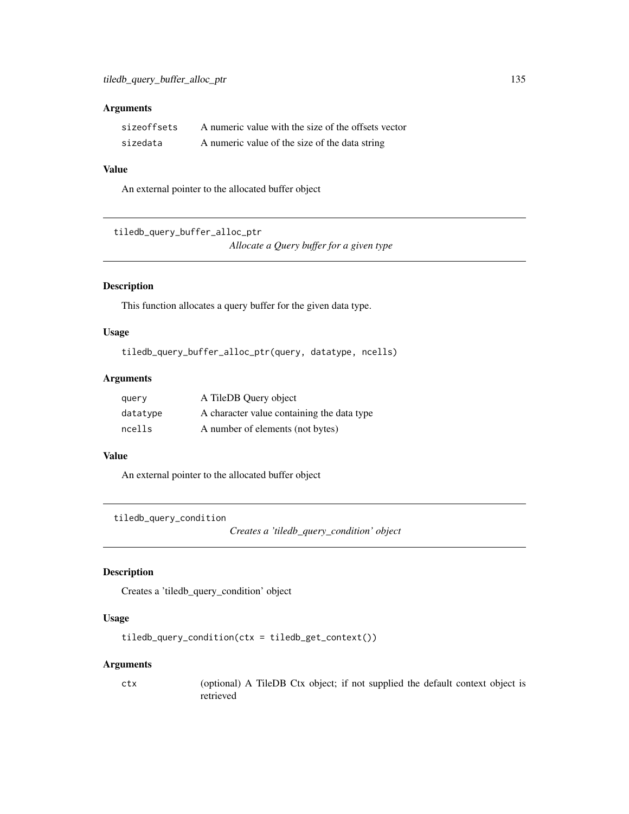## Arguments

| sizeoffsets | A numeric value with the size of the offsets vector |
|-------------|-----------------------------------------------------|
| sizedata    | A numeric value of the size of the data string      |

# Value

An external pointer to the allocated buffer object

```
tiledb_query_buffer_alloc_ptr
```
*Allocate a Query buffer for a given type*

# Description

This function allocates a query buffer for the given data type.

## Usage

```
tiledb_query_buffer_alloc_ptr(query, datatype, ncells)
```
## Arguments

| query    | A TileDB Query object                      |
|----------|--------------------------------------------|
| datatype | A character value containing the data type |
| ncells   | A number of elements (not bytes)           |

#### Value

An external pointer to the allocated buffer object

tiledb\_query\_condition

*Creates a 'tiledb\_query\_condition' object*

#### Description

Creates a 'tiledb\_query\_condition' object

## Usage

```
tiledb_query_condition(ctx = tiledb_get_context())
```
#### Arguments

ctx (optional) A TileDB Ctx object; if not supplied the default context object is retrieved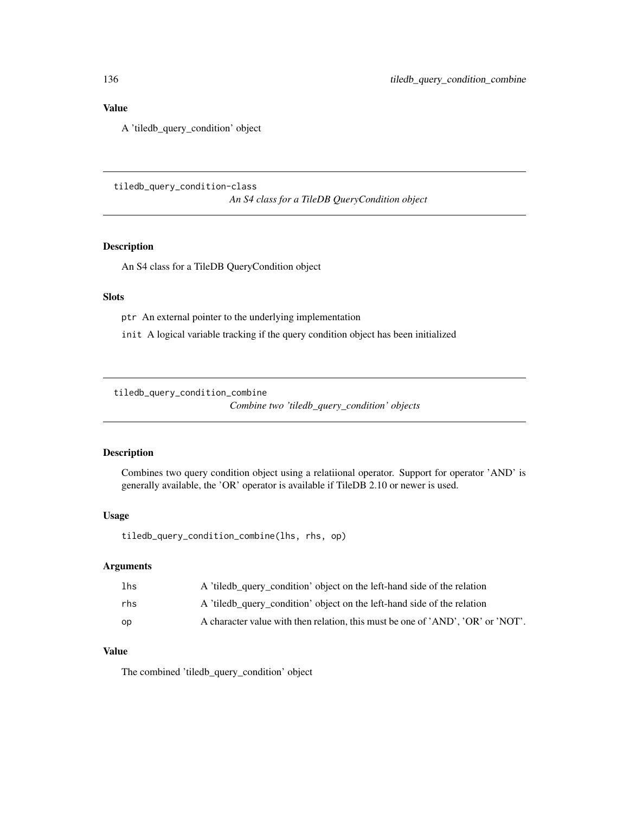#### Value

A 'tiledb\_query\_condition' object

tiledb\_query\_condition-class *An S4 class for a TileDB QueryCondition object*

#### Description

An S4 class for a TileDB QueryCondition object

## Slots

ptr An external pointer to the underlying implementation

init A logical variable tracking if the query condition object has been initialized

tiledb\_query\_condition\_combine

*Combine two 'tiledb\_query\_condition' objects*

#### Description

Combines two query condition object using a relatiional operator. Support for operator 'AND' is generally available, the 'OR' operator is available if TileDB 2.10 or newer is used.

#### Usage

tiledb\_query\_condition\_combine(lhs, rhs, op)

#### Arguments

| 1 <sub>hs</sub> | A 'tiledb_query_condition' object on the left-hand side of the relation         |
|-----------------|---------------------------------------------------------------------------------|
| rhs             | A 'tiledb_query_condition' object on the left-hand side of the relation         |
| op              | A character value with then relation, this must be one of 'AND', 'OR' or 'NOT'. |

#### Value

The combined 'tiledb\_query\_condition' object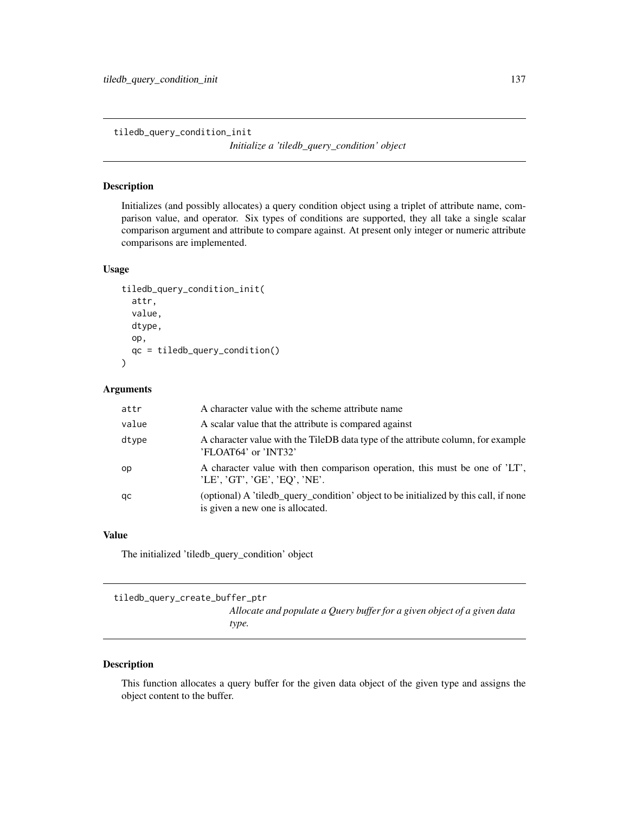tiledb\_query\_condition\_init

*Initialize a 'tiledb\_query\_condition' object*

# Description

Initializes (and possibly allocates) a query condition object using a triplet of attribute name, comparison value, and operator. Six types of conditions are supported, they all take a single scalar comparison argument and attribute to compare against. At present only integer or numeric attribute comparisons are implemented.

## Usage

```
tiledb_query_condition_init(
  attr,
  value,
  dtype,
  op,
  qc = tiledb_query_condition()
)
```
#### Arguments

| attr  | A character value with the scheme attribute name                                                                         |
|-------|--------------------------------------------------------------------------------------------------------------------------|
| value | A scalar value that the attribute is compared against                                                                    |
| dtype | A character value with the TileDB data type of the attribute column, for example<br>'FLOAT64' or 'INT32'                 |
| op    | A character value with then comparison operation, this must be one of 'LT',<br>'LE', 'GT', 'GE', 'EQ', 'NE'.             |
| qc    | (optional) A 'tiledb_query_condition' object to be initialized by this call, if none<br>is given a new one is allocated. |

#### Value

The initialized 'tiledb\_query\_condition' object

tiledb\_query\_create\_buffer\_ptr

*Allocate and populate a Query buffer for a given object of a given data type.*

#### Description

This function allocates a query buffer for the given data object of the given type and assigns the object content to the buffer.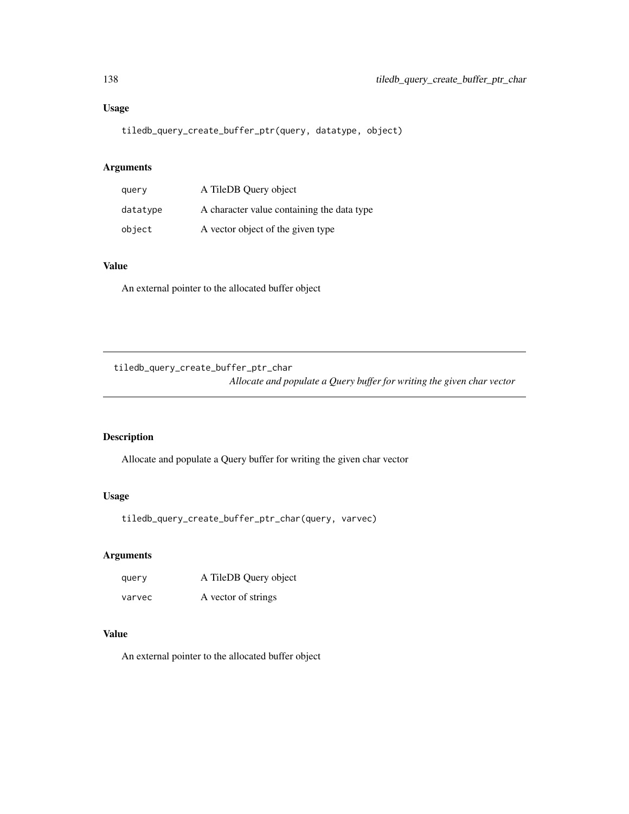# Usage

tiledb\_query\_create\_buffer\_ptr(query, datatype, object)

# Arguments

| query    | A TileDB Query object                      |
|----------|--------------------------------------------|
| datatype | A character value containing the data type |
| object   | A vector object of the given type          |

# Value

An external pointer to the allocated buffer object

tiledb\_query\_create\_buffer\_ptr\_char

*Allocate and populate a Query buffer for writing the given char vector*

#### Description

Allocate and populate a Query buffer for writing the given char vector

#### Usage

tiledb\_query\_create\_buffer\_ptr\_char(query, varvec)

## Arguments

query A TileDB Query object varvec A vector of strings

# Value

An external pointer to the allocated buffer object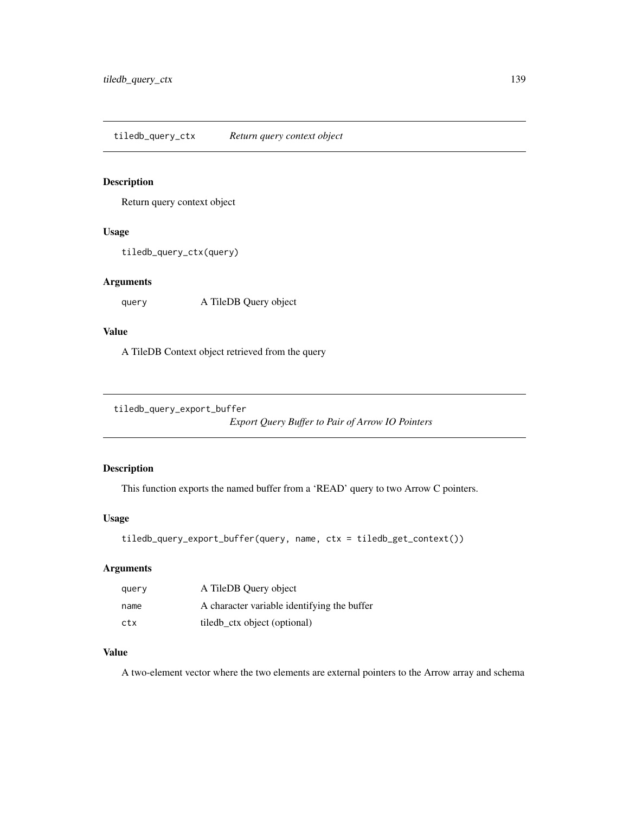tiledb\_query\_ctx *Return query context object*

#### Description

Return query context object

## Usage

```
tiledb_query_ctx(query)
```
## Arguments

query A TileDB Query object

## Value

A TileDB Context object retrieved from the query

```
tiledb_query_export_buffer
```
*Export Query Buffer to Pair of Arrow IO Pointers*

## Description

This function exports the named buffer from a 'READ' query to two Arrow C pointers.

#### Usage

```
tiledb_query_export_buffer(query, name, ctx = tiledb_get_context())
```
# Arguments

| query | A TileDB Query object                       |
|-------|---------------------------------------------|
| name  | A character variable identifying the buffer |
| ctx   | tiled ctx object (optional)                 |

# Value

A two-element vector where the two elements are external pointers to the Arrow array and schema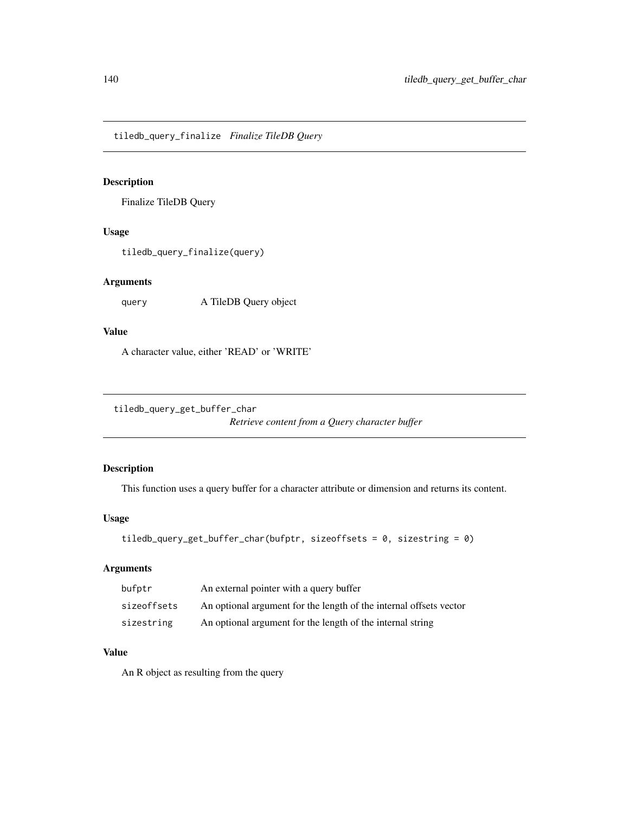tiledb\_query\_finalize *Finalize TileDB Query*

#### Description

Finalize TileDB Query

## Usage

tiledb\_query\_finalize(query)

## Arguments

query A TileDB Query object

## Value

A character value, either 'READ' or 'WRITE'

```
tiledb_query_get_buffer_char
```
*Retrieve content from a Query character buffer*

## Description

This function uses a query buffer for a character attribute or dimension and returns its content.

#### Usage

```
tiledb_query_get_buffer_char(bufptr, sizeoffsets = 0, sizestring = 0)
```
# Arguments

| bufptr      | An external pointer with a query buffer                            |
|-------------|--------------------------------------------------------------------|
| sizeoffsets | An optional argument for the length of the internal offsets vector |
| sizestring  | An optional argument for the length of the internal string         |

# Value

An R object as resulting from the query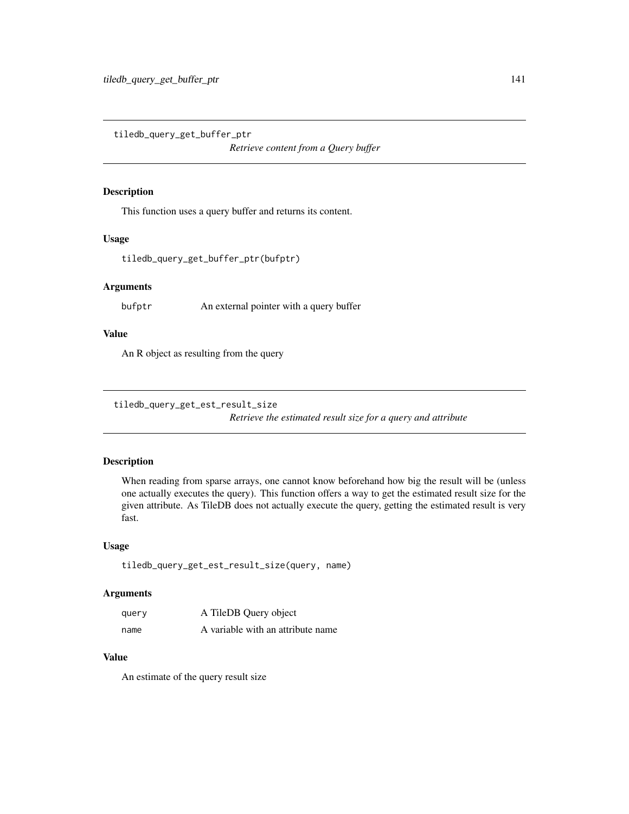tiledb\_query\_get\_buffer\_ptr

*Retrieve content from a Query buffer*

#### Description

This function uses a query buffer and returns its content.

#### Usage

```
tiledb_query_get_buffer_ptr(bufptr)
```
#### Arguments

bufptr An external pointer with a query buffer

#### Value

An R object as resulting from the query

tiledb\_query\_get\_est\_result\_size *Retrieve the estimated result size for a query and attribute*

## Description

When reading from sparse arrays, one cannot know beforehand how big the result will be (unless one actually executes the query). This function offers a way to get the estimated result size for the given attribute. As TileDB does not actually execute the query, getting the estimated result is very fast.

#### Usage

```
tiledb_query_get_est_result_size(query, name)
```
## Arguments

| query | A TileDB Query object             |
|-------|-----------------------------------|
| name  | A variable with an attribute name |

#### Value

An estimate of the query result size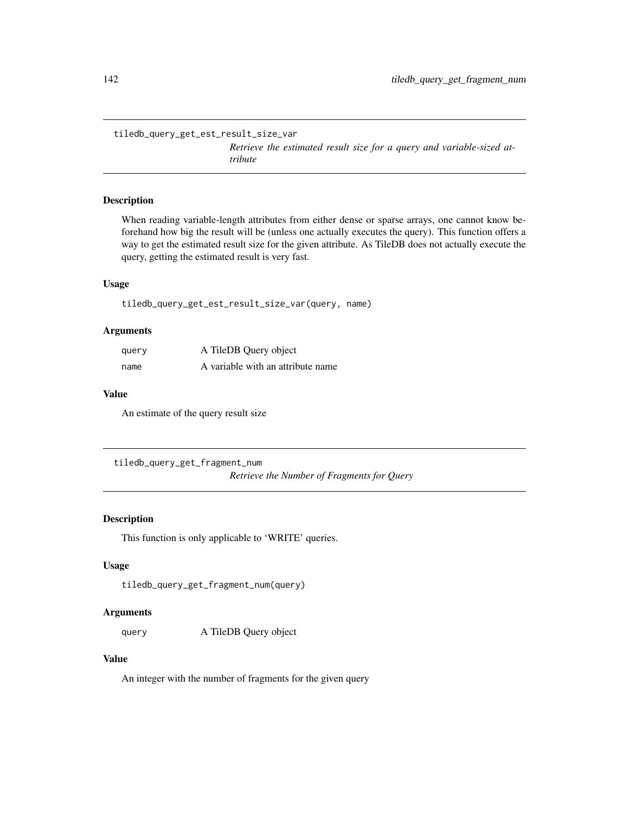tiledb\_query\_get\_est\_result\_size\_var

*Retrieve the estimated result size for a query and variable-sized attribute*

#### Description

When reading variable-length attributes from either dense or sparse arrays, one cannot know beforehand how big the result will be (unless one actually executes the query). This function offers a way to get the estimated result size for the given attribute. As TileDB does not actually execute the query, getting the estimated result is very fast.

#### Usage

tiledb\_query\_get\_est\_result\_size\_var(query, name)

#### Arguments

| query | A TileDB Query object             |
|-------|-----------------------------------|
| name  | A variable with an attribute name |

#### Value

An estimate of the query result size

tiledb\_query\_get\_fragment\_num *Retrieve the Number of Fragments for Query*

#### Description

This function is only applicable to 'WRITE' queries.

## Usage

tiledb\_query\_get\_fragment\_num(query)

#### Arguments

query A TileDB Query object

#### Value

An integer with the number of fragments for the given query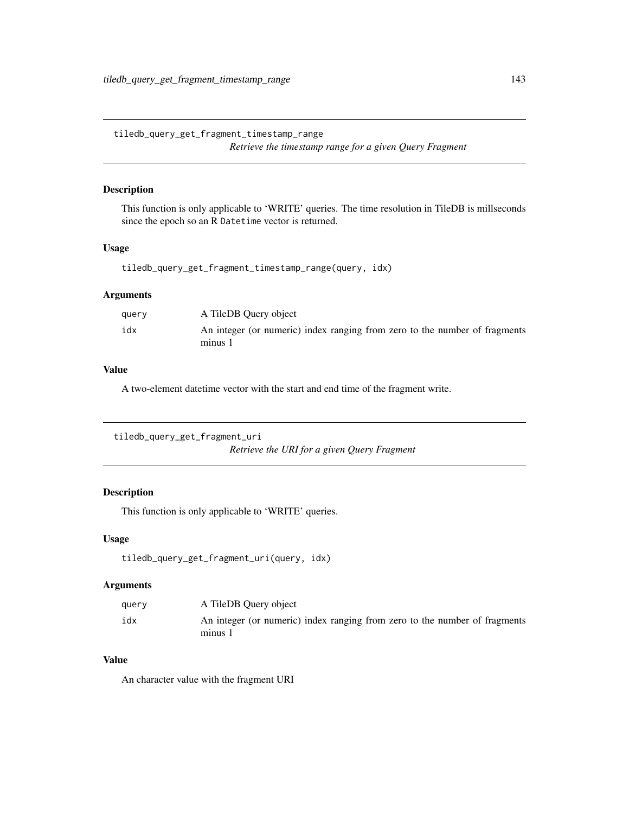tiledb\_query\_get\_fragment\_timestamp\_range *Retrieve the timestamp range for a given Query Fragment*

#### Description

This function is only applicable to 'WRITE' queries. The time resolution in TileDB is millseconds since the epoch so an R Datetime vector is returned.

#### Usage

```
tiledb_query_get_fragment_timestamp_range(query, idx)
```
## Arguments

| query | A TileDB Query object                                                                 |
|-------|---------------------------------------------------------------------------------------|
| idx   | An integer (or numeric) index ranging from zero to the number of fragments<br>minus 1 |

#### Value

A two-element datetime vector with the start and end time of the fragment write.

```
tiledb_query_get_fragment_uri
                         Retrieve the URI for a given Query Fragment
```
## Description

This function is only applicable to 'WRITE' queries.

#### Usage

```
tiledb_query_get_fragment_uri(query, idx)
```
#### Arguments

| query | A TileDB Query object                                                                 |
|-------|---------------------------------------------------------------------------------------|
| idx   | An integer (or numeric) index ranging from zero to the number of fragments<br>minus 1 |

# Value

An character value with the fragment URI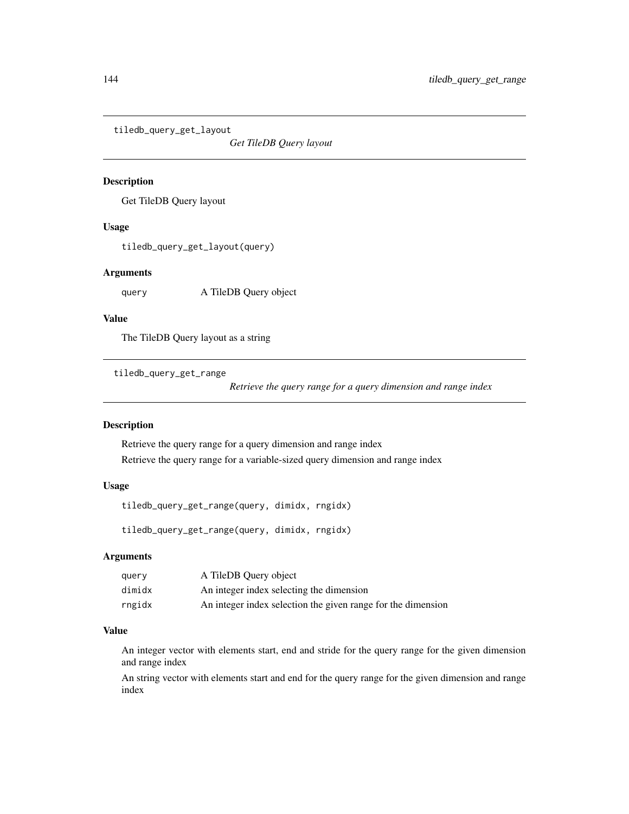tiledb\_query\_get\_layout

*Get TileDB Query layout*

#### Description

Get TileDB Query layout

## Usage

tiledb\_query\_get\_layout(query)

## Arguments

query A TileDB Query object

#### Value

The TileDB Query layout as a string

tiledb\_query\_get\_range

*Retrieve the query range for a query dimension and range index*

#### Description

Retrieve the query range for a query dimension and range index Retrieve the query range for a variable-sized query dimension and range index

## Usage

tiledb\_query\_get\_range(query, dimidx, rngidx)

tiledb\_query\_get\_range(query, dimidx, rngidx)

#### Arguments

| query  | A TileDB Query object                                        |
|--------|--------------------------------------------------------------|
| dimidx | An integer index selecting the dimension                     |
| rngidx | An integer index selection the given range for the dimension |

# Value

An integer vector with elements start, end and stride for the query range for the given dimension and range index

An string vector with elements start and end for the query range for the given dimension and range index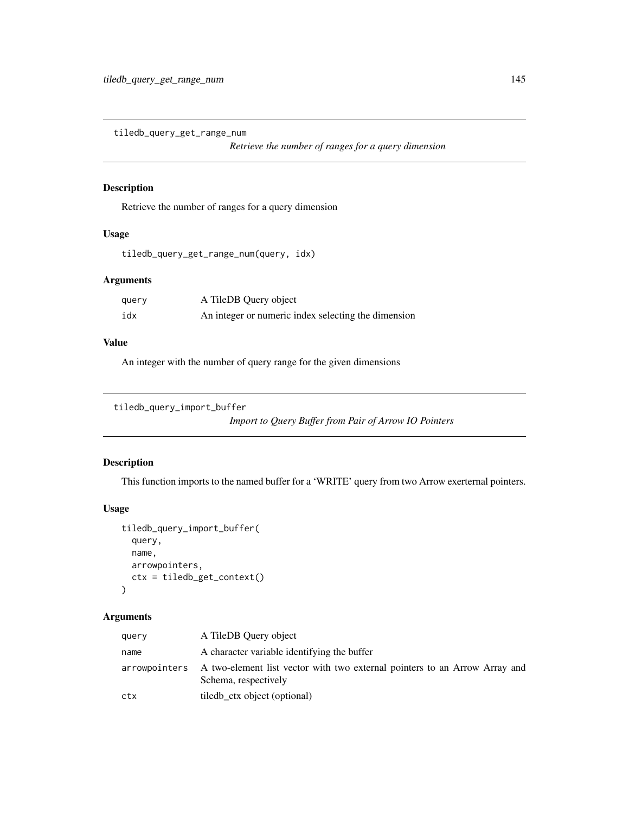tiledb\_query\_get\_range\_num

*Retrieve the number of ranges for a query dimension*

### Description

Retrieve the number of ranges for a query dimension

### Usage

```
tiledb_query_get_range_num(query, idx)
```
### Arguments

| query | A TileDB Query object                               |
|-------|-----------------------------------------------------|
| idx   | An integer or numeric index selecting the dimension |

### Value

An integer with the number of query range for the given dimensions

```
tiledb_query_import_buffer
```
*Import to Query Buffer from Pair of Arrow IO Pointers*

### Description

This function imports to the named buffer for a 'WRITE' query from two Arrow exerternal pointers.

# Usage

```
tiledb_query_import_buffer(
  query,
  name,
  arrowpointers,
  ctx = tiledb_get_context()
\mathcal{L}
```
### Arguments

| query | A TileDB Query object                                                                                            |
|-------|------------------------------------------------------------------------------------------------------------------|
| name  | A character variable identifying the buffer                                                                      |
|       | arrowpointers A two-element list vector with two external pointers to an Arrow Array and<br>Schema, respectively |
| ctx   | tiledb_ctx object (optional)                                                                                     |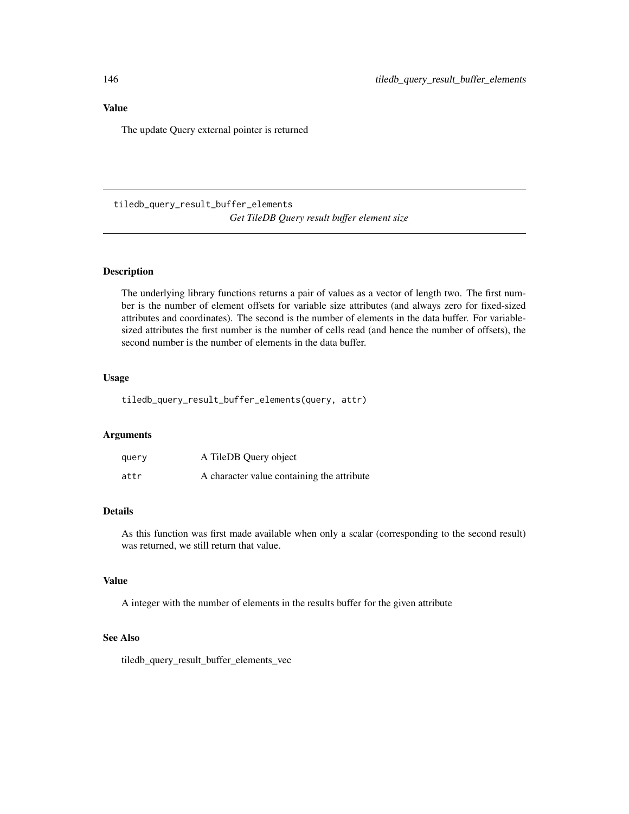The update Query external pointer is returned

tiledb\_query\_result\_buffer\_elements *Get TileDB Query result buffer element size*

### Description

The underlying library functions returns a pair of values as a vector of length two. The first number is the number of element offsets for variable size attributes (and always zero for fixed-sized attributes and coordinates). The second is the number of elements in the data buffer. For variablesized attributes the first number is the number of cells read (and hence the number of offsets), the second number is the number of elements in the data buffer.

### Usage

tiledb\_query\_result\_buffer\_elements(query, attr)

### Arguments

| query | A TileDB Query object                      |
|-------|--------------------------------------------|
| attr  | A character value containing the attribute |

### Details

As this function was first made available when only a scalar (corresponding to the second result) was returned, we still return that value.

#### Value

A integer with the number of elements in the results buffer for the given attribute

### See Also

tiledb\_query\_result\_buffer\_elements\_vec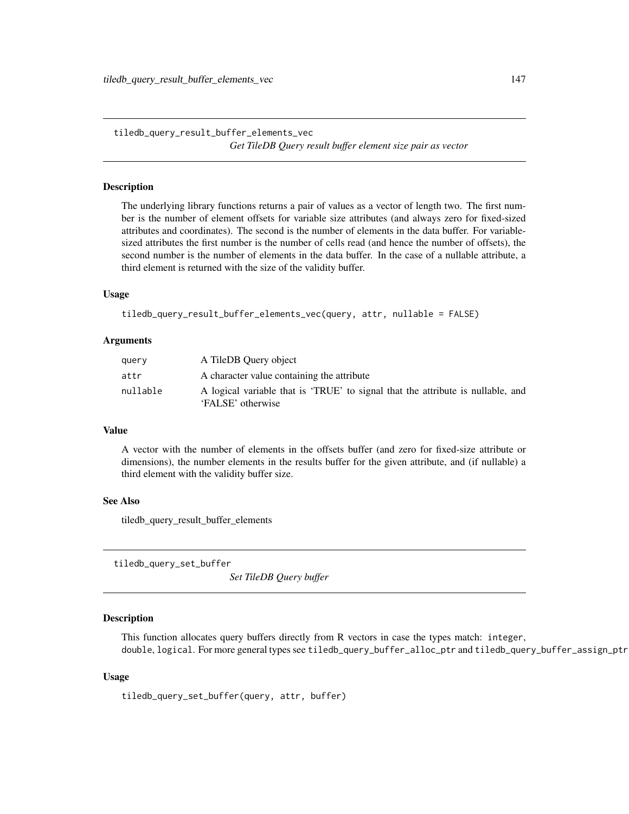tiledb\_query\_result\_buffer\_elements\_vec *Get TileDB Query result buffer element size pair as vector*

#### Description

The underlying library functions returns a pair of values as a vector of length two. The first number is the number of element offsets for variable size attributes (and always zero for fixed-sized attributes and coordinates). The second is the number of elements in the data buffer. For variablesized attributes the first number is the number of cells read (and hence the number of offsets), the second number is the number of elements in the data buffer. In the case of a nullable attribute, a third element is returned with the size of the validity buffer.

# Usage

```
tiledb_query_result_buffer_elements_vec(query, attr, nullable = FALSE)
```
#### **Arguments**

| query    | A TileDB Ouery object                                                                                |
|----------|------------------------------------------------------------------------------------------------------|
| attr     | A character value containing the attribute                                                           |
| nullable | A logical variable that is 'TRUE' to signal that the attribute is nullable, and<br>'FALSE' otherwise |

#### Value

A vector with the number of elements in the offsets buffer (and zero for fixed-size attribute or dimensions), the number elements in the results buffer for the given attribute, and (if nullable) a third element with the validity buffer size.

#### See Also

tiledb\_query\_result\_buffer\_elements

tiledb\_query\_set\_buffer

*Set TileDB Query buffer*

#### **Description**

This function allocates query buffers directly from R vectors in case the types match: integer, double, logical. For more general types see tiledb\_query\_buffer\_alloc\_ptr and tiledb\_query\_buffer\_assign\_ptr

#### Usage

```
tiledb_query_set_buffer(query, attr, buffer)
```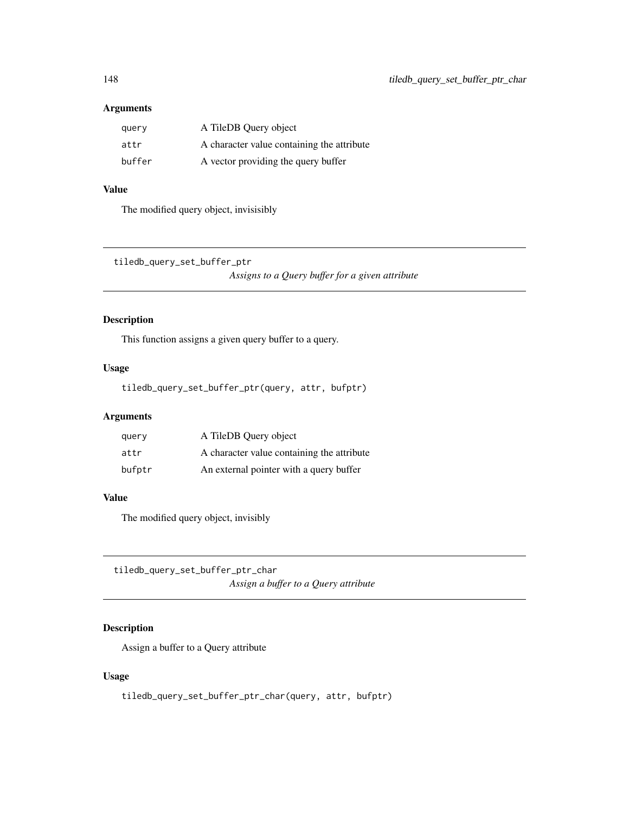| query  | A TileDB Query object                      |
|--------|--------------------------------------------|
| attr   | A character value containing the attribute |
| buffer | A vector providing the query buffer        |

# Value

The modified query object, invisisibly

tiledb\_query\_set\_buffer\_ptr

*Assigns to a Query buffer for a given attribute*

### Description

This function assigns a given query buffer to a query.

### Usage

tiledb\_query\_set\_buffer\_ptr(query, attr, bufptr)

### Arguments

| query  | A TileDB Query object                      |
|--------|--------------------------------------------|
| attr   | A character value containing the attribute |
| bufptr | An external pointer with a query buffer    |

# Value

The modified query object, invisibly

tiledb\_query\_set\_buffer\_ptr\_char *Assign a buffer to a Query attribute*

# Description

Assign a buffer to a Query attribute

# Usage

tiledb\_query\_set\_buffer\_ptr\_char(query, attr, bufptr)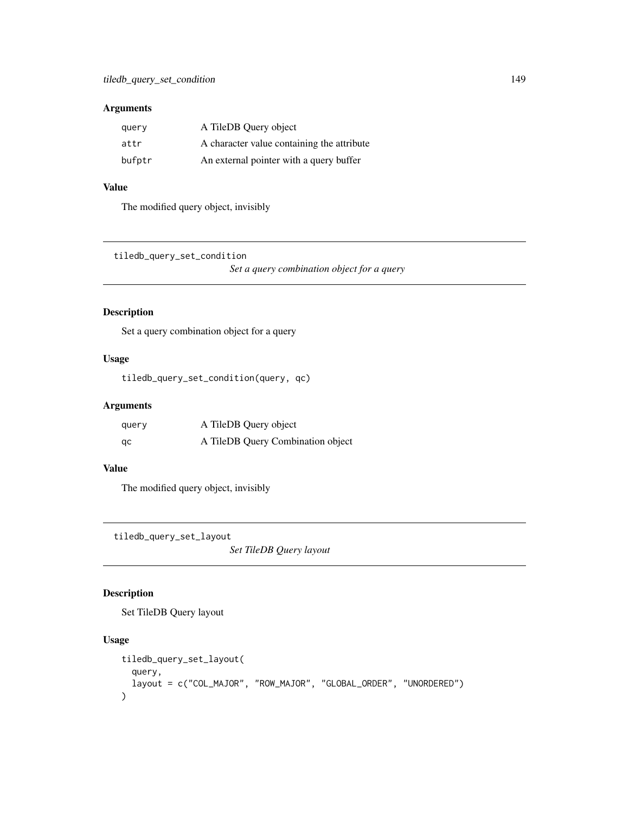| query  | A TileDB Query object                      |
|--------|--------------------------------------------|
| attr   | A character value containing the attribute |
| bufptr | An external pointer with a query buffer    |

### Value

The modified query object, invisibly

tiledb\_query\_set\_condition

*Set a query combination object for a query*

# Description

Set a query combination object for a query

# Usage

tiledb\_query\_set\_condition(query, qc)

### Arguments

| query | A TileDB Query object             |
|-------|-----------------------------------|
| qc    | A TileDB Query Combination object |

### Value

The modified query object, invisibly

tiledb\_query\_set\_layout

*Set TileDB Query layout*

# Description

Set TileDB Query layout

### Usage

```
tiledb_query_set_layout(
  query,
  layout = c("COL_MAJOR", "ROW_MAJOR", "GLOBAL_ORDER", "UNORDERED")
\mathcal{E}
```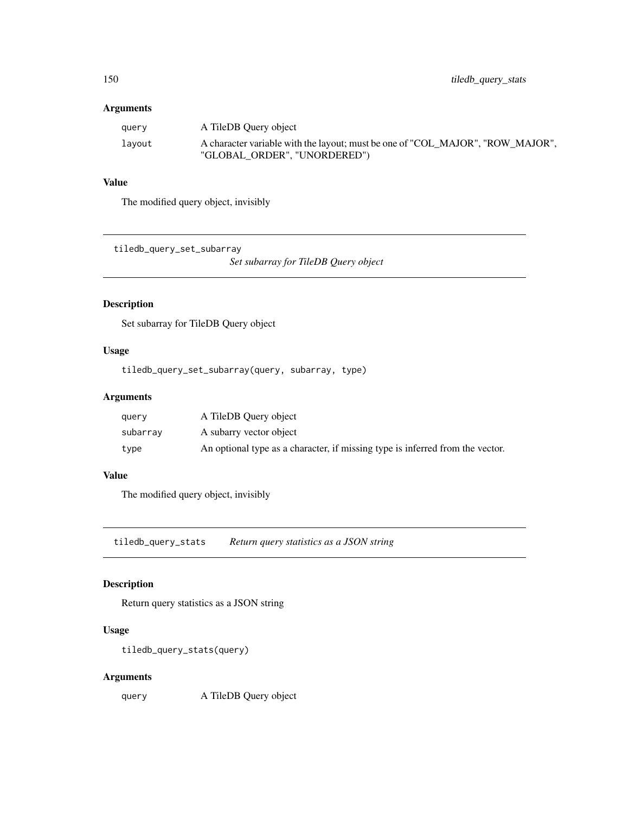| query  | A TileDB Query object                                                                                          |
|--------|----------------------------------------------------------------------------------------------------------------|
| lavout | A character variable with the layout; must be one of "COL MAJOR", "ROW MAJOR",<br>"GLOBAL ORDER", "UNORDERED") |

# Value

The modified query object, invisibly

tiledb\_query\_set\_subarray

*Set subarray for TileDB Query object*

### Description

Set subarray for TileDB Query object

### Usage

tiledb\_query\_set\_subarray(query, subarray, type)

### Arguments

| query    | A TileDB Ouery object                                                         |
|----------|-------------------------------------------------------------------------------|
| subarrav | A subarry vector object                                                       |
| type     | An optional type as a character, if missing type is inferred from the vector. |

### Value

The modified query object, invisibly

tiledb\_query\_stats *Return query statistics as a JSON string*

### Description

Return query statistics as a JSON string

### Usage

```
tiledb_query_stats(query)
```
### Arguments

query A TileDB Query object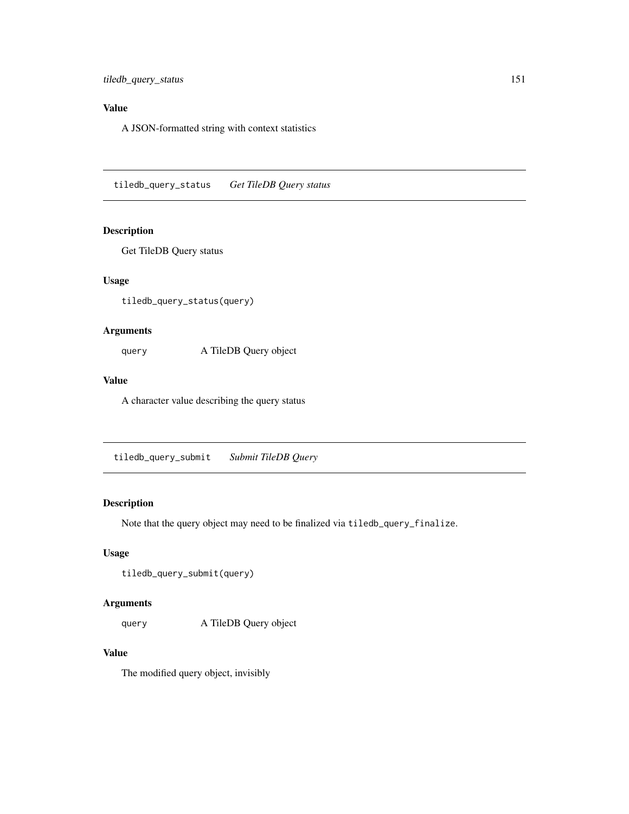# Value

A JSON-formatted string with context statistics

tiledb\_query\_status *Get TileDB Query status*

### Description

Get TileDB Query status

#### Usage

tiledb\_query\_status(query)

### Arguments

query A TileDB Query object

### Value

A character value describing the query status

tiledb\_query\_submit *Submit TileDB Query*

# Description

Note that the query object may need to be finalized via tiledb\_query\_finalize.

### Usage

```
tiledb_query_submit(query)
```
### Arguments

query A TileDB Query object

# Value

The modified query object, invisibly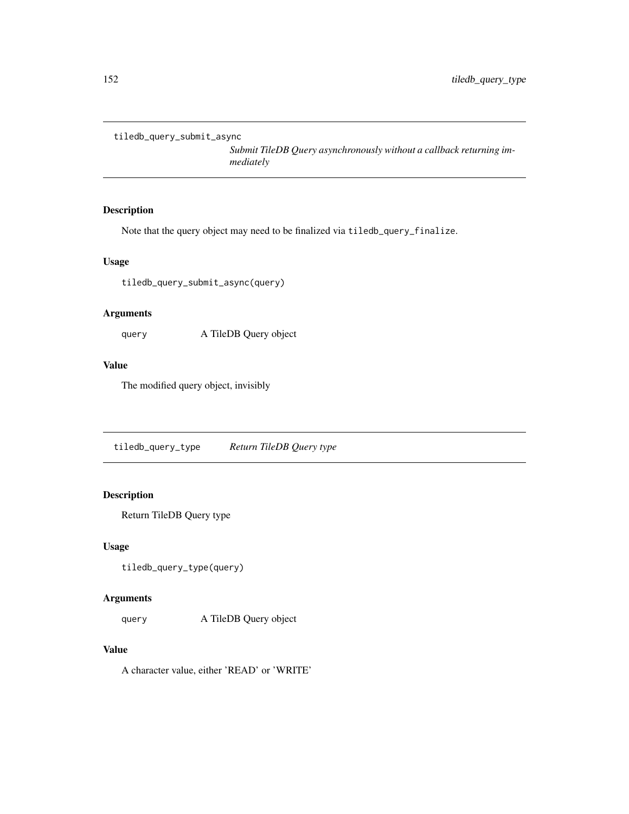```
tiledb_query_submit_async
```
*Submit TileDB Query asynchronously without a callback returning immediately*

### Description

Note that the query object may need to be finalized via tiledb\_query\_finalize.

### Usage

tiledb\_query\_submit\_async(query)

### Arguments

query A TileDB Query object

### Value

The modified query object, invisibly

tiledb\_query\_type *Return TileDB Query type*

### Description

Return TileDB Query type

### Usage

```
tiledb_query_type(query)
```
### Arguments

query A TileDB Query object

# Value

A character value, either 'READ' or 'WRITE'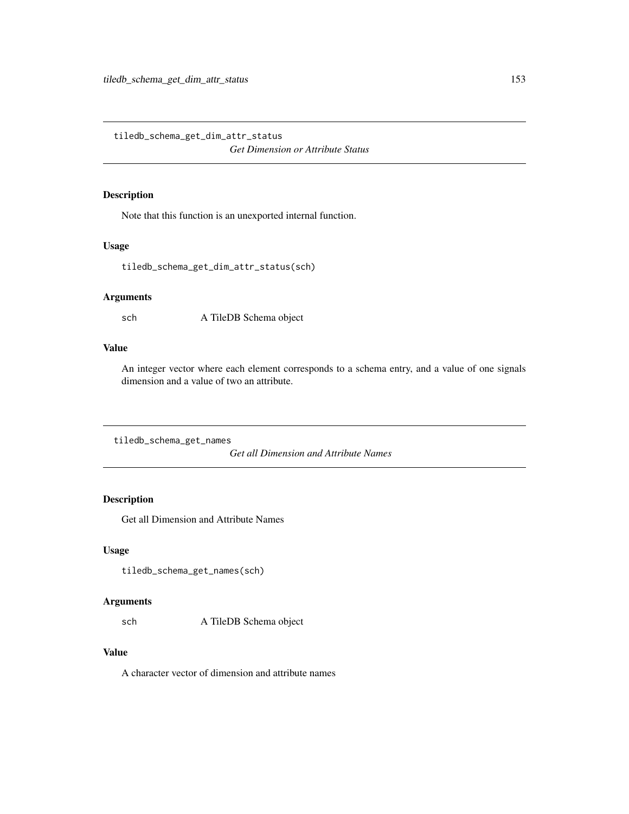tiledb\_schema\_get\_dim\_attr\_status

*Get Dimension or Attribute Status*

### Description

Note that this function is an unexported internal function.

#### Usage

```
tiledb_schema_get_dim_attr_status(sch)
```
### Arguments

sch A TileDB Schema object

### Value

An integer vector where each element corresponds to a schema entry, and a value of one signals dimension and a value of two an attribute.

tiledb\_schema\_get\_names

*Get all Dimension and Attribute Names*

# Description

Get all Dimension and Attribute Names

### Usage

```
tiledb_schema_get_names(sch)
```
### Arguments

sch A TileDB Schema object

# Value

A character vector of dimension and attribute names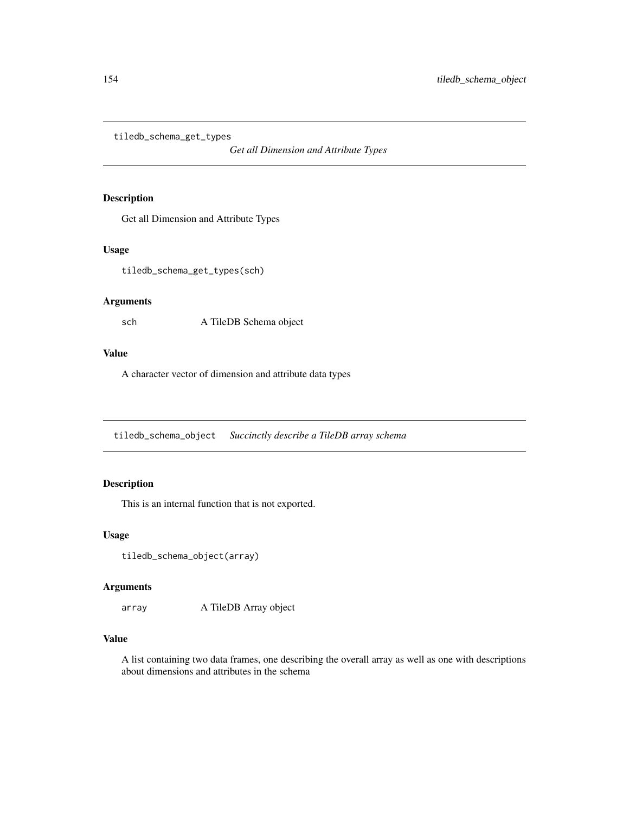tiledb\_schema\_get\_types

*Get all Dimension and Attribute Types*

### Description

Get all Dimension and Attribute Types

### Usage

tiledb\_schema\_get\_types(sch)

### Arguments

sch A TileDB Schema object

### Value

A character vector of dimension and attribute data types

tiledb\_schema\_object *Succinctly describe a TileDB array schema*

### Description

This is an internal function that is not exported.

#### Usage

```
tiledb_schema_object(array)
```
### Arguments

array A TileDB Array object

# Value

A list containing two data frames, one describing the overall array as well as one with descriptions about dimensions and attributes in the schema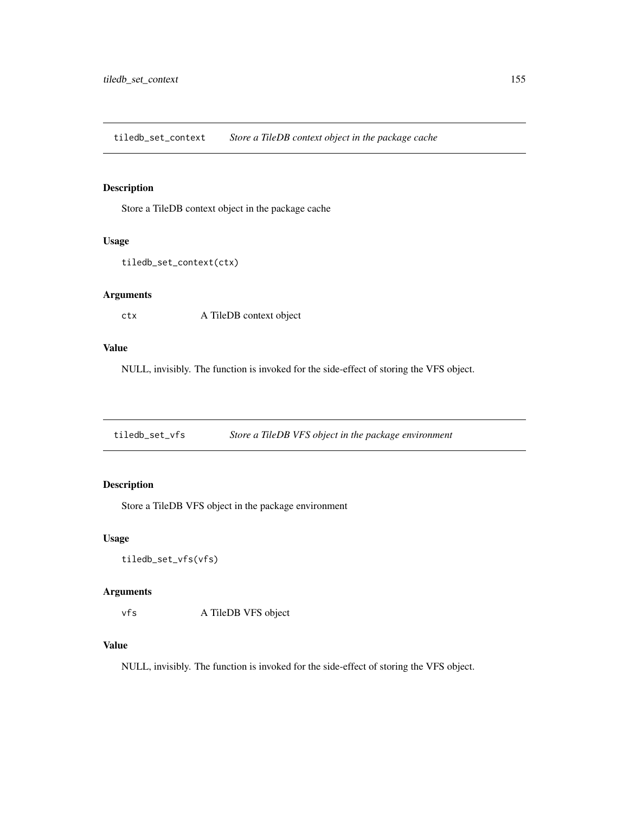tiledb\_set\_context *Store a TileDB context object in the package cache*

### Description

Store a TileDB context object in the package cache

#### Usage

```
tiledb_set_context(ctx)
```
### Arguments

ctx A TileDB context object

#### Value

NULL, invisibly. The function is invoked for the side-effect of storing the VFS object.

tiledb\_set\_vfs *Store a TileDB VFS object in the package environment*

# Description

Store a TileDB VFS object in the package environment

### Usage

```
tiledb_set_vfs(vfs)
```
### Arguments

vfs A TileDB VFS object

### Value

NULL, invisibly. The function is invoked for the side-effect of storing the VFS object.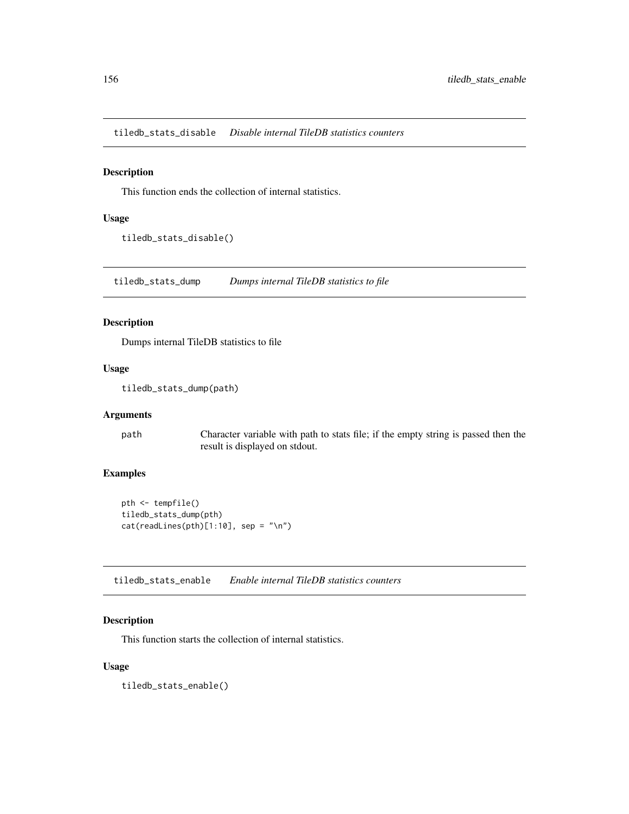tiledb\_stats\_disable *Disable internal TileDB statistics counters*

#### Description

This function ends the collection of internal statistics.

#### Usage

tiledb\_stats\_disable()

tiledb\_stats\_dump *Dumps internal TileDB statistics to file*

### Description

Dumps internal TileDB statistics to file

#### Usage

```
tiledb_stats_dump(path)
```
#### Arguments

path Character variable with path to stats file; if the empty string is passed then the result is displayed on stdout.

# Examples

```
pth <- tempfile()
tiledb_stats_dump(pth)
cat(readLines(pth)[1:10], sep = "n")
```
tiledb\_stats\_enable *Enable internal TileDB statistics counters*

### Description

This function starts the collection of internal statistics.

### Usage

tiledb\_stats\_enable()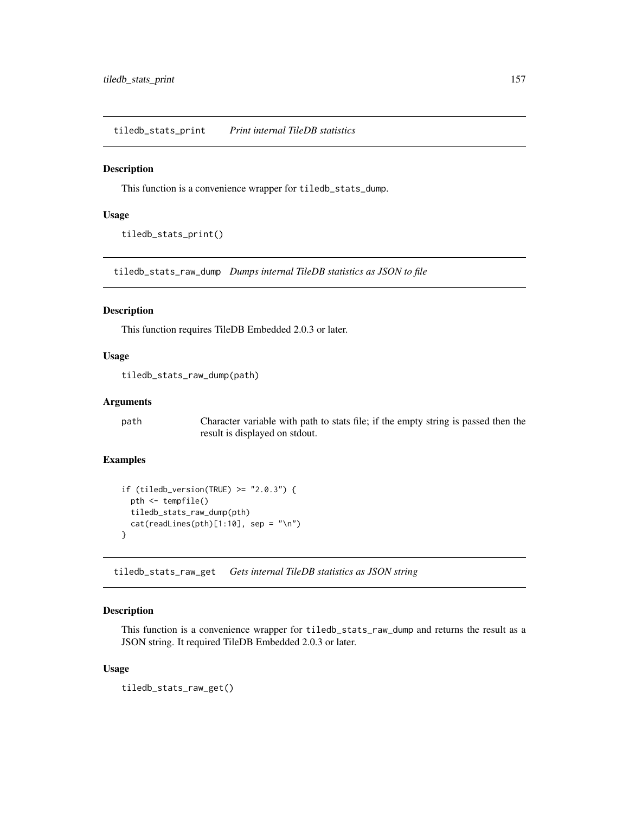tiledb\_stats\_print *Print internal TileDB statistics*

#### Description

This function is a convenience wrapper for tiledb\_stats\_dump.

### Usage

tiledb\_stats\_print()

tiledb\_stats\_raw\_dump *Dumps internal TileDB statistics as JSON to file*

### Description

This function requires TileDB Embedded 2.0.3 or later.

### Usage

tiledb\_stats\_raw\_dump(path)

### Arguments

path Character variable with path to stats file; if the empty string is passed then the result is displayed on stdout.

# Examples

```
if (tiledb_version(TRUE) > = "2.0.3") {
 pth <- tempfile()
 tiledb_stats_raw_dump(pth)
 cat(readLines(pth)[1:10], sep = "n")}
```
tiledb\_stats\_raw\_get *Gets internal TileDB statistics as JSON string*

### Description

This function is a convenience wrapper for tiledb\_stats\_raw\_dump and returns the result as a JSON string. It required TileDB Embedded 2.0.3 or later.

#### Usage

tiledb\_stats\_raw\_get()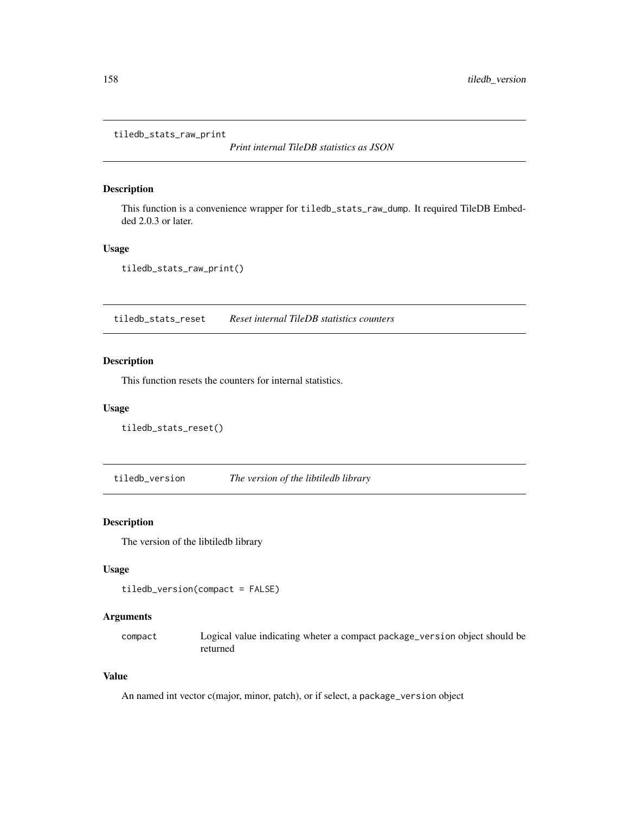tiledb\_stats\_raw\_print

*Print internal TileDB statistics as JSON*

#### Description

This function is a convenience wrapper for tiledb\_stats\_raw\_dump. It required TileDB Embedded 2.0.3 or later.

### Usage

tiledb\_stats\_raw\_print()

tiledb\_stats\_reset *Reset internal TileDB statistics counters*

### Description

This function resets the counters for internal statistics.

### Usage

```
tiledb_stats_reset()
```
tiledb\_version *The version of the libtiledb library*

### Description

The version of the libtiledb library

#### Usage

```
tiledb_version(compact = FALSE)
```
### Arguments

compact Logical value indicating wheter a compact package\_version object should be returned

### Value

An named int vector c(major, minor, patch), or if select, a package\_version object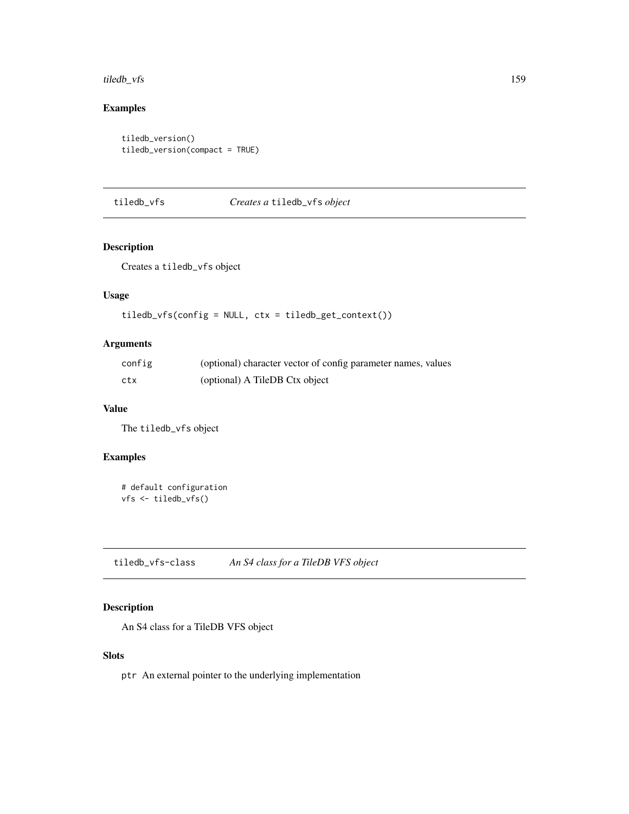#### tiledb\_vfs 159

# Examples

```
tiledb_version()
tiledb_version(compact = TRUE)
```
# tiledb\_vfs *Creates a* tiledb\_vfs *object*

### Description

Creates a tiledb\_vfs object

### Usage

tiledb\_vfs(config = NULL, ctx = tiledb\_get\_context())

### Arguments

| config | (optional) character vector of config parameter names, values |
|--------|---------------------------------------------------------------|
| ctx    | (optional) A TileDB Ctx object                                |

### Value

The tiledb\_vfs object

# Examples

```
# default configuration
vfs <- tiledb_vfs()
```
tiledb\_vfs-class *An S4 class for a TileDB VFS object*

### Description

An S4 class for a TileDB VFS object

### Slots

ptr An external pointer to the underlying implementation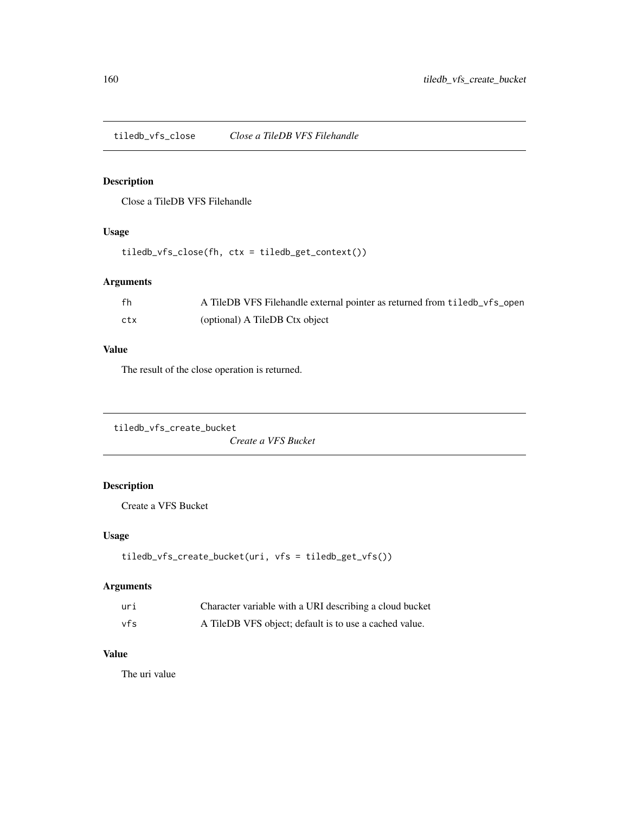tiledb\_vfs\_close *Close a TileDB VFS Filehandle*

# Description

Close a TileDB VFS Filehandle

# Usage

tiledb\_vfs\_close(fh, ctx = tiledb\_get\_context())

### Arguments

| fh  | A TileDB VFS Filehandle external pointer as returned from tiledb_vfs_open |
|-----|---------------------------------------------------------------------------|
| ctx | (optional) A TileDB Ctx object                                            |

### Value

The result of the close operation is returned.

```
tiledb_vfs_create_bucket
```
*Create a VFS Bucket*

# Description

Create a VFS Bucket

### Usage

```
tiledb_vfs_create_bucket(uri, vfs = tiledb_get_vfs())
```
### Arguments

| uri | Character variable with a URI describing a cloud bucket |
|-----|---------------------------------------------------------|
| vfs | A TileDB VFS object; default is to use a cached value.  |

### Value

The uri value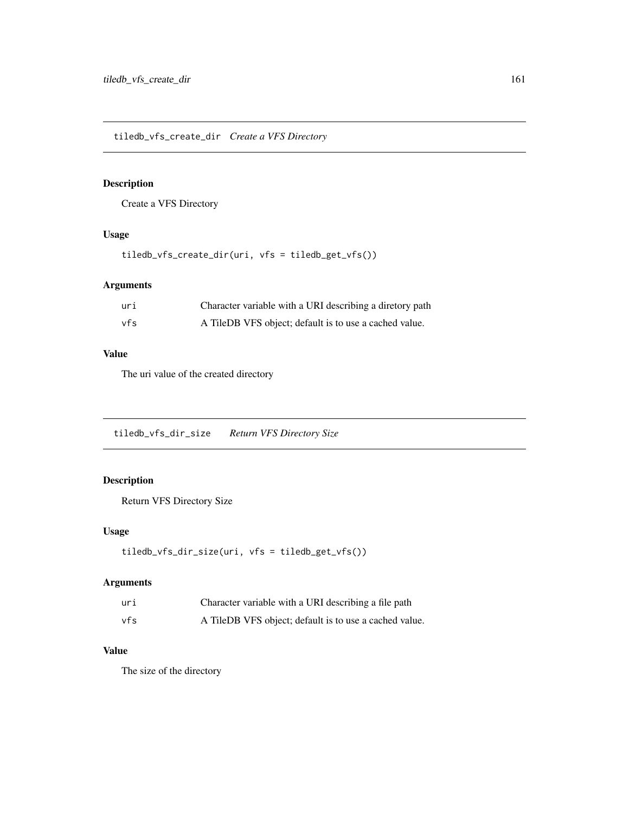tiledb\_vfs\_create\_dir *Create a VFS Directory*

# Description

Create a VFS Directory

### Usage

tiledb\_vfs\_create\_dir(uri, vfs = tiledb\_get\_vfs())

# Arguments

| uri | Character variable with a URI describing a diretory path |
|-----|----------------------------------------------------------|
| vfs | A TileDB VFS object; default is to use a cached value.   |

### Value

The uri value of the created directory

tiledb\_vfs\_dir\_size *Return VFS Directory Size*

# Description

Return VFS Directory Size

### Usage

```
tiledb_vfs_dir_size(uri, vfs = tiledb_get_vfs())
```
### Arguments

| uri | Character variable with a URI describing a file path   |
|-----|--------------------------------------------------------|
| vfs | A TileDB VFS object; default is to use a cached value. |

# Value

The size of the directory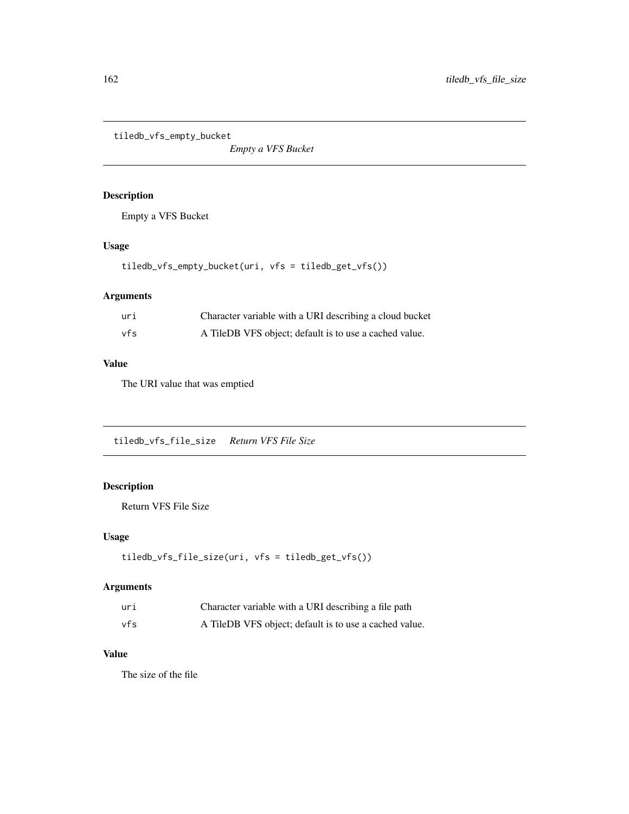tiledb\_vfs\_empty\_bucket

*Empty a VFS Bucket*

# Description

Empty a VFS Bucket

### Usage

tiledb\_vfs\_empty\_bucket(uri, vfs = tiledb\_get\_vfs())

# Arguments

| uri | Character variable with a URI describing a cloud bucket |
|-----|---------------------------------------------------------|
| vfs | A TileDB VFS object; default is to use a cached value.  |

# Value

The URI value that was emptied

tiledb\_vfs\_file\_size *Return VFS File Size*

# Description

Return VFS File Size

### Usage

```
tiledb_vfs_file_size(uri, vfs = tiledb_get_vfs())
```
### Arguments

| uri | Character variable with a URI describing a file path   |
|-----|--------------------------------------------------------|
| vfs | A TileDB VFS object; default is to use a cached value. |

# Value

The size of the file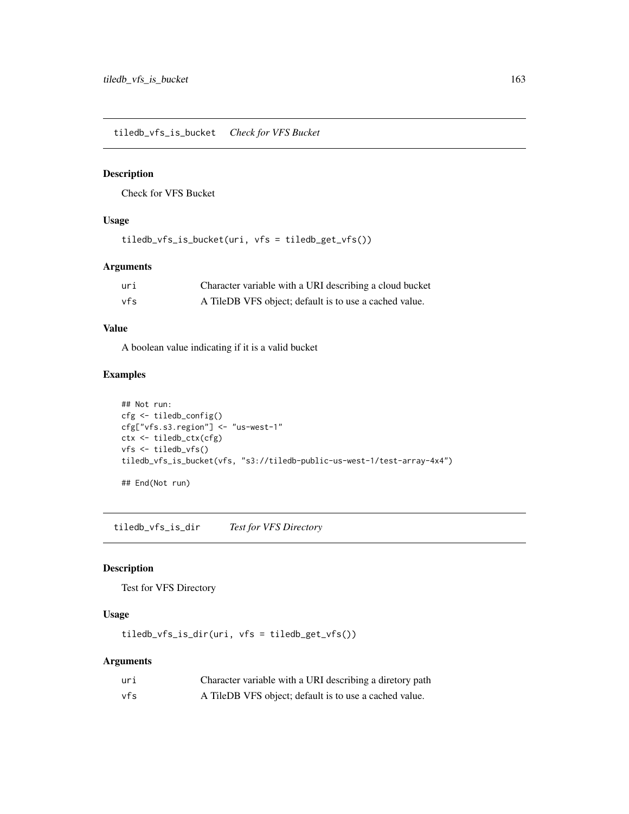tiledb\_vfs\_is\_bucket *Check for VFS Bucket*

#### Description

Check for VFS Bucket

# Usage

tiledb\_vfs\_is\_bucket(uri, vfs = tiledb\_get\_vfs())

### Arguments

| uri | Character variable with a URI describing a cloud bucket |
|-----|---------------------------------------------------------|
| vfs | A TileDB VFS object; default is to use a cached value.  |

### Value

A boolean value indicating if it is a valid bucket

### Examples

```
## Not run:
cfg <- tiledb_config()
cfg["vfs.s3.region"] <- "us-west-1"
ctx <- tiledb_ctx(cfg)
vfs <- tiledb_vfs()
tiledb_vfs_is_bucket(vfs, "s3://tiledb-public-us-west-1/test-array-4x4")
## End(Not run)
```
tiledb\_vfs\_is\_dir *Test for VFS Directory*

### Description

Test for VFS Directory

# Usage

tiledb\_vfs\_is\_dir(uri, vfs = tiledb\_get\_vfs())

### Arguments

| uri | Character variable with a URI describing a diretory path |
|-----|----------------------------------------------------------|
| vfs | A TileDB VFS object; default is to use a cached value.   |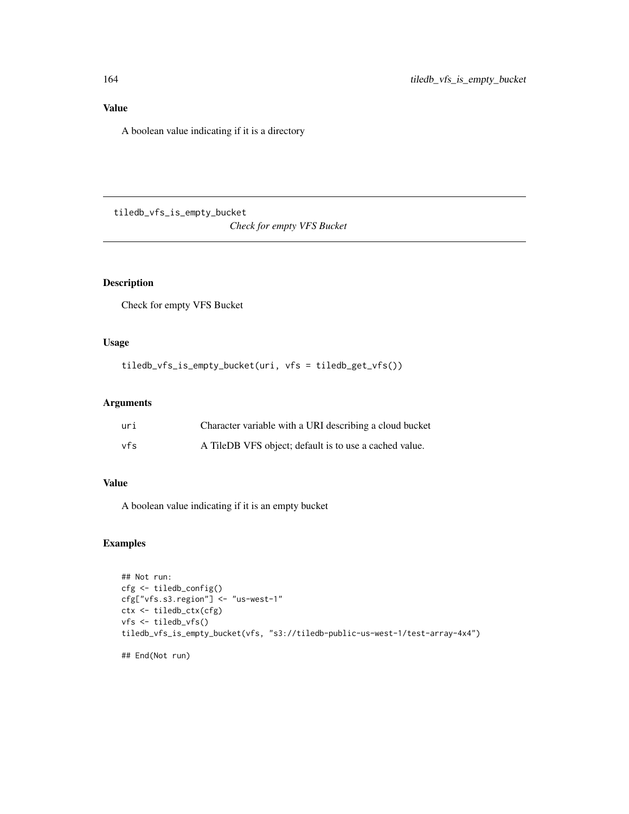# Value

A boolean value indicating if it is a directory

tiledb\_vfs\_is\_empty\_bucket

*Check for empty VFS Bucket*

# Description

Check for empty VFS Bucket

# Usage

tiledb\_vfs\_is\_empty\_bucket(uri, vfs = tiledb\_get\_vfs())

### Arguments

| uri | Character variable with a URI describing a cloud bucket |
|-----|---------------------------------------------------------|
| vfs | A TileDB VFS object; default is to use a cached value.  |

### Value

A boolean value indicating if it is an empty bucket

### Examples

```
## Not run:
cfg <- tiledb_config()
cfg["vfs.s3.region"] <- "us-west-1"
ctx <- tiledb_ctx(cfg)
vfs <- tiledb_vfs()
tiledb_vfs_is_empty_bucket(vfs, "s3://tiledb-public-us-west-1/test-array-4x4")
## End(Not run)
```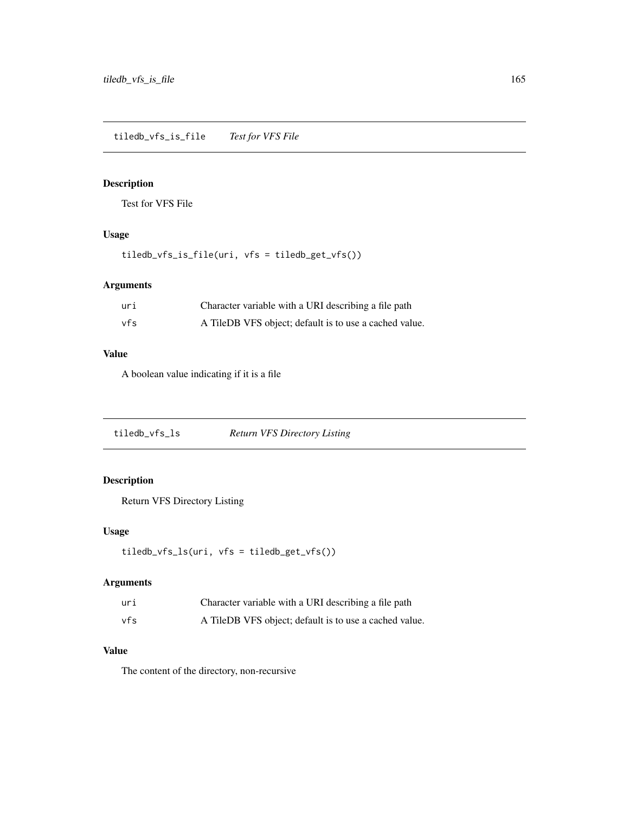# Description

Test for VFS File

### Usage

tiledb\_vfs\_is\_file(uri, vfs = tiledb\_get\_vfs())

### Arguments

| uri | Character variable with a URI describing a file path   |
|-----|--------------------------------------------------------|
| vfs | A TileDB VFS object; default is to use a cached value. |

### Value

A boolean value indicating if it is a file

tiledb\_vfs\_ls *Return VFS Directory Listing*

# Description

Return VFS Directory Listing

# Usage

```
tiledb_vfs_ls(uri, vfs = tiledb_get_vfs())
```
# Arguments

| uri | Character variable with a URI describing a file path   |
|-----|--------------------------------------------------------|
| vfs | A TileDB VFS object; default is to use a cached value. |

### Value

The content of the directory, non-recursive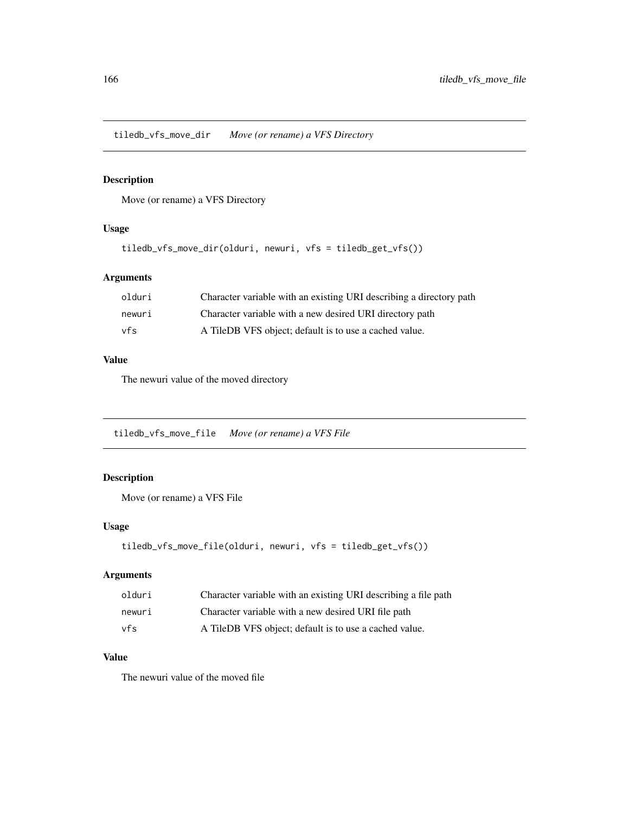tiledb\_vfs\_move\_dir *Move (or rename) a VFS Directory*

### Description

Move (or rename) a VFS Directory

### Usage

```
tiledb_vfs_move_dir(olduri, newuri, vfs = tiledb_get_vfs())
```
# Arguments

| olduri | Character variable with an existing URI describing a directory path |
|--------|---------------------------------------------------------------------|
| newuri | Character variable with a new desired URI directory path            |
| vfs    | A TileDB VFS object; default is to use a cached value.              |

### Value

The newuri value of the moved directory

tiledb\_vfs\_move\_file *Move (or rename) a VFS File*

# Description

Move (or rename) a VFS File

### Usage

```
tiledb_vfs_move_file(olduri, newuri, vfs = tiledb_get_vfs())
```
### Arguments

| olduri | Character variable with an existing URI describing a file path |
|--------|----------------------------------------------------------------|
| newuri | Character variable with a new desired URI file path            |
| vfs    | A TileDB VFS object; default is to use a cached value.         |

# Value

The newuri value of the moved file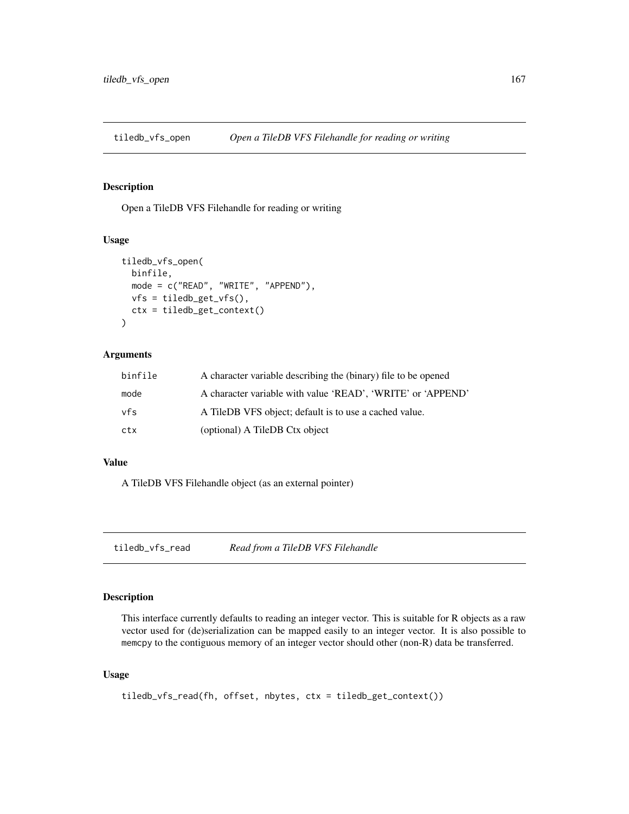### Description

Open a TileDB VFS Filehandle for reading or writing

#### Usage

```
tiledb_vfs_open(
 binfile,
 mode = c("READ", "WRITE", "APPEND"),
  vfs = tiledb_get_vfs(),
  ctx = tiledb_get_context()
)
```
### Arguments

| binfile | A character variable describing the (binary) file to be opened |
|---------|----------------------------------------------------------------|
| mode    | A character variable with value 'READ', 'WRITE' or 'APPEND'    |
| vfs     | A TileDB VFS object; default is to use a cached value.         |
| ctx     | (optional) A TileDB Ctx object                                 |

# Value

A TileDB VFS Filehandle object (as an external pointer)

tiledb\_vfs\_read *Read from a TileDB VFS Filehandle*

### Description

This interface currently defaults to reading an integer vector. This is suitable for R objects as a raw vector used for (de)serialization can be mapped easily to an integer vector. It is also possible to memcpy to the contiguous memory of an integer vector should other (non-R) data be transferred.

#### Usage

```
tiledb_vfs_read(fh, offset, nbytes, ctx = tiledb_get_context())
```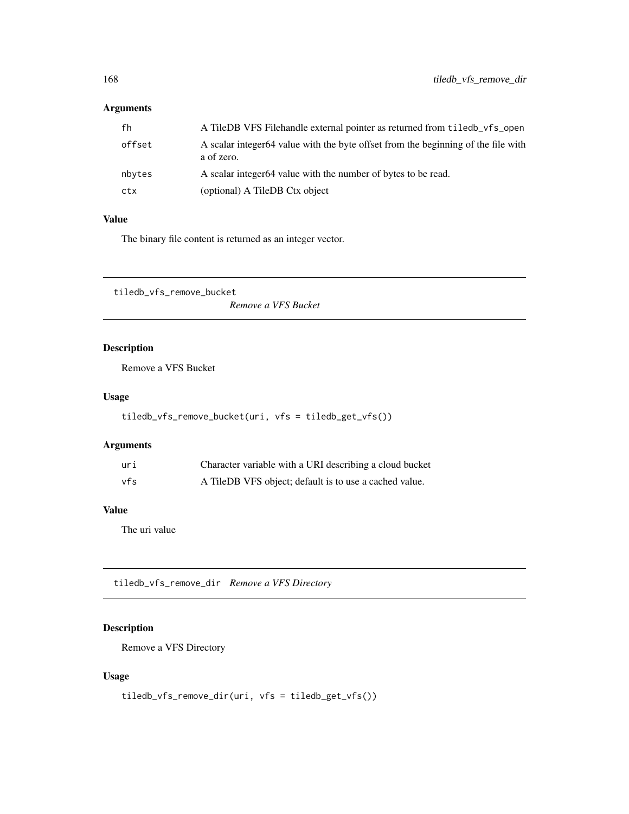| fh     | A TileDB VFS Filehandle external pointer as returned from tiled b vfs open                      |
|--------|-------------------------------------------------------------------------------------------------|
| offset | A scalar integer64 value with the byte offset from the beginning of the file with<br>a of zero. |
| nbytes | A scalar integer 64 value with the number of bytes to be read.                                  |
| ctx    | (optional) A TileDB Ctx object                                                                  |

#### Value

The binary file content is returned as an integer vector.

tiledb\_vfs\_remove\_bucket

*Remove a VFS Bucket*

# Description

Remove a VFS Bucket

### Usage

```
tiledb_vfs_remove_bucket(uri, vfs = tiledb_get_vfs())
```
### Arguments

| uri | Character variable with a URI describing a cloud bucket |
|-----|---------------------------------------------------------|
| vfs | A TileDB VFS object; default is to use a cached value.  |

# Value

The uri value

tiledb\_vfs\_remove\_dir *Remove a VFS Directory*

# Description

Remove a VFS Directory

# Usage

```
tiledb_vfs_remove_dir(uri, vfs = tiledb_get_vfs())
```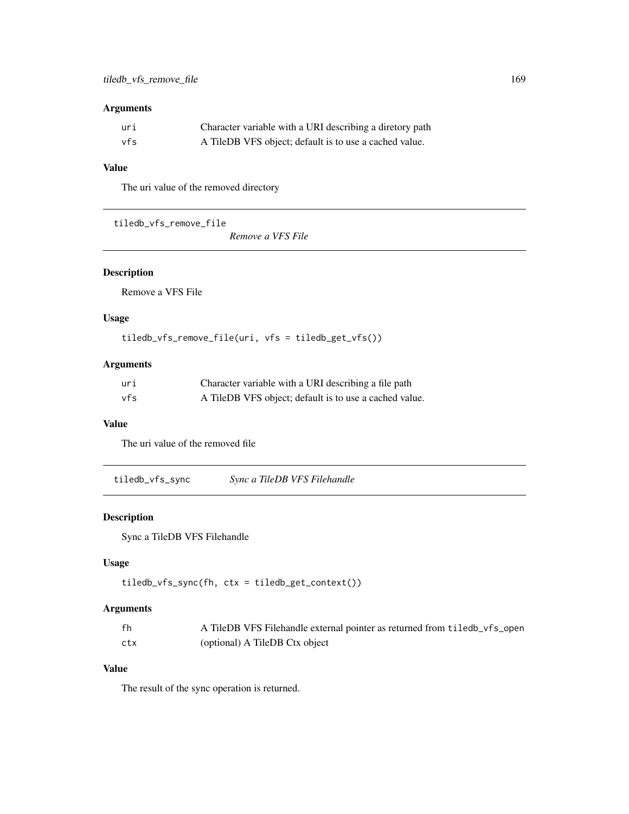| uri | Character variable with a URI describing a diretory path |
|-----|----------------------------------------------------------|
| vfs | A TileDB VFS object; default is to use a cached value.   |

### Value

The uri value of the removed directory

tiledb\_vfs\_remove\_file

*Remove a VFS File*

# Description

Remove a VFS File

### Usage

tiledb\_vfs\_remove\_file(uri, vfs = tiledb\_get\_vfs())

# Arguments

| uri | Character variable with a URI describing a file path   |
|-----|--------------------------------------------------------|
| vfs | A TileDB VFS object; default is to use a cached value. |

### Value

The uri value of the removed file

tiledb\_vfs\_sync *Sync a TileDB VFS Filehandle*

### Description

Sync a TileDB VFS Filehandle

# Usage

```
tiledb_vfs_sync(fh, ctx = tiledb_get_context())
```
### Arguments

| fh  | A TileDB VFS Filehandle external pointer as returned from tiledb_vfs_open |
|-----|---------------------------------------------------------------------------|
| ctx | (optional) A TileDB Ctx object                                            |

# Value

The result of the sync operation is returned.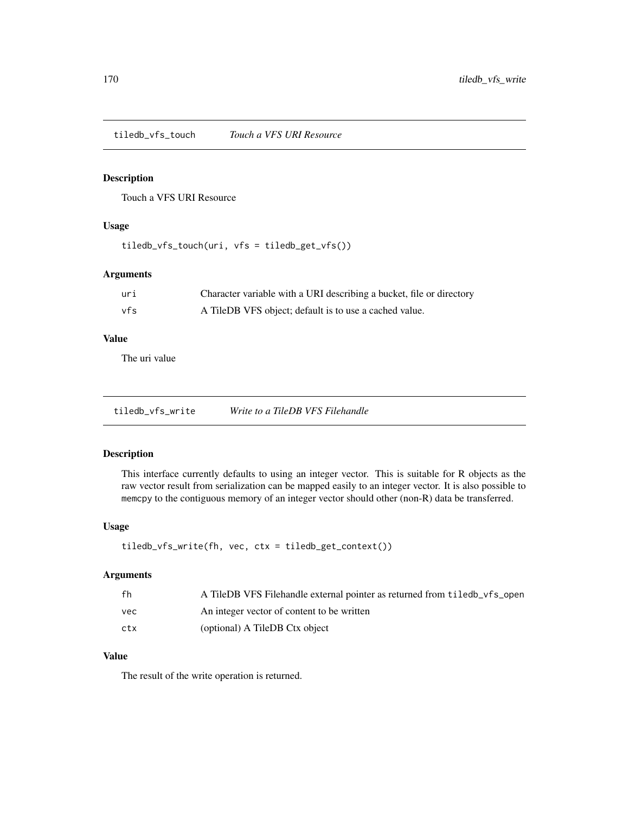tiledb\_vfs\_touch *Touch a VFS URI Resource*

### Description

Touch a VFS URI Resource

### Usage

tiledb\_vfs\_touch(uri, vfs = tiledb\_get\_vfs())

### Arguments

| uri | Character variable with a URI describing a bucket, file or directory |
|-----|----------------------------------------------------------------------|
| vfs | A TileDB VFS object; default is to use a cached value.               |

### Value

The uri value

tiledb\_vfs\_write *Write to a TileDB VFS Filehandle*

#### Description

This interface currently defaults to using an integer vector. This is suitable for R objects as the raw vector result from serialization can be mapped easily to an integer vector. It is also possible to memcpy to the contiguous memory of an integer vector should other (non-R) data be transferred.

### Usage

```
tiledb_vfs_write(fh, vec, ctx = tiledb_get_context())
```
#### Arguments

| fh  | A TileDB VFS Filehandle external pointer as returned from tiled b vfs open |
|-----|----------------------------------------------------------------------------|
| vec | An integer vector of content to be written                                 |
| ctx | (optional) A TileDB Ctx object                                             |

### Value

The result of the write operation is returned.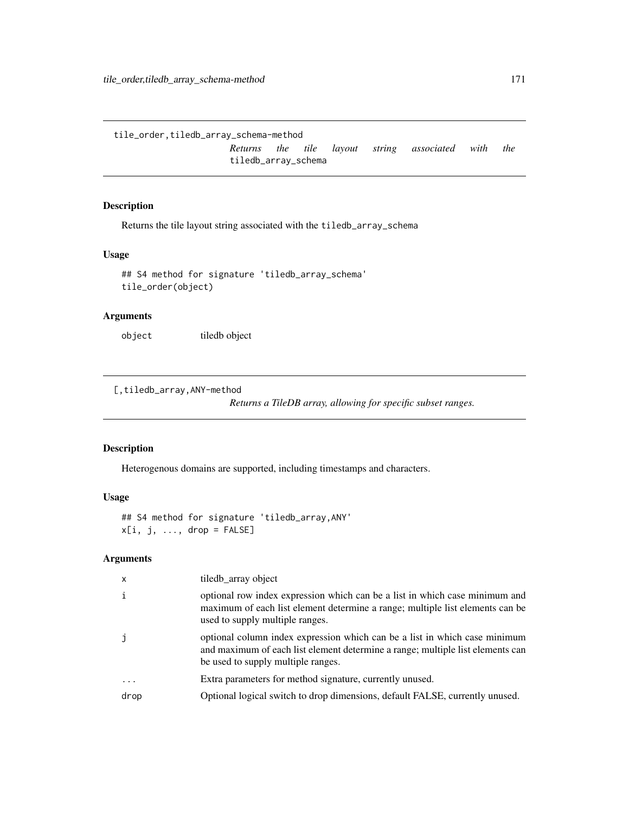<span id="page-170-0"></span>tile\_order,tiledb\_array\_schema-method

*Returns the tile layout string associated with the* tiledb\_array\_schema

### Description

Returns the tile layout string associated with the tiledb\_array\_schema

### Usage

```
## S4 method for signature 'tiledb_array_schema'
tile_order(object)
```
### Arguments

object tiledb object

[,tiledb\_array,ANY-method

*Returns a TileDB array, allowing for specific subset ranges.*

#### Description

Heterogenous domains are supported, including timestamps and characters.

### Usage

```
## S4 method for signature 'tiledb_array,ANY'
x[i, j, ..., drop = FALSE]
```
### Arguments

| $\times$ | tiledb_array object                                                                                                                                                                                |
|----------|----------------------------------------------------------------------------------------------------------------------------------------------------------------------------------------------------|
| i        | optional row index expression which can be a list in which case minimum and<br>maximum of each list element determine a range; multiple list elements can be<br>used to supply multiple ranges.    |
|          | optional column index expression which can be a list in which case minimum<br>and maximum of each list element determine a range; multiple list elements can<br>be used to supply multiple ranges. |
| $\cdots$ | Extra parameters for method signature, currently unused.                                                                                                                                           |
| drop     | Optional logical switch to drop dimensions, default FALSE, currently unused.                                                                                                                       |
|          |                                                                                                                                                                                                    |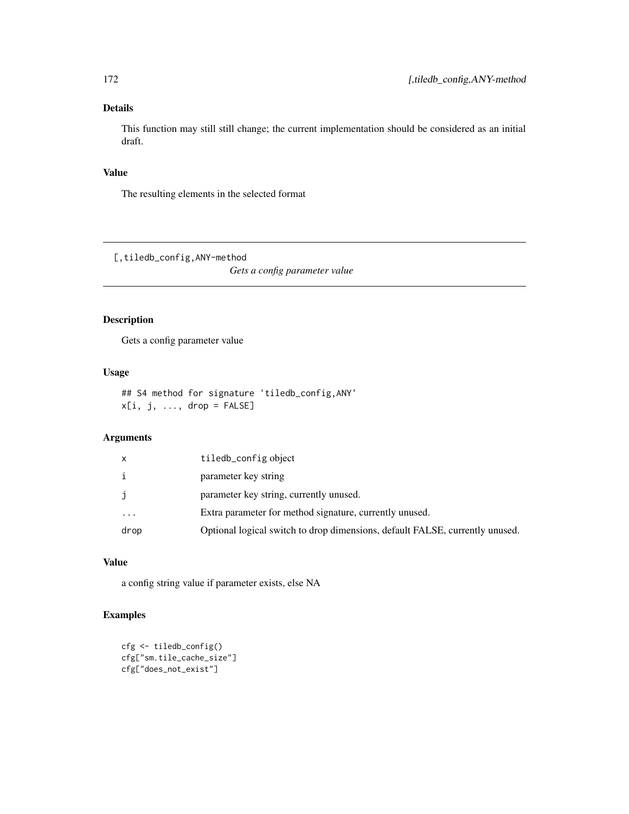# Details

This function may still still change; the current implementation should be considered as an initial draft.

### Value

The resulting elements in the selected format

[,tiledb\_config,ANY-method

*Gets a config parameter value*

### Description

Gets a config parameter value

### Usage

```
## S4 method for signature 'tiledb_config,ANY'
x[i, j, ..., drop = FALSE]
```
# Arguments

| x         | tiledb_config object                                                         |
|-----------|------------------------------------------------------------------------------|
| i         | parameter key string                                                         |
| j         | parameter key string, currently unused.                                      |
| $\ddotsc$ | Extra parameter for method signature, currently unused.                      |
| drop      | Optional logical switch to drop dimensions, default FALSE, currently unused. |

### Value

a config string value if parameter exists, else NA

# Examples

```
cfg <- tiledb_config()
cfg["sm.tile_cache_size"]
cfg["does_not_exist"]
```
<span id="page-171-0"></span>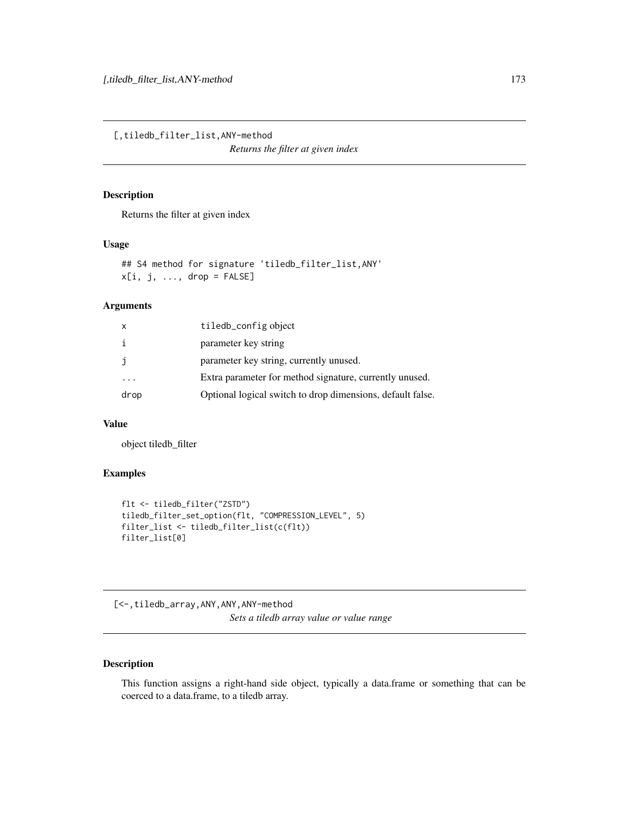<span id="page-172-0"></span>[,tiledb\_filter\_list,ANY-method

*Returns the filter at given index*

### Description

Returns the filter at given index

### Usage

## S4 method for signature 'tiledb\_filter\_list,ANY'  $x[i, j, ..., drop = FALSE]$ 

### Arguments

| $\mathsf{x}$ | tiledb_config object                                       |
|--------------|------------------------------------------------------------|
| i            | parameter key string                                       |
| j            | parameter key string, currently unused.                    |
|              | Extra parameter for method signature, currently unused.    |
| drop         | Optional logical switch to drop dimensions, default false. |

# Value

object tiledb\_filter

### Examples

```
flt <- tiledb_filter("ZSTD")
tiledb_filter_set_option(flt, "COMPRESSION_LEVEL", 5)
filter_list <- tiledb_filter_list(c(flt))
filter_list[0]
```
[<-,tiledb\_array,ANY,ANY,ANY-method

*Sets a tiledb array value or value range*

# Description

This function assigns a right-hand side object, typically a data.frame or something that can be coerced to a data.frame, to a tiledb array.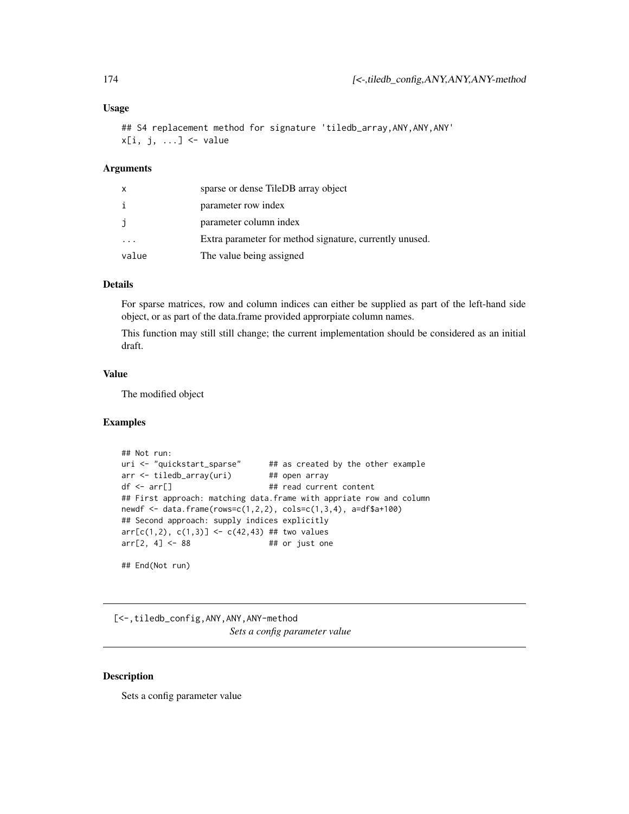#### <span id="page-173-0"></span>Usage

```
## S4 replacement method for signature 'tiledb_array, ANY, ANY, ANY'
x[i, j, ...] <- value
```
### Arguments

| x                       | sparse or dense TileDB array object                     |
|-------------------------|---------------------------------------------------------|
| i                       | parameter row index                                     |
| j                       | parameter column index                                  |
| $\cdot$ $\cdot$ $\cdot$ | Extra parameter for method signature, currently unused. |
| value                   | The value being assigned                                |

### Details

For sparse matrices, row and column indices can either be supplied as part of the left-hand side object, or as part of the data.frame provided approrpiate column names.

This function may still still change; the current implementation should be considered as an initial draft.

#### Value

The modified object

### Examples

```
## Not run:
uri <- "quickstart_sparse" ## as created by the other example
arr <- tiledb_array(uri) ## open array
df <- arr[] \qquad ## read current content
## First approach: matching data.frame with appriate row and column
newdf <- data.frame(rows=c(1,2,2), cols=c(1,3,4), a=df$a+100)
## Second approach: supply indices explicitly
arr[c(1,2), c(1,3)] \leftarrow c(42,43) ## two values
arr[2, 4] \leftarrow 88 ## or just one
## End(Not run)
```
[<-,tiledb\_config,ANY,ANY,ANY-method *Sets a config parameter value*

### Description

Sets a config parameter value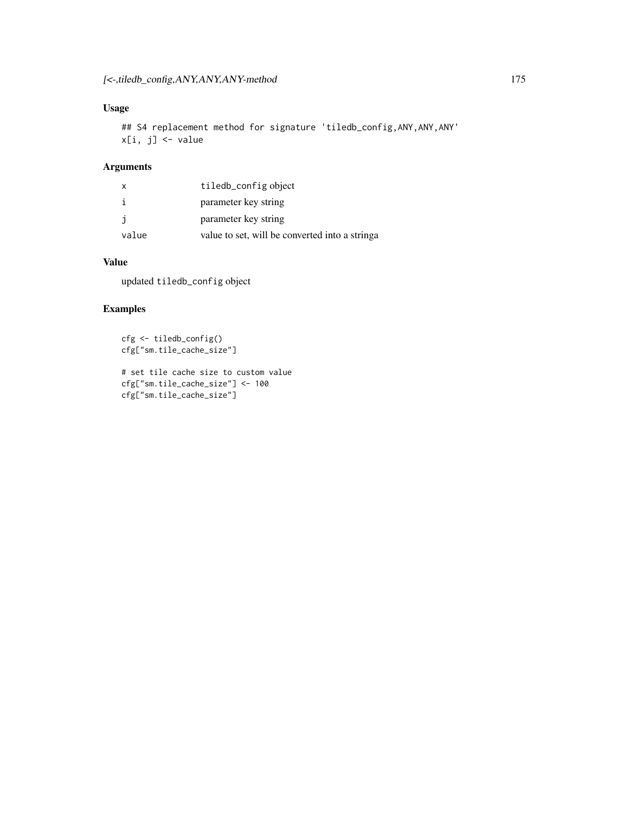# Usage

```
## S4 replacement method for signature 'tiledb_config, ANY, ANY, ANY'
x[i, j] <- value
```
# Arguments

| X     | tiledb_config object                             |
|-------|--------------------------------------------------|
| i     | parameter key string                             |
| j     | parameter key string                             |
| value | value to set, will be converted into a string of |

### Value

updated tiledb\_config object

# Examples

cfg <- tiledb\_config() cfg["sm.tile\_cache\_size"]

# set tile cache size to custom value cfg["sm.tile\_cache\_size"] <- 100 cfg["sm.tile\_cache\_size"]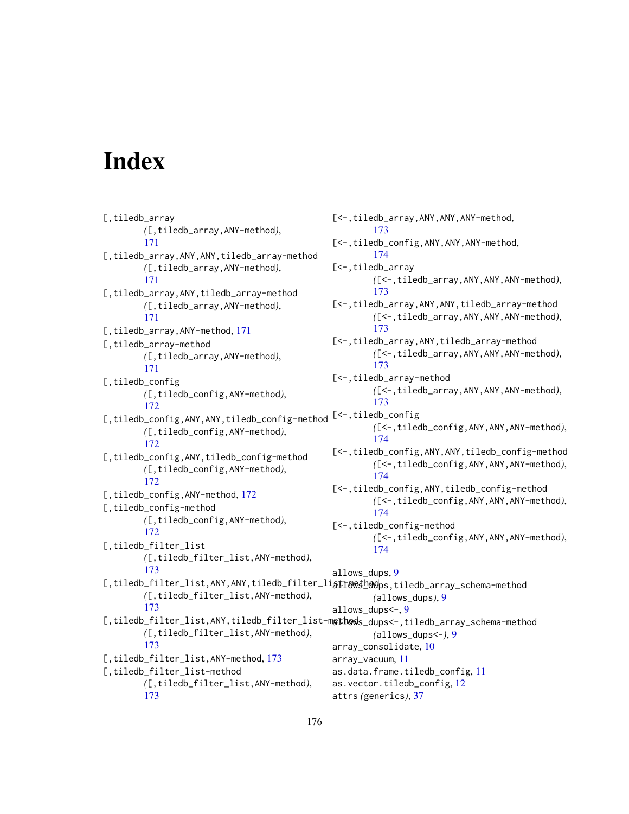# **Index**

[,tiledb\_array *(*[,tiledb\_array,ANY-method*)*, [171](#page-170-0) [,tiledb\_array,ANY,ANY,tiledb\_array-method *(*[,tiledb\_array,ANY-method*)*, [171](#page-170-0) [,tiledb\_array,ANY,tiledb\_array-method *(*[,tiledb\_array,ANY-method*)*, [171](#page-170-0) [, tiledb\_array, ANY-method, [171](#page-170-0) [,tiledb\_array-method *(*[,tiledb\_array,ANY-method*)*, [171](#page-170-0) [,tiledb\_config *(*[,tiledb\_config,ANY-method*)*, [172](#page-171-0) [,tiledb\_config,ANY,ANY,tiledb\_config-method [<-,tiledb\_config *(*[,tiledb\_config,ANY-method*)*, [172](#page-171-0) [,tiledb\_config,ANY,tiledb\_config-method *(*[,tiledb\_config,ANY-method*)*, [172](#page-171-0) [, tiledb\_config, ANY-method, [172](#page-171-0) [,tiledb\_config-method *(*[,tiledb\_config,ANY-method*)*, [172](#page-171-0) [,tiledb\_filter\_list *(*[,tiledb\_filter\_list,ANY-method*)*, [173](#page-172-0) [,tiledb\_filter\_list,ANY,ANY,tiledb\_filter\_li**atr&&\$\_h@d**ps,tiledb\_array\_schema-method *(*[,tiledb\_filter\_list,ANY-method*)*, [173](#page-172-0) [,tiledb\_filter\_list,ANY,tiledb\_filter\_list-m**gthod**s\_dups<-,tiledb\_array\_schema-method *(*[,tiledb\_filter\_list,ANY-method*)*, [173](#page-172-0) [,tiledb\_filter\_list, ANY-method, [173](#page-172-0) [,tiledb\_filter\_list-method *(*[,tiledb\_filter\_list,ANY-method*)*, [173](#page-172-0) [173](#page-172-0) [174](#page-173-0) [<-,tiledb\_array [173](#page-172-0) [173](#page-172-0) [173](#page-172-0) [173](#page-172-0) [174](#page-173-0) [174](#page-173-0) [174](#page-173-0) [174](#page-173-0) allows\_dups, [9](#page-8-0) allows\_dups<-, [9](#page-8-0) array\_consolidate, [10](#page-9-0) array\_vacuum, [11](#page-10-0) as.data.frame.tiledb\_config, [11](#page-10-0) as.vector.tiledb\_config, [12](#page-11-0) attrs *(*generics*)*, [37](#page-36-0)

[<-,tiledb\_array,ANY,ANY,ANY-method, [<-,tiledb\_config,ANY,ANY,ANY-method, *(*[<-,tiledb\_array,ANY,ANY,ANY-method*)*, [<-,tiledb\_array,ANY,ANY,tiledb\_array-method *(*[<-,tiledb\_array,ANY,ANY,ANY-method*)*, [<-,tiledb\_array,ANY,tiledb\_array-method *(*[<-,tiledb\_array,ANY,ANY,ANY-method*)*, [<-,tiledb\_array-method *(*[<-,tiledb\_array,ANY,ANY,ANY-method*)*, *(*[<-,tiledb\_config,ANY,ANY,ANY-method*)*, [<-,tiledb\_config,ANY,ANY,tiledb\_config-method *(*[<-,tiledb\_config,ANY,ANY,ANY-method*)*, [<-,tiledb\_config,ANY,tiledb\_config-method *(*[<-,tiledb\_config,ANY,ANY,ANY-method*)*, [<-,tiledb\_config-method *(*[<-,tiledb\_config,ANY,ANY,ANY-method*)*, *(*allows\_dups*)*, [9](#page-8-0) *(*allows\_dups<-*)*, [9](#page-8-0)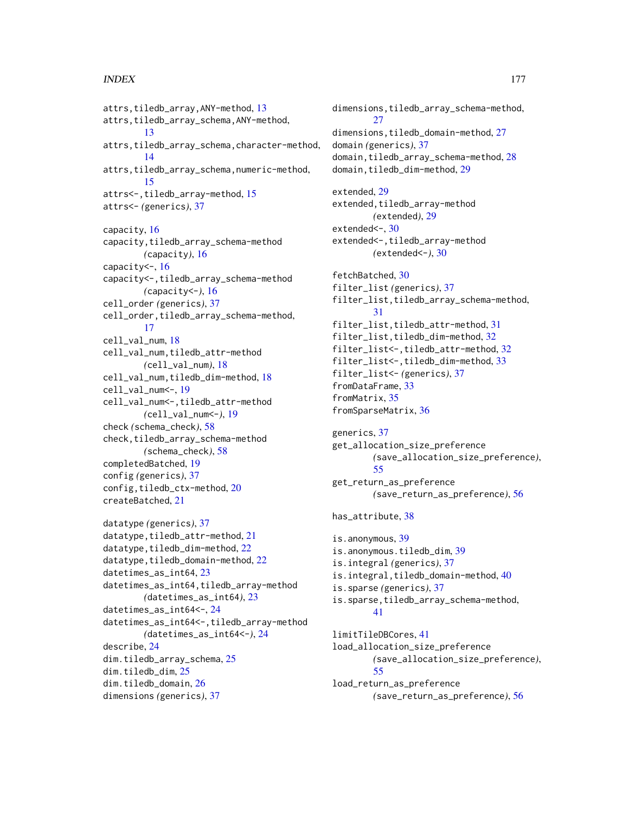#### INDEX 177

attrs,tiledb\_array,ANY-method, [13](#page-12-0) attrs,tiledb\_array\_schema,ANY-method, [13](#page-12-0) attrs,tiledb\_array\_schema,character-method, [14](#page-13-0) attrs,tiledb\_array\_schema,numeric-method, [15](#page-14-0) attrs<-,tiledb\_array-method, [15](#page-14-0) attrs<- *(*generics*)*, [37](#page-36-0) capacity, [16](#page-15-0) capacity,tiledb\_array\_schema-method *(*capacity*)*, [16](#page-15-0) capacity<-, [16](#page-15-0) capacity<-,tiledb\_array\_schema-method *(*capacity<-*)*, [16](#page-15-0) cell\_order *(*generics*)*, [37](#page-36-0) cell\_order,tiledb\_array\_schema-method, [17](#page-16-0) cell\_val\_num, [18](#page-17-0) cell\_val\_num,tiledb\_attr-method *(*cell\_val\_num*)*, [18](#page-17-0) cell\_val\_num,tiledb\_dim-method, [18](#page-17-0) cell\_val\_num<-, [19](#page-18-0) cell\_val\_num<-,tiledb\_attr-method *(*cell\_val\_num<-*)*, [19](#page-18-0) check *(*schema\_check*)*, [58](#page-57-0) check,tiledb\_array\_schema-method *(*schema\_check*)*, [58](#page-57-0) completedBatched, [19](#page-18-0) config *(*generics*)*, [37](#page-36-0) config,tiledb\_ctx-method, [20](#page-19-0) createBatched, [21](#page-20-0)

```
datatype (generics), 37
21
22
22
datetimes_as_int64, 23
datetimes_as_int64,tiledb_array-method
      (datetimes_as_int64), 23
datetimes_as_int64<-, 24
datetimes_as_int64<-,tiledb_array-method
      (datetimes_as_int64<-), 24
describe, 24
dim.tiledb_array_schema, 25
dim.tiledb_dim, 25
dim.tiledb_domain, 26
dimensions (generics), 37
```
dimensions,tiledb\_array\_schema-method, [27](#page-26-0) dimensions,tiledb\_domain-method, [27](#page-26-0) domain *(*generics*)*, [37](#page-36-0) domain,tiledb\_array\_schema-method, [28](#page-27-0) domain,tiledb\_dim-method, [29](#page-28-0) extended, [29](#page-28-0) extended, tiledb\_array-method *(*extended*)*, [29](#page-28-0) extended <- , [30](#page-29-0) extended<-,tiledb\_array-method *(*extended<-*)*, [30](#page-29-0) fetchBatched, [30](#page-29-0) filter\_list *(*generics*)*, [37](#page-36-0) filter\_list,tiledb\_array\_schema-method, [31](#page-30-0) filter\_list,tiledb\_attr-method, [31](#page-30-0) filter\_list,tiledb\_dim-method, [32](#page-31-0) filter\_list<-,tiledb\_attr-method, [32](#page-31-0) filter\_list<-,tiledb\_dim-method, [33](#page-32-0) filter\_list<- *(*generics*)*, [37](#page-36-0) fromDataFrame, [33](#page-32-0) fromMatrix, [35](#page-34-0) fromSparseMatrix, [36](#page-35-0) generics, [37](#page-36-0) get\_allocation\_size\_preference *(*save\_allocation\_size\_preference*)*, [55](#page-54-0) get\_return\_as\_preference *(*save\_return\_as\_preference*)*, [56](#page-55-0) has attribute. [38](#page-37-0) is.anonymous, [39](#page-38-0) is.anonymous.tiledb\_dim, [39](#page-38-0) is.integral *(*generics*)*, [37](#page-36-0) is.integral,tiledb\_domain-method, [40](#page-39-0) is.sparse *(*generics*)*, [37](#page-36-0)

# is.sparse,tiledb\_array\_schema-method, [41](#page-40-0)

limitTileDBCores, [41](#page-40-0) load\_allocation\_size\_preference *(*save\_allocation\_size\_preference*)*, [55](#page-54-0) load\_return\_as\_preference *(*save\_return\_as\_preference*)*, [56](#page-55-0)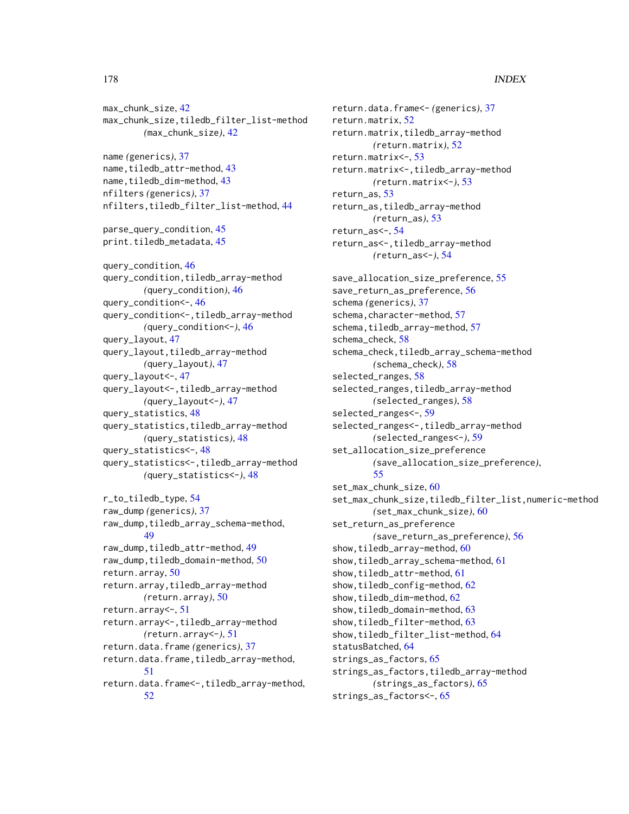### 178 **INDEX**

max\_chunk\_size, [42](#page-41-0) max\_chunk\_size,tiledb\_filter\_list-method *(*max\_chunk\_size*)*, [42](#page-41-0) name *(*generics*)*, [37](#page-36-0) name, tiledb\_attr-method, [43](#page-42-0) name, tiledb\_dim-method, [43](#page-42-0) nfilters *(*generics*)*, [37](#page-36-0) nfilters,tiledb\_filter\_list-method, [44](#page-43-0) parse\_query\_condition, [45](#page-44-0) print.tiledb\_metadata, [45](#page-44-0) query\_condition, [46](#page-45-0) query\_condition,tiledb\_array-method *(*query\_condition*)*, [46](#page-45-0) query\_condition<-, [46](#page-45-0) query\_condition<-,tiledb\_array-method *(*query\_condition<-*)*, [46](#page-45-0) query\_layout, [47](#page-46-0) query\_layout,tiledb\_array-method *(*query\_layout*)*, [47](#page-46-0) query\_layout<-, [47](#page-46-0) query\_layout<-,tiledb\_array-method *(*query\_layout<-*)*, [47](#page-46-0) query\_statistics, [48](#page-47-0) query\_statistics,tiledb\_array-method *(*query\_statistics*)*, [48](#page-47-0) query\_statistics<-, [48](#page-47-0) query\_statistics<-,tiledb\_array-method *(*query\_statistics<-*)*, [48](#page-47-0) r\_to\_tiledb\_type, [54](#page-53-0) raw\_dump *(*generics*)*, [37](#page-36-0) raw\_dump,tiledb\_array\_schema-method, [49](#page-48-0) raw\_dump,tiledb\_attr-method, [49](#page-48-0) raw\_dump,tiledb\_domain-method, [50](#page-49-0) return.array, [50](#page-49-0) return.array,tiledb\_array-method *(*return.array*)*, [50](#page-49-0) return.array<-, [51](#page-50-0) return.array<-,tiledb\_array-method *(*return.array<-*)*, [51](#page-50-0) return.data.frame *(*generics*)*, [37](#page-36-0) return.data.frame,tiledb\_array-method, [51](#page-50-0) return.data.frame<-,tiledb\_array-method, [52](#page-51-0)

return.data.frame<- *(*generics*)*, [37](#page-36-0) return.matrix, [52](#page-51-0) return.matrix,tiledb\_array-method *(*return.matrix*)*, [52](#page-51-0) return.matrix<-, [53](#page-52-0) return.matrix<-,tiledb\_array-method *(*return.matrix<-*)*, [53](#page-52-0) return\_as, [53](#page-52-0) return\_as,tiledb\_array-method *(*return\_as*)*, [53](#page-52-0) return\_as<-, [54](#page-53-0) return\_as<-,tiledb\_array-method *(*return\_as<-*)*, [54](#page-53-0) save\_allocation\_size\_preference, [55](#page-54-0) save\_return\_as\_preference, [56](#page-55-0) schema *(*generics*)*, [37](#page-36-0) schema, character-method, [57](#page-56-0) schema, tiledb\_array-method, [57](#page-56-0) schema\_check, [58](#page-57-0) schema\_check,tiledb\_array\_schema-method *(*schema\_check*)*, [58](#page-57-0) selected\_ranges, [58](#page-57-0) selected\_ranges,tiledb\_array-method *(*selected\_ranges*)*, [58](#page-57-0) selected\_ranges<-, [59](#page-58-0) selected\_ranges<-,tiledb\_array-method *(*selected\_ranges<-*)*, [59](#page-58-0) set\_allocation\_size\_preference *(*save\_allocation\_size\_preference*)*, [55](#page-54-0) set\_max\_chunk\_size, [60](#page-59-0) set\_max\_chunk\_size,tiledb\_filter\_list,numeric-method *(*set\_max\_chunk\_size*)*, [60](#page-59-0) set\_return\_as\_preference *(*save\_return\_as\_preference*)*, [56](#page-55-0) show, tiledb\_array-method, [60](#page-59-0) show,tiledb\_array\_schema-method, [61](#page-60-0) show, tiledb\_attr-method, [61](#page-60-0) show,tiledb\_config-method, [62](#page-61-0) show, tiledb\_dim-method, [62](#page-61-0) show, tiledb\_domain-method, [63](#page-62-0) show,tiledb\_filter-method, [63](#page-62-0) show,tiledb\_filter\_list-method, [64](#page-63-0) statusBatched, [64](#page-63-0) strings\_as\_factors, [65](#page-64-0) strings\_as\_factors,tiledb\_array-method *(*strings\_as\_factors*)*, [65](#page-64-0) strings\_as\_factors<-, [65](#page-64-0)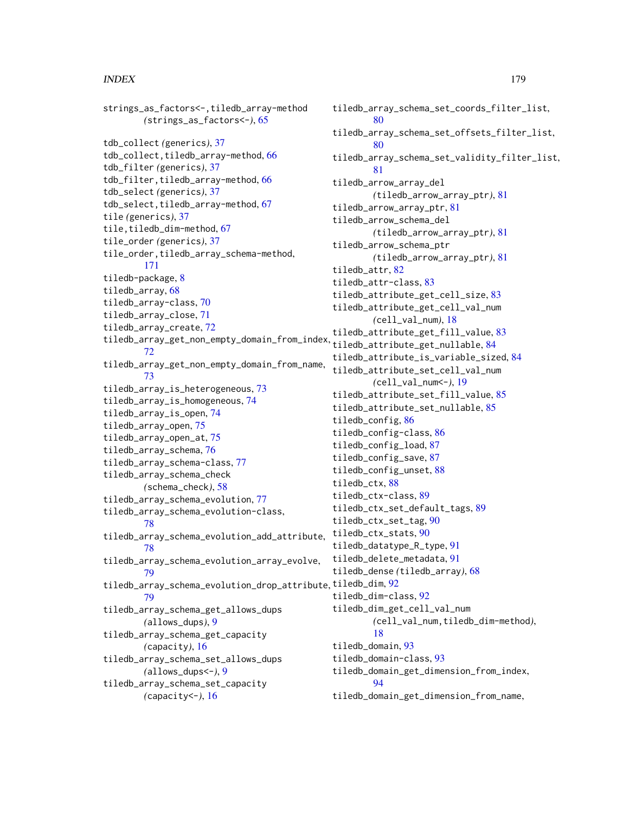#### INDEX 279

```
strings_as_factors<-,tiledb_array-method
        (strings_as_factors<-), 65
tdb_collect (generics), 37
tdb_collect,tiledb_array-method, 66
tdb_filter (generics), 37
tdb_filter,tiledb_array-method, 66
tdb_select (generics), 37
67
tile (generics), 37
tile,tiledb_dim-method, 67
tile_order (generics), 37
tile_order,tiledb_array_schema-method,
        171
tiledb-package, 8
tiledb_array, 68
tiledb_array-class, 70
tiledb_array_close, 71
tiledb_array_create, 72
tiledb_array_get_non_empty_domain_from_index,
tiledb_attribute_get_nullable, 84
        72
tiledb_array_get_non_empty_domain_from_name,
        73
tiledb_array_is_heterogeneous, 73
tiledb_array_is_homogeneous, 74
tiledb_array_is_open, 74
tiledb_array_open, 75
tiledb_array_open_at, 75
tiledb_array_schema, 76
tiledb_array_schema-class, 77
tiledb_array_schema_check
        (schema_check), 58
tiledb_array_schema_evolution, 77
tiledb_array_schema_evolution-class,
        78
tiledb_array_schema_evolution_add_attribute,
tiledb_ctx_stats, 90
        78
tiledb_array_schema_evolution_array_evolve,
        79
tiledb_array_schema_evolution_drop_attribute,
tiledb_dim, 92
        79
tiledb_array_schema_get_allows_dups
        (allows_dups), 9
tiledb_array_schema_get_capacity
        (capacity), 16
tiledb_array_schema_set_allows_dups
        (allows_dups<-), 9
tiledb_array_schema_set_capacity
```
*(*capacity<-*)*, [16](#page-15-0)

tiledb\_array\_schema\_set\_coords\_filter\_list, [80](#page-79-0) tiledb\_array\_schema\_set\_offsets\_filter\_list, [80](#page-79-0) tiledb\_array\_schema\_set\_validity\_filter\_list, [81](#page-80-0) tiledb\_arrow\_array\_del *(*tiledb\_arrow\_array\_ptr*)*, [81](#page-80-0) tiledb\_arrow\_array\_ptr, [81](#page-80-0) tiledb\_arrow\_schema\_del *(*tiledb\_arrow\_array\_ptr*)*, [81](#page-80-0) tiledb\_arrow\_schema\_ptr *(*tiledb\_arrow\_array\_ptr*)*, [81](#page-80-0) tiledb\_attr, [82](#page-81-0) tiledb\_attr-class, [83](#page-82-0) tiledb\_attribute\_get\_cell\_size, [83](#page-82-0) tiledb\_attribute\_get\_cell\_val\_num *(*cell\_val\_num*)*, [18](#page-17-0) tiledb\_attribute\_get\_fill\_value, [83](#page-82-0) tiledb\_attribute\_is\_variable\_sized, [84](#page-83-0) tiledb\_attribute\_set\_cell\_val\_num *(*cell\_val\_num<-*)*, [19](#page-18-0) tiledb\_attribute\_set\_fill\_value, [85](#page-84-0) tiledb\_attribute\_set\_nullable, [85](#page-84-0) tiledb\_config, [86](#page-85-0) tiledb\_config-class, [86](#page-85-0) tiledb\_config\_load, [87](#page-86-0) tiledb\_config\_save, [87](#page-86-0) tiledb\_config\_unset, [88](#page-87-0) tiledb ctx. [88](#page-87-0) tiledb\_ctx-class, [89](#page-88-0) tiledb\_ctx\_set\_default\_tags, [89](#page-88-0) tiledb\_ctx\_set\_tag, [90](#page-89-0) tiledb\_datatype\_R\_type, [91](#page-90-0) tiledb\_delete\_metadata, [91](#page-90-0) tiledb\_dense *(*tiledb\_array*)*, [68](#page-67-0) tiledb\_dim-class, [92](#page-91-0) tiledb\_dim\_get\_cell\_val\_num *(*cell\_val\_num,tiledb\_dim-method*)*, [18](#page-17-0) tiledb\_domain, [93](#page-92-0) tiledb\_domain-class, [93](#page-92-0) tiledb\_domain\_get\_dimension\_from\_index, [94](#page-93-0)

tiledb\_domain\_get\_dimension\_from\_name,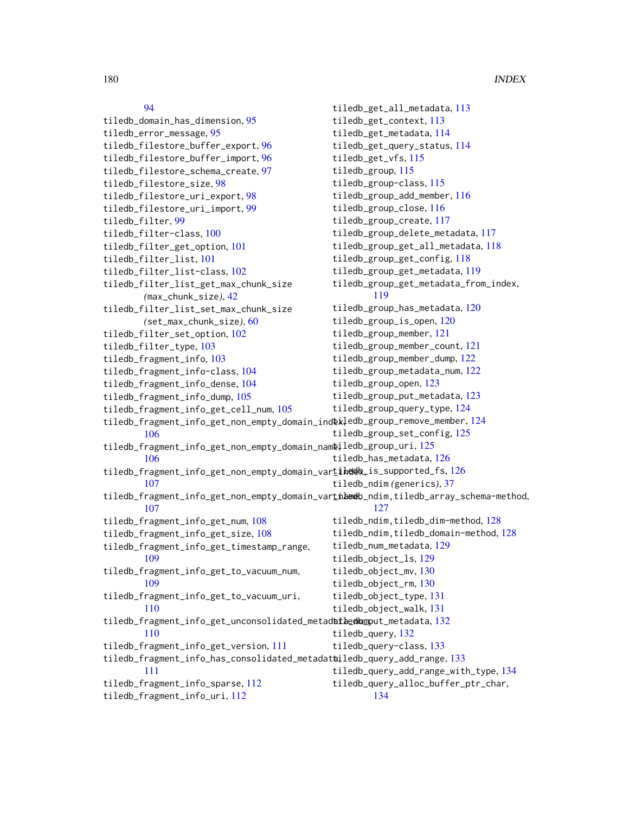### [94](#page-93-0)

tiledb\_domain\_has\_dimension, [95](#page-94-0) tiledb\_error\_message, [95](#page-94-0) tiledb\_filestore\_buffer\_export, [96](#page-95-0) tiledb\_filestore\_buffer\_import, [96](#page-95-0) tiledb\_filestore\_schema\_create, [97](#page-96-0) tiledb\_filestore\_size, [98](#page-97-0) tiledb\_filestore\_uri\_export, [98](#page-97-0) tiledb\_filestore\_uri\_import, [99](#page-98-0) tiledb\_filter, [99](#page-98-0) tiledb\_filter-class, [100](#page-99-0) tiledb\_filter\_get\_option, [101](#page-100-0) tiledb\_filter\_list, [101](#page-100-0) tiledb\_filter\_list-class, [102](#page-101-0) tiledb\_filter\_list\_get\_max\_chunk\_size *(*max\_chunk\_size*)*, [42](#page-41-0) tiledb\_filter\_list\_set\_max\_chunk\_size *(*set\_max\_chunk\_size*)*, [60](#page-59-0) tiledb\_filter\_set\_option, [102](#page-101-0) tiledb\_filter\_type, [103](#page-102-0) tiledb\_fragment\_info, [103](#page-102-0) tiledb\_fragment\_info-class, [104](#page-103-0) tiledb\_fragment\_info\_dense, [104](#page-103-0) tiledb\_fragment\_info\_dump, [105](#page-104-0) tiledb\_fragment\_info\_get\_cell\_num, [105](#page-104-0) tiledb\_fragment\_info\_get\_non\_empty\_domain\_index, tiledb\_group\_remove\_member, [124](#page-123-0) [106](#page-105-0) tiledb\_fragment\_info\_get\_non\_empty\_domain\_nameiledb\_group\_uri,[125](#page-124-0) [106](#page-105-0) tiledb\_fragment\_info\_get\_non\_empty\_domain\_vartihedex\_is\_supported\_fs, [126](#page-125-0) [107](#page-106-0) tiledb\_fragment\_info\_get\_non\_empty\_domain\_varthameb\_ndim,tiledb\_array\_schema-method, [107](#page-106-0) tiledb\_fragment\_info\_get\_num, [108](#page-107-0) tiledb\_fragment\_info\_get\_size, [108](#page-107-0) tiledb\_fragment\_info\_get\_timestamp\_range, [109](#page-108-0) tiledb\_fragment\_info\_get\_to\_vacuum\_num, [109](#page-108-0) tiledb\_fragment\_info\_get\_to\_vacuum\_uri, [110](#page-109-0) tiledb\_fragment\_info\_get\_unconsolidated\_metadathedhumput\_metadata, [132](#page-131-0) [110](#page-109-0) tiledb\_fragment\_info\_get\_version, [111](#page-110-0) tiledb\_fragment\_info\_has\_consolidated\_metadatailedb\_query\_add\_range, [133](#page-132-0) [111](#page-110-0) tiledb\_fragment\_info\_sparse, [112](#page-111-0) tiledb\_fragment\_info\_uri, [112](#page-111-0) tiledb\_get\_all\_metadata, [113](#page-112-0) tiledb\_get\_context, [113](#page-112-0) tiledb\_get\_metadata, [114](#page-113-0) tiledb\_get\_query\_status, [114](#page-113-0) tiledb\_get\_vfs, [115](#page-114-0) tiledb\_group, [115](#page-114-0) tiledb\_group-class, [115](#page-114-0) tiledb\_group\_add\_member, [116](#page-115-0) tiledb\_group\_close, [116](#page-115-0) tiledb\_group\_create, [117](#page-116-0) tiledb\_group\_delete\_metadata, [117](#page-116-0) tiledb\_group\_get\_all\_metadata, [118](#page-117-0) tiledb\_group\_get\_config, [118](#page-117-0) tiledb\_group\_get\_metadata, [119](#page-118-0) tiledb\_group\_get\_metadata\_from\_index, [119](#page-118-0) tiledb\_group\_has\_metadata, [120](#page-119-0) tiledb\_group\_is\_open, [120](#page-119-0) tiledb\_group\_member, [121](#page-120-0) tiledb\_group\_member\_count, [121](#page-120-0) tiledb\_group\_member\_dump, [122](#page-121-0) tiledb\_group\_metadata\_num, [122](#page-121-0) tiledb\_group\_open, [123](#page-122-0) tiledb\_group\_put\_metadata, [123](#page-122-0) tiledb\_group\_query\_type, [124](#page-123-0) tiledb\_group\_set\_config, [125](#page-124-0) tiledb\_has\_metadata, [126](#page-125-0) tiledb\_ndim *(*generics*)*, [37](#page-36-0) [127](#page-126-0) tiledb\_ndim,tiledb\_dim-method, [128](#page-127-0) tiledb\_ndim,tiledb\_domain-method, [128](#page-127-0) tiledb\_num\_metadata, [129](#page-128-0) tiledb\_object\_ls, [129](#page-128-0) tiledb\_object\_mv, [130](#page-129-0) tiledb\_object\_rm, [130](#page-129-0) tiledb\_object\_type, [131](#page-130-0) tiledb\_object\_walk, [131](#page-130-0) tiledb\_query, [132](#page-131-0) tiledb\_query-class, [133](#page-132-0) tiledb\_query\_add\_range\_with\_type, [134](#page-133-0) tiledb\_query\_alloc\_buffer\_ptr\_char, [134](#page-133-0)